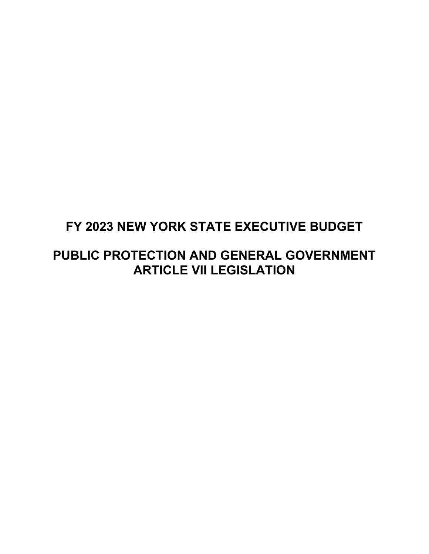#### **FY 2023 NEW YORK STATE EXECUTIVE BUDGET**

#### **PUBLIC PROTECTION AND GENERAL GOVERNMENT ARTICLE VII LEGISLATION**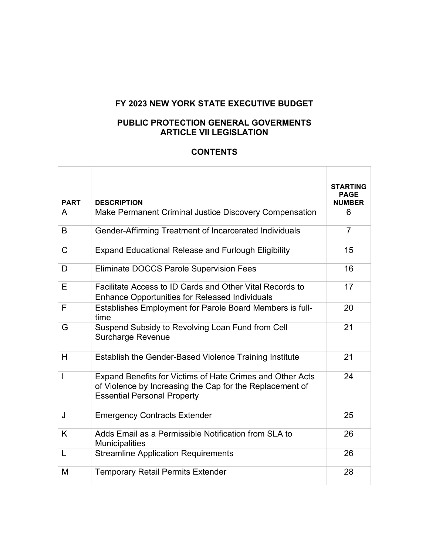#### **FY 2023 NEW YORK STATE EXECUTIVE BUDGET**

#### **PUBLIC PROTECTION GENERAL GOVERMENTS ARTICLE VII LEGISLATION**

#### **CONTENTS**

| <b>PART</b>    | <b>DESCRIPTION</b>                                                                                                                                          | <b>STARTING</b><br>PAGE<br><b>NUMBER</b> |
|----------------|-------------------------------------------------------------------------------------------------------------------------------------------------------------|------------------------------------------|
| A              | Make Permanent Criminal Justice Discovery Compensation                                                                                                      | 6                                        |
| B              | Gender-Affirming Treatment of Incarcerated Individuals                                                                                                      | $\overline{7}$                           |
| $\mathsf{C}$   | <b>Expand Educational Release and Furlough Eligibility</b>                                                                                                  | 15                                       |
| D              | <b>Eliminate DOCCS Parole Supervision Fees</b>                                                                                                              | 16                                       |
| E              | Facilitate Access to ID Cards and Other Vital Records to<br><b>Enhance Opportunities for Released Individuals</b>                                           | 17                                       |
| F              | Establishes Employment for Parole Board Members is full-<br>time                                                                                            | 20                                       |
| G              | Suspend Subsidy to Revolving Loan Fund from Cell<br>Surcharge Revenue                                                                                       | 21                                       |
| H              | Establish the Gender-Based Violence Training Institute                                                                                                      | 21                                       |
| $\overline{1}$ | Expand Benefits for Victims of Hate Crimes and Other Acts<br>of Violence by Increasing the Cap for the Replacement of<br><b>Essential Personal Property</b> | 24                                       |
| J              | <b>Emergency Contracts Extender</b>                                                                                                                         | 25                                       |
| K              | Adds Email as a Permissible Notification from SLA to<br><b>Municipalities</b>                                                                               | 26                                       |
| L              | <b>Streamline Application Requirements</b>                                                                                                                  | 26                                       |
| M              | <b>Temporary Retail Permits Extender</b>                                                                                                                    | 28                                       |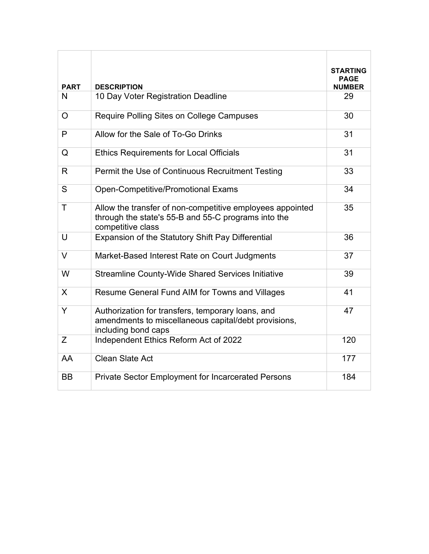|              |                                                                                                                                       | <b>STARTING</b>       |
|--------------|---------------------------------------------------------------------------------------------------------------------------------------|-----------------------|
| <b>PART</b>  | <b>DESCRIPTION</b>                                                                                                                    | PAGE<br><b>NUMBER</b> |
| N            | 10 Day Voter Registration Deadline                                                                                                    | 29                    |
| $\Omega$     | Require Polling Sites on College Campuses                                                                                             | 30                    |
| P            | Allow for the Sale of To-Go Drinks                                                                                                    | 31                    |
| Q            | <b>Ethics Requirements for Local Officials</b>                                                                                        | 31                    |
| R            | Permit the Use of Continuous Recruitment Testing                                                                                      | 33                    |
| S            | <b>Open-Competitive/Promotional Exams</b>                                                                                             | 34                    |
| $\mathsf{T}$ | Allow the transfer of non-competitive employees appointed<br>through the state's 55-B and 55-C programs into the<br>competitive class | 35                    |
| $\cup$       | Expansion of the Statutory Shift Pay Differential                                                                                     | 36                    |
| $\vee$       | Market-Based Interest Rate on Court Judgments                                                                                         | 37                    |
| W            | <b>Streamline County-Wide Shared Services Initiative</b>                                                                              | 39                    |
| X            | Resume General Fund AIM for Towns and Villages                                                                                        | 41                    |
| Y            | Authorization for transfers, temporary loans, and<br>amendments to miscellaneous capital/debt provisions,<br>including bond caps      | 47                    |
| Ζ            | Independent Ethics Reform Act of 2022                                                                                                 | 120                   |
| AA           | <b>Clean Slate Act</b>                                                                                                                | 177                   |
| <b>BB</b>    | <b>Private Sector Employment for Incarcerated Persons</b>                                                                             | 184                   |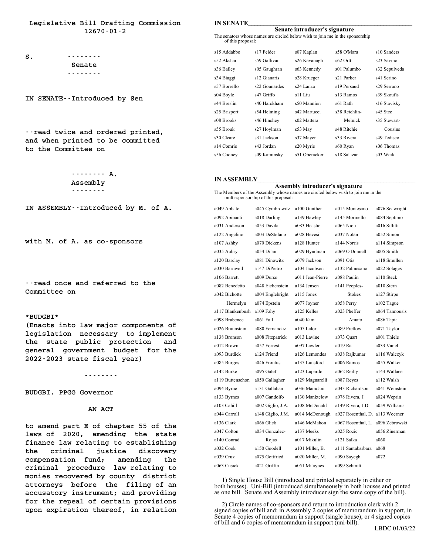**Legislative Bill Drafting Commission 12670-01-2**

**S.** ........ **Senate --------**

**IN SENATE--Introduced by Sen**

**--read twice and ordered printed,** --read twice and ordered printed,<br>and when printed to be committed --read twice and order<br>and when printed to be<br>to the Committee on

> **-------- A. Assembly --------**

**IN ASSEMBLY--Introduced by M. of A.**

**with M. of A. as co-sponsors**

**--read once and referred to the Committee on**

#### **\*BUDGBI\***

**(Enacts into law major components of** \*BUDGBI\*<br>(Enacts into law major components of<br>legislation necessary to implement<br>the state public protection and (Enacts into law major components of<br>legislation necessary to implement<br>the state public protection and<br>renoral protection for the legislation necessary to implement<br>the state public protection and<br>general government budget for the<br>2022-2023 state fiscal year) the state public protection

**--------**

**BUDGBI. PPGG Governor AN ACT**

**to amend part E of chapter 55 of the**<br> **to amend part E of chapter 55 of the lo amend part E of chapter 55 of the laws of 2020, amending the state** to amend part E of chapter 55 of the<br>laws of 2020, amending the state<br>finance law relating to establishing<br>the suiminal instigation disconsum laws of 2020, amending the state<br>finance law relating to establishing<br>the criminal justice discovery<br>compensation fund; amending the finance law relating to establishing the criminal justice discovery<br>compensation fund; amending the<br>criminal procedure law relating to compensation fund; amending the<br>criminal procedure law relating to<br>monies recovered by county district<br>atternants before the filing of an criminal procedure law relating to<br>monies recovered by county district<br>attorneys before the filing of an<br>acquestery instrumenty and providing monies recovered by county district<br>attorneys before the filing of an<br>accusatory instrument; and providing<br>for the propel of contain provisions attorneys before the filing of an<br>accusatory instrument; and providing<br>for the repeal of certain provisions<br>were expiration thereof in polation accusatory instrument; and providing<br>for the repeal of certain provisions<br>upon expiration thereof, in relation

| <b>IN SENATE</b>  |                                                                               |                               |                       |                         |
|-------------------|-------------------------------------------------------------------------------|-------------------------------|-----------------------|-------------------------|
|                   |                                                                               | Senate introducer's signature |                       |                         |
| of this proposal: | The senators whose names are circled below wish to join me in the sponsorship |                               |                       |                         |
| s15 Addabbo       | s17 Felder                                                                    | s07 Kaplan                    | s58 O'Mara            | s10 Sanders             |
| s52 Akshar        | s59 Gallivan                                                                  | s26 Kavanagh                  | $s62$ Ortt            | s <sub>23</sub> Savino  |
| s36 Bailey        | s05 Gaughran                                                                  | s63 Kennedy                   | s01 Palumbo           | s32 Sepulveda           |
| s34 Biaggi        | s12 Gianaris                                                                  | s28 Krueger                   | s21 Parker            | s41 Serino              |
| s57 Borrello      | s <sub>22</sub> Gounardes                                                     | s <sub>24</sub> Lanza         | s19 Persaud           | s <sub>29</sub> Serrano |
| s04 Boyle         | s47 Griffo                                                                    | s11 Liu                       | s <sub>13</sub> Ramos | s39 Skoufis             |
| s44 Breslin       | s40 Harckham                                                                  | s50 Mannion                   | s61 Rath              | s16 Stavisky            |
| s25 Brisport      | s54 Helming                                                                   | s42 Martucci                  | s38 Reichlin-         | s45 Stec                |
| s08 Brooks        | s46 Hinchey                                                                   | s02 Mattera                   | Melnick               | s35 Stewart-            |
| s55 Brouk         | s27 Hoylman                                                                   | s53 May                       | s48 Ritchie           | Cousins                 |
| s30 Cleare        | s31 Jackson                                                                   | s37 Mayer                     | s33 Rivera            | s49 Tedisco             |
| s14 Comrie        | s43 Jordan                                                                    | s20 Myrie                     | s60 Ryan              | s06 Thomas              |
| s56 Cooney        | s09 Kaminsky                                                                  | s51 Oberacker                 | s18 Salazar           | s03 Weik                |
|                   |                                                                               |                               |                       |                         |

#### **IN ASSEMBLY\_\_\_\_\_\_\_\_\_\_\_\_\_\_\_\_\_\_\_\_\_\_\_\_\_\_\_\_\_\_\_\_\_\_\_\_\_\_\_\_\_\_\_\_\_\_\_\_\_\_**

**Assembly introducer's signature**<br>The Members of the Assembly whose names are circled below wish to join me in the<br>multi-sponsorship of this proposal:

| multi-sponsorship of this proposal: |                   |                  |                    |                |
|-------------------------------------|-------------------|------------------|--------------------|----------------|
| a049 Abbate                         | a045 Cymbrowitz   | a100 Gunther     | a015 Montesano     | a076 Seawright |
| a092 Abinanti                       | a018 Darling      | a139 Hawley      | a145 Morinello     | a084 Septimo   |
| a031 Anderson                       | a053 Davila       | a083 Heastie     | a065 Niou          | a016 Sillitti  |
| a122 Angelino                       | a003 DeStefano    | a028 Hevesi      | a037 Nolan         | a052 Simon     |
| a107 Ashby                          | a070 Dickens      | a128 Hunter      | a144 Norris        | al 14 Simpson  |
| a035 Aubry                          | a054 Dilan        | a029 Hyndman     | a069 O'Donnell     | a005 Smith     |
| a120 Barclay                        | a081 Dinowitz     | a079 Jackson     | a091 Otis          | a118 Smullen   |
| a030 Barnwell                       | a147 DiPietro     | a104 Jacobson    | a132 Palmesano     | a022 Solages   |
| a106 Barrett                        | a009 Durso        | a011 Jean-Pierre | a088 Paulin        | a110 Steck     |
| a082 Benedetto                      | a048 Eichenstein  | a134 Jensen      | a141 Peoples-      | a010 Stern     |
| a042 Bichotte                       | a004 Englebright  | al 15 Jones      | <b>Stokes</b>      | a127 Stirpe    |
| Hermelyn                            | a074 Epstein      | a077 Joyner      | a058 Perry         | a102 Tague     |
| al 17 Blankenbush                   | a109 Fahy         | a125 Kelles      | a023 Pheffer       | a064 Tannousis |
| a098 Brabenec                       | a061 Fall         | $a040$ Kim       | Amato              | a086 Tapia     |
| a026 Braunstein                     | a080 Fernandez    | a105 Lalor       | a089 Pretlow       | a071 Taylor    |
| a138 Bronson                        | a008 Fitzpatrick  | a013 Lavine      | a073 Quart         | a001 Thiele    |
| a012 Brown                          | a057 Forrest      | a097 Lawler      | a019 Ra            | a033 Vanel     |
| a093 Burdick                        | a124 Friend       | a126 Lemondes    | a038 Rajkumar      | al 16 Walczyk  |
| a085 Burgos                         | a046 Frontus      | a135 Lunsford    | a006 Ramos         | a055 Walker    |
| a142 Burke                          | a095 Galef        | a123 Lupardo     | a062 Reilly        | a143 Wallace   |
| al 19 Buttenschon                   | a050 Gallagher    | a129 Magnarelli  | a087 Reves         | al 12 Walsh    |
| a094 Byrne                          | a131 Gallahan     | a036 Mamdani     | a043 Richardson    | a041 Weinstein |
| a133 Byrnes                         | a007 Gandolfo     | a130 Manktelow   | a078 Rivera, J.    | a024 Weprin    |
| a103 Cahill                         | a002 Giglio, J.A. | a108 McDonald    | a149 Rivera, J.D.  | a059 Williams  |
| a044 Carroll                        | a148 Giglio, J.M. | a014 McDonough   | a027 Rosenthal, D. | al 13 Woerner  |
| a136 Clark                          | a066 Glick        | a146 McMahon     | a067 Rosenthal, L. | a096 Zebrowski |
| a047 Colton                         | a034 Gonzalez-    | a137 Meeks       | a025 Rozic         | a056 Zinerman  |
| a140 Conrad                         | Rojas             | a017 Mikulin     | a121 Salka         | a060           |
| a032 Cook                           | a150 Goodell      | a101 Miller, B.  | a111 Santabarbara  | a068           |
| a039 Cruz                           | a075 Gottfried    | a020 Miller, M.  | a090 Sayegh        | a072           |
| a063 Cusick                         | a021 Griffin      | a051 Mitaynes    | a099 Schmitt       |                |
|                                     |                   |                  |                    |                |

1) Single House Bill (introduced and printed separately in either or 1) Single House Bill (introduced and printed separately in either or both houses). Uni-Bill (introduced simultaneously in both houses and printed as one bill. Senate and Assembly introducer sign the same copy of the bill). 1) Single House Bill (introduced and printed separately in either or both houses). Uni-Bill (introduced simultaneously in both houses and printed as one bill. Senate and Assembly introducer sign the same copy of the bill). 2) as one bill. Senate and Assembly introducer sign the same copy of the bill.<br>2) Circle names of co-sponsors and return to introduction clerk with 2

signed copies of bill and: in Assembly into ducter sign the same copy of the omly.<br>
2) Circle names of co-sponsors and return to introduction clerk with 2<br>
signed copies of bill and: in Assembly 2 copies of memorandum in s 2) Circle names of co-sponsors and return to introduction clerk with 2 signed copies of bill and: in Assembly 2 copies of memorandum in support, in Senate 4 copies of memorandum in support (single house); or 4 signed copie 2) Cricle halles of co-sponsors and return to infoduction<br>signed copies of bill and: in Assembly 2 copies of memorand<br>Senate 4 copies of memorandum in support (single house);<br>of bill and 6 copies of memorandum in support ( Senate 4 copies of memorandum in support (single house); or 4 signed copies<br>of bill and 6 copies of memorandum in support (uni-bill).<br>LBDC 01/03/22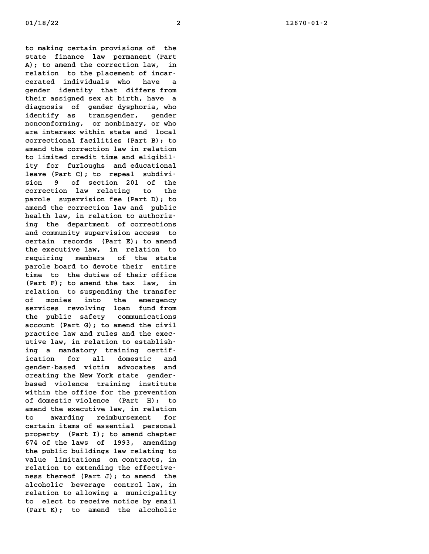**to making certain provisions of the** to making certain provisions of the<br>state finance law permanent (Part<br>)), to aread the convection loy in to making certain provisions of the<br>state finance law permanent (Part<br>A); to amend the correction law, in<br>malation to the plassmant of inser state finance law permanent (Part<br>
A); to amend the correction law, in<br>
relation to the placement of incar-A); to amend the correction law, in<br>relation to the placement of incar-<br>cerated individuals who have a<br>gender identity that differs from relation to the placement of incarcerated individuals who have a<br>gender identity that differs from<br>their assigned sex at birth, have a<br>diagnosis of reader duraboria who gender identity that differs from<br>their assigned sex at birth, have a<br>diagnosis of gender dysphoria, who<br>identify as transporter their assigned sex at birth, have a<br>diagnosis of gender dysphoria, who<br>identify as transgender, gender diagnosis of gender dysphoria, who<br>identify as transgender, gender identify as transgender, gender<br>nonconforming, or nonbinary, or who<br>are intersex within state and local<br>connectional facilities (Bent B): to nonconforming, or nonbinary, or who<br>are intersex within state and local<br>correctional facilities (Part B); to<br>corre<sup>d</sup> the correction low in malation are intersex within state and local<br>correctional facilities (Part B); to<br>amend the correction law in relation **to limited credit time and eligibility for furloughs and educational** to limited credit time and eligibil-<br>ity for furloughs and educational<br>leave (Part C); to repeal subdiviity for furloughs and educational<br>leave (Part C); to repeal subdivi-<br>sion 9 of section 201 of the<br>compositor law malation to the leave (Part C); to repeal subdivision 9 of section 201 of the<br>correction law relating to the<br>namela supermision for (Part P); to **parole supervision 201 of the**<br>**parole supervision fee (Part D); to**<br>**parole supervision fee (Part D); to** correction law relating to the<br>parole supervision fee (Part D); to<br>amend the correction law and public<br>health law in malation to sutheriparole supervision fee (Part D); to<br>amend the correction law and public<br>health law, in relation to authorizamend the correction law and public<br>health law, in relation to authoriz-<br>ing the department of corrections<br>and community supermision access to health law, in relation to authoriz-<br>ing the department of corrections<br>and community supervision access to ing the department of corrections<br>and community supervision access to<br>certain records (Part E); to amend<br>the cuscutive law in malation to and community supervision access to<br>certain records (Part E); to amend<br>the executive law, in relation to<br>magnifical prophets of the state **records** (Part E); to amend<br>the executive law, in relation to<br>requiring members of the state<br>namele have devents their entire the executive law, in relation to<br>requiring members of the state<br>parole board to devote their entire requiring members of the state<br>parole board to devote their entire<br>time to the duties of their office<br>(Bant B) the spand the tary law in parole board to devote their entire<br>time to the duties of their office<br>(Part F); to amend the tax law, in<br>malation to suspending the tworefor time to the duties of their office<br>(Part F); to amend the tax law, in<br>relation to suspending the transfer<br>of manics into the expressent (Part F); to amend the tax law, in<br>relation to suspending the transfer<br>of monies into the emergency relation to suspending the transfer<br>of monies into the emergency<br>services revolving loan fund from<br>the public safety communications services revolving loan fund from services revolving loan fund from<br>the public safety communications<br>account (Part G); to amend the civil<br>nunsties law and mulas and the suce the public safety communications<br>account (Part G); to amend the civil<br>practice law and rules and the exec-<br>utive law in polation to otherlish account (Part G); to amend the civil<br>practice law and rules and the exec-<br>utive law, in relation to establishpractice law and rules and the executive law, in relation to establishing<br>
ing a mandatory training certif-<br>
isotion for all depenting and utive law, in relation to establish-<br>ing a mandatory training certif-<br>ication for all domestic and<br>reader based wisting advantage and ing a mandatory training certif-<br>ication for all domestic and<br>gender-based victim advocates and **creating the New York state genderbased violence training institute** creating the New York state gender-<br>based violence training institute<br>within the office for the prevention<br>of depentic violence (Dart W): to based violence training institute<br>within the office for the prevention<br>of domestic violence (Part H); to<br>orgad the executive low in malation within the office for the prevention<br>of domestic violence (Part H); to<br>amend the executive law, in relation<br>to curreling projekungsport for of domestic violence (Part H); to<br>amend the executive law, in relation<br>to awarding reimbursement for<br>certain items of essential personal amend the executive law, in relation **property (Part I); to amend chapter fix certain items of essential personal<br>
property (Part I); to amend chapter<br>
674 of the laws of 1993, amending<br>
the public buildings low polating to** property (Part I); to amend chapter<br>674 of the laws of 1993, amending<br>the public buildings law relating to<br>relue limitations are senterated 674 of the laws of 1993, amending<br>the public buildings law relating to<br>value limitations on contracts, in<br>relation to extending the effective the public buildings law relating to<br>value limitations on contracts, in<br>relation to extending the effectivevalue limitations on contracts, in<br>relation to extending the effective-<br>ness thereof (Part J); to amend the<br>clashelig becomens sentural law in relation to extending the effective-<br>ness thereof (Part J); to amend the<br>alcoholic beverage control law, in<br>malstian to allowing a municipality ness thereof (Part J); to amend the<br>alcoholic beverage control law, in<br>relation to allowing a municipality<br>to alget to presius potics by smail alcoholic beverage control law, in<br>relation to allowing a municipality<br>to elect to receive notice by email<br>(Part W), to smand the algebratic relation to allowing a municipality<br>to elect to receive notice by email<br>(Part K); to amend the alcoholic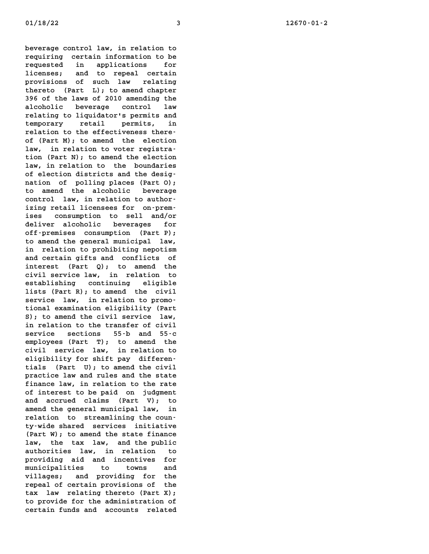**beverage control law, in relation to beverage control law, in relation to<br>requiring certain information to be**<br>requiried in englisations, for **requiring control law, in relation to<br>
requiring certain information to be<br>
requested in applications for<br>
ligarate and to persol contring** requiring certain information to be<br>requested in applications for<br>licenses; and to repeal certain<br>nussians of such law politics **requested** in applications for<br>licenses; and to repeal certain<br>provisions of such law relating<br>thermine (Daminus) the arrangelations licenses; and to repeal certain<br>provisions of such law relating<br>thereto (Part L); to amend chapter<br>206 of the laws of 2010 amendias the provisions of such law relating<br>thereto (Part L); to amend chapter<br>396 of the laws of 2010 amending the<br>also belief there are assumed that thereto (Part L); to amend chapter<br>396 of the laws of 2010 amending the<br>alcoholic beverage control law<br>malsting to limidatoris normits and **396 of the laws of 2010 amending the<br>alcoholic beverage control law<br>relating to liquidator's permits and<br>terms permits in the contract of the series of the series of the series of the series of the series of the series of** alcoholic beverage control law<br>relating\_to\_liquidator's\_permits\_and<br>temporary retail permits, in<br>relation to the offertiveness there relating to liquidator's permits and<br>temporary retail permits, in<br>relation to the effectiveness theretemporary retail permits, in<br>relation to the effectiveness there-<br>of (Part M); to amend the election<br>low in relation to unter meritime relation to the effectiveness there-<br>of (Part M); to amend the election<br>law, in relation to voter registraof (Part M); to amend the election<br>law, in relation to voter registra-<br>tion (Part N); to amend the election<br>law in relation to the hourdaries law, in relation to voter registra-<br>tion (Part N); to amend the election<br>law, in relation to the boundaries<br>of election districts and the daria tion (Part N); to amend the election<br>law, in relation to the boundaries<br>of election districts and the desig-<br>nation of polling places (Part O). law, in relation to the boundaries<br>of election districts and the desig-<br>nation of polling places (Part O); of election districts and the designation of polling places (Part O);<br>to amend the alcoholic beverage<br>control low in relation to outhor nation of polling places (Part O);<br>to amend the alcoholic beverage<br>control law, in relation to authorto amend the alcoholic beverage<br>control law, in relation to author-<br>izing retail licensees for on-premcontrol law, in relation to author-<br>izing retail licensees for on-prem-<br>ises consumption to sell and/or<br>delium alsoholis havenees for izing retail licensees for on-prem-<br>ises consumption to sell and/or<br>deliver alcoholic beverages for<br>off propiace consumption (Dart D). ises consumption to sell and/or<br>deliver alcoholic beverages for<br>off-premises consumption (Part P); **to amend the general municipal law,** off-premises consumption (Part P);<br>to amend the general municipal law,<br>in relation to prohibiting nepotism<br>and conting rifes and conflicts of to amend the general municipal law,<br>in relation to prohibiting nepotism<br>and certain gifts and conflicts of<br>integrate (Dart 2), to proper the in relation to prohibiting nepotism<br>and certain gifts and conflicts of<br>interest (Part Q); to amend the<br>*simil semise law* in malation to and certain gifts and conflicts of<br>interest (Part Q); to amend the<br>civil service law, in relation to<br>establishing continuing eligible interest (Part Q); to amend the<br>civil service law, in relation to<br>establishing continuing eligible<br>lists (Part R); to amend the civil civil service law, in relation to establishing continuing eligible<br>lists (Part R); to amend the civil<br>service law, in relation to promo-<br>tional currination eligibility (Pert lists (Part R); to amend the civil<br>service law, in relation to promo-<br>tional examination eligibility (Part<br>S), to amend the simil service law **Service law, in relation to promotional examination eligibility (Part<br>S); to amend the civil service law,<br>in polation to the transfor of simil** tional examination eligibility (Part<br>
S); to amend the civil service law,<br>
in relation to the transfer of civil<br>
service sections 55-b and 55-c **s**); to amend the civil service law, **employees (Part T); to amend the service** sections 55-b and 55-c<br>employees (Part T); to amend the<br>civil service law, in relation to<br>cligibility for thift not different employees (Part T); to amend the<br>civil service law, in relation to<br>eligibility for shift pay differencivil service law, in relation to<br>eligibility for shift pay differen-<br>tials (Part U); to amend the civil<br>massime law and mules and the state eligibility for shift pay differentials (Part U); to amend the civil practice law and rules and the state finance law, in relation to the rate tials (Part U); to amend the civil practice law and rules and the state<br>finance law, in relation to the rate<br>of interest to be paid on judgment<br>and against the post with finance law, in relation to the rate<br>of interest to be paid on judgment<br>and accrued claims (Part V); to<br>arand the senanal municipal law of interest to be paid on judgment<br>and accrued claims (Part V); to<br>amend the general municipal law, in<br>malation to streamlining the sum and accrued claims (Part V); to<br>amend the general municipal law, in<br>relation to streamlining the coun-<br>ty-wide shared services initiative amend the general municipal law, in relation to streamlining the coun-<br>ty-wide shared services initiative<br>(Part W); to amend the state finance<br>low the term low and the public ty-wide shared services initiative<br>(Part W); to amend the state finance<br>law, the tax law, and the public<br>cuthomities law in malation to (Part W); to amend the state finance<br>law, the tax law, and the public<br>authorities law, in relation to law, the tax law, and the public<br>authorities law, in relation to<br>providing aid and incentives for authorities law, in relation to<br>providing aid and incentives for<br>municipalities to towns and<br>willows and providing for the providing aid and incentives for<br>municipalities to towns and<br>villages; and providing for the<br>managle forther provisions of the municipalities to towns and<br>villages; and providing for the<br>repeal of certain provisions of the<br>tare law malating therets (Dart Y). villages; and providing for the<br>repeal of certain provisions of the<br>tax law relating thereto (Part X);<br>to provide for the edministration of repeal of certain provisions of the<br>tax law relating thereto (Part X);<br>to provide for the administration of tax law relating thereto (Part X);<br>to provide for the administration of<br>certain funds and accounts related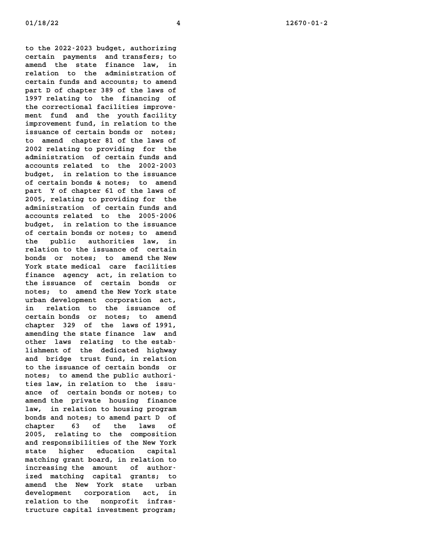**to the 2022-2023 budget, authorizing certain payments and transfers; to** to the 2022-2023 budget, authorizing<br>certain payments and transfers; to<br>amend the state finance law, in<br>malation to the administration of certain payments and transfers; to<br>amend the state finance law, in<br>relation to the administration of<br>centain funds and accounts to apped amend the state finance law, in<br>relation to the administration of<br>certain funds and accounts; to amend<br>namt Def sharter 200 of the laws of relation to the administration of<br>certain funds and accounts; to amend<br>part D of chapter 389 of the laws of<br>1997 relation to the financian of **1997 relation funds and accounts; to amend<br>
1997 relating to the financing of<br>
1997 relating to the financing of** part D of chapter 389 of the laws of<br>1997 relating to the financing of<br>the correctional facilities improve-1997 relating to the financing of<br>the correctional facilities improve-<br>ment fund and the youth facility<br>improvement fund in polation to the the correctional facilities improve-<br>ment fund and the youth facility<br>improvement fund, in relation to the<br>issues as satisfaction hands on princip ment fund and the youth facility<br>improvement fund, in relation to the<br>issuance of certain bonds or notes;<br>te appel shapper 21 of the laws of improvement fund, in relation to the<br>issuance of certain bonds or notes;<br>to amend chapter 81 of the laws of issuance of certain bonds or notes;<br>to amend chapter 81 of the laws of<br>2002 relating to providing for the<br>cdministration of sertain funds and to amend chapter 81 of the laws of<br>2002 relating to providing for the<br>administration of certain funds and<br>accounts related to the 2002,2002 2002 relating to providing for the<br>administration of certain funds and<br>accounts related to the 2002-2003<br>budget in relation to the ignuance administration of certain funds and<br>accounts related to the 2002-2003<br>budget, in relation to the issuance<br>of cartain bands in the served **accounts related to the 2002-2003**<br>budget, in relation to the issuance<br>of certain bonds & notes; to amend<br>namt, Nef shanter (1 of the laws of budget, in relation to the issuance<br>of certain bonds & notes; to amend<br>part Y of chapter 61 of the laws of of certain bonds & notes; to amend<br>part Y of chapter 61 of the laws of<br>2005, relating to providing for the part Y of chapter 61 of the laws of<br>2005, relating to providing for the<br>administration of certain funds and<br>exacunts related to the 2005,2006 2005, relating to providing for the<br>administration of certain funds and<br>accounts related to the 2005-2006<br>budget in relation to the issuesse administration of certain funds and<br>accounts related to the 2005-2006<br>budget, in relation to the issuance<br>of cartain bands or potes to spead accounts related to the 2005-2006<br>budget, in relation to the issuance<br>of certain bonds or notes; to amend budget, in relation to the issuance<br>of certain bonds or notes; to amend<br>the public authorities law, in<br>malation to the issues of southin of certain bonds or notes; to amend<br>the public authorities law, in<br>relation to the issuance of certain the public authorities law, in<br>relation to the issuance of certain<br>bonds or notes; to amend the New<br>Wark that podical same facilities relation to the issuance of certain<br>bonds or notes; to amend the New<br>York state medical care facilities<br>finance acoust is polation to **foonds** or notes; to amend the New<br> **finance agency act, in relation to**<br>
the issues are contained to the issues York state medical care facilities<br>finance agency act, in relation to<br>the issuance of certain bonds or<br>notes; to amend the New York state finance agency act, in relation to<br>the issuance of certain bonds or<br>notes; to amend the New York state<br>urban development composition act. the issuance of certain bonds or<br>notes; to amend the New York state<br>urban development corporation act,<br>in malation to the issuance of **in relation to the issuance of certain bonds or notes; to amend** in relation to the issuance of<br>certain bonds or notes; to amend<br>chapter 329 of the laws of 1991,<br>crapting the state finance laws ord certain bonds or notes; to amend<br>chapter 329 of the laws of 1991,<br>amending the state finance law and<br>ather laws relation to the state chapter 329 of the laws of 1991,<br>amending the state finance law and<br>other laws relating to the estabamending the state finance law and<br>other laws relating to the estab-<br>lishment of the dedicated highway other laws relating to the estab-<br>lishment of the dedicated highway<br>and bridge trust fund, in relation<br>to the issuesse a serbein hands **lishment of the dedicated highway<br>and bridge trust fund, in relation<br>to the issuance of certain bonds or** and bridge trust fund, in relation<br>
to the issuance of certain bonds or<br>
notes; to amend the public authorito the issuance of certain bonds or<br>notes; to amend the public authori-<br>ties law, in relation to the issunotes; to amend the public authori-<br>ties law, in relation to the issu-<br>ance of certain bonds or notes; to ties law, in relation to the issu-<br>ance of certain bonds or notes; to<br>amend the private housing finance<br>law in relation to bessing program ance of certain bonds or notes; to<br>amend the private housing finance<br>law, in relation to housing program<br>bonds and potes: to prope port D of amend the private housing finance<br>law, in relation to housing program<br>bonds and notes; to amend part D of<br>chapter 63 of the laws of law, in relation to housing program bonds and notes; to amend part D of<br>
chapter 63 of the laws of<br>
2005, relating to the composition<br>
and personalizities of the Nau Mork chapter 63 of the laws of<br>2005, relating to the composition<br>and responsibilities of the New York<br>chapter printing continuation 2005, relating to the composition<br>and responsibilities of the New York<br>state higher education capital<br>matching wast beard in polation to and responsibilities of the New York<br>state higher education capital<br>matching grant board, in relation to<br>increasing the amount of authormatching grant board, in relation to matching grant board, in relation to<br>increasing the amount of author-<br>ized matching capital grants; to<br>read the Navy York state unhar increasing the amount of author-<br>ized matching capital grants; to<br>amend the New York state urban<br>development composition of in ized matching capital grants; to<br>amend the New York state urban<br>development corporation act, in<br>ralation to the permussit infres amend the New York state urban<br>development corporation act, in<br>relation to the nonprofit infras-<br>tructure capital investment program; development corporation act, in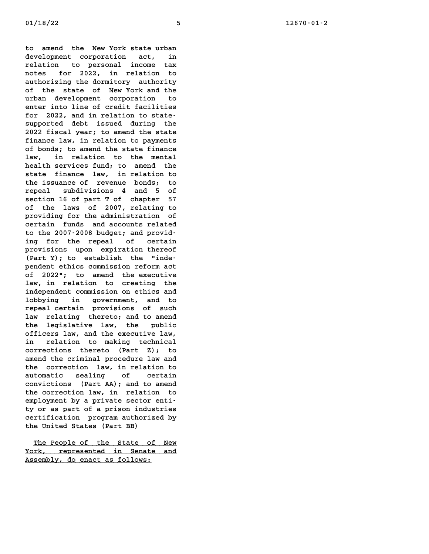**to amend the New York state urban to amend the New York state urban<br>development corporation act, in<br>relation to persenal insere tour** to amend the New-York-state-urban<br>development corporation act, in<br>relation to personal income tax **notes for 2022, in relation to** relation to personal income tax<br>notes for 2022, in relation to<br>authorizing the dormitory authority<br>of the state of Nau Yark and the notes for 2022, in relation to<br>authorizing the dormitory authority<br>of the state of New York and the<br>urban development correction authorizing the dormitory authority<br>of the state of New York and the<br>urban development corporation to<br>enter inteling of sma<sup>dit forilition</sup> of the state of New York and the<br>urban development corporation to<br>enter into line of credit facilities wrban development corporation to<br>enter into line of credit facilities<br>for 2022, and in relation to state-<br>supported dabt issued during the enter into line of credit facilities<br>for 2022, and in relation to state-<br>supported debt issued during the<br>2022 fiscal was a spand the state for 2022, and in relation to state-<br>supported debt issued during the<br>2022 fiscal year; to amend the state supported debt issued during the<br>2022 fiscal year; to amend the state<br>finance law, in relation to payments<br>5 hords in annual the state finance 2022 fiscal year; to amend the state<br>finance law, in relation to payments<br>of bonds; to amend the state finance<br>law in relation to the mantel finance law, in relation to payments<br>of bonds; to amend the state finance<br>law, in relation to the mental **health services fund; to amend the** law, in relation to the mental<br>health services fund; to amend the<br>state finance law, in relation to<br>the insurance of manusuus bandar to health services fund; to amend the<br>state finance law, in relation to<br>the issuance of revenue bonds; to state finance law, in relation to<br>the issuance of revenue bonds; to<br>repeal subdivisions 4 and 5 of the issuance of revenue bonds; to<br>repeal subdivisions 4 and 5 of **repeal subdivisions 4 and 5 of<br>section 16 of part T of chapter 57<br>of the laws of 2007, relating to**<br>nunction for the edministration of **providing 16 of part T of chapter 57**<br>
of the laws of 2007, relating to<br>
providing for the administration of<br>
providing funds and assuming polarion of the laws of 2007, relating to<br>providing for the administration of<br>certain funds and accounts related<br>to the 2007-2008 budget; and providcertain funds and accounts related certain funds and accounts related<br>to the 2007-2008 budget; and provid-<br>ing for the repeal of certain to the 2007-2008 budget; and provid-<br>ing for the repeal of certain<br>provisions upon expiration thereof ing for the repeal of certain<br>provisions upon expiration thereof<br>(Part Y); to establish the "inde-<br>pardent othics sermission procure ast provisions upon expiration thereof (Part Y); to establish the "inde-<br>pendent ethics commission reform act<br>of 2022"; to amend the executive (Part Y); to establish the "independent ethics commission reform act<br>of 2022"; to amend the executive<br>law, in relation to creating the<br>independent commission on this and of 2022"; to amend the executive<br>law, in relation to creating the<br>independent commission on ethics and<br>labbuing in conservational to law, in relation to creating the<br>independent commission on ethics and<br>lobbying in government, and to<br>managlasutein previsions of such independent commission on ethics and<br>lobbying in government, and to<br>repeal certain provisions of such<br>low malating thermine and to appeal lobbying in government, and to<br>repeal certain provisions of such<br>law relating thereto; and to amend<br>the lagislating law the mublic repeal certain provisions of such<br>law relating thereto; and to amend<br>the legislative law, the public<br>efficary law and the executive law law relating thereto; and to amend<br>the legislative law, the public<br>officers law, and the executive law,<br>in polition to public technical the legislative law, the public<br>officers law, and the executive law,<br>in relation to making technical officers law, and the executive law,<br>in relation to making technical<br>corrections thereto (Part Z); to<br>cread the spiringl procedure law and in relation to making technical<br>corrections thereto (Part Z); to<br>amend the criminal procedure law and<br>the correction law in relation to corrections thereto (Part Z); to<br>amend the criminal procedure law and<br>the correction law, in relation to<br>enterption of contain amend the criminal procedure law and<br>the correction law, in relation to<br>automatic sealing of certain **convictions (Part AA); and to amend** automatic sealing of certain<br>convictions (Part AA); and to amend<br>the correction law, in relation to<br>complement by a private sexter at: convictions (Part AA); and to amend<br>the correction law, in relation to<br>employment by a private sector entithe correction law, in relation to<br>employment by a private sector enti-<br>ty or as part of a prison industries<br>contification program outboried by employment by a private sector enti-<br>ty or as part of a prison industries<br>certification program authorized by<br>the United States (Part BB) ty or as part of a prison industries

**E** United States (Part BB)<br>The People of the State of New<br>The Expresented in Canate and The People of the State of New<br>York, represented in Senate and The People of the State of :<br><u>York, represented in Senate<br>Assembly, do enact as follows:</u>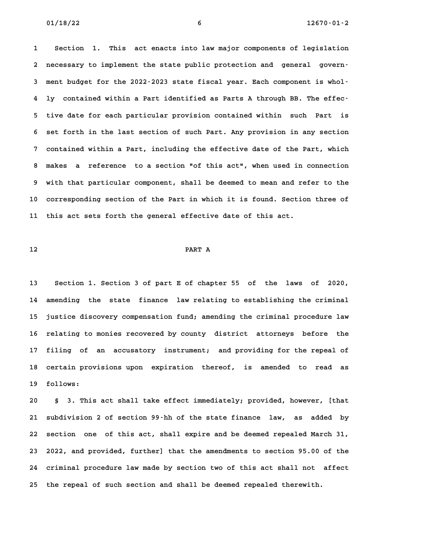**1 Section 1. This act enacts into law major components of legislation 2 necessary to implement the state public protection and general govern-**2 necessary to implement the state public protection and general govern-<br>3 ment budget for the 2022-2023 state fiscal year. Each component is whol-**4 ly contained within a Part identified as Parts A through BB. The effec-5 tive date for each particular provision contained within such Part is** 5 tive date for each particular provision contained within such Part is<br>6 set forth in the last section of such Part. Any provision in any section **7 contained within a Part, including the effective date of the Part, which 8 makes a reference to a section "of this act", when used in connection 9 with that particular component, shall be deemed to mean and refer to the 10 corresponding section of the Part in which it is found. Section three of 11 this act sets forth the general effective date of this act.**

# **12 PART A**

**13 Section 1. Section 3 of part E of chapter 55 of the laws of 2020, 14 amending the state finance law relating to establishing the criminal 15 justice discovery compensation fund; amending the criminal procedure law** 15 justice discovery compensation fund; amending the criminal procedure law<br>16 relating to monies recovered by county district attorneys before the **17 filing of an accusatory instrument; and providing for the repeal of** 17 filing of an accusatory instrument; and providing for the repeal of<br>18 certain provisions upon expiration thereof, is amended to read as 18 certain provisions upon expiration thereof, is amended to read as<br>19 follows:

**20 § 3. This act shall take effect immediately; provided, however, [that 21 subdivision 2 of section 99-hh of the state finance law, as added by 22 section one of this act, shall expire and be deemed repealed March 31, 23 2022, and provided, further] that the amendments to section 95.00 of the 24 criminal procedure law made by section two of this act shall not affect 25 the repeal of such section and shall be deemed repealed therewith.**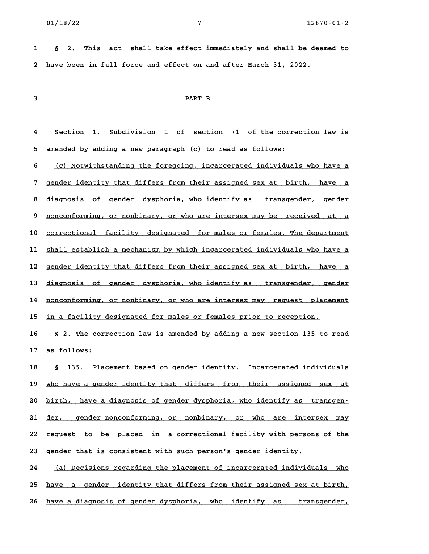**1 § 2. This act shall take effect immediately and shall be deemed to 2 have been in full force and effect on and after March 31, 2022.**

# **3 PART B**

**4 Section 1. Subdivision 1 of section 71 of the correction law is 5 amended by adding a new paragraph (c) to read as follows:**

5 amended by adding a new paragraph (c) to read as follows:<br>6 <u>(c) Notwithstanding the foregoing, incarcerated individuals who have a</u> **7 gender identity that differs from their assigned sex at birth, have a \_\_\_\_\_\_\_\_\_\_\_\_\_\_\_\_\_\_\_\_\_\_\_\_\_\_\_\_\_\_\_\_\_\_\_\_\_\_\_\_\_\_\_\_\_\_\_\_\_\_\_\_\_\_\_\_\_\_\_\_\_\_\_\_\_\_\_\_\_\_\_\_** 8 <u>diagnosis of gender identity that differs from their assigned sex at birth, have a</u><br>8 <u>diagnosis of gender dysphoria, who identify as transgender, gender</u> 8 <u>diagnosis of gender dysphoria, who identify as transgender, gender</u><br>9 <u>nonconforming, or nonbinary, or who are intersex may be received at a</u> 9 <u>nonconforming, or nonbinary, or who are intersex may be received at a</u><br>10 <u>correctional facility designated for males or females. The department</u> 10 <u>correctional facility designated for males or females. The department</u><br>11 <u>shall establish a mechanism by which incarcerated individuals who have a</u> 11 <u>shall establish a mechanism by which incarcerated individuals who have a</u><br>12 <u>gender identity that differs from their assigned sex at birth, have a</u> 12 <u>gender identity that differs from their assigned sex at birth, have a</u><br>13 <u>diagnosis of gender dysphoria, who identify as transgender, gender</u> 13 <u>diagnosis of gender dysphoria, who identify-as transgender, gender</u><br>14 <u>nonconforming, or nonbinary, or who are intersex-may request placement</u> 14 <u>nonconforming, or nonbinary, or who are intersex may request place</u><br>15 <u>in a facility designated for males or females prior to reception.</u>

**16 § 2. The correction law is amended by adding a new section 135 to read 17 as follows: 17** as follows:<br>18 <u>§ 135. Placement based on gender identity. Incarcerated individuals</u>

19 who have a gender identity that differs from their assigned sex at <u>who have a gender identity that differs from their assigned sex at to birth, have a diagnosis of gender dysphoria, who identify as transgen–</u> 20 <u>birth, have a diagnosis of gender dysphoria, who identify as transgen-</u><br>21 <u>der, gender nonconforming, or nonbinary, or who are intersex may</u> 21 <u>der, gender-nonconforming, or nonbinary, or who are intersex may</u><br>22 <u>request to be placed in a-correctional-facility with persons of the</u> 22 <u>request to be placed in a-correctional-facility-with-person</u><br>23 <u>gender that is consistent with such person's gender identity.</u> 23 gender that is consistent with such person's gender identity.<br>24 *(a)* Decisions regarding the placement of incarcerated individuals who

25 <u>have a gender identity that differs from their assigned sex at birth,</u> 26 have a diagnosis of gender dysphoria, who identify as transgender,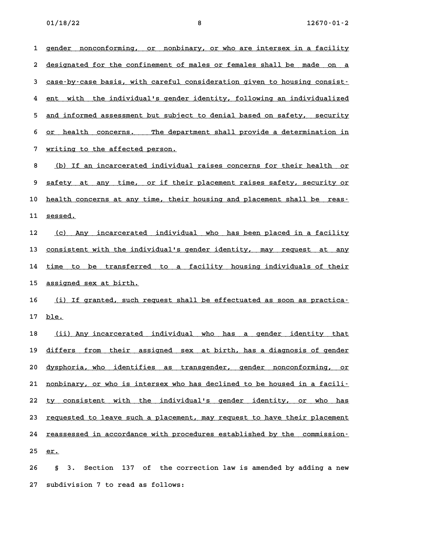**01/18/22 8 12670-01-2** 1 gender nonconforming, or nonbinary, or who are intersex in a facility 1 gender nonconforming, or nonbinary, or who are intersex in a facility<br>2 <u>designated for the confinement of males or females shall be made on a</u> designated for the confinement of males or females shall be made on a<br>3 case-by-case basis, with careful consideration given to housing consistd case-by-case basis, with careful consideration given to housing consist-<br>4 ent with the individual's gender identity, following an individualized 4 <u>ent with the individual's gender identity, following an individualized</u><br>5 <u>and informed assessment but subject to denial based on safety, security</u> 5 <u>and informed assessment but subject to denial based on safety, security</u><br>6 <u>or health concerns. The department shall provide a determination in</u> 6 <u>or health concerns. The department shall provide a determination in</u><br>7 <u>writing to the affected person.</u> 8 (b) If an incarcerated individual raises concerns for their health or **9 safety at any time, or if their placement raises safety, security or \_\_\_\_\_\_\_\_\_\_\_\_\_\_\_\_\_\_\_\_\_\_\_\_\_\_\_\_\_\_\_\_\_\_\_\_\_\_\_\_\_\_\_\_\_\_\_\_\_\_\_\_\_\_\_\_\_\_\_\_\_\_\_\_\_\_\_\_\_\_\_\_** 9 <u>safety at any time, or if their placement raises safety, security or</u><br>10 <u>health concerns at any time, their housing and placement shall be reas-</u> 10 <u>health con</u><br>11 <u>sessed.</u> 11 <u>sessed.</u><br>12 <u>(c) Any incarcerated individual who has been placed in a facility</u> 12 <u>(c) Any incarcerated individual who has-been-placed in a facility</u><br>13 <u>consistent with the individual's gender identity, may request at any</u> 13 <u>consistent with the individual's gender identity, may request at any</u><br>14 <u>time to be transferred to a facility housing individuals of their</u> 14 <u>time to be transferred to a facility housing individuals of their</u><br>15 <u>assigned sex at birth.</u> 15 <u>assigned sex at birth.</u><br>16 <u>(i) If granted, such request shall be effectuated as soon as practica–</u> **17 ble. \_\_\_\_** 17 <u>ble.</u><br>18 <u>(ii) Any incarcerated individual who has a gender identity that</u> 19 differs from their assigned sex at birth, has a diagnosis of gender **20 dysphoria, who identifies as transgender, gender nonconforming, or \_\_\_\_\_\_\_\_\_\_\_\_\_\_\_\_\_\_\_\_\_\_\_\_\_\_\_\_\_\_\_\_\_\_\_\_\_\_\_\_\_\_\_\_\_\_\_\_\_\_\_\_\_\_\_\_\_\_\_\_\_\_\_\_\_\_\_\_\_\_\_\_**

21 nonbinary, or who is intersex who has declined to be housed in a facili-21 <u>nonbinary, or who is intersex who has declined to be housed in a facili–</u><br>22 <u>ty consistent with the individual's gender identity, or who has</u> 22 <u>ty consistent with the individual's gender identity, or who has</u><br>23 <u>requested to leave such a placement, may request to have their placement</u> 23 <u>requested to leave such a placement, may request to have their placement</u><br>24 <u>reassessed in accordance with procedures established by the commission–</u> 24 <u>reasse</u><br>25 <u>er.</u>

**26 § 3. Section 137 of the correction law is amended by adding a new 27 subdivision 7 to read as follows:**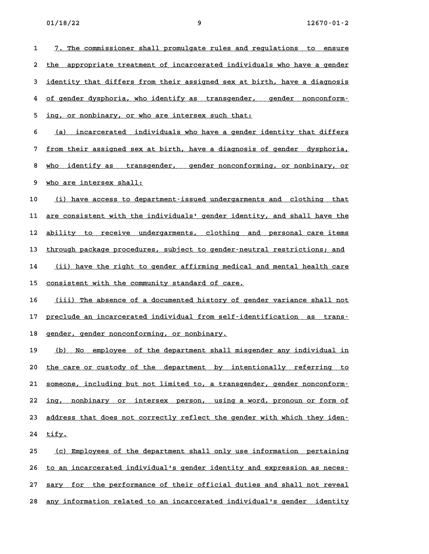| 1  | 7. The commissioner shall promulgate rules and regulations to ensure       |
|----|----------------------------------------------------------------------------|
| 2  | appropriate treatment of incarcerated individuals who have a gender<br>the |
| 3  | identity that differs from their assigned sex at birth, have a diagnosis   |
| 4  | of gender dysphoria, who identify as transgender, gender nonconform-       |
| 5  | ing, or nonbinary, or who are intersex such that:                          |
| 6  | incarcerated individuals who have a gender identity that differs<br>(a)    |
| 7  | from their assigned sex at birth, have a diagnosis of gender dysphoria,    |
| 8  | who identify as transgender, gender nonconforming, or nonbinary, or        |
| 9  | who are intersex shall:                                                    |
| 10 | (i) have access to department-issued undergarments and clothing that       |
| 11 | are consistent with the individuals' gender identity, and shall have the   |
| 12 | ability to receive undergarments, clothing and personal care items         |
| 13 | through package procedures, subject to gender-neutral restrictions; and    |
| 14 | (ii) have the right to gender affirming medical and mental health care     |
| 15 | consistent with the community standard of care.                            |
| 16 | (iii) The absence of a documented history of gender variance shall not     |
| 17 | preclude an incarcerated individual from self-identification as trans-     |
| 18 | gender, gender nonconforming, or nonbinary.                                |
| 19 | (b) No employee of the department shall misgender any individual in        |
| 20 | the care or custody of the department by intentionally referring to        |
| 21 | someone, including but not limited to, a transgender, gender nonconform-   |
| 22 | ing, nonbinary or intersex person, using a word, pronoun or form of        |
| 23 | address that does not correctly reflect the gender with which they iden-   |
| 24 | tify.                                                                      |
| 25 | (c) Employees of the department shall only use information pertaining      |
| 26 | to an incarcerated individual's gender identity and expression as neces-   |
| 27 | sary for the performance of their official duties and shall not reveal     |

**28 any information related to an incarcerated individual's gender identity \_\_\_\_\_\_\_\_\_\_\_\_\_\_\_\_\_\_\_\_\_\_\_\_\_\_\_\_\_\_\_\_\_\_\_\_\_\_\_\_\_\_\_\_\_\_\_\_\_\_\_\_\_\_\_\_\_\_\_\_\_\_\_\_\_\_\_\_\_\_\_\_**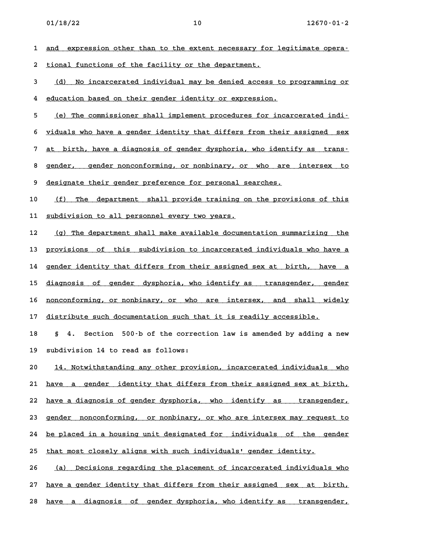1 <u>and expression other than to the extent necessary for legitimate opera-</u> **2 tional functions of the facility or the department. \_\_\_\_\_\_\_\_\_\_\_\_\_\_\_\_\_\_\_\_\_\_\_\_\_\_\_\_\_\_\_\_\_\_\_\_\_\_\_\_\_\_\_\_\_\_\_\_\_\_\_** 2 <u>tional functions of the facility or the department.</u><br>3 <u>(d) No incarcerated individual may be denied access to programming or</u> d) No incarcerated individual may be denied access to the dentity of expression.<br>4 education based on their gender identity or expression. 4 education based on their gender identity or expression.<br>5 (e) The commissioner shall implement procedures for incarcerated indi-**6 viduals who have a gender identity that differs from their assigned sex \_\_\_\_\_\_\_\_\_\_\_\_\_\_\_\_\_\_\_\_\_\_\_\_\_\_\_\_\_\_\_\_\_\_\_\_\_\_\_\_\_\_\_\_\_\_\_\_\_\_\_\_\_\_\_\_\_\_\_\_\_\_\_\_\_\_\_\_\_\_\_\_** 6 <u>viduals who have a gender identity that differs from their assigned sex</u><br>7 <u>at birth, have a diagnosis of gender dysphoria, who identify as trans–</u> 8 <u>gender, have a diagnosis of gender dysphoria, who identify as trans-</u><br>8 <u>gender, gender nonconforming, or nonbinary, or who are intersex to</u> 8 gender, gender nonconforming, or nonbinary, or who are<br>9 <u>designate their gender preference for personal searches.</u> designate their gender preference for personal searches.<br>10 <u>(f) The department shall provide training on the provisions of this</u> 10 <u>(f) The department shall provide training of</u><br>11 <u>subdivision to all personnel every two years.</u> 11 <u>subdivision to all personnel every two years.</u><br>12 (g) The department shall make available documentation summarizing the 12 (g) The department shall make available documentation summarizing the<br>13 provisions of this subdivision to incarcerated individuals who have a 13 <u>provisions of this subdivision to incarcerated individuals who have a</u><br>14 <u>gender identity that differs from their assigned sex at birth, have a</u> 14 <u>gender identity that differs from their assigned sex at birth, have a</u><br>15 diagnosis of gender dysphoria, who identify as transgender, gender 15 <u>diagnosis of gender dysphoria, who identify as transgender, gender</u><br>16 nonconforming, or nonbinary, or who are intersex, and shall widely 16 <u>nonconforming, or nonbinary, or who are intersex, and shall widely</u><br>17 distribute such documentation such that it is readily accessible. **18 § 4. Section 500-b of the correction law is amended by adding a new 19 subdivision 14 to read as follows:** 20 **14. Notwistimer 14 and Studies**<br>**20 14. Notwithstanding any other provision, incarcerated individuals who** 20 14. Notwithstanding any other provision, incarcerated individuals who<br>21 <u>have a gender identity that differs from their assigned sex at birth,</u> 21 <u>have a gender identity-that-differs-from-their-assigned-sex-at-birth, 22 have a diagnosis of gender-dysphoria, who identify as transgender,</u> 22 have a diagnosis of gender dysphoria, who identify as transgender,<br>23 gender nonconforming, or nonbinary, or who are intersex may request to 23 <u>gender nonconforming, or nonbinary, or who are intersex may request to</u><br>24 <u>be placed in a housing unit designated for individuals of the gender</u> 24 <u>be placed in a housing unit designated for individuals of the g</u><br>25 <u>that most closely aligns with such individuals' gender identity.</u> 25 that most closely aligns with such individuals' gender identity.<br>26 *(a)* Decisions regarding the placement of incarcerated individuals who 27 <u>have a gender identity that differs from their assigned sex at birth,</u>

28 have a diagnosis of gender dysphoria, who identify as transgender,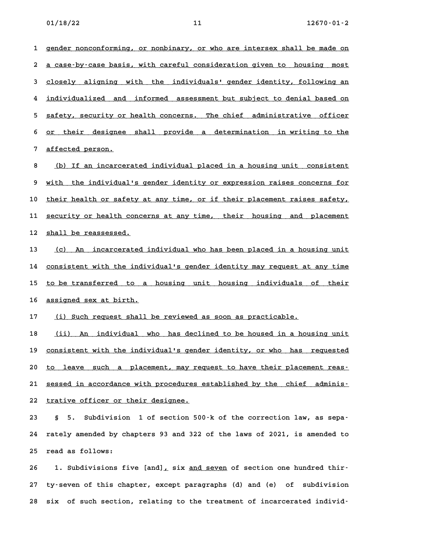1 gender nonconforming, or nonbinary, or who are intersex shall be made on 1 gender nonconforming, or nonbinary, or who are intersex shall be made on<br>2 <u>a case-by-case basis, with careful consideration given to housing most</u> **2** <u>a case-by-case basis, with careful consideration given to housing most<br>3 <u>closely aligning with the individuals' gender identity, following an</u></u> d <u>closely aligning with the individuals' gender identity, following an</u><br>4 <u>individualized and informed assessment but subject to denial based on</u> **5 safety, security or health concerns. The chief administrative officer \_\_\_\_\_\_\_\_\_\_\_\_\_\_\_\_\_\_\_\_\_\_\_\_\_\_\_\_\_\_\_\_\_\_\_\_\_\_\_\_\_\_\_\_\_\_\_\_\_\_\_\_\_\_\_\_\_\_\_\_\_\_\_\_\_\_\_\_\_\_\_\_** 5 <u>safety, security or health concerns. The chief administrative officer</u><br>6 <u>or their designee shall provide a determination in writing to the</u> 6 <u>or their designee shall provide a determination in writing to the a ference of all provide a determination in writing to the set of all provide a set of  $\frac{1}{2}$ </u>

8 (b) If an incarcerated individual placed in a housing unit consistent **9 with the individual's gender identity or expression raises concerns for \_\_\_\_\_\_\_\_\_\_\_\_\_\_\_\_\_\_\_\_\_\_\_\_\_\_\_\_\_\_\_\_\_\_\_\_\_\_\_\_\_\_\_\_\_\_\_\_\_\_\_\_\_\_\_\_\_\_\_\_\_\_\_\_\_\_\_\_\_\_\_\_** 9 <u>with the individual's gender identity or expression raises concerns for</u><br>10 <u>their health or safety at any time, or if their placement raises safety,</u> 10 <u>their health or safety at any time, or if their placement raises safety, </u><br>11 <u>security or health concerns at any time, their housing and placement</u> 11 <u>security or health concerns at any time, their housing and placement</u><br>12 <u>shall be reassessed.</u>

12 <u>shall be reassessed.</u><br>13 <u>(c) An incarcerated individual who has been placed in a housing unit</u> <u>(c) An incarcerated individual who has been placed in a housing unit</u><br>14 <u>consistent with the individual's gender identity may request at any time</u> 14 <u>consistent with the individual's gender identity may request at any time</u><br>15 to be transferred to a housing unit housing individuals of their 15 <u>to be transferred to a housing unit housing individuals of their<br>16 <u>assigned sex at birth.</u></u>

17 (i) Such request shall be reviewed as soon as practicable.

18 (ii) An individual who has declined to be housed in a housing unit 18 <u>(ii) An individual who has declined to be housed in a housing unit</u><br>19 <u>consistent with the individual's gender identity, or who has requested</u> 20 <u>to leave such the individual's gender identity, or who has requested to leave such a placement, may request to have their placement reas.</u> 20 <u>to leave such a placement, may request to have their placement reas-</u><br>21 <u>sessed in accordance with procedures established by the chief adminis-</u> 21 <u>sessed in accordance with procedures</u><br>22 <u>trative officer or their designee.</u> 22 <u>trative officer or their designee.</u><br>23 § 5. Subdivision 1 of section 500 k of the correction law, as sepa-

**24 rately amended by chapters 93 and 322 of the laws of 2021, is amended to 25 read as follows: 25 read as follows:**<br>26 1. Subdivisions five [and], six <u>and seven</u> of section one hundred thir-

**27 ty-seven of this chapter, except paragraphs (d) and (e) of subdivision 28 six of such section, relating to the treatment of incarcerated individ-**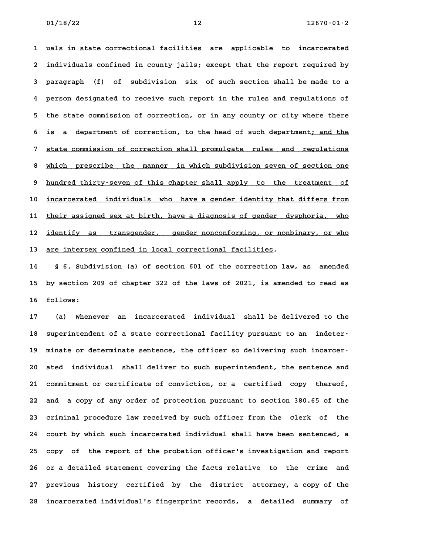**1 uals in state correctional facilities are applicable to incarcerated 2 individuals confined in county jails; except that the report required by 3 paragraph (f) of subdivision six of such section shall be made to a 4 person designated to receive such report in the rules and regulations of 5 the state commission of correction, or in any county or city where there** 5 the state commission of correction, or in any county or city where there<br>6 is a department of correction, to the head of such department<u>; and the</u> **6** is a department of correction, to the head of such department<u>; and the</u><br>7 <u>state commission of correction shall promulgate rules and regulations</u> 8 which prescribe the manner in which subdivision seven of section one<br>**8** which prescribe the manner in which subdivision seven of section one 8 <u>which prescribe the manner in which subdivision seven of section one</u><br>9 hundred thirty-seven of this chapter shall apply to the treatment of 9 <u>hundred thirty-seven of this chapter shall apply to the treatment of</u><br>10 <u>incarcerated individuals who have a gender identity that differs from</u> 10 <u>incarcerated individuals who have-a-gender-identity-that-differs-from</u><br>11 <u>their assigned sex at birth, have a diagnosis of gender-dysphoria, who</u> 11 their assigned sex at birth, have a diagnosis of gender dysphoria, who<br>12 <u>identify as transgender,</u> gender nonconforming, or nonbinary, or who 13 are intersex confined in local correctional facilities.

**14 § 6. Subdivision (a) of section 601 of the correction law, as amended 15 by section 209 of chapter 322 of the laws of 2021, is amended to read as** 15 by section 209 of chapter 322 of the laws of 2021, is amended to read as<br>16 follows:

**17 (a) Whenever an incarcerated individual shall be delivered to the** 17 (a) Whenever an incarcerated individual shall be delivered to the<br>18 superintendent of a state correctional facility pursuant to an indeter<sup></sup> 18 superintendent of a state correctional facility pursuant to an indeter-<br>19 minate or determinate sentence, the officer so delivering such incarcer-**20 ated individual shall deliver to such superintendent, the sentence and 21 commitment or certificate of conviction, or a certified copy thereof, 22 and a copy of any order of protection pursuant to section 380.65 of the 23 criminal procedure law received by such officer from the clerk of the 24 court by which such incarcerated individual shall have been sentenced, a** 24 court by which such incarcerated individual shall have been sentenced, a<br>25 copy of the report of the probation officer's investigation and report **26 or a detailed statement covering the facts relative to the crime and 27 previous history certified by the district attorney, a copy of the 28 incarcerated individual's fingerprint records, a detailed summary of**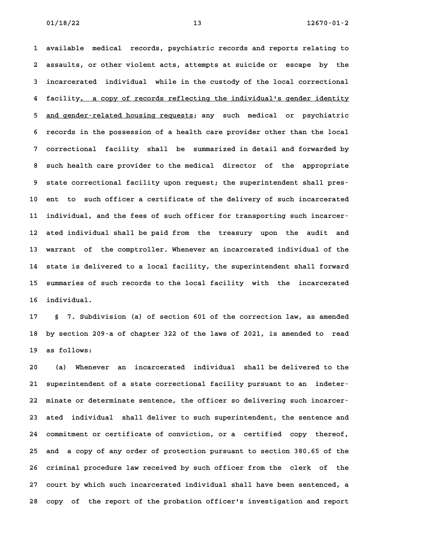**1 available medical records, psychiatric records and reports relating to 2 assaults, or other violent acts, attempts at suicide or escape by the 3 incarcerated individual while in the custody of the local correctional** 3 incarcerated individual while in the custody of the local correctional<br>4 facility, a copy of records reflecting the individual's gender identity 4 facility<u>, a copy of records reflecting the individual's gender identity<br>5 <u>and gender-related housing requests</u>; any such medical or psychiatric</u> 5 <u>and gender-related housing requests</u>; any such medical or psychiatric<br>6 records in the possession of a health care provider other than the local **7 correctional facility shall be summarized in detail and forwarded by 8 such health care provider to the medical director of the appropriate** 8 such health care provider to the medical director of the appropriate<br>9 state correctional facility upon request; the superintendent shall pres-**10 ent to such officer a certificate of the delivery of such incarcerated** 10 ent to such officer a certificate of the delivery of such incarcerated<br>11 individual, and the fees of such officer for transporting such incarcer<sup>.</sup> **12 ated individual shall be paid from the treasury upon the audit and 13 warrant of the comptroller. Whenever an incarcerated individual of the 14 state is delivered to a local facility, the superintendent shall forward 15 summaries of such records to the local facility with the incarcerated** 15 summaries of such records to the local facility with the incarcerated<br>16 individual.

**17 § 7. Subdivision (a) of section 601 of the correction law, as amended 18 by section 209-a of chapter 322 of the laws of 2021, is amended to read 19 as follows: 20 (a) Whenever an incarcerated individual shall be delivered to the**

**21 superintendent of a state correctional facility pursuant to an indeter-22 minate or determinate sentence, the officer so delivering such incarcer-23 ated individual shall deliver to such superintendent, the sentence and 24 commitment or certificate of conviction, or a certified copy thereof, 25 and a copy of any order of protection pursuant to section 380.65 of the 26 criminal procedure law received by such officer from the clerk of the 27 court by which such incarcerated individual shall have been sentenced, a** 27 court by which such incarcerated individual shall have been sentenced, a<br>28 copy of the report of the probation officer's investigation and report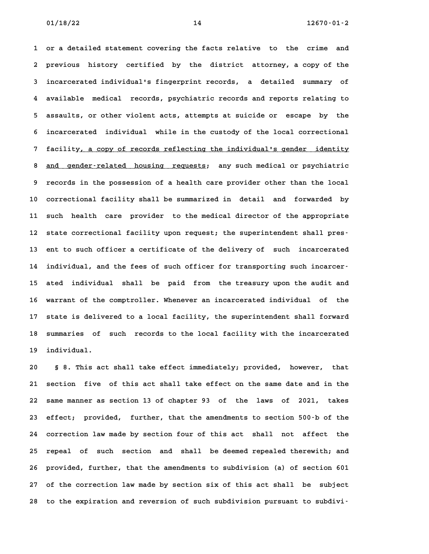**1 or a detailed statement covering the facts relative to the crime and 2 previous history certified by the district attorney, a copy of the 3 incarcerated individual's fingerprint records, a detailed summary of 4 available medical records, psychiatric records and reports relating to 5 assaults, or other violent acts, attempts at suicide or escape by the 6 incarcerated individual while in the custody of the local correctional** 6 incarcerated individual while in the custody of the local correctional<br>7 facilit<u>y, a copy of records reflecting the individual's gender identity</u> 8 and gender-related housing requests; any such medical or psychiatric<sup>3</sup> 8 and gender-related housing requests; any such medical or psychiatric<br>9 records in the possession of a health care provider other than the local **10 correctional facility shall be summarized in detail and forwarded by 11 such health care provider to the medical director of the appropriate** 11 such health care provider to the medical director of the appropriate<br>12 state correctional facility upon request; the superintendent shall pres-**13 ent to such officer a certificate of the delivery of such incarcerated** 13 ent to such officer a certificate of the delivery of such incarcerated<br>14 individual, and the fees of such officer for transporting such incarcer<sup>.</sup> **15 ated individual shall be paid from the treasury upon the audit and 16 warrant of the comptroller. Whenever an incarcerated individual of the 17 state is delivered to a local facility, the superintendent shall forward** 17 state is delivered to a local facility, the superintendent shall forward<br>18 summaries of such records to the local facility with the incarcerated 18 summaries of such records to the local facility with the incarcerated<br>19 individual.

**20 § 8. This act shall take effect immediately; provided, however, that 21 section five of this act shall take effect on the same date and in the 22 same manner as section 13 of chapter 93 of the laws of 2021, takes 23 effect; provided, further, that the amendments to section 500-b of the 24 correction law made by section four of this act shall not affect the 25 repeal of such section and shall be deemed repealed therewith; and 26 provided, further, that the amendments to subdivision (a) of section 601 27 of the correction law made by section six of this act shall be subject 28 to the expiration and reversion of such subdivision pursuant to subdivi-**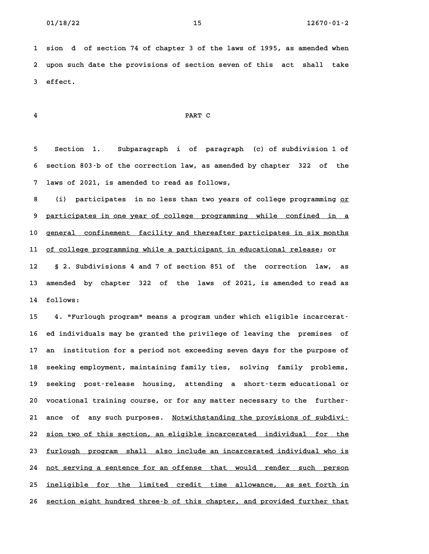**1 sion d of section 74 of chapter 3 of the laws of 1995, as amended when 2 upon such date the provisions of section seven of this act shall take 3 effect.**

# **4 PART C**

**5 Section 1. Subparagraph i of paragraph (c) of subdivision 1 of 6 section 803-b of the correction law, as amended by chapter 322 of the 7 laws of 2021, is amended to read as follows,**

**1** laws of 2021, is amended to read as follows,<br>8 (i) participates in no less than two years of college programming <u>or</u> **9 participates in one year of college programming while confined in a \_\_\_\_\_\_\_\_\_\_\_\_\_\_\_\_\_\_\_\_\_\_\_\_\_\_\_\_\_\_\_\_\_\_\_\_\_\_\_\_\_\_\_\_\_\_\_\_\_\_\_\_\_\_\_\_\_\_\_\_\_\_\_\_\_\_\_\_\_\_\_\_** 9 <u>participates in one year of college programming while confined in a</u><br>10 <u>general confinement facility and thereafter participates in six months</u> 10 <u>general confinement facility and thereafter participates in six months</u><br>11 <u>of college programming while a participant in educational release</u>; or **12 § 2. Subdivisions 4 and 7 of section 851 of the correction law, as 13 amended by chapter 322 of the laws of 2021, is amended to read as 14 follows:**

**15 4. "Furlough program" means a program under which eligible incarcerat-16 ed individuals may be granted the privilege of leaving the premises of 17 an institution for a period not exceeding seven days for the purpose of 18 seeking employment, maintaining family ties, solving family problems, 19 seeking post-release housing, attending a short-term educational or** 19 seeking post-release housing, attending a short-termeducational or<br>20 vocational training course, or for any matter necessary to the further-20 vocational training course, or for any matter necessary to the further–<br>21 ance of any such purposes. <u>Notwithstanding the provisions of subdivi–</u> 21 ance of any such purposes. <u>Notwithstanding the provisions of subdivi-</u><br>22 <u>sion two of this section, an eligible incarcerated individual for the</u> 22 <u>sion two of this section, an eligible incarcerated individual for the</u><br>23 <u>furlough program shall also include an incarcerated individual who is</u> 23 <u>furlough program shall also include an incarcerated individual who is</u><br>24 <u>not serving a sentence for an offense that would render such person</u> 24 <u>not serving a sentence for an offense that would render such person</u><br>25 <u>ineligible for the limited credit time allowance, as set forth in</u> 25 <u>ineligible for the limited credit time allowance, as set forth in</u><br>26 <u>section eight hundred three-b of this chapter, and provided further that</u>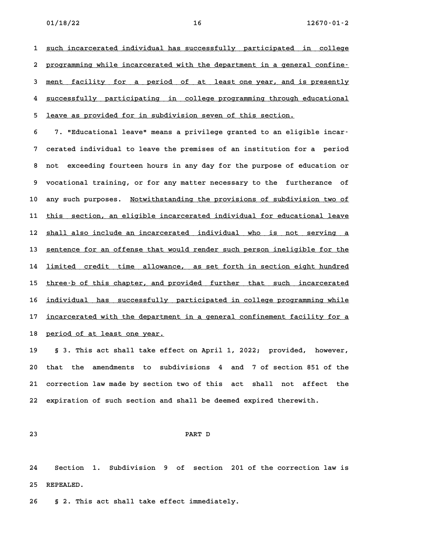1 <u>such incarcerated individual has successfully participated in college</u> 1 <u>such incarcerated individual has successfully participated in college</u><br>2 <u>programming while incarcerated with the department in a general confine–</u> 2 <u>programming while incarcerated with the department in a general confine–</u><br>3 <u>ment facility for a period of at least one year, and is presently</u> 3 <u>ment facility for a period of at least one year, and is presently</u><br>4 successfully participating in college programming through educational 4 <u>successfully participating in college programming through educational</u><br>5 <u>leave as provided for in subdivision seven of this section.</u>

5 <u>leave as provided for in subdivision seven of this section.<br>6 7. "Educational leave" means a privilege granted to an eligible incar<sup>.</sup></u> **7 cerated individual to leave the premises of an institution for a period 8 not exceeding fourteen hours in any day for the purpose of education or 9 vocational training, or for any matter necessary to the furtherance of** 10 any such purposes. Notwithstanding the provisions of subdivision two of 10 any such purposes. <u>Notwithstanding the provisions of subdivision two of</u><br>11 <u>this section, an eligible incarcerated individual for educational leave</u> 11 <u>this section, an eligible incarcerated individual for educational leave</u><br>12 <u>shall also include an incarcerated individual who is not serving a</u> 12 <u>shall also include an incarcerated individual who is not serving a</u><br>13 <u>sentence for an offense that would render such person ineligible for the</u> 13 <u>sentence for an offense that would render such person ineligible for the</u><br>14 <u>limited credit time allowance, as set forth in section eight hundred</u> 14 <u>limited credit time allowance, as set forth in section eight hundred</u><br>15 <u>three-b of this chapter, and provided further that such incarcerated</u> 15 <u>three-b of this chapter, and provided further that such incarcerated</u><br>16 <u>individual has successfully participated in college programming while</u> immaan to tend the success of the settermonon standard in tends of the setterman and the setterming while the s<br>17 <u>incarcerated with the department in a general confinement facility for a</u> 17 <u>incarcerated with the department in a general confinement facility for a</u><br>18 <u>period of at least one year.</u>

**19 § 3. This act shall take effect on April 1, 2022; provided, however, 20 that the amendments to subdivisions 4 and 7 of section 851 of the 21 correction law made by section two of this act shall not affect the 22 expiration of such section and shall be deemed expired therewith.**

# **23 PART D**

**24 Section 1. Subdivision 9 of section 201 of the correction law is 25 REPEALED. 26 § 2. This act shall take effect immediately.**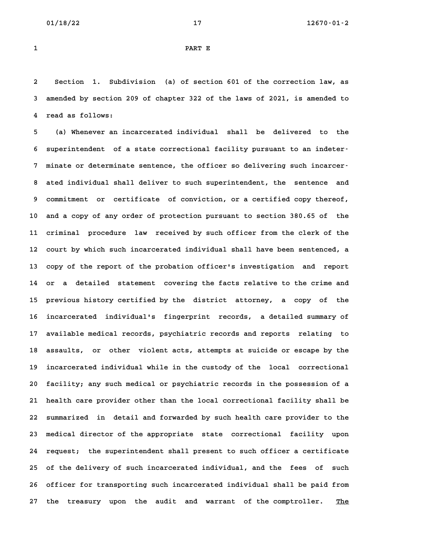# **1 PART E**

**2 Section 1. Subdivision (a) of section 601 of the correction law, as 3 amended by section 209 of chapter 322 of the laws of 2021, is amended to 4 read as follows:**

**5 (a) Whenever an incarcerated individual shall be delivered to the 6 superintendent of a state correctional facility pursuant to an indeter-7 minate or determinate sentence, the officer so delivering such incarcer-8 ated individual shall deliver to such superintendent, the sentence and 9 commitment or certificate of conviction, or a certified copy thereof, 10 and a copy of any order of protection pursuant to section 380.65 of the 11 criminal procedure law received by such officer from the clerk of the** 11 criminal procedure law received by such officer from the clerk of the<br>12 court by which such incarcerated individual shall have been sentenced, a **13 copy of the report of the probation officer's investigation and report 14 or a detailed statement covering the facts relative to the crime and 15 previous history certified by the district attorney, a copy of the 16 incarcerated individual's fingerprint records, a detailed summary of 17 available medical records, psychiatric records and reports relating to** 17 available medical records, psychiatric records and reports relating to<br>18 assaults, or other violent acts, attempts at suicide or escape by the 18 assaults, or other violent acts, attempts at suicide or escape by the<br>19 incarcerated individual while in the custody of the local correctional **20 facility; any such medical or psychiatric records in the possession of a 21 health care provider other than the local correctional facility shall be 22 summarized in detail and forwarded by such health care provider to the 23 medical director of the appropriate state correctional facility upon 24 request; the superintendent shall present to such officer a certificate 25 of the delivery of such incarcerated individual, and the fees of such** 25 of the delivery of such incarcerated individual, and the fees of such<br>26 officer for transporting such incarcerated individual shall be paid from 26 officer for transporting such incarcerated individual shall be paid from<br>27 the treasury upon the audit and warrant of the comptroller. <u>The</u>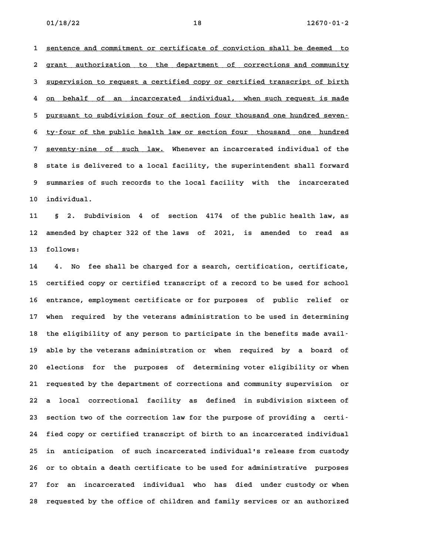**1 sentence and commitment or certificate of conviction shall be deemed to \_\_\_\_\_\_\_\_\_\_\_\_\_\_\_\_\_\_\_\_\_\_\_\_\_\_\_\_\_\_\_\_\_\_\_\_\_\_\_\_\_\_\_\_\_\_\_\_\_\_\_\_\_\_\_\_\_\_\_\_\_\_\_\_\_\_\_\_\_\_\_\_** 1 <u>sentence and commitment or certificate of conviction shall be deemed to</u><br>2 g<u>rant authorization to the department of corrections and community</u> 3 grant authorization to the department of corrections and community<br>3 <u>supervision to request a certified copy or certified transcript of birth</u> 3 <u>supervision to request a certified copy or certified transcript of birth</u><br>4 <u>on behalf of an incarcerated individual, when such request is made</u> 4 <u>on behalf of an incarcerated individual, when such request is made</u><br>5 <u>pursuant to subdivision four of section four thousand one hundred seven–</u> 5 <u>pursuant to subdivision four of section four thousand one hundred seven-</u><br>6 tv-four of the public health law or section four thousand one hundred **6** ty-four of the public health law or section four thousand one hundred<br>**7** seventy-nine of such law. Whenever an incarcerated individual of the **8 state is delivered to a local facility, the superintendent shall forward 9 summaries of such records to the local facility with the incarcerated** 9 summaries of such records to the local facility with the incarcerated<br>10 individual.

**11 § 2. Subdivision 4 of section 4174 of the public health law, as 12 amended by chapter 322 of the laws of 2021, is amended to read as 13 follows:**

**14 4. No fee shall be charged for a search, certification, certificate, 15 certified copy or certified transcript of a record to be used for school 16 entrance, employment certificate or for purposes of public relief or 17 when required by the veterans administration to be used in determining** 17 when required by the veterans administration to be used in determining<br>18 the eligibility of any person to participate in the benefits made avail<sup>.</sup> **19 able by the veterans administration or when required by a board of 20 elections for the purposes of determining voter eligibility or when 21 requested by the department of corrections and community supervision or 22 a local correctional facility as defined in subdivision sixteen of** 22 a local correctional facility as defined in subdivision sixteen of<br>
23 section two of the correction law for the purpose of providing a certi-**24 fied copy or certified transcript of birth to an incarcerated individual 25 in anticipation of such incarcerated individual's release from custody 26 or to obtain a death certificate to be used for administrative purposes 27 for an incarcerated individual who has died under custody or when 28 requested by the office of children and family services or an authorized**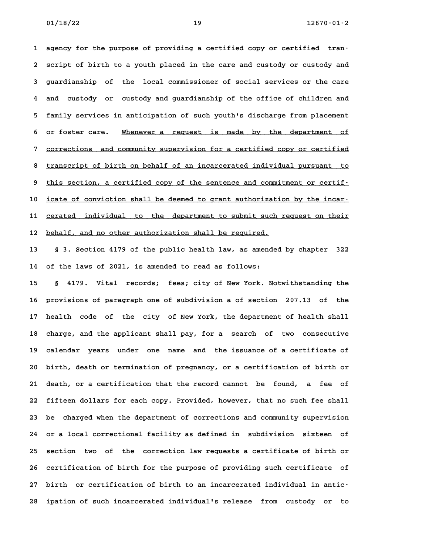**1 agency for the purpose of providing a certified copy or certified tran-2 script of birth to a youth placed in the care and custody or custody and 3 guardianship of the local commissioner of social services or the care 4 and custody or custody and guardianship of the office of children and 5 family services in anticipation of such youth's discharge from placement** 5 family services in anticipation of such youth's discharge from placement<br>6 or foster care. <u>Whenever a request is made by the department of</u> 6 or foster care. Whenever a request is made by the department of<br>7 <u>corrections and community supervision for a certified copy or certified</u> 8 <u>transcript of birth on behalf of an incarcerated individual pursuant to transcript of birth on behalf of an incarcerated individual pursuant to</u> 8 <u>transcript of birth on behalf of an incarcerated individual pursuant to</u><br>9 <u>this section, a certified copy of the sentence and commitment or certif–</u> 9 this section, a certified copy of the sentence and commitment or certif-<br>10 <u>icate of conviction shall be deemed to grant authorization by the incar-</u> icate of conviction shall be deemed to grant authorization by the incar-<br>11 cerated individual to the department to submit such request on their 11 <u>cerated individual to the department to submit such </u><br>12 <u>behalf, and no other authorization shall be required.</u>

**13 § 3. Section 4179 of the public health law, as amended by chapter 322 14 of the laws of 2021, is amended to read as follows:**

**15 § 4179. Vital records; fees; city of New York. Notwithstanding the 16 provisions of paragraph one of subdivision a of section 207.13 of the 17 health code of the city of New York, the department of health shall 18 charge, and the applicant shall pay, for a search of two consecutive 19 calendar years under one name and the issuance of a certificate of** 19 calendar years under one name and the issuance of a certificate of<br>20 birth, death or termination of pregnancy, or a certification of birth or **21 death, or a certification that the record cannot be found, a fee of 22 fifteen dollars for each copy. Provided, however, that no such fee shall 23 be charged when the department of corrections and community supervision 24 or a local correctional facility as defined in subdivision sixteen of 25 section two of the correction law requests a certificate of birth or 26 certification of birth for the purpose of providing such certificate of 27 birth or certification of birth to an incarcerated individual in antic-28 ipation of such incarcerated individual's release from custody or to**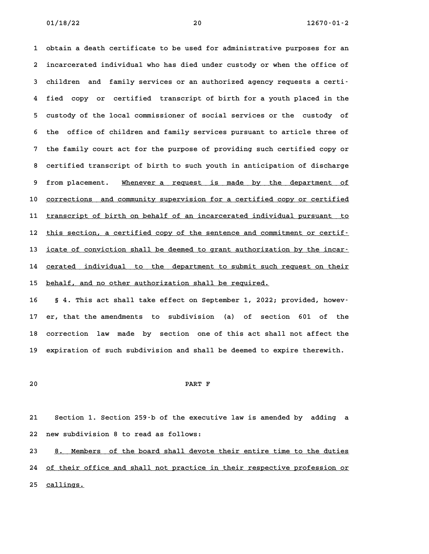**1 obtain a death certificate to be used for administrative purposes for an 2 incarcerated individual who has died under custody or when the office of 3 children and family services or an authorized agency requests a certi-4 fied copy or certified transcript of birth for a youth placed in the 5 custody of the local commissioner of social services or the custody of 6 the office of children and family services pursuant to article three of 7 the family court act for the purpose of providing such certified copy or 8 certified transcript of birth to such youth in anticipation of discharge** 8 certified transcript of birth to such youth in anticipation of discharge<br>9 from placement. <u>Whenever a request is made by the department of</u> 9 from placement. Whenever a request is made by the department of<br>10 <u>corrections and community supervision for a certified</u> copy or certified 10 <u>corrections and community supervision for a certified copy or certified</u><br>11 <u>transcript of birth on behalf of an incarcerated individual pursuant to</u> il <u>transcript of birth on behalf of an incarcerated individual pursuant to this section, a certified copy of the sentence and commitment or certified</u> this section, a certified copy of the sentence and commitment or certif-<br>13 <u>icate of conviction shall be deemed to grant authorization by the incar</u>icate of conviction shall be deemed to grant authorization by the incar-<br>14 cerated individual to the department to submit such request on their 14 cerated individual to the department to submit such request on their<br>15 <u>behalf, and no other authorization shall be required.</u>

**16 § 4. This act shall take effect on September 1, 2022; provided, howev-17 er, that the amendments to subdivision (a) of section 601 of the 18 correction law made by section one of this act shall not affect the 19 expiration of such subdivision and shall be deemed to expire therewith.**

# **20 PART F**

**21 Section 1. Section 259-b of the executive law is amended by adding a 22 new subdivision 8 to read as follows:**

22 new subdivision 8 to read as follows:<br>23 <u>8. Members of the board shall devote their entire time to the duties</u> <u>8. Members of the board shall devote their entire time to the duties</u><br>24 of their office and shall not practice in their respective profession or 24 of their office and shall not practice in their respective profession or<br>25 callings.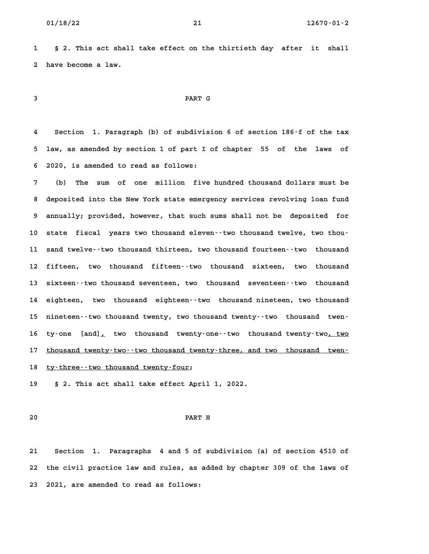**1 § 2. This act shall take effect on the thirtieth day after it shall 2 have become a law.**

# **3 PART G**

**4 Section 1. Paragraph (b) of subdivision 6 of section 186-f of the tax 5 law, as amended by section 1 of part I of chapter 55 of the laws of 6 2020, is amended to read as follows: 7 (b) The sum of one million five hundred thousand dollars must be**

**8 deposited into the New York state emergency services revolving loan fund 9 annually; provided, however, that such sums shall not be deposited for** 9 annually; provided, however, that such sums shall not be deposited for<br>10 state fiscal years two thousand eleven--two thousand twelve, two thou-**11 sand twelve--two thousand thirteen, two thousand fourteen--two thousand 12 fifteen, two thousand fifteen--two thousand sixteen, two thousand** 12 fifteen, two thousand fifteen--two thousand sixteen, two thousand **14 eighteen, two thousand eighteen--two thousand nineteen, two thousand** 14 eighteen, two thousand eighteen--two thousand-nineteen, two-thousand<br>15 nineteen--two-thousand-twenty, two-thousand-twenty--two-thousand-twenif nineteen--two thousand twenty, two thousand twenty--two thousand twen-<br>16 ty-one [and]<u>,</u> two thousand twenty-one--two thousand twenty-two<u>, two</u> 16 ty-one [and]<sub>*L*</sub> two thousand twenty-one--two thousand twenty-two<u>, two</u><br>17 thousand twenty-two--two thousand twenty-three, and two thousand twen-17 <u>thousand twenty-two--two thousand twenty-three, and two thousand twen-</u><br>18 <u>ty-three--two thousand twenty-four</u>;

**19 § 2. This act shall take effect April 1, 2022.**

# **20 PART H**

**21 Section 1. Paragraphs 4 and 5 of subdivision (a) of section 4510 of 22 the civil practice law and rules, as added by chapter 309 of the laws of 23 2021, are amended to read as follows:**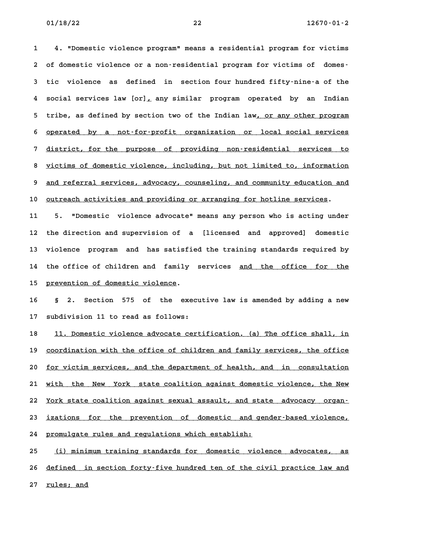**1 4. "Domestic violence program" means a residential program for victims 2 of domestic violence or a non-residential program for victims of domes-3 tic violence as defined in section four hundred fifty-nine-a of the 4 social services law [or], any similar program operated by an Indian \_ 4** social services law [or], any similar program operated by an Indian<br>5 tribe, as defined by section two of the Indian law<u>, or any other program</u> 5 tribe, as defined by section two of the Indian law<u>, or any other program</u><br>6 <u>operated by a not-for-profit organization or local social services</u> 6 <u>operated by a not-for-profit organization or local-social-services</u><br>7 <u>district, for the purpose of providing non-residential services to</u> 8 <u>victims of domestic violence, including non-residential services to victims of domestic violence, including, but not limited to, information</u> 8 <u>victims of domestic violence, including, but not limited to, information</u><br>9 and referral services, advocacy, counseling, and community education and 9 <u>and referral services, advocacy, counseling, and community education and</u><br>10 <u>outreach activities and providing or arranging for hotline services</u>.

**11 5. "Domestic violence advocate" means any person who is acting under 12 the direction and supervision of a [licensed and approved] domestic 13 violence program and has satisfied the training standards required by** 13 violence program and has satisfied the training standards required by<br>14 the office of children and family services <u>and the office for the</u> 14 the office of children and family services <u>and the office for the</u><br>15 <u>prevention of domestic violence</u>.

**16 § 2. Section 575 of the executive law is amended by adding a new 17 subdivision 11 to read as follows:**

17 subdivision 11 to read as follows:<br>18 <u>11. Domestic violence advocate certification. (a) The office shall, in</u> 18 <u>11. Domestic violence advocate certification. (a) The office shall, in</u><br>19 <u>coordination with the office of children and family services, the office</u> 20 <u>for victim services, and the department of health, and in consultation</u><br>**20** for victim services, and the department of health, and in consultation 20 <u>for victim services, and the department of health, and in consultation</u><br>21 <u>with the New York state coalition against domestic violence, the New</u> 21 <u>with the New York state-coalition-against-domestic-violence, the New 22<br>22 York state coalition against sexual-assault, and state -advocacy -organ-</u> <u>York state coalition against sexual assault, and state advocacy organ-</u><br>23 <u>izations for the prevention of domestic and gender-based violence,</u> **24 promulgate rules and regulations which establish: \_\_\_\_\_\_\_\_\_\_\_\_\_\_\_\_\_\_\_\_\_\_\_\_\_\_\_\_\_\_\_\_\_\_\_\_\_\_\_\_\_\_\_\_\_\_\_\_\_**

**25 (i) minimum training standards for domestic violence advocates, as \_\_\_\_\_\_\_\_\_\_\_\_\_\_\_\_\_\_\_\_\_\_\_\_\_\_\_\_\_\_\_\_\_\_\_\_\_\_\_\_\_\_\_\_\_\_\_\_\_\_\_\_\_\_\_\_\_\_\_\_\_\_\_\_\_\_\_\_\_\_ 26 defined in section forty-five hundred ten of the civil practice law and \_\_\_\_\_\_\_\_\_\_\_\_\_\_\_\_\_\_\_\_\_\_\_\_\_\_\_\_\_\_\_\_\_\_\_\_\_\_\_\_\_\_\_\_\_\_\_\_\_\_\_\_\_\_\_\_\_\_\_\_\_\_\_\_\_\_\_\_\_\_\_\_ 27 rules; and \_\_\_\_\_\_\_\_\_\_**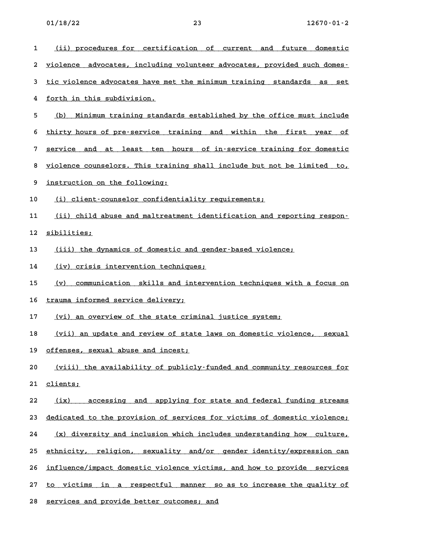- **1 (ii) procedures for certification of current and future domestic \_\_\_\_\_\_\_\_\_\_\_\_\_\_\_\_\_\_\_\_\_\_\_\_\_\_\_\_\_\_\_\_\_\_\_\_\_\_\_\_\_\_\_\_\_\_\_\_\_\_\_\_\_\_\_\_\_\_\_\_\_\_\_\_\_\_\_\_\_\_ 2 violence advocates, including volunteer advocates, provided such domes- \_\_\_\_\_\_\_\_\_\_\_\_\_\_\_\_\_\_\_\_\_\_\_\_\_\_\_\_\_\_\_\_\_\_\_\_\_\_\_\_\_\_\_\_\_\_\_\_\_\_\_\_\_\_\_\_\_\_\_\_\_\_\_\_\_\_\_\_\_\_\_\_** 2 <u>violence advocates, including volunteer advocates, provided such domes-</u><br>3 <u>tic violence advocates have met the minimum training standards as set</u> **4** tic violence advocates have m<br>**4** forth in this subdivision. 4 <u>forth in this subdivision.</u><br>5 <u>(b) Minimum training standards established by the office must include</u> <u>(b) Minimum training standards established by the office must include</u><br>6 <u>thirty hours of pre-service training and within the first year of</u> 6 <u>thirty hours of pre-service training and within the first year of the service and at least ten hours of in-service training for domestic</u> 8 <u>violence and at least ten hours of in-service training for domestic</u><br>8 <u>violence counselors. This training shall include but not be limited to,</u> 8 <u>violence counselors. This traini</u><br>9 <u>instruction on the following:</u> 9 <u>instruction on the following:</u><br>10 (i) client-counselor confidentiality requirements; 11 (ii) child abuse and maltreatment identification and reporting respon-**12 sibilities; \_\_\_\_\_\_\_\_\_\_\_** 12 <u>sibilities;</u><br>13 <u>(iii) the dynamics of domestic and gender-based violence;</u> 13 <u>(iii) the dynamics of domestic and gend</u><br>14 (<u>iv) crisis intervention techniques;</u> **14** (iv) crisis intervention techniques;<br>15 (v) communication skills and intervention techniques with a focus on 16 trauma informed service delivery; **17 (vi) an overview of the state criminal justice system; \_\_\_\_\_\_\_\_\_\_\_\_\_\_\_\_\_\_\_\_\_\_\_\_\_\_\_\_\_\_\_\_\_\_\_\_\_\_\_\_\_\_\_\_\_\_\_\_\_\_\_\_\_\_** <u>(vi) an overview of the state criminal justice system;</u><br>18 <u>(vii) an update and review of state laws on domestic violence, sexual</u> 18 <u>(vii) an update and review of state</u><br>19 <u>offenses, sexual abuse and incest;</u> **20** (viii) the availabuse and incest;<br>**20** (viii) the availability of publicly-funded and community resources for **21 clients; \_\_\_\_\_\_\_\_** 21 <u>clients;</u><br>22 <u> (ix) accessing and applying for state and federal funding streams</u> <u>(ix) accessing and applying for state and federal funding streams</u><br>23 <u>dedicated to the provision of services for victims of domestic violence;</u> *23* <u>dedicated to the provision of services for victims of domestic violence;</u><br>24 (x) diversity and inclusion which includes understanding how culture, <u>(x) diversity and inclusion which includes understanding how culture,</u><br>25 <u>ethnicity, religion, sexuality and/or gender identity/expression can</u> 25 <u>ethnicity, religion, sexuality and/or gender-identity/expression-can</u><br>26 <u>influence/impact-domestic-violence-victims, and how-to-provide-services</u> **27 to victims in a respectful manner so as to increase the quality of \_\_\_\_\_\_\_\_\_\_\_\_\_\_\_\_\_\_\_\_\_\_\_\_\_\_\_\_\_\_\_\_\_\_\_\_\_\_\_\_\_\_\_\_\_\_\_\_\_\_\_\_\_\_\_\_\_\_\_\_\_\_\_\_\_\_\_\_\_\_\_\_** 27 <u>to victims in a respectful manner so as to increase the quality of</u><br>28 services and provide better outcomes; and
-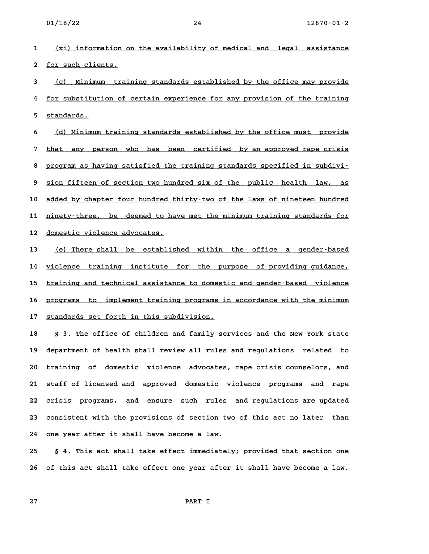**1 (xi) information on the availability of medical and legal assistance \_\_\_\_\_\_\_\_\_\_\_\_\_\_\_\_\_\_\_\_\_\_\_\_\_\_\_\_\_\_\_\_\_\_\_\_\_\_\_\_\_\_\_\_\_\_\_\_\_\_\_\_\_\_\_\_\_\_\_\_\_\_\_\_\_\_\_\_\_\_ 2** <u>for such clients.</u><br>2 <u>for such clients.</u>

2 <u>for such clients.</u><br>3 <u>(c) Minimum training standards established by the office may provide</u> <u>(c) Minimum training standards established by the office may provide</u><br>4 for substitution of certain experience for any provision of the training 4 <u>for substitution of certain experience for any provision of the training<br>5 <u>standards.</u></u>

6 (d) Minimum training standards established by the office must provide 6 <u>(d) Minimum training standards established by the office must provide</u><br>7 <u>that any person who has been certified by an approved rape crisis</u> 8 <u>that any person who has been certified by an-approved-rape-crisis</u><br>8 <u>program as having satisfied the training standards specified in subdivi–</u> 9 <u>sion fifteen of section two hundred six of the public health law, as</u><br>**9** sion fifteen of section two hundred six of the public health law, as 10 added by chapter four hundred thirty-two of the laws of nineteen hundred 10 <u>added by chapter four hundred thirty-two of the laws of nineteen hundred</u><br>11 <u>ninety-three, be deemed to have met the minimum training standards for</u> 11 <u>ninety–three, be deemed to ha</u><br>12 <u>domestic violence advocates.</u>

12 <u>domestic violence advocates.</u><br>13 <u>(e) There shall be established within the office a gender–based</u> 13 <u>(e) There shall be established within the office a gender–based</u><br>14 <u>violence training institute for the purpose of providing-guidance,</u> 14 <u>violence training institute for the purpose of providing guidance,</u><br>15 <u>training and technical assistance to domestic and gender-based violence</u> 15 <u>training and technical assistance to domestic and gender–based violence</u><br>16 <u>programs to implement training programs in accordance with the minimum</u> 16 <u>programs to implement training programs i</u><br>17 <u>standards set forth in this subdivision.</u>

17 <u>standards set forth in this subdivision.</u><br>18 § 3. The office of children and family services and the New York state **19 department of health shall review all rules and regulations related to** 19 department of health shall review all rules and regulations related to<br>20 training of domestic violence advocates, rape crisis counselors, and **21 staff of licensed and approved domestic violence programs and rape 22 crisis programs, and ensure such rules and regulations are updated 23 consistent with the provisions of section two of this act no later than 24 one year after it shall have become a law.**

**25 § 4. This act shall take effect immediately; provided that section one 26 of this act shall take effect one year after it shall have become a law.**

**27 PART I**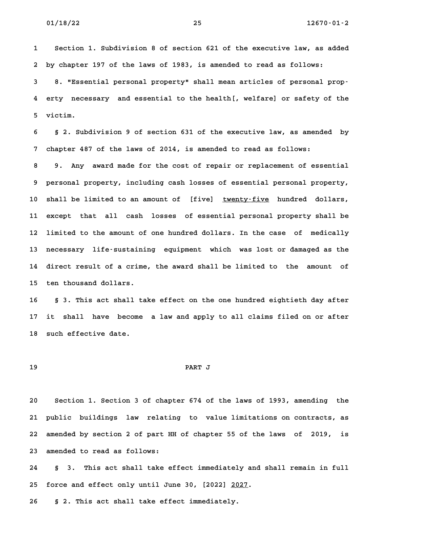**1 Section 1. Subdivision 8 of section 621 of the executive law, as added 2 by chapter 197 of the laws of 1983, is amended to read as follows:** 2 by chapter 197 of the laws of 1983, is amended to read as follows:<br>3 8. "Essential personal property" shall mean articles of personal prop<sup>.</sup> **4 erty necessary and essential to the health[, welfare] or safety of the 5 victim.**

**6 § 2. Subdivision 9 of section 631 of the executive law, as amended by 7 chapter 487 of the laws of 2014, is amended to read as follows:**

**8 9. Any award made for the cost of repair or replacement of essential 9 personal property, including cash losses of essential personal property,** 10 shall be limited to an amount of [five] **twenty-five** hundred dollars, **11 except that all cash losses of essential personal property shall be 12 limited to the amount of one hundred dollars. In the case of medically 13 necessary life-sustaining equipment which was lost or damaged as the 14 direct result of a crime, the award shall be limited to the amount of** 14 direct result of a crime, the award shall be limited to the amount of the ten thousand dollars.

**16 § 3. This act shall take effect on the one hundred eightieth day after 17 it shall have become a law and apply to all claims filed on or after** 17 it shall have become<br>18 such effective date.

# **19 PART J**

**20 Section 1. Section 3 of chapter 674 of the laws of 1993, amending the 21 public buildings law relating to value limitations on contracts, as 22 amended by section 2 of part HH of chapter 55 of the laws of 2019, is** 22 amended by section 2 of part HH of chapter 55 of the laws of 2019, is<br>23 amended to read as follows:

**24 § 3. This act shall take effect immediately and shall remain in full** 8 3. This act shall take effect immediately and<br>25 force and effect only until June 30, [2022] <u>2027</u>. **26 § 2. This act shall take effect immediately.**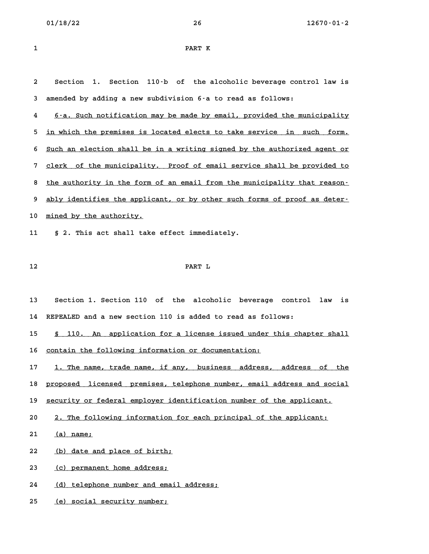| 1 | PART K |
|---|--------|

**2 Section 1. Section 110-b of the alcoholic beverage control law is 3 amended by adding a new subdivision 6-a to read as follows:**

**4 6-a. Such notification may be made by email, provided the municipality \_\_\_\_\_\_\_\_\_\_\_\_\_\_\_\_\_\_\_\_\_\_\_\_\_\_\_\_\_\_\_\_\_\_\_\_\_\_\_\_\_\_\_\_\_\_\_\_\_\_\_\_\_\_\_\_\_\_\_\_\_\_\_\_\_\_\_\_\_\_** 5 in which the premises is located elects to take service in such form. 6 Such an election shall be in a writing signed by the authorized agent or 5 <u>Such an election shall be in a writing signed by the authorized agent or</u><br>7 <u>clerk of the municipality. Proof of email service shall be provided to</u> 8 <u>the authority in the form of an email service shall be provided to the authority in the form of an email from the municipality that reason–</u> 8 <u>the authority in the form of an email from the municipality that reason–</u><br>9 <u>ably identifies the applicant, or by other such forms of proof as deter–</u> 9 <u>ably identifies the applic.</u><br>10 <u>mined by the authority.</u> **11 § 2. This act shall take effect immediately.**

# **12 PART L**

**13 Section 1. Section 110 of the alcoholic beverage control law is 14 REPEALED and a new section 110 is added to read as follows:** 14 REPEALED and a new section 110 is added to read as follows:<br>15 <u>§ 110. An application for a license issued under this chapter shall</u>

15 <u>§ 110. An application for a license issued under</u><br>16 <u>contain the following information or documentation:</u>

16 contain the following information or documentation:<br>17 1. The name, trade name, if any, business address, address of the 17 1. The name, trade name, if any, business address, address of the<br>18 <u>proposed licensed premises, telephone number, email address and social</u>

18 <u>proposed licensed premises, telephone number, email address and socia</u><br>19 <u>security or federal employer identification number of the applicant.</u>

19 <u>security or federal employer identification number of the applicant.</u><br>20 2. The following information for each principal of the applicant:

20 2. The following information for each principal of the applicant:<br>21 (a) name;

21 <u>(a) name;</u><br>22 <u>(b) date and place of birth;</u> 22 <u>(b) date and place of birth;</u><br>23 <u>(c) permanent home address;</u>

23 <u>(c) permanent home address;</u><br>24 <u>(d) telephone number and email address;</u> 24 <u>(d) telephone number and email</u><br>25 <u>(e) social security number;</u>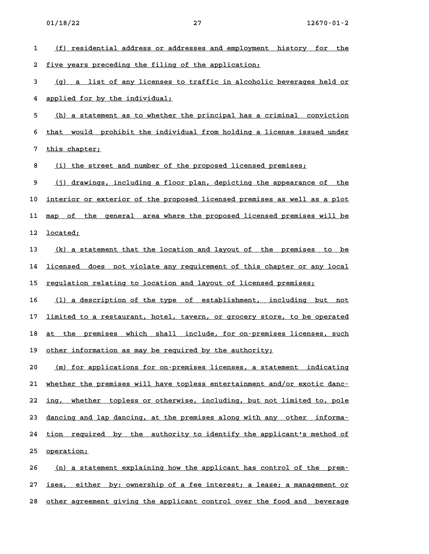- 1 (f) residential address or addresses and employment history for the 2 five years preceding the filing of the application; **3 (g) a list of any licenses to traffic in alcoholic beverages held or \_\_\_\_\_\_\_\_\_\_\_\_\_\_\_\_\_\_\_\_\_\_\_\_\_\_\_\_\_\_\_\_\_\_\_\_\_\_\_\_\_\_\_\_\_\_\_\_\_\_\_\_\_\_\_\_\_\_\_\_\_\_\_\_\_\_\_\_\_\_ 4 applied for by the individual; \_\_\_\_\_\_\_\_\_\_\_\_\_\_\_\_\_\_\_\_\_\_\_\_\_\_\_\_\_\_** 4 <u>applied for by the individual;</u><br>5 <u> (h) a statement as to whether the principal has a criminal conviction</u> <u>(h) a statement as to whether the principal has a criminal conviction</u><br>6 <u>that would prohibit the individual from holding a license issued under</u> 6 that would prohibit the individual from holding a license issued under<br>7 this chapter; 8 (i) the street and number of the proposed licensed premises; 9 (j) drawings, including a floor plan, depicting the appearance of the **10 interior or exterior of the proposed licensed premises as well as a plot \_\_\_\_\_\_\_\_\_\_\_\_\_\_\_\_\_\_\_\_\_\_\_\_\_\_\_\_\_\_\_\_\_\_\_\_\_\_\_\_\_\_\_\_\_\_\_\_\_\_\_\_\_\_\_\_\_\_\_\_\_\_\_\_\_\_\_\_\_\_\_\_** 10 <u>interior or exterior of the proposed licensed premises as well as a plot</u><br>11 <u>map of the general area where the proposed licensed premises will be</u> 11 <u>map of th</u><br>12 <u>located;</u> 12 <u>located;</u><br>13 <u>(k) a statement that the location and layout of the premises to be</u> <u>(k) a statement that the location and layout of the premises to be</u><br>14 <u>licensed does not violate any requirement of this chapter or any local</u> 14 <u>licensed does not violate any requirement of this chapter or any local</u><br>15 <u>regulation relating to location and layout of licensed premises;</u> 16 (1) a description of the type of establishment, including but not 16 <u>(1) a description of the type of establishment, including but not</u><br>17 <u>limited to a restaurant, hotel, tavern, or grocery store, to be operated</u> 17 <u>limited to a restaurant, hotel, tavern, or grocery store, to be operated</u><br>18 <u>at the premises which shall include, for on–premises licenses, such</u> 18 <u>at the premises which shall include</u>, for on-premises licenses, such<br>19 other information as may be required by the authority; 19 <u>other information as may be required by the authority;</u><br>20 <u> (m) for applications for on–premises licenses, a statement indicating</u> <u>(m) for applications for on–premises licenses, a statement indicating</u><br>21 <u>whether the premises will have topless entertainment and/or exotic danc–</u> 21 whether the premises will have topless entertainment and/or exotic danc-<br>22 ing, whether topless or otherwise, including, but not limited to, pole 22 <u>ing, whether topless or otherwise, including, but not limited to, pole</u><br>23 <u>dancing and lap dancing, at the premises along with any other informa-</u> 23 <u>dancing and lap dancing, at the premises along with any other informa–</u><br>24 <u>tion required by the authority to identify the applicant's method of</u> 24 <u>tion require</u><br>25 <u>operation;</u> 25 <u>operation;</u><br>26 <u>(n) a statement explaining how the applicant has control of the prem-</u> <u>(n) a statement explaining how the applicant has control of the prem-</u><br>27 <u>ises, either by: ownership of a fee interest; a lease; a management or</u> 27 <u>ises, either by: ownership of a fee interest; a lease; a management or</u><br>28 <u>other agreement giving the applicant control over the food and beverage</u>
-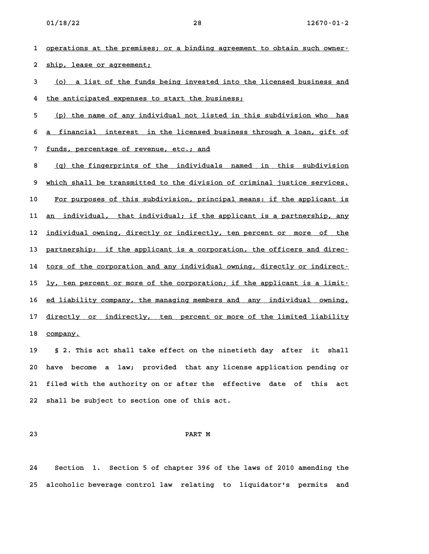1 <u>operations at the premises; or a binding agreement to obtain such owner-</u> 2 ship, lease or agreement;

2 <u>ship, lease or agreement;</u><br>3 <u>(o) a list of the funds being invested into the licensed business and</u> 4 <u>the anticipated expenses to start the business;</u><br>**4** the anticipated expenses to start the business;

4 <u>the anticipated expenses to start the business;</u><br>5 <u>(p) the name of any individual not listed in this subdivision who has</u> 5 <u>(p) the name of any individual not listed in this subdivision who has</u><br>6 <u>a financial interest in the licensed business through a loan, gift of</u> **6** <u>a financial interest in the licensed business through a loan, gift of <br>**7** funds, percentage of revenue, etc.; and</u>

7 <u>funds, percentage of revenue, etc.; and</u><br>8 <u>(q) the fingerprints of the individuals named in this subdivision</u> 8 <u>(q) the fingerprints of the individuals named in this subdivision</u><br>9 <u>which shall be transmitted to the division of criminal justice services.</u> 9 <u>which shall be transmitted to the division of criminal justice services.</u><br>10 <u>For purposes of this subdivision, principal means: if the applicant is</u> 10 <u>For purposes of this subdivision, principal means: if the applicant is</u><br>11 <u>an individual, that individual; if the applicant is a partnership, any</u> 11 <u>an individual, that individual; if the applicant is a partnership, any</u><br>12 <u>individual owning, directly or indirectly, ten percent or more of the</u> immover individual owning, directly or indirectly, ten percent or more of the the partnership; if the applicant is a corporation, the officers and direc-13 <u>partnership; if the applicant is a corporation, the officers and direc–</u><br>14 <u>tors of the corporation and any individual owning, directly or indirect–</u> 14 tors of the corporation and any individual owning, directly or indirect-<br>15 <u>ly, ten percent or more of the corporation; if the applicant is a limit-</u> 15 <u>ly, ten percent or more of the corporation; if the applicant is a limit–</u><br>16 <u>ed liability company, the managing members and any individual owning,</u> 16 <u>ed liability company, the managing members and any individual owning,</u><br>17 <u>directly or indirectly, ten percent or more of the limited liability</u> 17 <u>directly or indirectly, ten percent or more of the limited liability<br>18 <u>company.</u></u>

**19 § 2. This act shall take effect on the ninetieth day after it shall 20 have become a law; provided that any license application pending or 21 filed with the authority on or after the effective date of this act 22 shall be subject to section one of this act.**

# **23 PART M**

**24 Section 1. Section 5 of chapter 396 of the laws of 2010 amending the 25 alcoholic beverage control law relating to liquidator's permits and**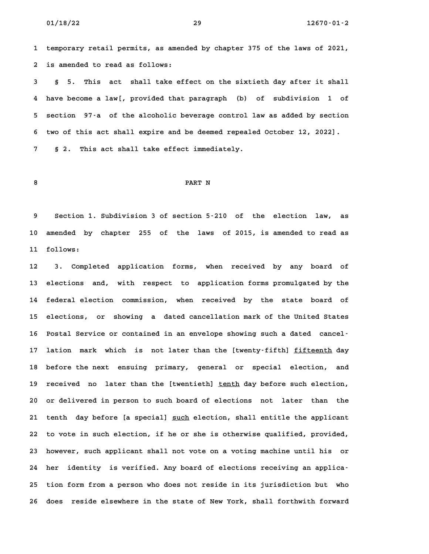**1 temporary retail permits, as amended by chapter 375 of the laws of 2021,** 1 temporary retail permits, as amen<br>2 is amended to read as follows: **3 § 5. This act shall take effect on the sixtieth day after it shall**

**4 have become a law[, provided that paragraph (b) of subdivision 1 of 5 section 97-a of the alcoholic beverage control law as added by section 6 two of this act shall expire and be deemed repealed October 12, 2022]. 7 § 2. This act shall take effect immediately.**

# **8 PART N**

**9 Section 1. Subdivision 3 of section 5-210 of the election law, as 10 amended by chapter 255 of the laws of 2015, is amended to read as 11 follows: 12 3. Completed application forms, when received by any board of**

**13 elections and, with respect to application forms promulgated by the 14 federal election commission, when received by the state board of** 14 federal election commission, when received by the state board of<br>15 elections, or showing a dated-cancellation-mark-of-the-United-States 15 elections, or showing a dated cancellation mark of the United States<br>16 Postal Service or contained in an envelope showing such a dated cancel<sup>.</sup> 16 Postal Service or contained in an envelope showing such a dated cancel<sup>-</sup><br>17 lation mark which is not later than the [twenty-fifth] fifteenth day 17 lation mark which is not later than the [twenty-fifth] <u>fifteenth</u> day<br>18 before the next ensuing primary, general or special election, and **19 received no later than the [twentieth] tenth day before such election, \_\_\_\_\_ 20 or delivered in person to such board of elections not later than the 21 tenth day before [a special] such election, shall entitle the applicant \_\_\_\_ 22 to vote in such election, if he or she is otherwise qualified, provided, 23 however, such applicant shall not vote on a voting machine until his or** 23 however, such applicant shall not vote on a voting machine until his or **25 tion form from a person who does not reside in its jurisdiction but who 26 does reside elsewhere in the state of New York, shall forthwith forward**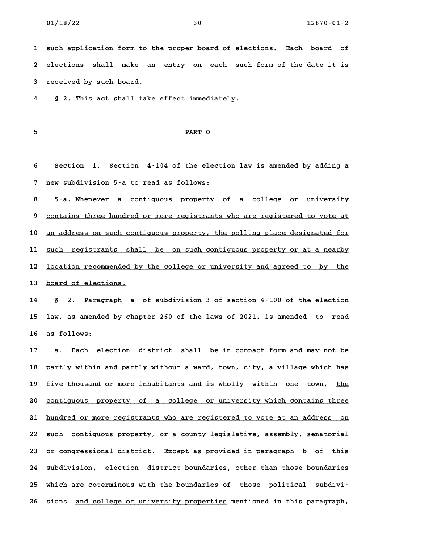**1 such application form to the proper board of elections. Each board of 2 elections shall make an entry on each such form of the date it is 3 received by such board.**

**4 § 2. This act shall take effect immediately.**

# **5 PART O**

**6 Section 1. Section 4-104 of the election law is amended by adding a 7 new subdivision 5-a to read as follows:**

% new subdivision 5<sup>-</sup>a to read as follows:<br>**8** 5<sup>-</sup>a. Whenever a contiguous property of a college or university 8 <u>5-a. Whenever a contiguous property of a college or university</u><br>9 <u>contains three hundred or more registrants who are registered to vote at</u> 9 <u>contains three hundred or more registrants who are registered to vote at</u><br>10 <u>an address on such contiguous property, the polling place designated for</u> 10 <u>an address on such contiguous property, the polling place designated for</u><br>11 <u>such registrants shall be on such contiguous property or at a nearby</u> 11 <u>such registrants shall be on-such-contiguous property or at a nearby</u><br>12 <u>location recommended by the college or university and agreed to by the</u> 12 <u>location recommended by the college or university and agreed to by the 13 board of elections.</u>

**14 § 2. Paragraph a of subdivision 3 of section 4-100 of the election 15 law, as amended by chapter 260 of the laws of 2021, is amended to read** 15 law, as amended by chapter 260 of the laws of 2021, is amended to read<br>16 as follows:

**17 a. Each election district shall be in compact form and may not be 18 partly within and partly without a ward, town, city, a village which has** 18 partly within and partly without a ward, town, city, a village which has<br>19 five thousand or more inhabitants and is wholly within one town, <u>the</u> 19 five thousand or more inhabitants and is wholly within one town, <u>the</u><br>20 <u>contiguous property of a college or university which contains three</u> 20 contiguous property of a college or university which contains three<br>21 hundred or more registrants who are registered to vote at an address on 21 <u>hundred or more registrants who are registered to vote at an address on</u><br>22 <u>such contiguous property,</u> or a county legislative, assembly, senatorial 22 <u>such contiguous property,</u> or a county legislative, assembly, senatorial<br>23 or congressional district. Except as provided in paragraph b of this **24 subdivision, election district boundaries, other than those boundaries 25 which are coterminous with the boundaries of those political subdivi-**25 which are coterminous with the boundaries of those political subdivi-<br>26 sions <u>and college or university properties</u> mentioned in this paragraph,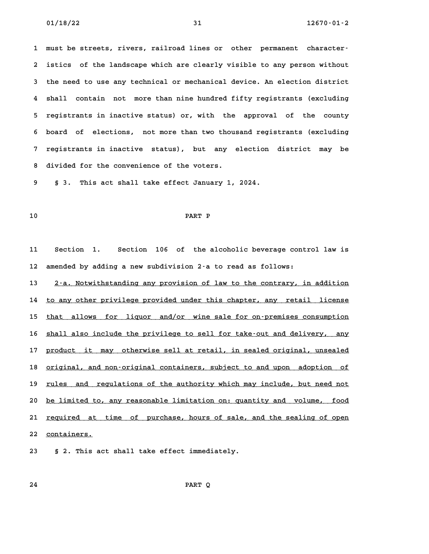**1 must be streets, rivers, railroad lines or other permanent character-2 istics of the landscape which are clearly visible to any person without 3 the need to use any technical or mechanical device. An election district 4 shall contain not more than nine hundred fifty registrants (excluding 5 registrants in inactive status) or, with the approval of the county 6 board of elections, not more than two thousand registrants (excluding 7 registrants in inactive status), but any election district may be 8 divided for the convenience of the voters. 9 § 3. This act shall take effect January 1, 2024.**

# **10 PART P**

**11 Section 1. Section 106 of the alcoholic beverage control law is 12 amended by adding a new subdivision 2-a to read as follows:**

12 amended by adding a new subdivision 2–a to read as follows:<br>13 <u>2–a. Notwithstanding any provision of law to the contrary, in addition</u> <u>2.a. Notwithstanding any provision of law to the contrary, in addition to any other privilege provided under this chapter, any retail license is</u> 14 to any other privilege provided under this chapter, any retail license<br>15 that allows for liquor and/or wine sale for on-premises consumption 15 <u>that allows for liquor and/or wine-sale-for-on-premises-consumption</u><br>16 <u>shall also include the privilege to sell for take-out and delivery, any</u> 16 <u>shall also include the privilege to sell for take-out and delivery, any</u><br>17 <u>product it may otherwise sell at retail, in sealed original, unsealed</u> 17 <u>product it may otherwise sell at retail, in sealed original, unsealed</u><br>18 <u>original, and non-original containers, subject to and upon adoption of</u> 18 <u>original, and non–original containers, subject to and upon adoption of</u><br>19 <u>rules and regulations of the authority which may include, but need not</u> 19 <u>rules and regulations of the authority which may include, but need not</u><br>20 <u>be limited to, any reasonable limitation on: quantity and volume, food</u> 20 <u>be limited to, any reasonable limitation on: quantity and volume, food</u><br>21 <u>required at time of purchase, hours of sale, and the sealing of open</u> 21 <u>required at .</u><br>22 <u>containers.</u> **23 § 2. This act shall take effect immediately.**

**24 PART Q**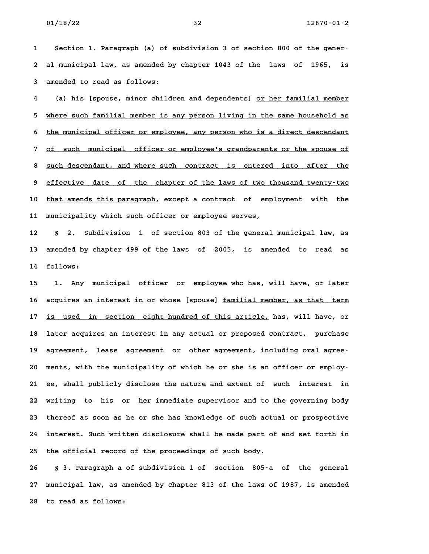**1 Section 1. Paragraph (a) of subdivision 3 of section 800 of the gener-2 al municipal law, as amended by chapter 1043 of the laws of 1965, is 3 amended to read as follows:**

3 amended to read as follows:<br>4 (a) his [spouse, minor children and dependents] <u>or her familial member</u> 4 (a) his [spouse, minor children and dependents] <u>or her familial member</u><br>5 <u>where such familial member is any person living in the same household as</u> 5 where such familial member is any person living in the same household as<br>6 <u>the municipal officer or employee, any person who is a direct descendant</u> 6 the municipal officer or employee, any person who is a direct descendant<br>7 of such municipal officer or employee's grandparents or the spouse of 8 <u>such municipal officer or employee's grandparents or the spouse of</u><br>**8** <u>such descendant, and where such contract is entered into after the</u> **9 effective date of the chapter of the laws of two thousand twenty-two \_\_\_\_\_\_\_\_\_\_\_\_\_\_\_\_\_\_\_\_\_\_\_\_\_\_\_\_\_\_\_\_\_\_\_\_\_\_\_\_\_\_\_\_\_\_\_\_\_\_\_\_\_\_\_\_\_\_\_\_\_\_\_\_\_\_\_\_\_\_\_\_** 9 <u>effective date of the chapter of the laws of two thousand twenty-two</u><br>10 <u>that amends this paragraph</u>, except a contract of employment with the **11 municipality which such officer or employee serves, 12 § 2. Subdivision 1 of section 803 of the general municipal law, as**

**13 amended by chapter 499 of the laws of 2005, is amended to read as 14 follows: 15 1. Any municipal officer or employee who has, will have, or later**

15 1. Any municipal officer or employee who has, will have, or later<br>16 acquires an interest in or whose [spouse] <u>familial member, as that term</u> 16 acquires an interest in or whose [spouse] <u>familial member, as that term</u><br>17 <u>is used in section eight hundred of this article,</u> has, will have, or 17 <u>is used in section eight-hundred-of-this-article,</u> has, will have, or<br>18 later acquires an interest in any actual or proposed contract, purchase 18 later acquires an interest in any actual or proposed contract, purchase<br>19 agreement, lease agreement or other agreement, including oral agree<sup>.</sup> 19 agreement, lease agreement or other agreement, including oral agree<sup>1</sup><br>20 ments, with the municipality of which he or she is an officer or employ **21 ee, shall publicly disclose the nature and extent of such interest in 22 writing to his or her immediate supervisor and to the governing body** 22 writing to his or her immediate supervisor and to the governing body<br>23 thereof as soon as he or she has knowledge of such actual or prospective **24 interest. Such written disclosure shall be made part of and set forth in 25 the official record of the proceedings of such body. 26 § 3. Paragraph a of subdivision 1 of section 805-a of the general**

**27 municipal law, as amended by chapter 813 of the laws of 1987, is amended 28 to read as follows:**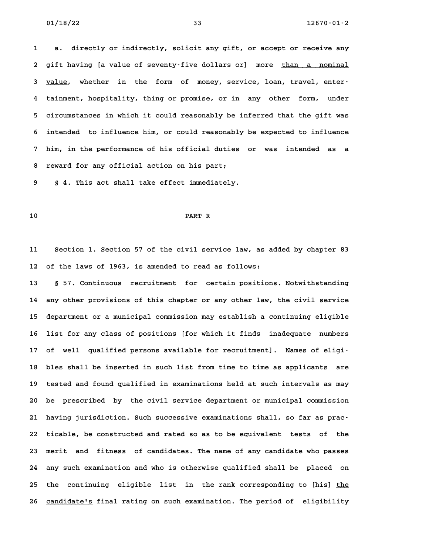**1 a. directly or indirectly, solicit any gift, or accept or receive any 2** a. directly or indirectly, solicit any gift, or accept or receive any<br>2 gift having [a value of seventy–five dollars or] more <u>than a nominal</u> 2 gift having [a value of seventy–five dollars or] more <u>than a nominal</u><br>3 <u>value</u>, whether in the form of money, service, loan, travel, enter– **4 tainment, hospitality, thing or promise, or in any other form, under 5 circumstances in which it could reasonably be inferred that the gift was 6 intended to influence him, or could reasonably be expected to influence 7 him, in the performance of his official duties or was intended as a 8 reward for any official action on his part; 9 § 4. This act shall take effect immediately.**

# **10 PART R**

**11 Section 1. Section 57 of the civil service law, as added by chapter 83 12 of the laws of 1963, is amended to read as follows:**

**13 § 57. Continuous recruitment for certain positions. Notwithstanding 14 any other provisions of this chapter or any other law, the civil service 15 department or a municipal commission may establish a continuing eligible 16 list for any class of positions [for which it finds inadequate numbers 17 of well qualified persons available for recruitment]. Names of eligi-**17 of well qualified persons available for recruitment]. Names of eligi<sup>.</sup><br>18 bles shall be inserted in such list from time to time as applicants are **19 tested and found qualified in examinations held at such intervals as may 20 be prescribed by the civil service department or municipal commission 21 having jurisdiction. Such successive examinations shall, so far as prac-22 ticable, be constructed and rated so as to be equivalent tests of the 23 merit and fitness of candidates. The name of any candidate who passes 24 any such examination and who is otherwise qualified shall be placed on** 24 any such examination and who is otherwise qualified shall be placed on<br>25 the continuing eligible list in the rank corresponding to [his] <u>the</u> 25 the continuing eligible list in the-rank-corresponding-to-[his]-<u>the</u><br>26 <u>candidate's</u> final-rating on such-examination. The-period-of-eligibility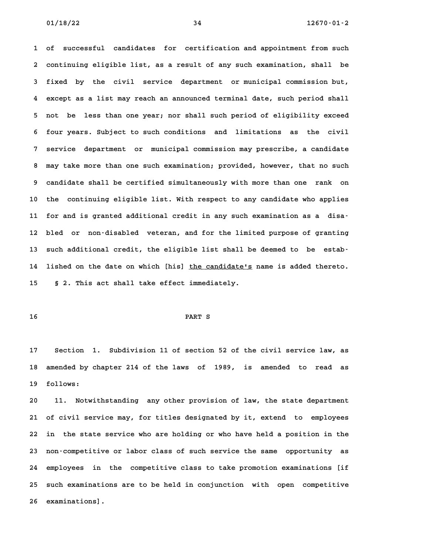**1 of successful candidates for certification and appointment from such 2 continuing eligible list, as a result of any such examination, shall be 3 fixed by the civil service department or municipal commission but, 4 except as a list may reach an announced terminal date, such period shall 5 not be less than one year; nor shall such period of eligibility exceed 6 four years. Subject to such conditions and limitations as the civil 7 service department or municipal commission may prescribe, a candidate 8 may take more than one such examination; provided, however, that no such 9 candidate shall be certified simultaneously with more than one rank on 10 the continuing eligible list. With respect to any candidate who applies 11 for and is granted additional credit in any such examination as a disa-12 bled or non-disabled veteran, and for the limited purpose of granting 13 such additional credit, the eligible list shall be deemed to be estab-**13 such additional credit, the eligible list shall be deemed to be estab–<br>14 lished on the date on which [his] <u>the candidate's</u> name is added thereto. **15 § 2. This act shall take effect immediately.**

# **16 PART S**

**17 Section 1. Subdivision 11 of section 52 of the civil service law, as 18 amended by chapter 214 of the laws of 1989, is amended to read as** 18 amended by chapter 214 of the laws of 1989, is amended to read as<br>19 follows:

**20 11. Notwithstanding any other provision of law, the state department 21 of civil service may, for titles designated by it, extend to employees 22 in the state service who are holding or who have held a position in the 23 non-competitive or labor class of such service the same opportunity as 24 employees in the competitive class to take promotion examinations [if 25 such examinations are to be held in conjunction with open competitive** 25 such examinati<br>26 examinations].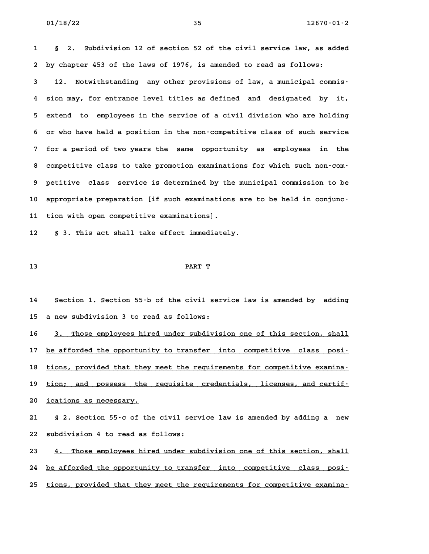**1 § 2. Subdivision 12 of section 52 of the civil service law, as added 2 by chapter 453 of the laws of 1976, is amended to read as follows: 3 12. Notwithstanding any other provisions of law, a municipal commis-4 sion may, for entrance level titles as defined and designated by it, 5 extend to employees in the service of a civil division who are holding 6 or who have held a position in the non-competitive class of such service 7 for a period of two years the same opportunity as employees in the 8 competitive class to take promotion examinations for which such non-com-9 petitive class service is determined by the municipal commission to be** 9 petitive class service is determined by the municipal commission to be<br>10 appropriate preparation [if such examinations are to be held in conjunc-**11 tion with open competitive examinations].** 11 tion with open competitive examinations].<br>12 § 3. This act shall take effect immediately.

# **13 PART T**

**14 Section 1. Section 55-b of the civil service law is amended by adding 15 a new subdivision 3 to read as follows:**

15 a new subdivision 3 to read as follows:<br>16 <u>3. Those employees hired under subdivision one of this section, shall</u> 16 <u>3. Those employees hired under subdivision one of this section, shall</u><br>17 <u>be afforded the opportunity to transfer into competitive class posi</u>-17 <u>be afforded the opportunity to transfer into competitive class posi-</u><br>18 <u>tions, provided that they meet the requirements for competitive examina-</u> 18 <u>tions, provided that they meet the requirements for competitive examina–</u><br>19 <u>tion; and possess the requisite credentials, licenses, and certif–</u> 19 <u>tion; and possess the </u><br>20 <u>ications as necessary.</u> **21 § 2. Section 55-c of the civil service law is amended by adding a new**

**22 subdivision 4 to read as follows:**

23 **4. Those employees hired under subdivision one of this section, shall 24 be afforded the opportunity to transfer into competitive class posi- \_\_\_\_\_\_\_\_\_\_\_\_\_\_\_\_\_\_\_\_\_\_\_\_\_\_\_\_\_\_\_\_\_\_\_\_\_\_\_\_\_\_\_\_\_\_\_\_\_\_\_\_\_\_\_\_\_\_\_\_\_\_\_\_\_\_\_\_\_\_\_\_ 25 tions, provided that they meet the requirements for competitive examina- \_\_\_\_\_\_\_\_\_\_\_\_\_\_\_\_\_\_\_\_\_\_\_\_\_\_\_\_\_\_\_\_\_\_\_\_\_\_\_\_\_\_\_\_\_\_\_\_\_\_\_\_\_\_\_\_\_\_\_\_\_\_\_\_\_\_\_\_\_\_\_\_**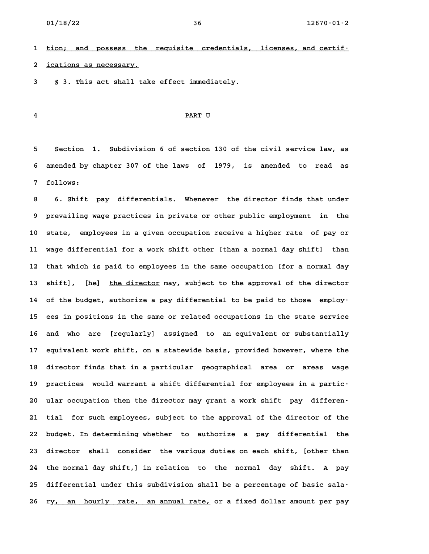**1 tion; and possess the requisite credentials, licenses, and certif- \_\_\_\_\_\_\_\_\_\_\_\_\_\_\_\_\_\_\_\_\_\_\_\_\_\_\_\_\_\_\_\_\_\_\_\_\_\_\_\_\_\_\_\_\_\_\_\_\_\_\_\_\_\_\_\_\_\_\_\_\_\_\_\_\_\_\_\_\_\_\_\_** 1 <u>tion; and possess the </u><br>2 <u>ications as necessary.</u> **3 § 3. This act shall take effect immediately.**

# **4 PART U**

**5 Section 1. Subdivision 6 of section 130 of the civil service law, as 6 amended by chapter 307 of the laws of 1979, is amended to read as 7 follows: 8 6. Shift pay differentials. Whenever the director finds that under**

**9 prevailing wage practices in private or other public employment in the 10 state, employees in a given occupation receive a higher rate of pay or 11 wage differential for a work shift other [than a normal day shift] than 12 that which is paid to employees in the same occupation [for a normal day** 12 that which is paid to employees in the same occupation [for a normal day<br>13 shift], [he] <u>the director</u> may, subject to the approval of the director 13 shift], [he] <u>the director</u> may, subject to the approval of the director<br>14 of the budget, authorize a pay differential to be paid to those employ<sup>.</sup> **15 ees in positions in the same or related occupations in the state service 16 and who are [regularly] assigned to an equivalent or substantially 17 equivalent work shift, on a statewide basis, provided however, where the** 17 equivalent work shift, on a statewide basis, provided however, where the<br>18 director finds that in a particular geographical area or areas wage **19 practices would warrant a shift differential for employees in a partic-20 ular occupation then the director may grant a work shift pay differen-21 tial for such employees, subject to the approval of the director of the 22 budget. In determining whether to authorize a pay differential the 23 director shall consider the various duties on each shift, [other than 24 the normal day shift,] in relation to the normal day shift. A pay 25 differential under this subdivision shall be a percentage of basic sala-**25 differential under this subdivision shall be a percentage of basic sala–<br>26 ry<u>, an hourly rate, an annual rate,</u> or a fixed dollar amount per pay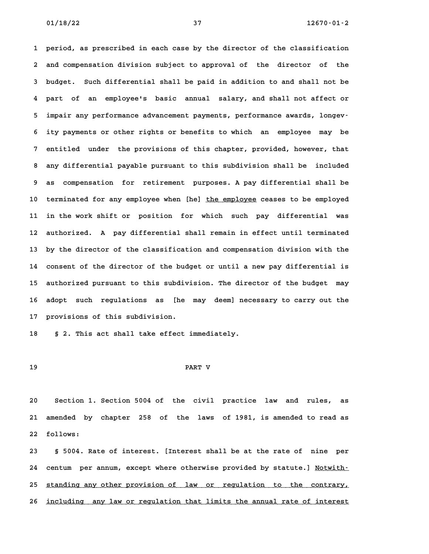**1 period, as prescribed in each case by the director of the classification 2 and compensation division subject to approval of the director of the** 2 and compensation division subject to approval of the director of the<br>3 budget. Such differential shall be paid in addition to and shall not be **4 part of an employee's basic annual salary, and shall not affect or 5 impair any performance advancement payments, performance awards, longev-6 ity payments or other rights or benefits to which an employee may be 7 entitled under the provisions of this chapter, provided, however, that 8 any differential payable pursuant to this subdivision shall be included 9 as compensation for retirement purposes. A pay differential shall be** 9 as compensation for retirement purposes. A pay differential shall be<br>10 terminated for any employee when [he] <u>the employee</u> ceases to be employed **11 in the work shift or position for which such pay differential was 12 authorized. A pay differential shall remain in effect until terminated 13 by the director of the classification and compensation division with the 14 consent of the director of the budget or until a new pay differential is 15 authorized pursuant to this subdivision. The director of the budget may** 15 authorized pursuant to this subdivision. The director of the budget may<br>16 adopt such regulations as [he may deem] necessary to carry out the 16 adopt such regulations as [he may deem] necessary to carry out the 17 provisions of this subdivision.

**18 § 2. This act shall take effect immediately.**

# **19 PART V**

**20 Section 1. Section 5004 of the civil practice law and rules, as 21 amended by chapter 258 of the laws of 1981, is amended to read as 22 follows: 23 § 5004. Rate of interest. [Interest shall be at the rate of nine per**

24 centum per annum, except where otherwise provided by statute.] Notwith-24 centum per annum, except where otherwise provided by statute.] <u>Notwith-</u><br>25 <u>standing any other provision of law or regulation to the contrary,</u> 25 <u>standing any other provision of law or regulation to the contrary,</u><br>26 <u>including any law or regulation that limits the annual rate of interest</u>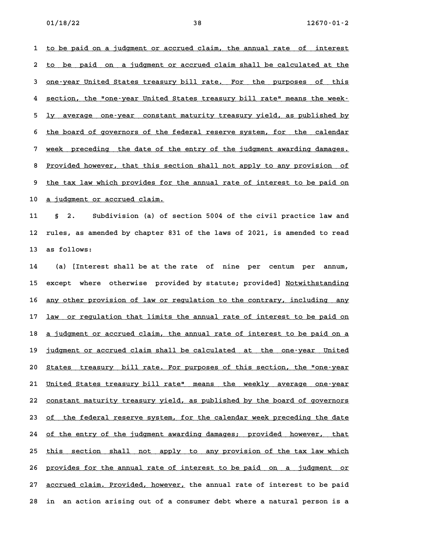**1 to be paid on a judgment or accrued claim, the annual rate of interest \_\_\_\_\_\_\_\_\_\_\_\_\_\_\_\_\_\_\_\_\_\_\_\_\_\_\_\_\_\_\_\_\_\_\_\_\_\_\_\_\_\_\_\_\_\_\_\_\_\_\_\_\_\_\_\_\_\_\_\_\_\_\_\_\_\_\_\_\_\_\_\_** 1 <u>to be paid on a judgment or accrued claim, the annual rate of interest</u><br>2 <u>to be paid on a judgment or accrued claim shall be calculated at the</u> 2 <u>to be paid on a judgment or accrued claim shall be calculated at the</u><br>3 <u>one-year United States treasury bill rate. For the purposes of this</u> 3 <u>one-year United States treasury bill rate. For the purposes of this</u><br>4 <u>section, the "one-year United States treasury bill rate" means the week-</u> 4 <u>section, the "one-year United States treasury bill rate" means the week-</u><br>5 <u>ly average one-year constant maturity treasury yield, as published by</u> 5 <u>ly average one-year constant-maturity-treasury-yield, as published by</u><br>6 <u>the board of governors of the federal reserve system, for the calendar</u> 6 <u>the board of governors of the federal reserve system, for the calendar</u><br>7 week preceding the date of the entry of the judgment awarding damages. week preceding the date of the entry of the judgment awarding damages.<br>8 Provided however, that this section shall not apply to any provision of 8 <u>Provided however, that this section shall not apply to any provision of</u><br>9 the tax law which provides for the annual rate of interest to be paid on 9 <u>the tax law which provides for the annual rate of interest to be paid on</u><br>10 a judgment or accrued claim.

**11 § 2. Subdivision (a) of section 5004 of the civil practice law and 12 rules, as amended by chapter 831 of the laws of 2021, is amended to read 13 as follows: 14 (a) [Interest shall be at the rate of nine per centum per annum,**

15 except where otherwise provided by statute; provided] Notwithstanding 15 except where otherwise provided-by-statute;-provided] <u>Notwithstanding</u><br>16 <u>any other provision of law or regulation to the contrary, including any</u> 16 <u>any other provision of law or regulation to the contrary, including any</u><br>17 <u>law or regulation that limits the annual rate of interest to be paid on</u> 17 <u>law or regulation that limits the annual rate of interest to be paid on</u><br>18 <u>a judgment or accrued claim, the annual rate of interest to be paid on a</u> 18 <u>a judgment or accrued claim, the annual rate of interest to be paid on a</u><br>19 <u>judgment or accrued claim shall be calculated at the one-year United</u> **20 States treasury bill rate. For purposes of this section, the "one-year \_\_\_\_\_\_\_\_\_\_\_\_\_\_\_\_\_\_\_\_\_\_\_\_\_\_\_\_\_\_\_\_\_\_\_\_\_\_\_\_\_\_\_\_\_\_\_\_\_\_\_\_\_\_\_\_\_\_\_\_\_\_\_\_\_\_\_\_\_\_\_\_** 20 <u>States treasury bill rate. For purposes of this section, the "one-year</u><br>21 <u>United States treasury bill rate" means the weekly average one-year</u> 21 <u>United States treasury bill rate" means the weekly average one-year</u><br>22 <u>constant maturity treasury yield, as published by the board of governors</u> 22 <u>constant maturity treasury yield, as published by the board of governors</u><br>23 of the federal reserve system, for the calendar week preceding the date 23 <u>of the federal reserve system, for the calendar week preceding the date</u><br>24 <u>of the entry of the judgment awarding damages; provided however, that</u> 24 <u>of the entry of the judgment awarding damages; provided however, that</u><br>25 <u>this section shall not apply to any provision of the tax law which</u> 25 this section shall not apply to any provision of the tax law which<br>26 provides for the annual rate of interest to be paid on a judgment or 26 <u>provides for the annual rate of interest to be paid on a judgment or</u><br>27 <u>accrued claim. Provided, however,</u> the annual rate of interest to be paid **28 in an action arising out of a consumer debt where a natural person is a**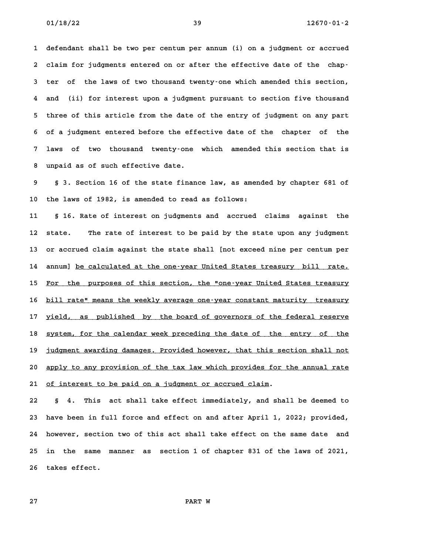**1 defendant shall be two per centum per annum (i) on a judgment or accrued** 1 defendant shall be two per centum per annum (i) on a judgment or accrued<br>2 claim for judgments entered on or after the effective date of the chap-**3 ter of the laws of two thousand twenty-one which amended this section, 4 and (ii) for interest upon a judgment pursuant to section five thousand 5 three of this article from the date of the entry of judgment on any part 6 of a judgment entered before the effective date of the chapter of the 7 laws of two thousand twenty-one which amended this section that is 8 unpaid as of such effective date.**

**9 § 3. Section 16 of the state finance law, as amended by chapter 681 of 10 the laws of 1982, is amended to read as follows:**

**11 § 16. Rate of interest on judgments and accrued claims against the 12 state. The rate of interest to be paid by the state upon any judgment 13 or accrued claim against the state shall [not exceed nine per centum per** 13 or accrued claim against the state shall [not exceed nine per centum per<br>14 annum] <u>be calculated at the one-year United States treasury bill rate.</u> 14 annum] <u>be calculated at the one-year United States treasury bill rate.</u><br>15 <u>For the purposes of this section, the "one-year United States treasury</u> 15 <u>For the purposes of this section, the "one-year United States treasury</u><br>16 <u>bill rate" means the weekly average one-year constant maturity treasury</u> 16 <u>bill rate" means the weekly average one-year constant maturity treasury</u><br>17 <u>yield, as published by the board of governors of the federal reserve</u> 17 <u>yield, as published by the board of governors of the federal reserve</u><br>18 system, for the calendar week preceding the date of the entry of the 18 <u>system, for the calendar week preceding the date of the entry of the</u><br>19 judgment awarding damages. Provided however, that this section shall not 20 apply to any provision of the tax law which provides for the annual rate 21 of interest to be paid on a judgment or accrued claim.

**22 § 4. This act shall take effect immediately, and shall be deemed to 23 have been in full force and effect on and after April 1, 2022; provided, 24 however, section two of this act shall take effect on the same date and 25 in the same manner as section 1 of chapter 831 of the laws of 2021,** 25 in the same manner as section 1 of chapter 831 of the laws of 2021,<br>26 takes effect.

**27 PART W**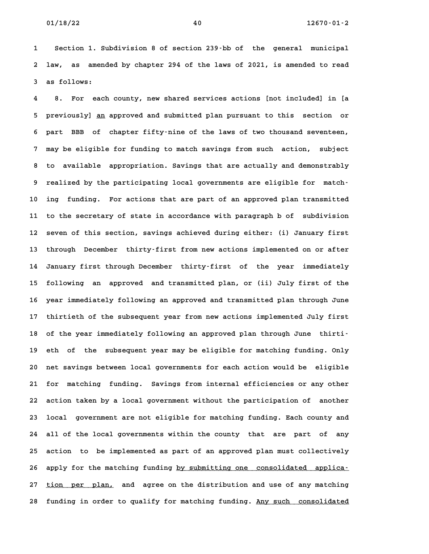**1 Section 1. Subdivision 8 of section 239-bb of the general municipal 2 law, as amended by chapter 294 of the laws of 2021, is amended to read 3 as follows:**

**4 8. For each county, new shared services actions [not included] in [a 5 previously] <u>an</u> approved and submitted plan pursuant to this section or<br>5 previously] <u>an</u> approved and submitted plan pursuant to this section or** 5 previously] <u>an</u> approved and submitted plan pursuant to this section or<br>6 part BBB of chapter fifty-nine of the laws of two thousand seventeen, **7 may be eligible for funding to match savings from such action, subject 8 to available appropriation. Savings that are actually and demonstrably 9 realized by the participating local governments are eligible for match-10 ing funding. For actions that are part of an approved plan transmitted 11 to the secretary of state in accordance with paragraph b of subdivision 12 seven of this section, savings achieved during either: (i) January first 13 through December thirty-first from new actions implemented on or after 14 January first through December thirty-first of the year immediately 15 following an approved and transmitted plan, or (ii) July first of the 16 year immediately following an approved and transmitted plan through June 17 thirtieth of the subsequent year from new actions implemented July first** 17 thirtieth of the subsequent year from new actions implemented July first<br>18 of the year immediately following an approved plan through June thirti-**19 eth of the subsequent year may be eligible for matching funding. Only** 19 eth of the subsequent year may be eligible for matching funding. Only<br>20 net savings between local governments for each action would be eligible **21 for matching funding. Savings from internal efficiencies or any other 22 action taken by a local government without the participation of another 23 local government are not eligible for matching funding. Each county and 24 all of the local governments within the county that are part of any 25 action to be implemented as part of an approved plan must collectively** 25 action to be implemented as part of an approved plan must collectively<br>26 apply for the matching funding <u>by submitting one consolidated applica</u>-26 apply for the matching funding <u>by submitting one consolidated applica-</u><br>27 <u>tion per plan,</u> and agree on the distribution and use of any matching 27 <u>tion per plan,</u> and agree on the distribution and use of any matching<br>28 funding in order to qualify for matching funding. <u>Any such consolidated</u>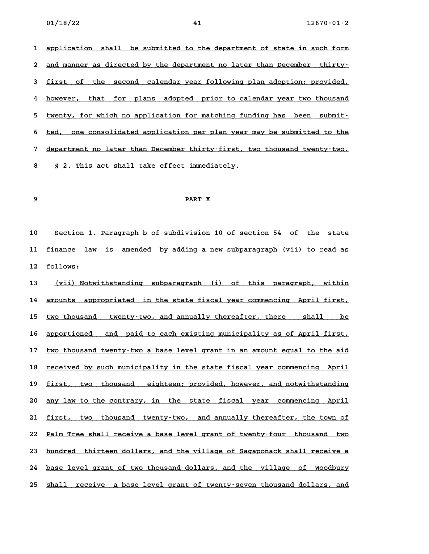1 application shall be submitted to the department of state in such form 1 <u>application shall be submitted to the department of state in such form</u><br>2 <u>and manner as directed by the department no later than December thirty.</u> 2 <u>and manner as directed by the department no later than December thirty–</u><br>3 <u>first of the second calendar year following plan adoption; provided,</u> 4 <u>first of the second calendar year following plan-adoption; provided,</u><br>4 however, that for plans adopted prior to calendar year two thousand 4 <u>however, that for plans adopted prior to calendar year two thousand</u><br>5 twenty, for which no application for matching funding has been submit-5 <u>twenty, for which no application for matching funding has been submit-</u><br>6 <u>ted, one consolidated application per plan year may be submitted to the</u> 6 <u>ted, one consolidated application per plan year may be submitted to the separtment no later than December thirty-first, two thousand twenty-two.</u> **8 § 2. This act shall take effect immediately.**

# **9 PART X**

**10 Section 1. Paragraph b of subdivision 10 of section 54 of the state 11 finance law is amended by adding a new subparagraph (vii) to read as** 11 finance la<sup>.</sup><br>12 follows: 12 follows:<br>13 <u>(vii) Notwithstanding subparagraph (i) of this paragraph, within</u>

13 <u>(vii) Notwithstanding subparagraph (i) of this paragraph, within</u><br>14 <u>amounts appropriated in the state fiscal-year-commencing April-first,</u> 14 <u>amounts appropriated in the state fiscal year commencing April-first,</u><br>15 <u>two thousand twenty-two, and annually thereafter, there shall be</u> 15 <u>two thousand twenty–two, and annually thereafter, there shall be</u><br>16 <u>apportioned and paid to each existing municipality as of April first,</u> 16 <u>apportioned and paid to each existing municipality as of April first,</u><br>17 <u>two thousand twenty–two a base level grant in an amount equal to the aid</u> 17 <u>two thousand twenty-two a base level grant in an amount equal to the aid</u><br>18 <u>received by such municipality in the state fiscal year commencing April</u> 18 <u>received by such municipality in the state fiscal year commencing April<br>19 <u>first, two thousand eighteen; provided, however, and notwithstanding</u></u> 19 <u>first, two thousand eighteen; provided, however, and notwithstanding</u><br>20 <u>any law to the contrary, in the state fiscal year commencing April</u> 20 <u>any law to the contrary, in the state fiscal year commencing April</u><br>21 <u>first, two thousand twenty-two, and annually thereafter, the town of</u> 21 <u>first, two thousand twenty–two, and-annually-thereafter, the town-of</u><br>22 <u>Palm Tree shall receive a base level grant of twenty–four thousand two</u> 22 <u>Palm Tree shall receive a base level grant of twenty-four thousand two<br>23 <u>hundred thirteen dollars, and the village of Sagaponack shall receive a</u></u> 23 <u>hundred thirteen dollars, and the village of Sagaponack shall receive a</u><br>24 <u>base level grant of two thousand dollars, and the village of Woodbury</u> 25 shall receive a base level grant of twenty-seven thousand dollars, and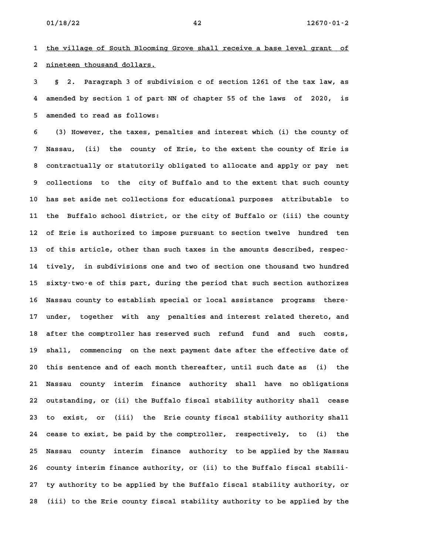**1 the village of South Blooming Grove shall receive a base level grant of \_\_\_\_\_\_\_\_\_\_\_\_\_\_\_\_\_\_\_\_\_\_\_\_\_\_\_\_\_\_\_\_\_\_\_\_\_\_\_\_\_\_\_\_\_\_\_\_\_\_\_\_\_\_\_\_\_\_\_\_\_\_\_\_\_\_\_\_\_\_\_\_** 1 <u>the village of South Blooming</u><br>2 <u>nineteen thousand dollars.</u> **3 § 2. Paragraph 3 of subdivision c of section 1261 of the tax law, as**

**4 amended by section 1 of part NN of chapter 55 of the laws of 2020, is 5 amended to read as follows:**

**6 (3) However, the taxes, penalties and interest which (i) the county of 7 Nassau, (ii) the county of Erie, to the extent the county of Erie is 8 contractually or statutorily obligated to allocate and apply or pay net 9 collections to the city of Buffalo and to the extent that such county 10 has set aside net collections for educational purposes attributable to 11 the Buffalo school district, or the city of Buffalo or (iii) the county 12 of Erie is authorized to impose pursuant to section twelve hundred ten** 12 of Erie is authorized to impose pursuant to section twelve hundred ten<br>13 of this article, other than such taxes in the amounts described, respec<sup>.</sup> **14 tively, in subdivisions one and two of section one thousand two hundred 15 sixty-two-e of this part, during the period that such section authorizes 16 Nassau county to establish special or local assistance programs there-**16 Nassau county to establish special or local assistance programs there-<br>17 under, together with any penalties and interest related thereto, and **18 after the comptroller has reserved such refund fund and such costs,** 18 after the comptroller has reserved such refund fund and such costs,<br>19 shall, commencing on the next payment date after the effective date of 19 shall, commencing on the next payment date after the effective date of<br>20 this sentence and of each month thereafter, until such date as (i) the **21 Nassau county interim finance authority shall have no obligations 22 outstanding, or (ii) the Buffalo fiscal stability authority shall cease** 22 outstanding, or (ii) the Buffalo fiscal stability authority shall cease<br>23 to exist, or (iii) the Erie county fiscal stability authority shall **24 cease to exist, be paid by the comptroller, respectively, to (i) the 25 Nassau county interim finance authority to be applied by the Nassau** 25 Nassau county interim finance authority to be applied by the Nassau<br>26 county interim finance authority, or (ii) to the Buffalo fiscal stabili-26 county interim finance authority, or (ii) to the Buffalo fiscal stabili<sup>-</sup><br>27 ty authority to be applied by the Buffalo fiscal stability authority, or **28 (iii) to the Erie county fiscal stability authority to be applied by the**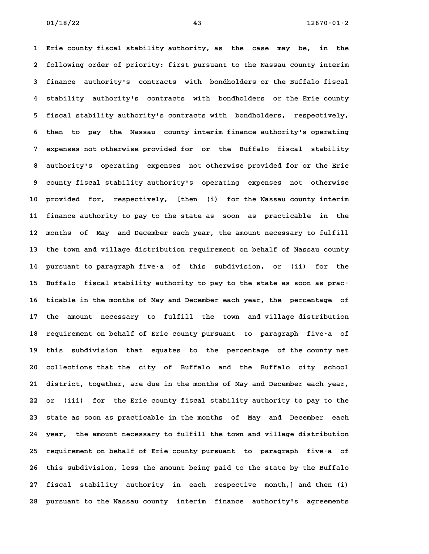**1 Erie county fiscal stability authority, as the case may be, in the 2 following order of priority: first pursuant to the Nassau county interim 3 finance authority's contracts with bondholders or the Buffalo fiscal 4 stability authority's contracts with bondholders or the Erie county 5 fiscal stability authority's contracts with bondholders, respectively, 6 then to pay the Nassau county interim finance authority's operating 7 expenses not otherwise provided for or the Buffalo fiscal stability 8 authority's operating expenses not otherwise provided for or the Erie 9 county fiscal stability authority's operating expenses not otherwise 10 provided for, respectively, [then (i) for the Nassau county interim 11 finance authority to pay to the state as soon as practicable in the 12 months of May and December each year, the amount necessary to fulfill 13 the town and village distribution requirement on behalf of Nassau county 14 pursuant to paragraph five-a of this subdivision, or (ii) for the 15 Buffalo fiscal stability authority to pay to the state as soon as prac-16 ticable in the months of May and December each year, the percentage of 17 the amount necessary to fulfill the town and village distribution** 17 the amount necessary to fulfill the town and village distribution<br>18 requirement on behalf of Erie county pursuant to paragraph five-a of 18 requirement on behalf of Erie county pursuant to paragraph five-a of<br>19 this subdivision that equates to the percentage of the county net **20 collections that the city of Buffalo and the Buffalo city school 21 district, together, are due in the months of May and December each year, 22 or (iii) for the Erie county fiscal stability authority to pay to the 23 state as soon as practicable in the months of May and December each 24 year, the amount necessary to fulfill the town and village distribution 25 requirement on behalf of Erie county pursuant to paragraph five-a of 26 this subdivision, less the amount being paid to the state by the Buffalo 27 fiscal stability authority in each respective month,] and then (i)** 27 fiscal stability authority in each respective month,] and then (i)<br>28 pursuant to the Nassau county interim finance authority's agreements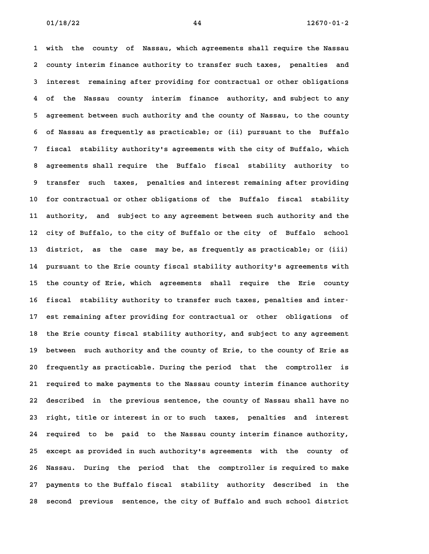**1 with the county of Nassau, which agreements shall require the Nassau 2 county interim finance authority to transfer such taxes, penalties and** 2 county interim finance authority to transfer such taxes, penalties and<br>3 interest remaining after providing for contractual or other obligations **4 of the Nassau county interim finance authority, and subject to any 5 agreement between such authority and the county of Nassau, to the county 6 of Nassau as frequently as practicable; or (ii) pursuant to the Buffalo 7 fiscal stability authority's agreements with the city of Buffalo, which 8 agreements shall require the Buffalo fiscal stability authority to 9 transfer such taxes, penalties and interest remaining after providing 10 for contractual or other obligations of the Buffalo fiscal stability 11 authority, and subject to any agreement between such authority and the 12 city of Buffalo, to the city of Buffalo or the city of Buffalo school 13 district, as the case may be, as frequently as practicable; or (iii) 14 pursuant to the Erie county fiscal stability authority's agreements with** 14 pursuant to the Erie county fiscal stability authority's agreements with<br>15 the county of Erie, which agreements shall require the Erie county 15 the county of Erie, which agreements shall require the Erie county<br>16 fiscal stability authority to transfer such taxes, penalties and inter-**17 est remaining after providing for contractual or other obligations of** 17 est remaining after providing for contractual or other obligations of<br>18 the Erie county fiscal stability authority, and subject to any agreement **19 between such authority and the county of Erie, to the county of Erie as 20 frequently as practicable. During the period that the comptroller is 21 required to make payments to the Nassau county interim finance authority 22 described in the previous sentence, the county of Nassau shall have no** 22 described in the previous sentence, the county of Nassau shall have no<br>23 right, title or interest in or to such taxes, penalties and interest 23 right, title or interest in or to such taxes, penalties and interest<br>24 required to be paid to the Nassau county interim finance authority, **25 except as provided in such authority's agreements with the county of 26 Nassau. During the period that the comptroller is required to make 27 payments to the Buffalo fiscal stability authority described in the 28 second previous sentence, the city of Buffalo and such school district**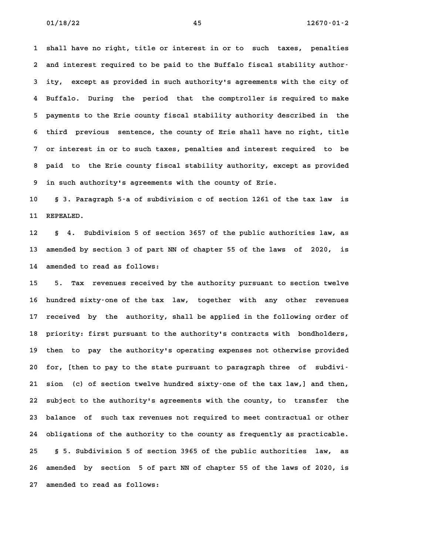**1 shall have no right, title or interest in or to such taxes, penalties 2 and interest required to be paid to the Buffalo fiscal stability author-3 ity, except as provided in such authority's agreements with the city of 4 Buffalo. During the period that the comptroller is required to make 5 payments to the Erie county fiscal stability authority described in the 6 payments to the Erie county fiscal stability authority described in the<br>6 third previous sentence, the county of Erie shall have no right, title 7 or interest in or to such taxes, penalties and interest required to be 8 paid to the Erie county fiscal stability authority, except as provided 9 in such authority's agreements with the county of Erie.**

**10 § 3. Paragraph 5-a of subdivision c of section 1261 of the tax law is** 10 § 3. Parag<br>11 REPEALED. **12 § 4. Subdivision 5 of section 3657 of the public authorities law, as**

**13 amended by section 3 of part NN of chapter 55 of the laws of 2020, is 14 amended to read as follows: 15 5. Tax revenues received by the authority pursuant to section twelve**

**16 hundred sixty-one of the tax law, together with any other revenues 17 received by the authority, shall be applied in the following order of** 17 received by the authority, shall be applied in the following order of<br>18 priority: first pursuant to the authority's contracts with bondholders, 18 priority: first pursuant to the authority's contracts with bondholders,<br>19 then to pay the authority's operating expenses not otherwise provided **20 for, [then to pay to the state pursuant to paragraph three of subdivi-21 sion (c) of section twelve hundred sixty-one of the tax law,] and then, 22 subject to the authority's agreements with the county, to transfer the 23 balance of such tax revenues not required to meet contractual or other 24 obligations of the authority to the county as frequently as practicable. 25 § 5. Subdivision 5 of section 3965 of the public authorities law, as 26 amended by section 5 of part NN of chapter 55 of the laws of 2020, is 27 amended to read as follows:**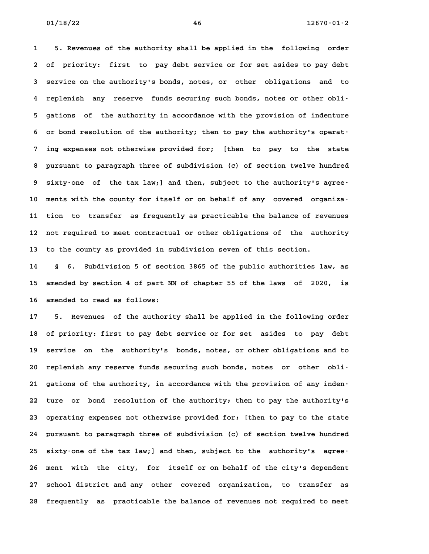**1 5. Revenues of the authority shall be applied in the following order 2 of priority: first to pay debt service or for set asides to pay debt 3 service on the authority's bonds, notes, or other obligations and to 4 replenish any reserve funds securing such bonds, notes or other obli-5 gations of the authority in accordance with the provision of indenture** 5 gations of the authority in accordance with the provision of indenture<br>6 or bond resolution of the authority; then to pay the authority's operat-**7 ing expenses not otherwise provided for; [then to pay to the state 8 pursuant to paragraph three of subdivision (c) of section twelve hundred 9 sixty-one of the tax law;] and then, subject to the authority's agree-**9 sixty-one of the tax law;] and then, subject to the authority's agree-<br>10 ments with the county for itself or on behalf of any covered organiza-**11 tion to transfer as frequently as practicable the balance of revenues 12 not required to meet contractual or other obligations of the authority 13 to the county as provided in subdivision seven of this section. 14 § 6. Subdivision 5 of section 3865 of the public authorities law, as**

**15 amended by section 4 of part NN of chapter 55 of the laws of 2020, is 16 amended to read as follows: 17 5. Revenues of the authority shall be applied in the following order**

**18 of priority: first to pay debt service or for set asides to pay debt 19 service on the authority's bonds, notes, or other obligations and to** 19 service on the authority's bonds, notes, or other obligations and to<br>20 replenish any reserve funds securing such bonds, notes or other obli-20 replenish any reserve funds securing such bonds, notes or other obli-<br>21 gations of the authority, in accordance with the provision of any inden-**22 ture or bond resolution of the authority; then to pay the authority's 23 operating expenses not otherwise provided for; [then to pay to the state 24 pursuant to paragraph three of subdivision (c) of section twelve hundred 25 sixty-one of the tax law;] and then, subject to the authority's agree-26 ment with the city, for itself or on behalf of the city's dependent 27 school district and any other covered organization, to transfer as** 27 school district and any other covered organization, to transfer as<br>28 frequently as practicable the balance of revenues not required to meet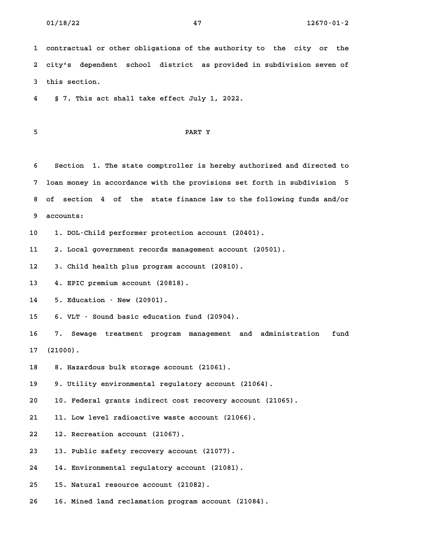**1 contractual or other obligations of the authority to the city or the 2 city's dependent school district as provided in subdivision seven of 3 this section. 4 § 7. This act shall take effect July 1, 2022.**

# **5 PART Y**

**6 Section 1. The state comptroller is hereby authorized and directed to 7 loan money in accordance with the provisions set forth in subdivision 5 8 of section 4 of the state finance law to the following funds and/or 9 accounts: 10 1. DOL-Child performer protection account (20401).**

**11 2. Local government records management account (20501). 12 3. Child health plus program account (20810).**

**13 4. EPIC premium account (20818).**

13 4. EPIC premium account (20818).<br>14 5. Education - New (20901).

**15 6. VLT - Sound basic education fund (20904).**

**16 7. Sewage treatment program management and administration fund 17 (21000). 18 8. Hazardous bulk storage account (21061).**

**19 9. Utility environmental regulatory account (21064).**

**20 10. Federal grants indirect cost recovery account (21065). 21 11. Low level radioactive waste account (21066).**

**22 12. Recreation account (21067).**

**23 13. Public safety recovery account (21077).**

**24 14. Environmental regulatory account (21081).**

**25 15. Natural resource account (21082).**

**26 16. Mined land reclamation program account (21084).**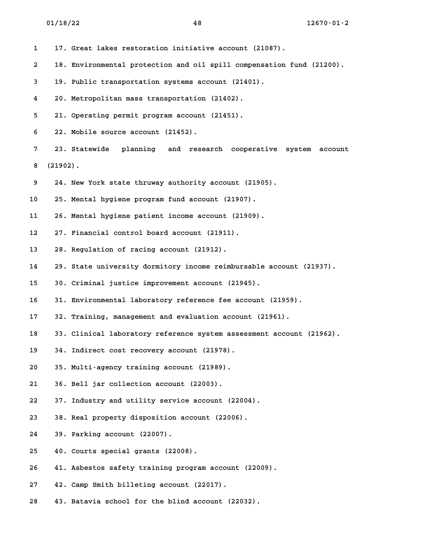**1 17. Great lakes restoration initiative account (21087). 2 18. Environmental protection and oil spill compensation fund (21200). 3 19. Public transportation systems account (21401). 4 20. Metropolitan mass transportation (21402). 5 21. Operating permit program account (21451). 6 22. Mobile source account (21452). 7 23. Statewide planning and research cooperative system account 8 (21902). 9 24. New York state thruway authority account (21905). 10 25. Mental hygiene program fund account (21907). 11 26. Mental hygiene patient income account (21909). 12 27. Financial control board account (21911). 13 28. Regulation of racing account (21912). 14 29. State university dormitory income reimbursable account (21937). 15 30. Criminal justice improvement account (21945). 16 31. Environmental laboratory reference fee account (21959). 17 32. Training, management and evaluation account (21961). 18 33. Clinical laboratory reference system assessment account (21962). 19 34. Indirect cost recovery account (21978). 20 35. Multi-agency training account (21989). 21 36. Bell jar collection account (22003). 22 37. Industry and utility service account (22004). 23 38. Real property disposition account (22006). 24 39. Parking account (22007). 25 40. Courts special grants (22008). 26 41. Asbestos safety training program account (22009). 27 42. Camp Smith billeting account (22017). 28 43. Batavia school for the blind account (22032).**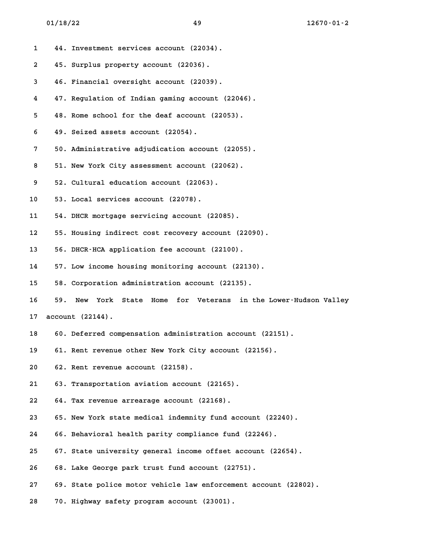| 1  |     | 44. Investment services account (22034).                             |
|----|-----|----------------------------------------------------------------------|
| 2  |     | 45. Surplus property account (22036).                                |
| 3  |     | 46. Financial oversight account (22039).                             |
| 4  |     | 47. Regulation of Indian gaming account (22046).                     |
| 5  |     | 48. Rome school for the deaf account (22053).                        |
| 6  |     | 49. Seized assets account (22054).                                   |
| 7  |     | 50. Administrative adjudication account (22055).                     |
| 8  |     | 51. New York City assessment account (22062).                        |
| 9  |     | 52. Cultural education account (22063).                              |
| 10 |     | 53. Local services account (22078).                                  |
| 11 |     | 54. DHCR mortgage servicing account (22085).                         |
| 12 |     | 55. Housing indirect cost recovery account (22090).                  |
| 13 |     | 56. DHCR-HCA application fee account (22100).                        |
| 14 |     | 57. Low income housing monitoring account (22130).                   |
| 15 |     | 58. Corporation administration account (22135).                      |
| 16 | 59. | State Home for Veterans<br>in the Lower-Hudson Valley<br>New<br>York |
| 17 |     | account(22144).                                                      |
| 18 |     | 60. Deferred compensation administration account (22151).            |
| 19 |     | 61. Rent revenue other New York City account (22156).                |
| 20 |     | 62. Rent revenue account (22158).                                    |
| 21 |     | 63. Transportation aviation account (22165).                         |
| 22 |     | 64. Tax revenue arrearage account (22168).                           |
| 23 |     | 65. New York state medical indemnity fund account (22240).           |
| 24 |     | 66. Behavioral health parity compliance fund (22246).                |
| 25 |     | 67. State university general income offset account (22654).          |
| 26 |     | 68. Lake George park trust fund account (22751).                     |
| 27 |     | 69. State police motor vehicle law enforcement account (22802).      |
| 28 |     | 70. Highway safety program account (23001).                          |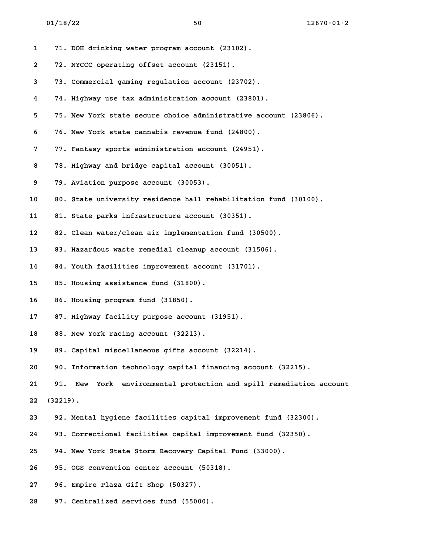| 1  |             | 71. DOH drinking water program account (23102).                  |
|----|-------------|------------------------------------------------------------------|
| 2  |             | 72. NYCCC operating offset account (23151).                      |
| 3  |             | 73. Commercial gaming regulation account (23702).                |
| 4  |             | 74. Highway use tax administration account (23801).              |
| 5  |             | 75. New York state secure choice administrative account (23806). |
| 6  |             | 76. New York state cannabis revenue fund (24800).                |
| 7  |             | 77. Fantasy sports administration account (24951).               |
| 8  |             | 78. Highway and bridge capital account (30051).                  |
| 9  |             | 79. Aviation purpose account (30053).                            |
| 10 |             | 80. State university residence hall rehabilitation fund (30100). |
| 11 |             | 81. State parks infrastructure account (30351).                  |
| 12 |             | 82. Clean water/clean air implementation fund (30500).           |
| 13 |             | 83. Hazardous waste remedial cleanup account (31506).            |
| 14 |             | 84. Youth facilities improvement account (31701).                |
| 15 |             | 85. Housing assistance fund (31800).                             |
| 16 |             | 86. Housing program fund (31850).                                |
| 17 |             | 87. Highway facility purpose account (31951).                    |
| 18 |             | 88. New York racing account (32213).                             |
| 19 |             | 89. Capital miscellaneous gifts account (32214).                 |
| 20 |             | 90. Information technology capital financing account (32215).    |
| 21 | 91.         | New York environmental protection and spill remediation account  |
| 22 | $(32219)$ . |                                                                  |
| 23 |             | 92. Mental hygiene facilities capital improvement fund (32300).  |
| 24 |             | 93. Correctional facilities capital improvement fund (32350).    |
| 25 |             | 94. New York State Storm Recovery Capital Fund (33000).          |
| 26 |             | 95. OGS convention center account (50318).                       |
| 27 |             | 96. Empire Plaza Gift Shop (50327).                              |
| 28 |             | 97. Centralized services fund (55000).                           |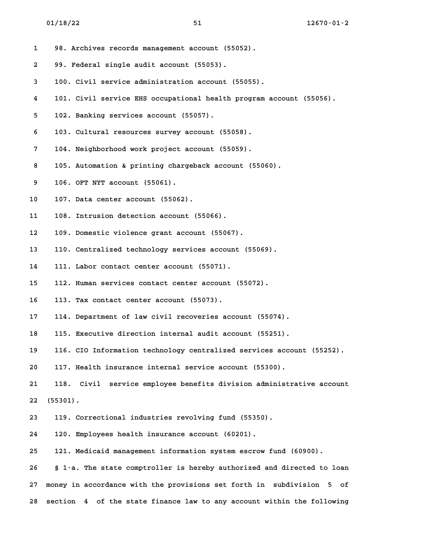**1 98. Archives records management account (55052). 2 99. Federal single audit account (55053). 3 100. Civil service administration account (55055). 4 101. Civil service EHS occupational health program account (55056). 5 102. Banking services account (55057). 6 103. Cultural resources survey account (55058). 7 104. Neighborhood work project account (55059). 8 105. Automation & printing chargeback account (55060). 9 106. OFT NYT account (55061). 10 107. Data center account (55062). 11 108. Intrusion detection account (55066). 12 109. Domestic violence grant account (55067). 13 110. Centralized technology services account (55069). 14 111. Labor contact center account (55071). 15 112. Human services contact center account (55072). 16 113. Tax contact center account (55073). 17 114. Department of law civil recoveries account (55074).** 17 114. Department of law civil recoveries account (55074).<br>18 115. Executive direction internal audit account (55251). **19 116. CIO Information technology centralized services account (55252).** 19 116. CIO Information technology centralized services accou<br>20 117. Health insurance internal service account (55300). **21 118. Civil service employee benefits division administrative account 22 (55301). 23 119. Correctional industries revolving fund (55350). 24 120. Employees health insurance account (60201). 25 121. Medicaid management information system escrow fund (60900). 26 § 1-a. The state comptroller is hereby authorized and directed to loan 27 money in accordance with the provisions set forth in subdivision 5 of 28 section 4 of the state finance law to any account within the following**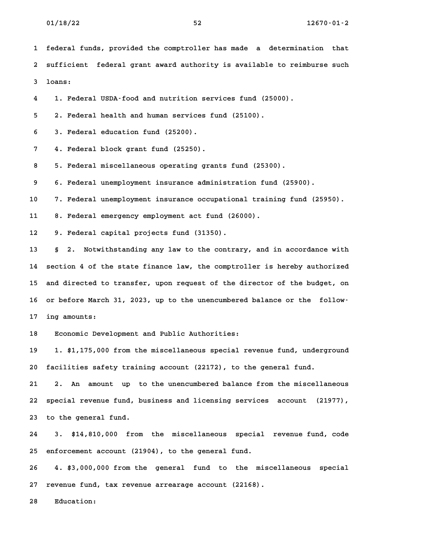**1 federal funds, provided the comptroller has made a determination that 2 sufficient federal grant award authority is available to reimburse such 3 loans: 4 1. Federal USDA-food and nutrition services fund (25000). 5 2. Federal health and human services fund (25100). 6 3. Federal education fund (25200). 7 4. Federal block grant fund (25250). 8 5. Federal miscellaneous operating grants fund (25300). 9 6. Federal unemployment insurance administration fund (25900). 10 7. Federal unemployment insurance occupational training fund (25950). 11 8. Federal emergency employment act fund (26000). 12 9. Federal capital projects fund (31350). 13 § 2. Notwithstanding any law to the contrary, and in accordance with 14 section 4 of the state finance law, the comptroller is hereby authorized 15 and directed to transfer, upon request of the director of the budget, on** 15 and directed to transfer, upon request of the director of the budget, on<br>16 or before March 31, 2023, up to the unencumbered balance or the follow-**17 ing amounts: 18 Economic Development and Public Authorities: 19 1. \$1,175,000 from the miscellaneous special revenue fund, underground 20 facilities safety training account (22172), to the general fund. 21 2. An amount up to the unencumbered balance from the miscellaneous 22 special revenue fund, business and licensing services account (21977),** 22 special revenue fund, b<br>23 to the general fund. **24 3. \$14,810,000 from the miscellaneous special revenue fund, code 25 enforcement account (21904), to the general fund. 26 4. \$3,000,000 from the general fund to the miscellaneous special 27 revenue fund, tax revenue arrearage account (22168).**

27 revenue fund, tax revenue arrearage account (22168).<br>28 Education: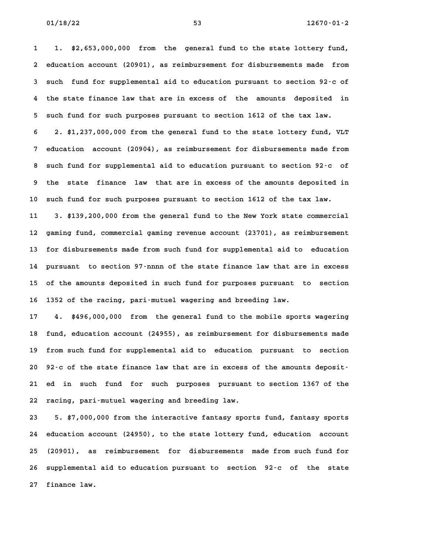**1 1. \$2,653,000,000 from the general fund to the state lottery fund, 2 education account (20901), as reimbursement for disbursements made from 3 such fund for supplemental aid to education pursuant to section 92-c of 4 the state finance law that are in excess of the amounts deposited in 5 such fund for such purposes pursuant to section 1612 of the tax law. 6 2. \$1,237,000,000 from the general fund to the state lottery fund, VLT 7 education account (20904), as reimbursement for disbursements made from 8 such fund for supplemental aid to education pursuant to section 92-c of 9 the state finance law that are in excess of the amounts deposited in 10 such fund for such purposes pursuant to section 1612 of the tax law. 11 3. \$139,200,000 from the general fund to the New York state commercial 12 gaming fund, commercial gaming revenue account (23701), as reimbursement 13 for disbursements made from such fund for supplemental aid to education**

**14 pursuant to section 97-nnnn of the state finance law that are in excess 15 of the amounts deposited in such fund for purposes pursuant to section 16 1352 of the racing, pari-mutuel wagering and breeding law.**

**17 4. \$496,000,000 from the general fund to the mobile sports wagering 18 fund, education account (24955), as reimbursement for disbursements made 19 from such fund for supplemental aid to education pursuant to section** 19 from such fund for supplemental aid to education pursuant to section<br>20 92<sup>-</sup>c of the state finance law that are in excess of the amounts deposit-**21 ed in such fund for such purposes pursuant to section 1367 of the 22 racing, pari-mutuel wagering and breeding law. 23 5. \$7,000,000 from the interactive fantasy sports fund, fantasy sports**

**24 education account (24950), to the state lottery fund, education account 25 (20901), as reimbursement for disbursements made from such fund for** 25 (20901), as reimbursement for disbursements made from such fund for<br>26 supplemental aid to education pursuant to section 92-c of the state 26 supplemental aid to education pursuant to section 92<sup>-</sup>c of the state<br>27 finance law.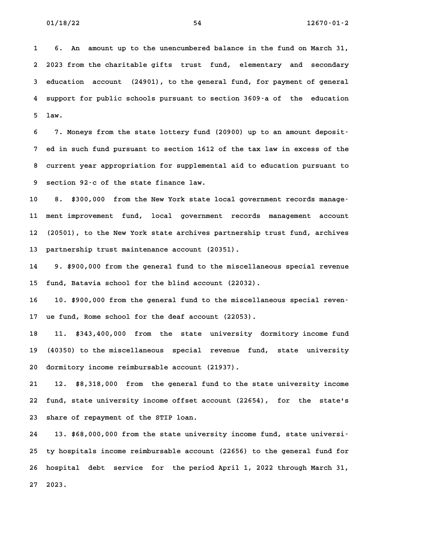**1 6. An amount up to the unencumbered balance in the fund on March 31, 2 2023 from the charitable gifts trust fund, elementary and secondary 3 education account (24901), to the general fund, for payment of general 4 support for public schools pursuant to section 3609-a of the education** 4 support for public schools pursuant to section 3609 a of the education<br>5 law.

**6 7. Moneys from the state lottery fund (20900) up to an amount deposit-7 ed in such fund pursuant to section 1612 of the tax law in excess of the 8 current year appropriation for supplemental aid to education pursuant to** 8 current year appropriation for supplemental aid to education pursuant to<br>9 section 92<sup>-</sup>c of the state finance law.

**10 8. \$300,000 from the New York state local government records manage-**10 8. \$300,000 from the New York state local government records manage<sup>.</sup><br>11 ment improvement fund, local government records management account **12 (20501), to the New York state archives partnership trust fund, archives** 12 (20501), to the New York state archives partnership trust fund, archives<br>13 partnership trust maintenance account (20351).

**14 9. \$900,000 from the general fund to the miscellaneous special revenue 15 fund, Batavia school for the blind account (22032).**

15 fund, Batavia school for the blind account (22032).<br>16 10. \$900,000 from the general fund to the miscellaneous special reven<sup>.</sup> **17 ue fund, Rome school for the deaf account (22053).** 17 ue fund, Rome school for the deaf account (22053).<br>18 11. \$343,400,000 from the state university dormitory income fund

**19 (40350) to the miscellaneous special revenue fund, state university 20 dormitory income reimbursable account (21937). 21 12. \$8,318,000 from the general fund to the state university income**

**22 fund, state university income offset account (22654), for the state's 23 share of repayment of the STIP loan.**

**24 13. \$68,000,000 from the state university income fund, state universi-25 ty hospitals income reimbursable account (22656) to the general fund for** 25 ty hospitals income reimbursable account (22656) to the general fund for<br>26 hospital debt service for the period April 1, 2022 through March 31, **27 2023.**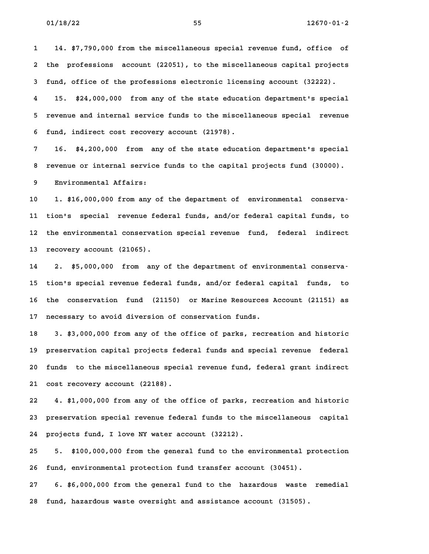**1 14. \$7,790,000 from the miscellaneous special revenue fund, office of 2 the professions account (22051), to the miscellaneous capital projects 3 fund, office of the professions electronic licensing account (32222).**

**4 15. \$24,000,000 from any of the state education department's special 5 revenue and internal service funds to the miscellaneous special revenue 6 fund, indirect cost recovery account (21978).**

**7 16. \$4,200,000 from any of the state education department's special 8 revenue or internal service funds to the capital projects fund (30000). 9 Environmental Affairs:**

**10 1. \$16,000,000 from any of the department of environmental conserva-11 tion's special revenue federal funds, and/or federal capital funds, to 12 the environmental conservation special revenue fund, federal indirect** 12 the environmental conservation special revenue fund, federal indirect<br>13 recovery account (21065).

**14 2. \$5,000,000 from any of the department of environmental conserva-15 tion's special revenue federal funds, and/or federal capital funds, to 16 the conservation fund (21150) or Marine Resources Account (21151) as** 16 the conservation fund (21150) or Marine Resources Account (21151) as<br>17 necessary to avoid diversion of conservation funds.

**18 3. \$3,000,000 from any of the office of parks, recreation and historic 19 preservation capital projects federal funds and special revenue federal** 19 preservation capital projects federal funds and special revenue federal<br>20 funds to the miscellaneous special revenue fund, federal grant indirect **21 cost recovery account (22188).**

**22 4. \$1,000,000 from any of the office of parks, recreation and historic 23 preservation special revenue federal funds to the miscellaneous capital** 23 preservation special revenue federal funds to the miscellaneous capital<br>24 projects fund, I love NY water account (32212).

**25 5. \$100,000,000 from the general fund to the environmental protection 26 fund, environmental protection fund transfer account (30451).**

**27 6. \$6,000,000 from the general fund to the hazardous waste remedial 28 fund, hazardous waste oversight and assistance account (31505).**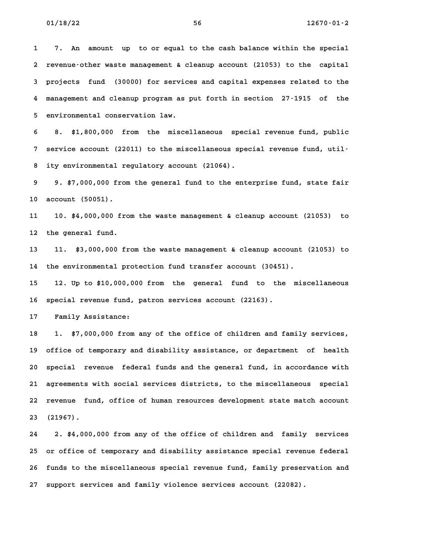**1 7. An amount up to or equal to the cash balance within the special 2 revenue-other waste management & cleanup account (21053) to the capital 3 projects fund (30000) for services and capital expenses related to the 4 management and cleanup program as put forth in section 27-1915 of the 5 environmental conservation law.**

**6 8. \$1,800,000 from the miscellaneous special revenue fund, public 7 service account (22011) to the miscellaneous special revenue fund, util-8 ity environmental regulatory account (21064). 9 9. \$7,000,000 from the general fund to the enterprise fund, state fair**

**10 account (50051).**

**11 10. \$4,000,000 from the waste management & cleanup account (21053) to 12 the general fund.**

**13 11. \$3,000,000 from the waste management & cleanup account (21053) to 14 the environmental protection fund transfer account (30451).**

**15 12. Up to \$10,000,000 from the general fund to the miscellaneous 16 special revenue fund, patron services account (22163).** 16 special revenue fund, patron services account (22163).<br>17 Family Assistance:

**18 1. \$7,000,000 from any of the office of children and family services, 19 office of temporary and disability assistance, or department of health 20 special revenue federal funds and the general fund, in accordance with 21 agreements with social services districts, to the miscellaneous special 22 revenue fund, office of human resources development state match account** 22 revenue fund, office of human resources development state match account<br>23 (21967).

**24 2. \$4,000,000 from any of the office of children and family services 25 or office of temporary and disability assistance special revenue federal** 25 or office of temporary and disability assistance special revenue federal<br>26 funds to the miscellaneous special revenue fund, family preservation and **27 support services and family violence services account (22082).**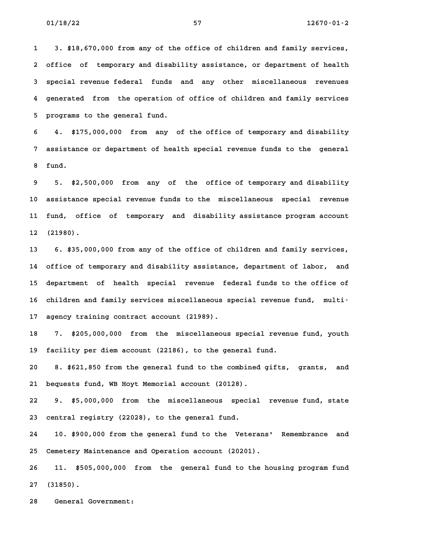**1 3. \$18,670,000 from any of the office of children and family services, 2 office of temporary and disability assistance, or department of health 3 special revenue federal funds and any other miscellaneous revenues 4 generated from the operation of office of children and family services 5 programs to the general fund.**

**6 4. \$175,000,000 from any of the office of temporary and disability 7 assistance or department of health special revenue funds to the general 8 fund.**

**9 5. \$2,500,000 from any of the office of temporary and disability 10 assistance special revenue funds to the miscellaneous special revenue 11 fund, office of temporary and disability assistance program account** 11 fund, office of temporary and disability assistance program account<br>12 (21980).

**13 6. \$35,000,000 from any of the office of children and family services, 14 office of temporary and disability assistance, department of labor, and** 14 office of temporary and disability assistance, department of labor, and<br>15 department of health special revenue federal funds to the office of 15 department of health special revenue federal funds to the office of<br>16 children and family services miscellaneous special revenue fund, multi-16 children and family services miscellaneous special revenue fund, multi-<br>17 agency training contract account (21989).

**18 7. \$205,000,000 from the miscellaneous special revenue fund, youth 19 facility per diem account (22186), to the general fund. 20 8. \$621,850 from the general fund to the combined gifts, grants, and**

**21 bequests fund, WB Hoyt Memorial account (20128).**

**22 9. \$5,000,000 from the miscellaneous special revenue fund, state 23 central registry (22028), to the general fund.**

**24 10. \$900,000 from the general fund to the Veterans' Remembrance and 25 Cemetery Maintenance and Operation account (20201).**

**26 11. \$505,000,000 from the general fund to the housing program fund 27 (31850). 28 General Government:**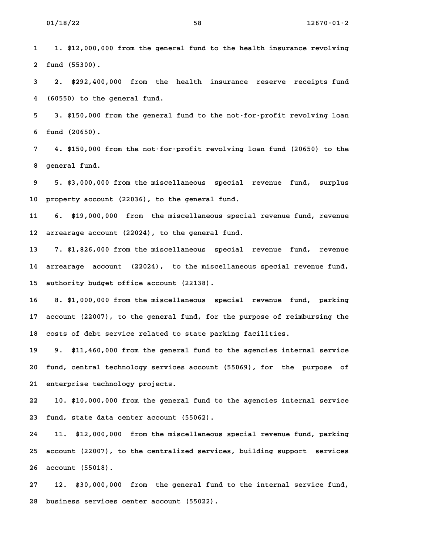**1 1. \$12,000,000 from the general fund to the health insurance revolving 2 fund (55300).**

**3 2. \$292,400,000 from the health insurance reserve receipts fund 4 (60550) to the general fund.**

**5 3. \$150,000 from the general fund to the not-for-profit revolving loan 6 fund (20650).**

**7 4. \$150,000 from the not-for-profit revolving loan fund (20650) to the 8 general fund. 9 5. \$3,000,000 from the miscellaneous special revenue fund, surplus**

**10 property account (22036), to the general fund.**

**11 6. \$19,000,000 from the miscellaneous special revenue fund, revenue 12 arrearage account (22024), to the general fund. 13 7. \$1,826,000 from the miscellaneous special revenue fund, revenue**

**14 arrearage account (22024), to the miscellaneous special revenue fund, 15 authority budget office account (22138). 16 8. \$1,000,000 from the miscellaneous special revenue fund, parking**

**17 account (22007), to the general fund, for the purpose of reimbursing the** 17 account (22007), to the general fund, for the purpose of reim<br>18 costs of debt service related to state parking facilities.

**19 9. \$11,460,000 from the general fund to the agencies internal service 20 fund, central technology services account (55069), for the purpose of** 20 fund, central technology services account (55069), for the purpose of<br>21 enterprise technology projects.

**22 10. \$10,000,000 from the general fund to the agencies internal service 23 fund, state data center account (55062). 24 11. \$12,000,000 from the miscellaneous special revenue fund, parking**

**25 account (22007), to the centralized services, building support services 26 account (55018). 27 12. \$30,000,000 from the general fund to the internal service fund,**

**28 business services center account (55022).**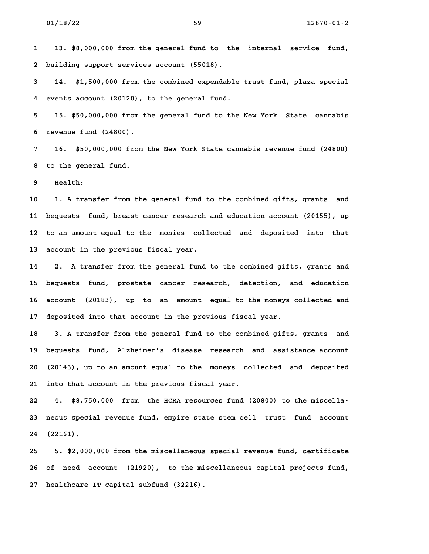**1 13. \$8,000,000 from the general fund to the internal service fund, 2 building support services account (55018). 3 14. \$1,500,000 from the combined expendable trust fund, plaza special**

**4 events account (20120), to the general fund.**

**5 15. \$50,000,000 from the general fund to the New York State cannabis 6 revenue fund (24800).**

**7 16. \$50,000,000 from the New York State cannabis revenue fund (24800) 8 to the general fund.** 8 to the general fund.<br>9 Health:

**10 1. A transfer from the general fund to the combined gifts, grants and 11 bequests fund, breast cancer research and education account (20155), up 12 to an amount equal to the monies collected and deposited into that 13 account in the previous fiscal year.**

**14 2. A transfer from the general fund to the combined gifts, grants and 15 bequests fund, prostate cancer research, detection, and education 16 account (20183), up to an amount equal to the moneys collected and 17 deposited into that account in the previous fiscal year.** 17 deposited into that account in the previous fiscal year.<br>18 3. A transfer from the general fund to the combined gifts, grants and

**19 bequests fund, Alzheimer's disease research and assistance account 20 (20143), up to an amount equal to the moneys collected and deposited 21 into that account in the previous fiscal year.**

**22 4. \$8,750,000 from the HCRA resources fund (20800) to the miscella-23 neous special revenue fund, empire state stem cell trust fund account 24 (22161). 25 5. \$2,000,000 from the miscellaneous special revenue fund, certificate**

**26 of need account (21920), to the miscellaneous capital projects fund, 27 healthcare IT capital subfund (32216).**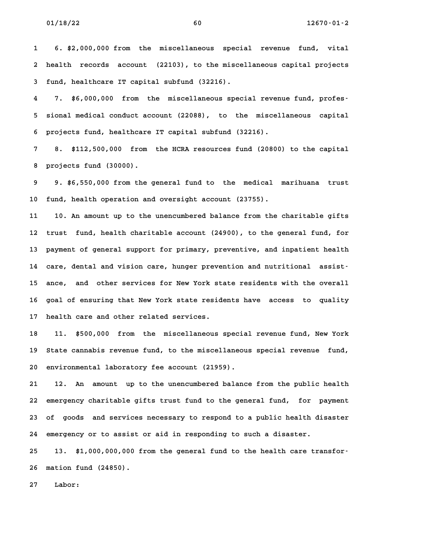**1 6. \$2,000,000 from the miscellaneous special revenue fund, vital 2 health records account (22103), to the miscellaneous capital projects 3 fund, healthcare IT capital subfund (32216). 4 7. \$6,000,000 from the miscellaneous special revenue fund, profes-**

**5 sional medical conduct account (22088), to the miscellaneous capital 6 projects fund, healthcare IT capital subfund (32216).**

**7 8. \$112,500,000 from the HCRA resources fund (20800) to the capital 8 projects fund (30000). 9 9. \$6,550,000 from the general fund to the medical marihuana trust**

**10 fund, health operation and oversight account (23755).**

**11 10. An amount up to the unencumbered balance from the charitable gifts 12 trust fund, health charitable account (24900), to the general fund, for 13 payment of general support for primary, preventive, and inpatient health** 13 payment of general support for primary, preventive, and inpatient health<br>14 care, dental and vision care, hunger prevention and nutritional assist-14 care, dental and vision care, hunger prevention and nutritional assist-<br>15 ance, and other services for New York state residents with the overall **16 goal of ensuring that New York state residents have access to quality 17 health care and other related services.**

**18 11. \$500,000 from the miscellaneous special revenue fund, New York 19 State cannabis revenue fund, to the miscellaneous special revenue fund,** 19 State cannabis revenue fund, to the miscellaneous special revenue fund,<br>20 environmental laboratory fee account (21959).

**21 12. An amount up to the unencumbered balance from the public health 22 emergency charitable gifts trust fund to the general fund, for payment 23 of goods and services necessary to respond to a public health disaster** 23 of goods and services necessary to respond to a public health disaster<br>24 emergency or to assist or aid in responding to such a disaster.

24 emergency or to assist or aid in responding to such a disaster.<br>25 13. \$1,000,000,000 from the general fund to the health care transfor<sup>.</sup> **26 mation fund (24850).** 26 mation fund (24850).<br>27 Labor: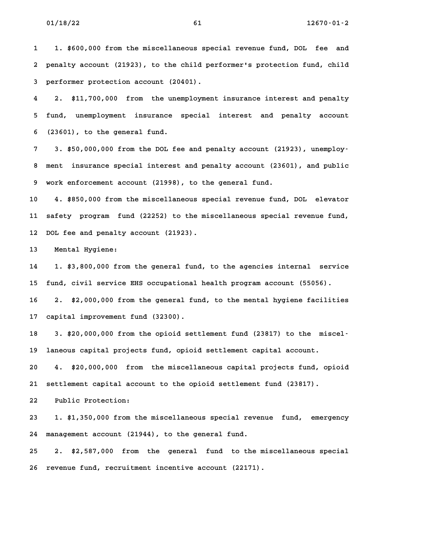**1 1. \$600,000 from the miscellaneous special revenue fund, DOL fee and 2 penalty account (21923), to the child performer's protection fund, child 3 performer protection account (20401). 4 2. \$11,700,000 from the unemployment insurance interest and penalty**

**5 fund, unemployment insurance special interest and penalty account 6 (23601), to the general fund. 7 3. \$50,000,000 from the DOL fee and penalty account (21923), unemploy-**

**8 ment insurance special interest and penalty account (23601), and public 9 work enforcement account (21998), to the general fund.**

**10 4. \$850,000 from the miscellaneous special revenue fund, DOL elevator 11 safety program fund (22252) to the miscellaneous special revenue fund, 12 DOL fee and penalty account (21923).** 12 DOL fee and penalty<br>13 Mental Hygiene:

**14 1. \$3,800,000 from the general fund, to the agencies internal service 15 fund, civil service EHS occupational health program account (55056).**

**16 2. \$2,000,000 from the general fund, to the mental hygiene facilities 17 capital improvement fund (32300).**

17 capital improvement fund (32300).<br>18 3. \$20,000,000 from the opioid settlement fund (23817) to the miscel<sup>.</sup> **19 laneous capital projects fund, opioid settlement capital account. 20 4. \$20,000,000 from the miscellaneous capital projects fund, opioid**

**21 settlement capital account to the opioid settlement fund (23817). 22 Public Protection:**

**23 1. \$1,350,000 from the miscellaneous special revenue fund, emergency 24 management account (21944), to the general fund.**

**25 2. \$2,587,000 from the general fund to the miscellaneous special 26 revenue fund, recruitment incentive account (22171).**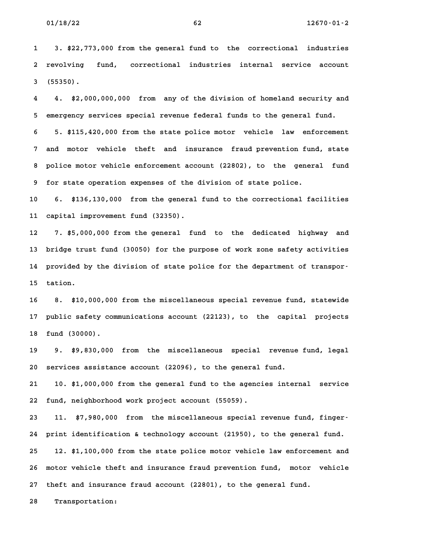**1 3. \$22,773,000 from the general fund to the correctional industries 2 revolving fund, correctional industries internal service account** 2 revolving fund, correctional industries internal service account<br>3 (55350).

**4 4. \$2,000,000,000 from any of the division of homeland security and 5 emergency services special revenue federal funds to the general fund.**

**6 5. \$115,420,000 from the state police motor vehicle law enforcement 7 and motor vehicle theft and insurance fraud prevention fund, state 8 police motor vehicle enforcement account (22802), to the general fund 9 for state operation expenses of the division of state police.**

**10 6. \$136,130,000 from the general fund to the correctional facilities 11 capital improvement fund (32350). 12 7. \$5,000,000 from the general fund to the dedicated highway and**

**13 bridge trust fund (30050) for the purpose of work zone safety activities** 13 bridge trust fund (30050) for the purpose of work zone safety activities<br>14 provided by the division of state police for the department of transpor-14 provided by the division of state police for the department of transpor-<br>15 tation.

**16 8. \$10,000,000 from the miscellaneous special revenue fund, statewide 17 public safety communications account (22123), to the capital projects** 17 public safety com<br>18 fund (30000).

**19 9. \$9,830,000 from the miscellaneous special revenue fund, legal 20 services assistance account (22096), to the general fund.**

**21 10. \$1,000,000 from the general fund to the agencies internal service 22 fund, neighborhood work project account (55059). 23 11. \$7,980,000 from the miscellaneous special revenue fund, finger-**

**24 print identification & technology account (21950), to the general fund. 25 12. \$1,100,000 from the state police motor vehicle law enforcement and 26 motor vehicle theft and insurance fraud prevention fund, motor vehicle 27 theft and insurance fraud account (22801), to the general fund.**

27 theft and insurance fraud account (22801), to the general fund.<br>28 Transportation: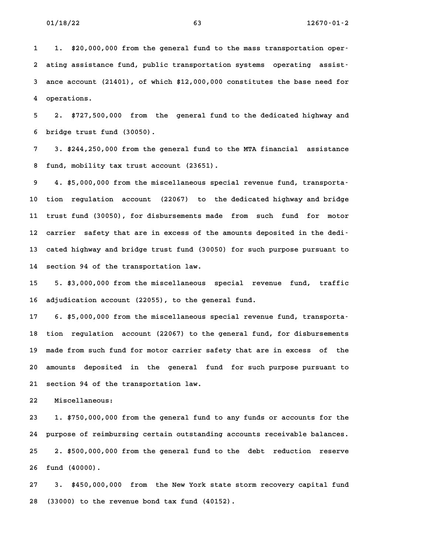**1 1. \$20,000,000 from the general fund to the mass transportation oper-**1. \$20,000,000 from the general fund to the mass transportation oper-<br>2 ating assistance fund, public transportation systems operating assist-**3 ance account (21401), of which \$12,000,000 constitutes the base need for** 3 ance account (21401), of which \$12,000,000 constitutes the base need for<br>4 operations.

**5 2. \$727,500,000 from the general fund to the dedicated highway and 6 bridge trust fund (30050).**

**7 3. \$244,250,000 from the general fund to the MTA financial assistance 8 fund, mobility tax trust account (23651). 9 4. \$5,000,000 from the miscellaneous special revenue fund, transporta-**

**10 tion regulation account (22067) to the dedicated highway and bridge 11 trust fund (30050), for disbursements made from such fund for motor** 11 trust fund (30050), for disbursements made from such fund for motor<br>12 carrier safety that are in excess of the amounts deposited in the dedi<sup>.</sup> **13 cated highway and bridge trust fund (30050) for such purpose pursuant to** 13 cated highway and bridge trust fund (30050) for such purpose pursuant to<br>14 section 94 of the transportation law.

**15 5. \$3,000,000 from the miscellaneous special revenue fund, traffic 16 adjudication account (22055), to the general fund.** 16 adjudication account (22055), to the general fund.<br>17 6. \$5,000,000 from the miscellaneous special revenue fund, transporta-

**18 tion regulation account (22067) to the general fund, for disbursements 19 made from such fund for motor carrier safety that are in excess of the 20 amounts deposited in the general fund for such purpose pursuant to 21 section 94 of the transportation law. 22 Miscellaneous:**

**23 1. \$750,000,000 from the general fund to any funds or accounts for the 24 purpose of reimbursing certain outstanding accounts receivable balances. 25 2. \$500,000,000 from the general fund to the debt reduction reserve** 25 2. \$500,000,000 from the general fund to the debt reduction reserve<br>26 fund (40000).

**27 3. \$450,000,000 from the New York state storm recovery capital fund 28 (33000) to the revenue bond tax fund (40152).**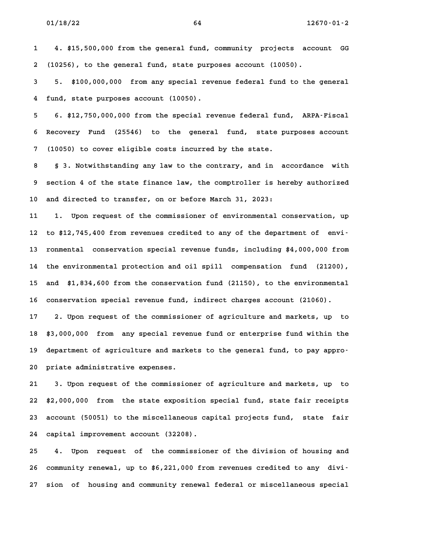**1 4. \$15,500,000 from the general fund, community projects account GG 2 (10256), to the general fund, state purposes account (10050).**

**3 5. \$100,000,000 from any special revenue federal fund to the general 4 fund, state purposes account (10050). 5 6. \$12,750,000,000 from the special revenue federal fund, ARPA-Fiscal**

**6 Recovery Fund (25546) to the general fund, state purposes account 7 (10050) to cover eligible costs incurred by the state.**

**8 § 3. Notwithstanding any law to the contrary, and in accordance with 9 section 4 of the state finance law, the comptroller is hereby authorized 10 and directed to transfer, on or before March 31, 2023:**

**11 1. Upon request of the commissioner of environmental conservation, up 12 to \$12,745,400 from revenues credited to any of the department of envi-13 ronmental conservation special revenue funds, including \$4,000,000 from 14 the environmental protection and oil spill compensation fund (21200),** 14 the environmental protection and oil spill compensation fund (21200),<br>15 and \$1,834,600 from the conservation fund (21150), to the environmental **16 conservation special revenue fund, indirect charges account (21060).**

**17 2. Upon request of the commissioner of agriculture and markets, up to 18 \$3,000,000 from any special revenue fund or enterprise fund within the 19 department of agriculture and markets to the general fund, to pay appro-**19 department of agriculture and markets to the general fund, to pay appro-<br>20 priate administrative expenses.

**21 3. Upon request of the commissioner of agriculture and markets, up to 22 \$2,000,000 from the state exposition special fund, state fair receipts 23 account (50051) to the miscellaneous capital projects fund, state fair 24 capital improvement account (32208).**

**25 4. Upon request of the commissioner of the division of housing and** 25 4. Upon request of the commissioner of the division of housing and<br>26 community renewal, up to \$6,221,000 from revenues credited to any divi<sup>-</sup> **27 sion of housing and community renewal federal or miscellaneous special**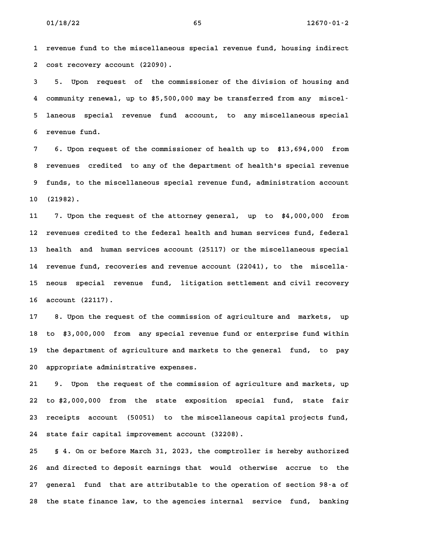**1 revenue fund to the miscellaneous special revenue fund, housing indirect 2 cost recovery account (22090). 3 5. Upon request of the commissioner of the division of housing and**

**4 community renewal, up to \$5,500,000 may be transferred from any miscel-5 laneous special revenue fund account, to any miscellaneous special 6 revenue fund.**

**7 6. Upon request of the commissioner of health up to \$13,694,000 from 8 revenues credited to any of the department of health's special revenue 9 funds, to the miscellaneous special revenue fund, administration account** 9 funds, to the miscellaneous special revenue fund, administration account<br>10 (21982).

**11 7. Upon the request of the attorney general, up to \$4,000,000 from 12 revenues credited to the federal health and human services fund, federal 13 health and human services account (25117) or the miscellaneous special 14 revenue fund, recoveries and revenue account (22041), to the miscella-15 neous special revenue fund, litigation settlement and civil recovery 16 account (22117). 17 8. Upon the request of the commission of agriculture and markets, up**

**18 to \$3,000,000 from any special revenue fund or enterprise fund within 19 the department of agriculture and markets to the general fund, to pay** 19 the department of agriculture and markets to the general fund, to pay<br>20 appropriate administrative expenses.

**21 9. Upon the request of the commission of agriculture and markets, up 22 to \$2,000,000 from the state exposition special fund, state fair 23 receipts account (50051) to the miscellaneous capital projects fund,** 23 receipts account (50051) to the miscellaneous capital projects fund,<br>24 state fair capital improvement account (32208).

**25 § 4. On or before March 31, 2023, the comptroller is hereby authorized 26 and directed to deposit earnings that would otherwise accrue to the 27 general fund that are attributable to the operation of section 98-a of** 27 general fund that are attributable to the operation of section 98-a of<br>28 the state finance law, to the agencies internal service fund, banking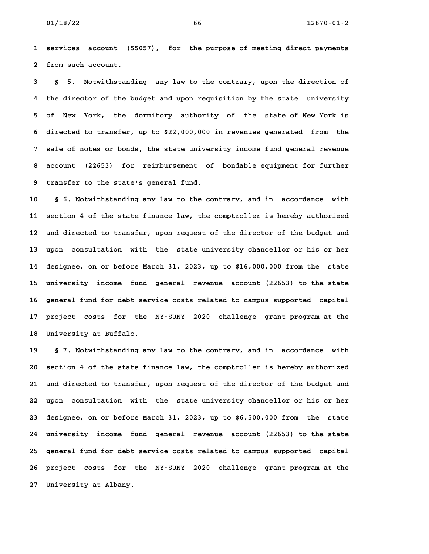**1 services account (55057), for the purpose of meeting direct payments** 1 services account (5<br>2 from such account.

**3 § 5. Notwithstanding any law to the contrary, upon the direction of 4 the director of the budget and upon requisition by the state university** 4 the director of the budget and upon requisition by the state university<br>5 of New York, the dormitory authority of the state of New York is **6 directed to transfer, up to \$22,000,000 in revenues generated from the 7 sale of notes or bonds, the state university income fund general revenue 8 account (22653) for reimbursement of bondable equipment for further 9 transfer to the state's general fund. 10 § 6. Notwithstanding any law to the contrary, and in accordance with**

**11 section 4 of the state finance law, the comptroller is hereby authorized 12 and directed to transfer, upon request of the director of the budget and 13 upon consultation with the state university chancellor or his or her 14 designee, on or before March 31, 2023, up to \$16,000,000 from the state 15 university income fund general revenue account (22653) to the state** 15 university income fund general revenue account (22653) to the state<br>16 general fund for debt service costs related to campus supported capital **17 project costs for the NY-SUNY 2020 challenge grant program at the 18 University at Buffalo.**

**19 § 7. Notwithstanding any law to the contrary, and in accordance with 20 section 4 of the state finance law, the comptroller is hereby authorized 21 and directed to transfer, upon request of the director of the budget and 22 upon consultation with the state university chancellor or his or her 23 designee, on or before March 31, 2023, up to \$6,500,000 from the state 24 university income fund general revenue account (22653) to the state 25 general fund for debt service costs related to campus supported capital 26 project costs for the NY-SUNY 2020 challenge grant program at the 27 University at Albany.**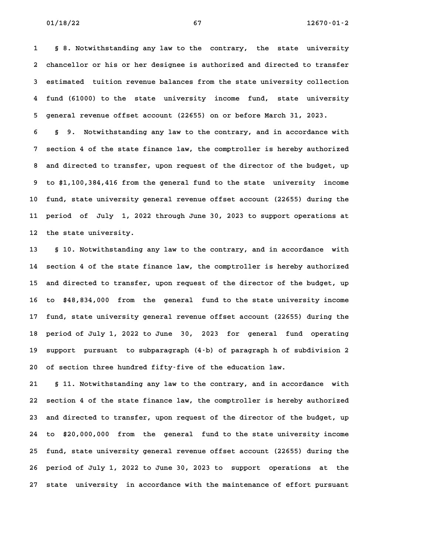**1 § 8. Notwithstanding any law to the contrary, the state university 2 chancellor or his or her designee is authorized and directed to transfer 3 estimated tuition revenue balances from the state university collection 4 fund (61000) to the state university income fund, state university 5 general revenue offset account (22655) on or before March 31, 2023.**

**6 § 9. Notwithstanding any law to the contrary, and in accordance with 7 section 4 of the state finance law, the comptroller is hereby authorized 8 and directed to transfer, upon request of the director of the budget, up** 8 and directed to transfer, upon request of the director of the budget, up<br>9 to \$1,100,384,416 from the general fund to the state university income **10 fund, state university general revenue offset account (22655) during the 11 period of July 1, 2022 through June 30, 2023 to support operations at** 11 period of July 1, 2022 through June 30, 2023 to support operations at<br>12 the state university.

**13 § 10. Notwithstanding any law to the contrary, and in accordance with 14 section 4 of the state finance law, the comptroller is hereby authorized 15 and directed to transfer, upon request of the director of the budget, up** 15 and directed to transfer, upon request of the director of the budget, up<br>16 to \$48,834,000 from the general fund to the state university income **17 fund, state university general revenue offset account (22655) during the 18 period of July 1, 2022 to June 30, 2023 for general fund operating 19 support pursuant to subparagraph (4-b) of paragraph h of subdivision 2** 19 support pursuant to subparagraph (4-b) of paragraph h of subdivision 2<br>20 of section three hundred fifty-five of the education law.

**21 § 11. Notwithstanding any law to the contrary, and in accordance with 22 section 4 of the state finance law, the comptroller is hereby authorized 23 and directed to transfer, upon request of the director of the budget, up 24 to \$20,000,000 from the general fund to the state university income 25 fund, state university general revenue offset account (22655) during the 26 period of July 1, 2022 to June 30, 2023 to support operations at the 27 state university in accordance with the maintenance of effort pursuant**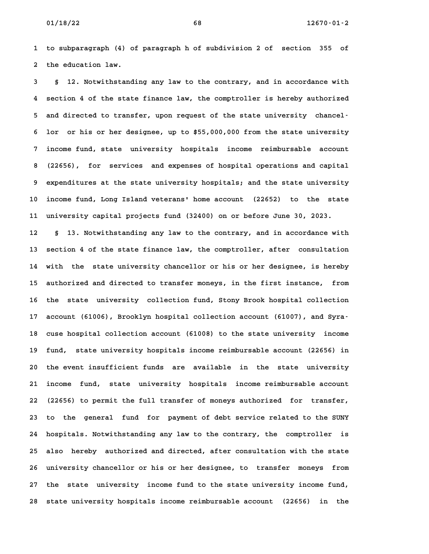**1 to subparagraph (4) of paragraph h of subdivision 2 of section 355 of 2 the education law. 3 § 12. Notwithstanding any law to the contrary, and in accordance with**

**4 section 4 of the state finance law, the comptroller is hereby authorized 5 and directed to transfer, upon request of the state university chancel-6 lor or his or her designee, up to \$55,000,000 from the state university 7 income fund, state university hospitals income reimbursable account 8 (22656), for services and expenses of hospital operations and capital 9 expenditures at the state university hospitals; and the state university 10 income fund, Long Island veterans' home account (22652) to the state 11 university capital projects fund (32400) on or before June 30, 2023. 12 § 13. Notwithstanding any law to the contrary, and in accordance with**

**13 section 4 of the state finance law, the comptroller, after consultation** 13 section 4 of the state finance law, the comptroller, after consultation<br>14 with the state university chancellor or his or her designee, is hereby **15 authorized and directed to transfer moneys, in the first instance, from** 15 authorized and directed to transfer moneys, in the first instance, from<br>16 the state university collection fund, Stony Brook hospital collection 16 the state university collection fund, Stony Brook hospital collection<br>17 account (61006), Brooklyn hospital collection account (61007), and Syra-17 account (61006), Brooklyn hospital collection account (61007), and Syra<sup>.</sup><br>18 cuse hospital collection account (61008) to the state university income **19 fund, state university hospitals income reimbursable account (22656) in 20 the event insufficient funds are available in the state university 21 income fund, state university hospitals income reimbursable account 22 (22656) to permit the full transfer of moneys authorized for transfer,** 22 (22656) to permit the full transfer of moneys authorized for transfer,<br>23 to the general fund for payment of debt service related to the SUNY **24 hospitals. Notwithstanding any law to the contrary, the comptroller is 25 also hereby authorized and directed, after consultation with the state 26 university chancellor or his or her designee, to transfer moneys from 27 the state university income fund to the state university income fund, 28 state university hospitals income reimbursable account (22656) in the**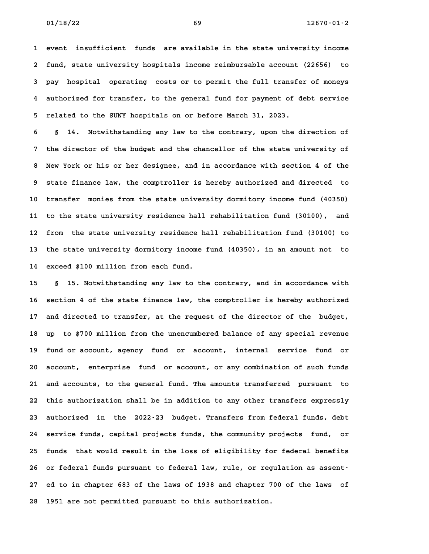**1 event insufficient funds are available in the state university income 2 fund, state university hospitals income reimbursable account (22656) to 3 pay hospital operating costs or to permit the full transfer of moneys 4 authorized for transfer, to the general fund for payment of debt service 5 related to the SUNY hospitals on or before March 31, 2023.**

**6 § 14. Notwithstanding any law to the contrary, upon the direction of 7 the director of the budget and the chancellor of the state university of 8 New York or his or her designee, and in accordance with section 4 of the 9 state finance law, the comptroller is hereby authorized and directed to 10 transfer monies from the state university dormitory income fund (40350)** 10 transfer monies from the state university dormitory income fund (40350)<br>11 to the state university residence hall rehabilitation fund (30100), and **12 from the state university residence hall rehabilitation fund (30100) to 13 the state university dormitory income fund (40350), in an amount not to 14 exceed \$100 million from each fund.**

**15 § 15. Notwithstanding any law to the contrary, and in accordance with 16 section 4 of the state finance law, the comptroller is hereby authorized 17 and directed to transfer, at the request of the director of the budget, 18 up to \$700 million from the unencumbered balance of any special revenue 19 fund or account, agency fund or account, internal service fund or** 19 fund or account, agency fund or account, internal service fund or<br>20 account, enterprise fund or account, or any combination of such funds 20 account, enterprise fund or account, or any combination of such funds<br>21 and accounts, to the general fund. The amounts transferred pursuant to **22 this authorization shall be in addition to any other transfers expressly 23 authorized in the 2022-23 budget. Transfers from federal funds, debt 24 service funds, capital projects funds, the community projects fund, or** 24 service funds, capital projects funds, the community projects fund, or<br>25 funds that would result in the loss of eligibility for federal benefits 25 funds that would result in the loss of eligibility for federal benefits<br>26 or federal funds pursuant to federal law, rule, or regulation as assent<sup>.</sup> **27 ed to in chapter 683 of the laws of 1938 and chapter 700 of the laws of** 27 ed to in chapter 683 of the laws of 1938 and chapter 700 of the laws of<br>28 1951 are not permitted pursuant to this authorization.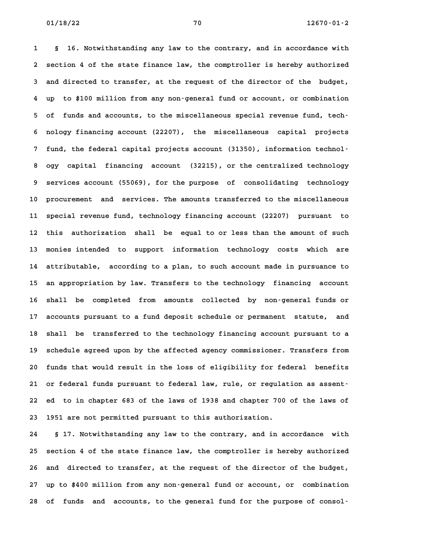**1 § 16. Notwithstanding any law to the contrary, and in accordance with 2 section 4 of the state finance law, the comptroller is hereby authorized 3 and directed to transfer, at the request of the director of the budget, 4 up to \$100 million from any non-general fund or account, or combination 5 of funds and accounts, to the miscellaneous special revenue fund, tech-6 nology financing account (22207), the miscellaneous capital projects 7 fund, the federal capital projects account (31350), information technol-**7 fund, the federal capital projects account (31350), information technol<sup>1</sup><br>8 ogy capital financing account (32215), or the centralized technology **9 services account (55069), for the purpose of consolidating technology 10 procurement and services. The amounts transferred to the miscellaneous 11 special revenue fund, technology financing account (22207) pursuant to 12 this authorization shall be equal to or less than the amount of such 13 monies intended to support information technology costs which are 14 attributable, according to a plan, to such account made in pursuance to** 14 attributable, according to a plan, to such account made in pursuance to<br>15 an appropriation by law. Transfers to the technology financing account **16 shall be completed from amounts collected by non-general funds or 17 accounts pursuant to a fund deposit schedule or permanent statute, and 18 shall be transferred to the technology financing account pursuant to a 19 schedule agreed upon by the affected agency commissioner. Transfers from** 19 schedule agreed upon by the affected agency commissioner. Transfers from<br>20 funds that would result in the loss of eligibility for federal benefits **21 or federal funds pursuant to federal law, rule, or regulation as assent-22 ed to in chapter 683 of the laws of 1938 and chapter 700 of the laws of** 22 ed to in chapter 683 of the laws of 1938 and chapter 700 of the laws of<br>23 1951 are not permitted pursuant to this authorization.

**24 § 17. Notwithstanding any law to the contrary, and in accordance with 25 section 4 of the state finance law, the comptroller is hereby authorized 26 and directed to transfer, at the request of the director of the budget, 27 up to \$400 million from any non-general fund or account, or combination 28 of funds and accounts, to the general fund for the purpose of consol-**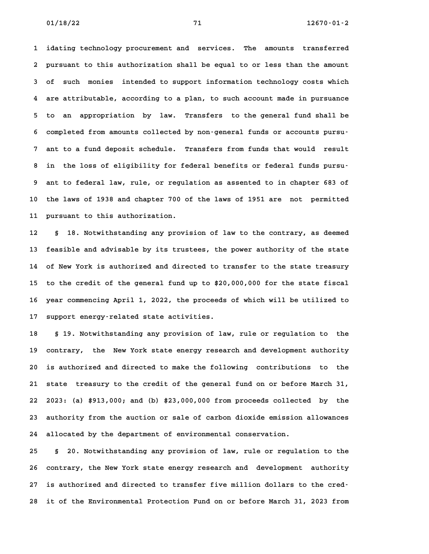**1 idating technology procurement and services. The amounts transferred 2 pursuant to this authorization shall be equal to or less than the amount 3 of such monies intended to support information technology costs which 4 are attributable, according to a plan, to such account made in pursuance 5 to an appropriation by law. Transfers to the general fund shall be 6 completed from amounts collected by non-general funds or accounts pursu-7 ant to a fund deposit schedule. Transfers from funds that would result 8 in the loss of eligibility for federal benefits or federal funds pursu-9 ant to federal law, rule, or regulation as assented to in chapter 683 of 10 the laws of 1938 and chapter 700 of the laws of 1951 are not permitted 11 pursuant to this authorization. 12 § 18. Notwithstanding any provision of law to the contrary, as deemed**

**13 feasible and advisable by its trustees, the power authority of the state 14 of New York is authorized and directed to transfer to the state treasury** 14 of New York is authorized and directed to transfer to the state treasury<br>15 to the credit of the general fund up to \$20,000,000 for the state fiscal **16 year commencing April 1, 2022, the proceeds of which will be utilized to 17 support energy-related state activities. 18 § 19. Notwithstanding any provision of law, rule or regulation to the**

**19 contrary, the New York state energy research and development authority 20 is authorized and directed to make the following contributions to the 21 state treasury to the credit of the general fund on or before March 31, 22 2023: (a) \$913,000; and (b) \$23,000,000 from proceeds collected by the 23 authority from the auction or sale of carbon dioxide emission allowances** 23 authority from the auction or sale of carbon dioxide emission allowances<br>24 allocated by the department of environmental conservation.

**25 § 20. Notwithstanding any provision of law, rule or regulation to the 26 contrary, the New York state energy research and development authority 27 is authorized and directed to transfer five million dollars to the cred-28 it of the Environmental Protection Fund on or before March 31, 2023 from**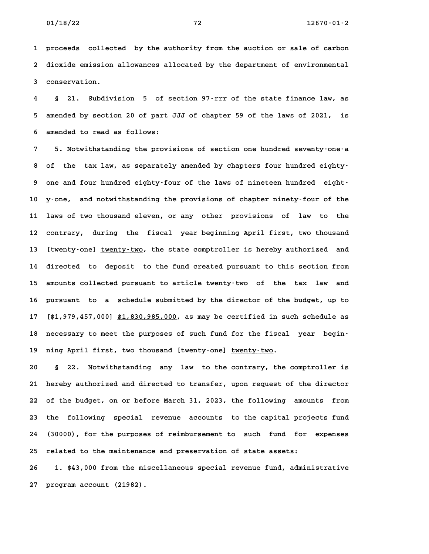**1 proceeds collected by the authority from the auction or sale of carbon 2 dioxide emission allowances allocated by the department of environmental** 2 dioxide emission allowances allocated by the department of environmental<br>3 conservation.

**4 § 21. Subdivision 5 of section 97-rrr of the state finance law, as 5 amended by section 20 of part JJJ of chapter 59 of the laws of 2021, is 6 amended to read as follows: 7 5. Notwithstanding the provisions of section one hundred seventy-one-a**

**8 of the tax law, as separately amended by chapters four hundred eighty-**8 of the tax law, as separately amended by chapters four hundred eighty-<br>9 one and four hundred eighty-four of the laws of nineteen hundred eight-**10 y-one, and notwithstanding the provisions of chapter ninety-four of the 11 laws of two thousand eleven, or any other provisions of law to the 12 contrary, during the fiscal year beginning April first, two thousand** 12 contrary, during the fiscal year-beginning-April-first, two-thousand<br>13 [twenty-one] <u>twenty-two</u>, the state-comptroller-is-hereby-authorized and **14 directed to deposit to the fund created pursuant to this section from 15 amounts collected pursuant to article twenty-two of the tax law and** 15 amounts collected pursuant to article twenty-two of the tax law and<br>16 pursuant to a schedule submitted by the director of the budget, up to 16 pursuant to a schedule submitted by the director of the budget, up to<br>17 [\$1,979,457,000] <u>\$1,830,985,000</u>, as may be certified in such schedule as 17 [\$1,979,457,000] <u>\$1,830,985,000</u>, as may be certified in such schedule as<br>18 necessary to meet the purposes of such fund for the fiscal year begin-18 necessary to meet the purposes of such fund for the fiscal<br>19 ning April first, two thousand [twenty-one] <u>twenty-two</u>. **20 § 22. Notwithstanding any law to the contrary, the comptroller is**

**21 hereby authorized and directed to transfer, upon request of the director 22 of the budget, on or before March 31, 2023, the following amounts from 23 the following special revenue accounts to the capital projects fund 24 (30000), for the purposes of reimbursement to such fund for expenses 25 related to the maintenance and preservation of state assets: 26 1. \$43,000 from the miscellaneous special revenue fund, administrative**

**27 program account (21982).**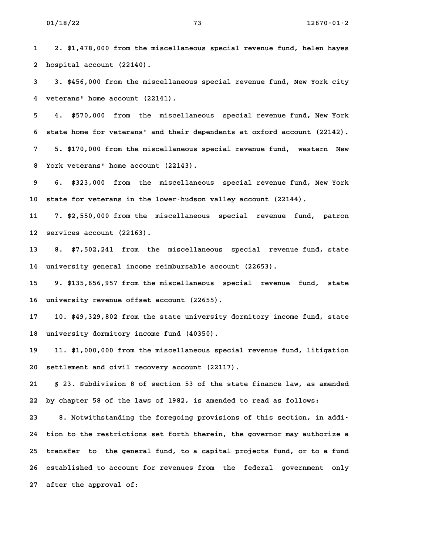**1 2. \$1,478,000 from the miscellaneous special revenue fund, helen hayes 2 hospital account (22140).**

**3 3. \$456,000 from the miscellaneous special revenue fund, New York city 4 veterans' home account (22141). 5 4. \$570,000 from the miscellaneous special revenue fund, New York**

**6 state home for veterans' and their dependents at oxford account (22142). 7 5. \$170,000 from the miscellaneous special revenue fund, western New 8 York veterans' home account (22143).**

**9 6. \$323,000 from the miscellaneous special revenue fund, New York 10 state for veterans in the lower-hudson valley account (22144).**

**11 7. \$2,550,000 from the miscellaneous special revenue fund, patron 12 services account (22163).**

**13 8. \$7,502,241 from the miscellaneous special revenue fund, state 14 university general income reimbursable account (22653).**

**15 9. \$135,656,957 from the miscellaneous special revenue fund, state 16 university revenue offset account (22655). 17 10. \$49,329,802 from the state university dormitory income fund, state**

**18 university dormitory income fund (40350).**

**19 11. \$1,000,000 from the miscellaneous special revenue fund, litigation 20 settlement and civil recovery account (22117).**

**21 § 23. Subdivision 8 of section 53 of the state finance law, as amended 22 by chapter 58 of the laws of 1982, is amended to read as follows:** 22 by chapter 58 of the laws of 1982, is amended to read as follows:<br>23 8. Notwithstanding the foregoing provisions of this section, in addi<sup>-</sup>

**24 tion to the restrictions set forth therein, the governor may authorize a 25 transfer to the general fund, to a capital projects fund, or to a fund 26 established to account for revenues from the federal government only 27 after the approval of:**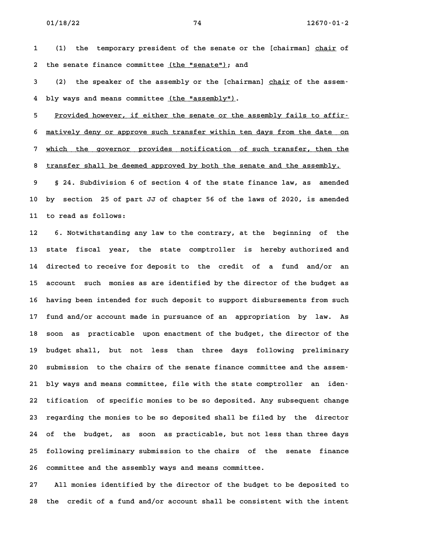1 (1) the temporary president of the senate or the [chairman] chair of 2 the senate finance committee (the "senate"); and

2 the senate finance committee <u>(the "senate")</u>; and<br>3 (2) the speaker of the assembly or the [chairman] <u>chair</u> of the assem-4 bly ways and means committee <u>(the "assembly")</u>.

4 bly ways and means committee <u>(the "assembly")</u>.<br>5 <u>Provided however, if either the senate or the assembly fails to affir-</u> 5 Provided however, if either the senate or the assembly fails to affir-<br>6 <u>matively deny or approve such transfer within ten days from the date on</u> 6 <u>matively deny or approve such transfer within ten days from the date on</u><br>7 which the governor provides notification of such transfer, then the which the governor provides notification of such transfer, then the<br>8 transfer shall be deemed approved by both the senate and the assembly. **9 § 24. Subdivision 6 of section 4 of the state finance law, as amended**

**10 by section 25 of part JJ of chapter 56 of the laws of 2020, is amended 11 to read as follows: 12 6. Notwithstanding any law to the contrary, at the beginning of the**

**13 state fiscal year, the state comptroller is hereby authorized and 14 directed to receive for deposit to the credit of a fund and/or an 15 account such monies as are identified by the director of the budget as 16 having been intended for such deposit to support disbursements from such 17 fund and/or account made in pursuance of an appropriation by law. As** 17 fund and/or account made in pursuance of an appropriation by law. As<br>18 soon as practicable upon enactment of the budget, the director of the **19 budget shall, but not less than three days following preliminary 20 submission to the chairs of the senate finance committee and the assem-**20 submission to the chairs of the senate finance committee and the assem-<br>21 bly ways and means committee, file with the state comptroller an iden-**22 tification of specific monies to be so deposited. Any subsequent change 23 regarding the monies to be so deposited shall be filed by the director 24 of the budget, as soon as practicable, but not less than three days 25 following preliminary submission to the chairs of the senate finance** 25 following preliminary submission to the chairs of the senate finance<br>26 committee and the assembly ways and means committee.

**27 All monies identified by the director of the budget to be deposited to 28 the credit of a fund and/or account shall be consistent with the intent**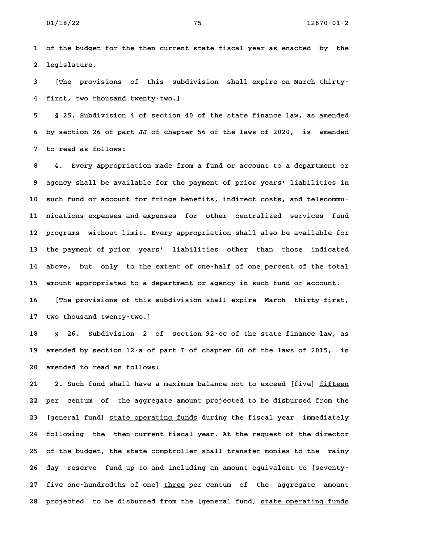**1 of the budget for the then current state fiscal year as enacted by the 2 legislature.**

**3 [The provisions of this subdivision shall expire on March thirty-4 first, two thousand twenty-two.] 5 § 25. Subdivision 4 of section 40 of the state finance law, as amended**

**6 by section 26 of part JJ of chapter 56 of the laws of 2020, is amended 7 to read as follows: 8 4. Every appropriation made from a fund or account to a department or**

**9 agency shall be available for the payment of prior years' liabilities in 10 such fund or account for fringe benefits, indirect costs, and telecommu-11 nications expenses and expenses for other centralized services fund 12 programs without limit. Every appropriation shall also be available for 13 the payment of prior years' liabilities other than those indicated 14 above, but only to the extent of one-half of one percent of the total 15 amount appropriated to a department or agency in such fund or account.** 15 amount appropriated to a department or agency in such fund or account.<br>16 [The provisions of this subdivision shall expire March thirty-first, **17 two thousand twenty-two.]**

**18 § 26. Subdivision 2 of section 92-cc of the state finance law, as 19 amended by section 12-a of part I of chapter 60 of the laws of 2015, is** 19 amended by section 12<sup>-</sup>a of part I of chapter 60 of the laws of 2015, is<br>20 amended to read as follows:

21 2. Such fund shall have a maximum balance not to exceed [five] fifteen **22 per centum of the aggregate amount projected to be disbursed from the** 22 per centum of the aggregate amount projected to be disbursed from the<br>23 [general fund] <u>state operating funds</u> during the fiscal year immediately **24 following the then-current fiscal year. At the request of the director 25 of the budget, the state comptroller shall transfer monies to the rainy** 25 of the budget, the state comptroller shall transfer monies to the rainy<br>26 day reserve fund up to and including an amount equivalent to [seventy-27 five one-hundredths of one] three per centum of the aggregate amount **28 projected to be disbursed from the [general fund] state operating funds \_\_\_\_\_\_\_\_\_\_\_\_\_\_\_\_\_\_\_\_\_**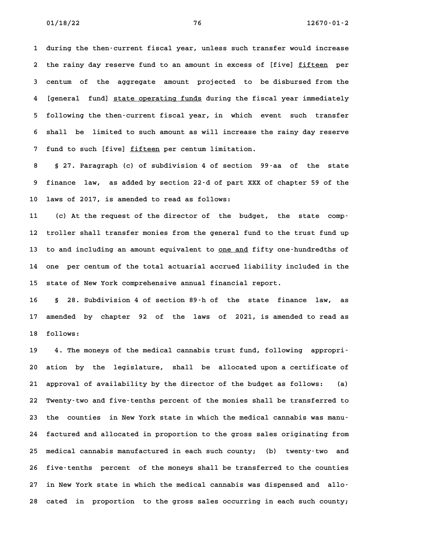**1 during the then-current fiscal year, unless such transfer would increase** 1 during the then-current fiscal year, unless such transfer would increase<br>2 the rainy day reserve fund to an amount in excess of [five] <u>fifteen</u> per 2 the rainy day reserve fund to an amount in excess of [five] <u>fifteen</u> per<br>3 centum of the aggregate amount projected to be disbursed from the 3 centum of the aggregate amount projected to be-disbursed-from-the<br>4 [general fund] <u>state-operating funds</u> during the fiscal year immediately **5 following the then-current fiscal year, in which event such transfer 6 shall be limited to such amount as will increase the rainy day reserve** 6 shall be limited to such amount as will increase the rainy day reserve<br>7 fund to such [five] <u>fifteen</u> per centum limitation.

**8 § 27. Paragraph (c) of subdivision 4 of section 99-aa of the state 9 finance law, as added by section 22-d of part XXX of chapter 59 of the 10 laws of 2017, is amended to read as follows:**

10 laws of 2017, is amended to read as follows:<br>11 (c) At the request of the director of the budget, the state comp<sup>.</sup> **12 troller shall transfer monies from the general fund to the trust fund up** 12 troller shall transfer monies from the general fund to the trust fund up<br>13 to and including an amount equivalent to <u>one and</u> fifty one-hundredths of **14 one per centum of the total actuarial accrued liability included in the** 14 one per centum of the total actuarial accrued liability included in the<br>15 state of New York comprehensive annual financial report.

**16 § 28. Subdivision 4 of section 89-h of the state finance law, as 17 amended by chapter 92 of the laws of 2021, is amended to read as** 17 amended by<br>18 follows:

**19 4. The moneys of the medical cannabis trust fund, following appropri-20 ation by the legislature, shall be allocated upon a certificate of 21 approval of availability by the director of the budget as follows: (a) 22 Twenty-two and five-tenths percent of the monies shall be transferred to 23 the counties in New York state in which the medical cannabis was manu-24 factured and allocated in proportion to the gross sales originating from 25 medical cannabis manufactured in each such county; (b) twenty-two and 26 five-tenths percent of the moneys shall be transferred to the counties 27 in New York state in which the medical cannabis was dispensed and allo-28 cated in proportion to the gross sales occurring in each such county;**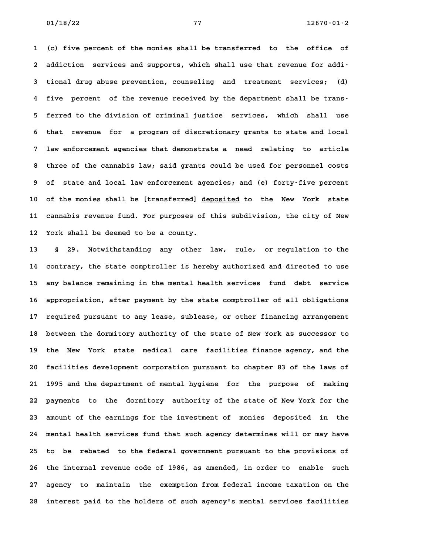**1 (c) five percent of the monies shall be transferred to the office of 2 addiction services and supports, which shall use that revenue for addi-3 tional drug abuse prevention, counseling and treatment services; (d) 4 five percent of the revenue received by the department shall be trans-5 ferred to the division of criminal justice services, which shall use 6 that revenue for a program of discretionary grants to state and local 7 law enforcement agencies that demonstrate a need relating to article 8 three of the cannabis law; said grants could be used for personnel costs 9 of state and local law enforcement agencies; and (e) forty-five percent** 9 of state and local law enforcement agencies; and (e) forty-five percent<br>10 of the monies shall be [transferred] <u>deposited</u> to the New York state **11 cannabis revenue fund. For purposes of this subdivision, the city of New** 11 cannabis revenue fund. For purposes of this subdivision, the city of New<br>12 York shall be deemed to be a county.

**13 § 29. Notwithstanding any other law, rule, or regulation to the 14 contrary, the state comptroller is hereby authorized and directed to use 15 any balance remaining in the mental health services fund debt service 16 appropriation, after payment by the state comptroller of all obligations 17 required pursuant to any lease, sublease, or other financing arrangement 18 between the dormitory authority of the state of New York as successor to** 18 between the dormitory authority of the state of New York as successor to<br>19 the New York state medical care facilities finance agency, and the **20 facilities development corporation pursuant to chapter 83 of the laws of 21 1995 and the department of mental hygiene for the purpose of making 22 payments to the dormitory authority of the state of New York for the 23 amount of the earnings for the investment of monies deposited in the 24 mental health services fund that such agency determines will or may have 25 to be rebated to the federal government pursuant to the provisions of 26 the internal revenue code of 1986, as amended, in order to enable such 27 agency to maintain the exemption from federal income taxation on the 28 interest paid to the holders of such agency's mental services facilities**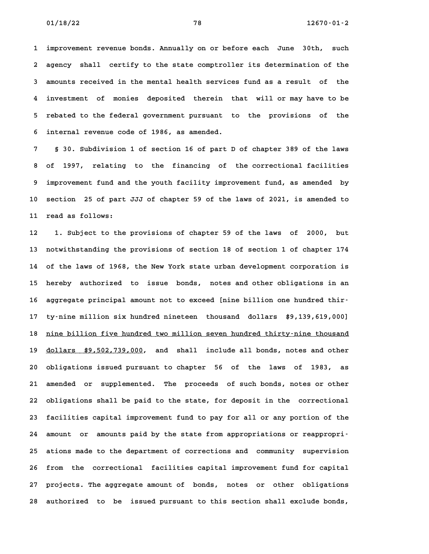**1 improvement revenue bonds. Annually on or before each June 30th, such 2 agency shall certify to the state comptroller its determination of the 3 amounts received in the mental health services fund as a result of the 4 investment of monies deposited therein that will or may have to be 5 rebated to the federal government pursuant to the provisions of the 6 internal revenue code of 1986, as amended.**

**7 § 30. Subdivision 1 of section 16 of part D of chapter 389 of the laws 8 of 1997, relating to the financing of the correctional facilities 9 improvement fund and the youth facility improvement fund, as amended by 10 section 25 of part JJJ of chapter 59 of the laws of 2021, is amended to 11 read as follows: 12 1. Subject to the provisions of chapter 59 of the laws of 2000, but**

**13 notwithstanding the provisions of section 18 of section 1 of chapter 174 14 of the laws of 1968, the New York state urban development corporation is 15 hereby authorized to issue bonds, notes and other obligations in an** 15 hereby authorized to issue bonds, notes and other obligations in an<br>16 aggregate principal amount not to exceed [nine billion one hundred thir-**17 ty-nine million six hundred nineteen thousand dollars \$9,139,619,000]** ty-nine million six hundred nineteen thousand dollars \$9,139,619,000]<br>18 <u>nine billion five hundred two million seven hundred thirty-nine thousand</u> 18 <u>nine billion five hundred two million seven hundred thirty–nine thousand<br>19 <u>dollars \$9,502,739,000</u>, and shall include all bonds, notes and other</u> 19 dollars \$9,502,739,000, and shall include all bonds, notes and other<br>20 obligations issued pursuant to chapter 56 of the laws of 1983, as **21 amended or supplemented. The proceeds of such bonds, notes or other 22 obligations shall be paid to the state, for deposit in the correctional 23 facilities capital improvement fund to pay for all or any portion of the 24 amount or amounts paid by the state from appropriations or reappropri-25 ations made to the department of corrections and community supervision** 25 ations made to the department of corrections and community supervision<br>26 from the correctional facilities capital improvement fund for capital **27 projects. The aggregate amount of bonds, notes or other obligations 28 authorized to be issued pursuant to this section shall exclude bonds,**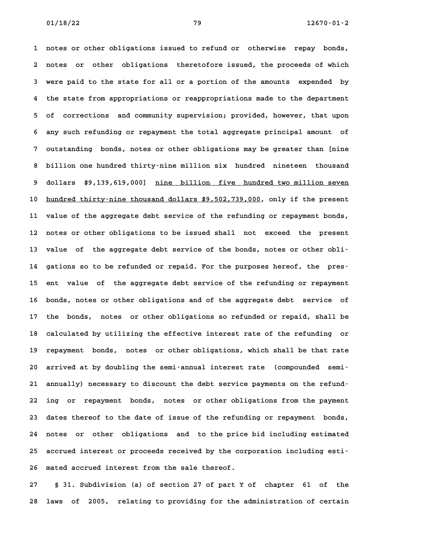**1 notes or other obligations issued to refund or otherwise repay bonds, 2 notes or other obligations theretofore issued, the proceeds of which 3 were paid to the state for all or a portion of the amounts expended by 4 the state from appropriations or reappropriations made to the department 5 of corrections and community supervision; provided, however, that upon 6 any such refunding or repayment the total aggregate principal amount of 7 outstanding bonds, notes or other obligations may be greater than [nine 8 billion one hundred thirty-nine million six hundred nineteen thousand** 8 billion one hundred thirty–nine million six hundred nineteen thousand<br>9 dollars \$9,139,619,000] <u>nine billion five hundred two million seven</u> dollars \$9,139,619,000] <u>nine billion five hundred two million seven</u><br>10 <u>hundred thirty–nine thousand dollars \$9,502,739,000</u>, only if the present **11 value of the aggregate debt service of the refunding or repayment bonds, 12 notes or other obligations to be issued shall not exceed the present** 12 notes or other obligations to be issued shall not exceed the present<br>13 value of the aggregate debt service of the bonds, notes or other obli-13 value of the aggregate debt service of the bonds, notes or other obli-<br>14 gations so to be refunded or repaid. For the purposes hereof, the pres-14 gations so to be refunded or repaid. For the purposes hereof, the pres-<br>15 ent value of the aggregate debt service of the refunding or repayment **16 bonds, notes or other obligations and of the aggregate debt service of 17 the bonds, notes or other obligations so refunded or repaid, shall be 18 calculated by utilizing the effective interest rate of the refunding or 19 repayment bonds, notes or other obligations, which shall be that rate** 19 repayment bonds, notes or other obligations, which shall be that rate<br>20 arrived at by doubling the semi-annual interest rate (compounded semi-**21 annually) necessary to discount the debt service payments on the refund-22 ing or repayment bonds, notes or other obligations from the payment 23 dates thereof to the date of issue of the refunding or repayment bonds, 24 notes or other obligations and to the price bid including estimated** 24 notes or other obligations and to the price bid including estimated<br>25 accrued interest or proceeds received by the corporation including esti<sup>-</sup> 25 accrued interest or proceeds received by the corporation including esti-<br>26 mated accrued interest from the sale thereof.

**27 § 31. Subdivision (a) of section 27 of part Y of chapter 61 of the 28 laws of 2005, relating to providing for the administration of certain**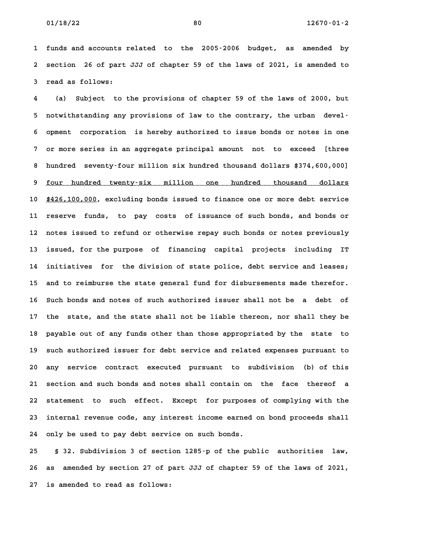**1 funds and accounts related to the 2005-2006 budget, as amended by 2 section 26 of part JJJ of chapter 59 of the laws of 2021, is amended to 3 read as follows:**

**4 (a) Subject to the provisions of chapter 59 of the laws of 2000, but 5 notwithstanding any provisions of law to the contrary, the urban devel-6 opment corporation is hereby authorized to issue bonds or notes in one 7 or more series in an aggregate principal amount not to exceed [three 8 hundred seventy-four million six hundred thousand dollars \$374,600,000]** 8 hundred seventy-four million six hundred thousand dollars \$374,600,000]<br>9 four hundred twenty-six million one hundred thousand dollars **10 \$426,100,000, excluding bonds issued to finance one or more debt service \_\_\_\_\_\_\_\_\_\_\_\_ 11 reserve funds, to pay costs of issuance of such bonds, and bonds or 12 notes issued to refund or otherwise repay such bonds or notes previously 13 issued, for the purpose of financing capital projects including IT 14 initiatives for the division of state police, debt service and leases;** 14 initiatives for the division of state police, debt service and leases;<br>15 and to reimburse the state general fund for disbursements made therefor. **16 Such bonds and notes of such authorized issuer shall not be a debt of 17 the state, and the state shall not be liable thereon, nor shall they be 18 payable out of any funds other than those appropriated by the state to 19 such authorized issuer for debt service and related expenses pursuant to 20 any service contract executed pursuant to subdivision (b) of this 21 section and such bonds and notes shall contain on the face thereof a 22 statement to such effect. Except for purposes of complying with the 23 internal revenue code, any interest income earned on bond proceeds shall 24 only be used to pay debt service on such bonds.**

**25 § 32. Subdivision 3 of section 1285-p of the public authorities law, 26 as amended by section 27 of part JJJ of chapter 59 of the laws of 2021, 27 is amended to read as follows:**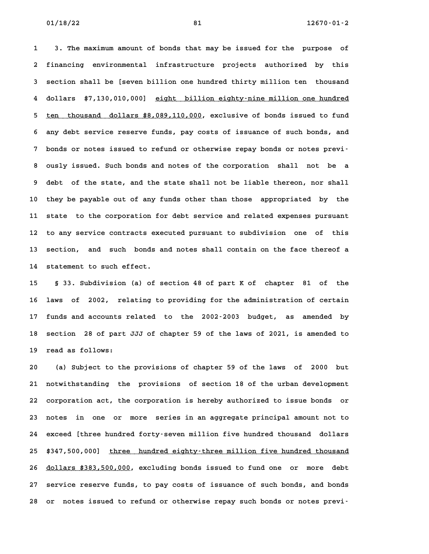**1 3. The maximum amount of bonds that may be issued for the purpose of 2 financing environmental infrastructure projects authorized by this 3 section shall be [seven billion one hundred thirty million ten thousand** 3 section shall be [seven billion one hundred thirty million ten thousand<br>4 dollars \$7,130,010,000] <u>eight billion eighty–nine million one hundred</u> **4 dollars \$7,130,010,000] <u>eight billion eighty–nine million one hundred</u><br>5 <u>ten thousand dollars \$8,089,110,000</u>, exclusive of bonds issued to fund 6 any debt service reserve funds, pay costs of issuance of such bonds, and** 6 any debt service reserve funds, pay costs of issuance of such bonds, and<br>
7 bonds or notes issued to refund or otherwise repay bonds or notes previ<sup>-</sup> **8 ously issued. Such bonds and notes of the corporation shall not be a 9 debt of the state, and the state shall not be liable thereon, nor shall 10 they be payable out of any funds other than those appropriated by the 11 state to the corporation for debt service and related expenses pursuant 12 to any service contracts executed pursuant to subdivision one of this 13 section, and such bonds and notes shall contain on the face thereof a 14 statement to such effect. 15 § 33. Subdivision (a) of section 48 of part K of chapter 81 of the**

**16 laws of 2002, relating to providing for the administration of certain 17 funds and accounts related to the 2002-2003 budget, as amended by** 17 funds and accounts related to the 2002-2003 budget, as amended by<br>18 section 28 of part JJJ of chapter 59 of the laws of 2021, is amended to 18 section 28 of part JJJ of chapter 59 of the laws of 2021, is amended to<br>19 read as follows:

**20 (a) Subject to the provisions of chapter 59 of the laws of 2000 but 21 notwithstanding the provisions of section 18 of the urban development 22 corporation act, the corporation is hereby authorized to issue bonds or 23 notes in one or more series in an aggregate principal amount not to 24 exceed [three hundred forty-seven million five hundred thousand dollars** 24 exceed [three hundred forty-seven million five hundred thousand dollars<br>25 \$347,500,000] <u>three hundred eighty-three million five hundred thousand</u> 25 \$347,500,000] <u>three hundred eighty–three million five hundred thousand</u><br>26 <u>dollars \$383,500,000</u>, excluding bonds issued to fund one or more debt **27 service reserve funds, to pay costs of issuance of such bonds, and bonds 28 or notes issued to refund or otherwise repay such bonds or notes previ-**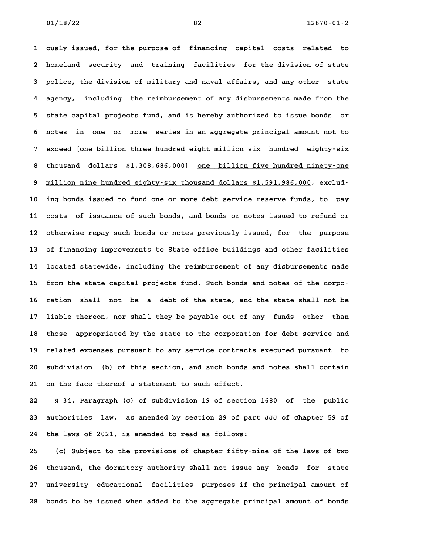**1 ously issued, for the purpose of financing capital costs related to 2 homeland security and training facilities for the division of state 3 police, the division of military and naval affairs, and any other state 4 agency, including the reimbursement of any disbursements made from the 5 state capital projects fund, and is hereby authorized to issue bonds or 6 notes in one or more series in an aggregate principal amount not to 7 exceed [one billion three hundred eight million six hundred eighty-six** 8 thousand dollars \$1,308,686,000] one billion five hundred eighty-six<br>**8** thousand dollars \$1,308,686,000] one billion five hundred ninety-one 8 thousand dollars \$1,308,686,000] <u>one billion five hundred ninety-one</u><br>9 <u>million nine hundred eighty-six thousand dollars \$1,591,986,000</u>, exclud-**10 ing bonds issued to fund one or more debt service reserve funds, to pay 11 costs of issuance of such bonds, and bonds or notes issued to refund or 12 otherwise repay such bonds or notes previously issued, for the purpose 13 of financing improvements to State office buildings and other facilities 14 located statewide, including the reimbursement of any disbursements made** 14 located statewide, including the reimbursement of any disbursements made<br>15 from the state capital projects fund. Such bonds and notes of the corpo-15 from the state capital projects fund. Such bonds and notes of the corpo<sup>.</sup><br>16 ration shall not be a debt of the state, and the state shall not be **17 liable thereon, nor shall they be payable out of any funds other than** 17 liable thereon, nor shall they be payable out of any funds other than<br>18 those appropriated by the state to the corporation for debt service and **19 related expenses pursuant to any service contracts executed pursuant to 20 subdivision (b) of this section, and such bonds and notes shall contain 21 on the face thereof a statement to such effect.**

**22 § 34. Paragraph (c) of subdivision 19 of section 1680 of the public 23 authorities law, as amended by section 29 of part JJJ of chapter 59 of 24 the laws of 2021, is amended to read as follows:**

**25 (c) Subject to the provisions of chapter fifty-nine of the laws of two 26 thousand, the dormitory authority shall not issue any bonds for state 27 university educational facilities purposes if the principal amount of 28 bonds to be issued when added to the aggregate principal amount of bonds**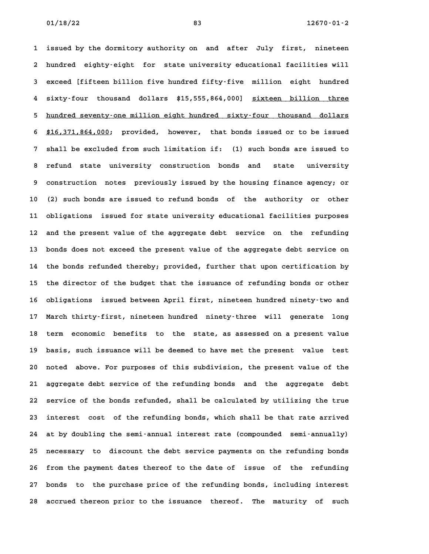**1 issued by the dormitory authority on and after July first, nineteen 2 hundred eighty-eight for state university educational facilities will 3 exceed [fifteen billion five hundred fifty-five million eight hundred** 3 exceed [fifteen billion five hundred fifty-five million eight hundred<br>4 sixty-four thousand dollars \$15,555,864,000] <u>sixteen billion three</u> 4 sixty-four thousand dollars \$15,555,864,000] <u>sixteen billion three</u><br>5 <u>hundred seventy-one-million-eight-hundred sixty-four thousand dollars</u> 5 <u>hundred seventy–one million eight hundred sixty–four thousand dollars<br>6 \$16,371,864,000; provided, however, that bonds issued or to be issued</u> **7 shall be excluded from such limitation if: (1) such bonds are issued to 8 refund state university construction bonds and state university 9 construction notes previously issued by the housing finance agency; or 10 (2) such bonds are issued to refund bonds of the authority or other 11 obligations issued for state university educational facilities purposes 12 and the present value of the aggregate debt service on the refunding 13 bonds does not exceed the present value of the aggregate debt service on 14 the bonds refunded thereby; provided, further that upon certification by** 14 the bonds refunded thereby; provided, further that upon certification by<br>15 the director of the budget that the issuance of refunding bonds or other **16 obligations issued between April first, nineteen hundred ninety-two and 17 March thirty-first, nineteen hundred ninety-three will generate long** 17 March thirty-first, nineteen hundred ninety-three will generate long<br>18 term economic benefits to the state, as assessed on a present value 18 term economic benefits to the state, as assessed on a present value<br>19 basis, such issuance will be deemed to have met the present value test 19 basis, such issuance will be deemed to have met the present value test<br>20 noted above. For purposes of this subdivision, the present value of the **21 aggregate debt service of the refunding bonds and the aggregate debt 22 service of the bonds refunded, shall be calculated by utilizing the true 23 interest cost of the refunding bonds, which shall be that rate arrived 24 at by doubling the semi-annual interest rate (compounded semi-annually) 25 necessary to discount the debt service payments on the refunding bonds 26 from the payment dates thereof to the date of issue of the refunding 27 bonds to the purchase price of the refunding bonds, including interest 28 accrued thereon prior to the issuance thereof. The maturity of such**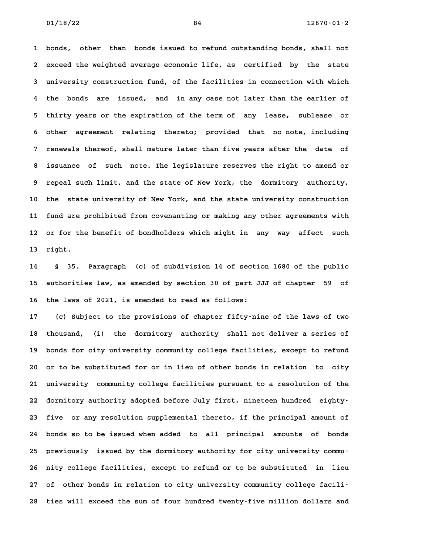**1 bonds, other than bonds issued to refund outstanding bonds, shall not 2 exceed the weighted average economic life, as certified by the state 3 university construction fund, of the facilities in connection with which 4 the bonds are issued, and in any case not later than the earlier of 5 thirty years or the expiration of the term of any lease, sublease or 6 other agreement relating thereto; provided that no note, including 7 renewals thereof, shall mature later than five years after the date of 8 issuance of such note. The legislature reserves the right to amend or 9 repeal such limit, and the state of New York, the dormitory authority, 10 the state university of New York, and the state university construction 11 fund are prohibited from covenanting or making any other agreements with** 11 fund are prohibited from covenanting or making any other agreements with<br>12 or for the benefit of bondholders which might in any way affect such 12 or for the benefit of bondholders which might in any way affect such<br>13 right.

**14 § 35. Paragraph (c) of subdivision 14 of section 1680 of the public 15 authorities law, as amended by section 30 of part JJJ of chapter 59 of 16 the laws of 2021, is amended to read as follows:**

**17 (c) Subject to the provisions of chapter fifty-nine of the laws of two 18 thousand, (i) the dormitory authority shall not deliver a series of** 18 thousand, (i) the dormitory authority shall not deliver a series of<br>19 bonds for city university community college facilities, except to refund **20 or to be substituted for or in lieu of other bonds in relation to city 21 university community college facilities pursuant to a resolution of the 22 dormitory authority adopted before July first, nineteen hundred eighty-**22 dormitory authority adopted before July first, nineteen hundred eighty-<br>23 five or any resolution supplemental thereto, if the principal amount of 23 five or any resolution supplemental thereto, if the principal amount of<br>24 bonds so to be issued when added to all principal amounts of bonds **25 previously issued by the dormitory authority for city university commu-26 nity college facilities, except to refund or to be substituted in lieu 27 of other bonds in relation to city university community college facili-**27 of other bonds in relation to city university community college facili-<br>28 ties will exceed the sum of four hundred twenty-five million dollars and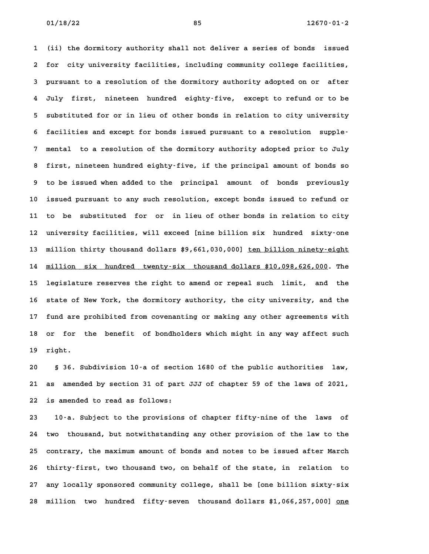**1 (ii) the dormitory authority shall not deliver a series of bonds issued 2 for city university facilities, including community college facilities, 3 pursuant to a resolution of the dormitory authority adopted on or after 4 July first, nineteen hundred eighty-five, except to refund or to be 5 substituted for or in lieu of other bonds in relation to city university 6 facilities and except for bonds issued pursuant to a resolution supple-7 mental to a resolution of the dormitory authority adopted prior to July 8 first, nineteen hundred eighty-five, if the principal amount of bonds so 9 to be issued when added to the principal amount of bonds previously 10 issued pursuant to any such resolution, except bonds issued to refund or 11 to be substituted for or in lieu of other bonds in relation to city 12 university facilities, will exceed [nine billion six hundred sixty-one** 12 university facilities, will exceed [nine billion six hundred sixty–one<br>13 million thirty thousand dollars \$9,661,030,000] <u>ten billion ninety–eight</u> 13 million thirty thousand dollars \$9,661,030,000] <u>ten billion ninety–eight</u><br>14 <u>million six hundred twenty-six thousand dollars \$10,098,626,000</u>. The 14 million six hundred twenty-six thousand dollars \$10,098,626,000. The<br>15 legislature reserves the right to amend or repeal such limit, and the 15 legislature reserves the right to amend or repeal such limit, and the<br>16 state of New York, the dormitory authority, the city university, and the **17 fund are prohibited from covenanting or making any other agreements with 18 or for the benefit of bondholders which might in any way affect such 19 right. 20 § 36. Subdivision 10-a of section 1680 of the public authorities law,**

**21 as amended by section 31 of part JJJ of chapter 59 of the laws of 2021, 22 is amended to read as follows: 23 10-a. Subject to the provisions of chapter fifty-nine of the laws of**

**24 two thousand, but notwithstanding any other provision of the law to the 25 contrary, the maximum amount of bonds and notes to be issued after March 26 thirty-first, two thousand two, on behalf of the state, in relation to 27 any locally sponsored community college, shall be [one billion sixty-six 28 million two hundred fifty-seven thousand dollars \$1,066,257,000] one \_\_\_**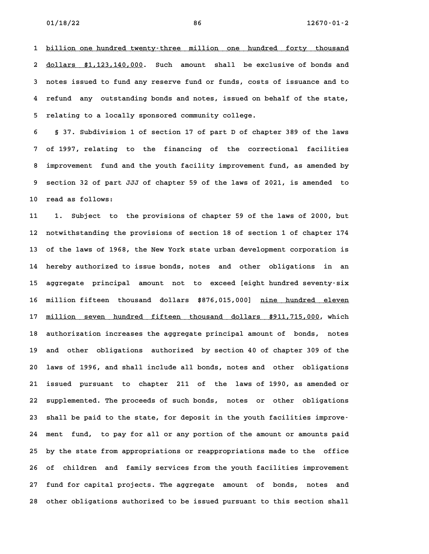**1 billion one hundred twenty-three million one hundred forty thousand \_\_\_\_\_\_\_\_\_\_\_\_\_\_\_\_\_\_\_\_\_\_\_\_\_\_\_\_\_\_\_\_\_\_\_\_\_\_\_\_\_\_\_\_\_\_\_\_\_\_\_\_\_\_\_\_\_\_\_\_\_\_\_\_\_\_\_\_\_\_\_\_** 1 <u>billion one hundred twenty–three million one hundred forty thousand</u><br>2 <u>dollars \$1,123,140,000</u>. Such amount shall be exclusive of bonds and **3 notes issued to fund any reserve fund or funds, costs of issuance and to 4 refund any outstanding bonds and notes, issued on behalf of the state, 5 relating to a locally sponsored community college.**

**6 § 37. Subdivision 1 of section 17 of part D of chapter 389 of the laws 7 of 1997, relating to the financing of the correctional facilities 8 improvement fund and the youth facility improvement fund, as amended by 9 section 32 of part JJJ of chapter 59 of the laws of 2021, is amended to** 9 section 32 of part JJJ of chapter 59 of the laws of 2021, is amended to<br>10 read as follows:

**11 1. Subject to the provisions of chapter 59 of the laws of 2000, but 12 notwithstanding the provisions of section 18 of section 1 of chapter 174 13 of the laws of 1968, the New York state urban development corporation is 14 hereby authorized to issue bonds, notes and other obligations in an 15 aggregate principal amount not to exceed [eight hundred seventy-six** 15 aggregate principal amount not to exceed-[eight-hundred-seventy-six<br>16 million-fifteen thousand dollars \$876,015,000] <u>nine hundred eleven</u> 16 million fifteen thousand dollars \$876,015,000] <u>nine hundred eleven</u><br>17 <u>million seven hundred fifteen thousand dollars \$911,715,000</u>, which 17 <u>million seven hundred fifteen thousand dollars \$911,715,000</u>, which<br>18 authorization increases the aggregate principal amount of bonds, notes 18 authorization increases the aggregate principal amount of bonds, notes<br>19 and other obligations authorized by section 40 of chapter 309 of the **20 laws of 1996, and shall include all bonds, notes and other obligations 21 issued pursuant to chapter 211 of the laws of 1990, as amended or 22 supplemented. The proceeds of such bonds, notes or other obligations** 22 supplemented. The proceeds of such bonds, notes or other obligations<br>
23 shall be paid to the state, for deposit in the youth facilities improve-**24 ment fund, to pay for all or any portion of the amount or amounts paid 25 by the state from appropriations or reappropriations made to the office 26 of children and family services from the youth facilities improvement 27 fund for capital projects. The aggregate amount of bonds, notes and 28 other obligations authorized to be issued pursuant to this section shall**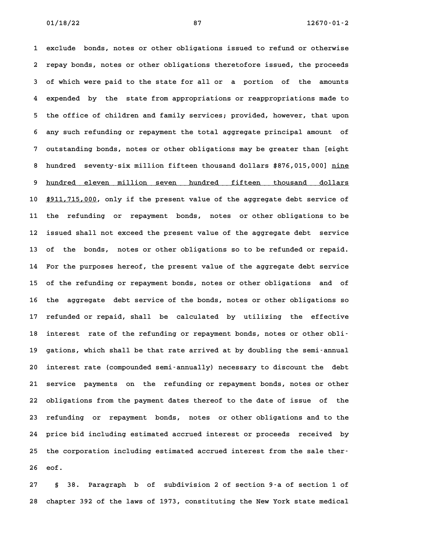**1 exclude bonds, notes or other obligations issued to refund or otherwise 2 repay bonds, notes or other obligations theretofore issued, the proceeds 3 of which were paid to the state for all or a portion of the amounts 4 expended by the state from appropriations or reappropriations made to 5 the office of children and family services; provided, however, that upon 6 any such refunding or repayment the total aggregate principal amount of 7 outstanding bonds, notes or other obligations may be greater than [eight** 8 outstanding bonds, notes or other obligations may be greater than [eight<br>**8 hundred seventy-six million fifteen thousand dollars \$876,015,000] <u>nine</u>** 8 hundred seventy–six-million-fifteen-thousand-dollars-\$876,015,000] <u>nine</u><br>9 <u>hundred eleven million seven hundred fifteen thousand dollars</u> 9 <u>hundred eleven million seven hundred fifteen thousand dollars</u><br>10 <u>\$911,715,000</u>, only if the present value of the aggregate debt service of **11 the refunding or repayment bonds, notes or other obligations to be 12 issued shall not exceed the present value of the aggregate debt service 13 of the bonds, notes or other obligations so to be refunded or repaid. 14 For the purposes hereof, the present value of the aggregate debt service 15 of the refunding or repayment bonds, notes or other obligations and of** 15 of the refunding or repayment bonds, notes or other obligations and of<br>16 the aggregate debt service of the bonds, notes or other obligations so **17 refunded or repaid, shall be calculated by utilizing the effective** 17 refunded or repaid, shall be calculated by utilizing the effective<br>18 interest rate of the refunding or repayment bonds, notes or other obli-18 interest rate of the refunding or repayment bonds, notes or other obli-<br>19 gations, which shall be that rate arrived at by doubling the semi-annual **20 interest rate (compounded semi-annually) necessary to discount the debt 21 service payments on the refunding or repayment bonds, notes or other 22 obligations from the payment dates thereof to the date of issue of the 23 refunding or repayment bonds, notes or other obligations and to the 24 price bid including estimated accrued interest or proceeds received by** 24 price bid including estimated accrued interest or proceeds received by<br>25 the corporation including estimated accrued interest from the sale ther-25 the corporation including estimated accrued interest from the sale ther-<br>26 eof.

**27 § 38. Paragraph b of subdivision 2 of section 9-a of section 1 of 28 chapter 392 of the laws of 1973, constituting the New York state medical**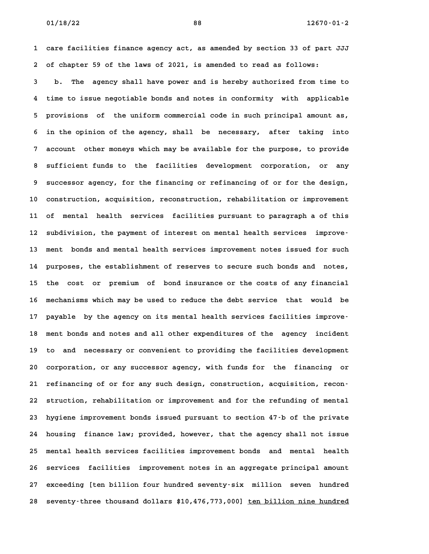**1 care facilities finance agency act, as amended by section 33 of part JJJ 2 of chapter 59 of the laws of 2021, is amended to read as follows:**

**3 b. The agency shall have power and is hereby authorized from time to 4 time to issue negotiable bonds and notes in conformity with applicable 5 provisions of the uniform commercial code in such principal amount as, 6 in the opinion of the agency, shall be necessary, after taking into 7 account other moneys which may be available for the purpose, to provide 8 sufficient funds to the facilities development corporation, or any** 8 sufficient funds to the facilities development corporation, or any<br>9 successor agency, for the financing or refinancing of or for the design, **10 construction, acquisition, reconstruction, rehabilitation or improvement 11 of mental health services facilities pursuant to paragraph a of this** 11 of mental health services facilities pursuant to paragraph a of this<br>12 subdivision, the payment of interest on mental health services improve-12 subdivision, the payment of interest on mental health services improve<sup>1</sup><br>13 ment bonds and mental health services improvement notes issued for such **14 purposes, the establishment of reserves to secure such bonds and notes, 15 the cost or premium of bond insurance or the costs of any financial 16 mechanisms which may be used to reduce the debt service that would be** 16 mechanisms which may be used to reduce the debt service that would be<br>17 payable by the agency on its mental health services facilities improve-**18 ment bonds and notes and all other expenditures of the agency incident** 18 ment bonds and notes and all other expenditures of the agency incident<br>19 to and necessary or convenient to providing the facilities development **20 corporation, or any successor agency, with funds for the financing or 21 refinancing of or for any such design, construction, acquisition, recon-22 struction, rehabilitation or improvement and for the refunding of mental 23 hygiene improvement bonds issued pursuant to section 47-b of the private 24 housing finance law; provided, however, that the agency shall not issue 25 mental health services facilities improvement bonds and mental health** 25 mental health services facilities improvement bonds and mental health<br>26 services facilities improvement notes in an aggregate principal amount **27 exceeding [ten billion four hundred seventy-six million seven hundred 28 seventy-three thousand dollars \$10,476,773,000] ten billion nine hundred \_\_\_\_\_\_\_\_\_\_\_\_\_\_\_\_\_\_\_\_\_\_\_\_**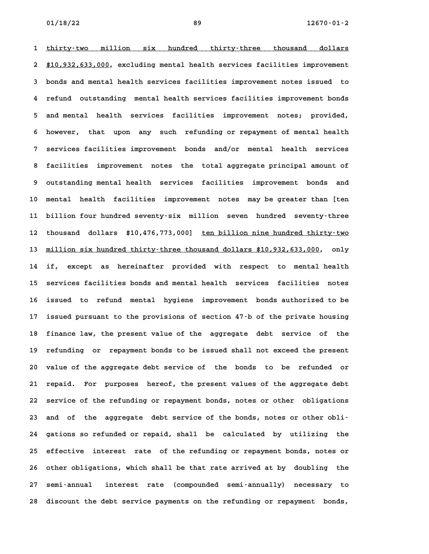1 thirty-two million six hundred thirty-three thousand dollars 1 <u>thirty–two million six hundred thirty–three thousand dollars</u><br>2 <u>\$10,932,633,000</u>, excluding\_mental\_health\_services\_facilities\_improvement **3 bonds and mental health services facilities improvement notes issued to 4 refund outstanding mental health services facilities improvement bonds 5 and mental health services facilities improvement notes; provided, 6 however, that upon any such refunding or repayment of mental health 7 services facilities improvement bonds and/or mental health services 8 facilities improvement notes the total aggregate principal amount of 9 outstanding mental health services facilities improvement bonds and 10 mental health facilities improvement notes may be greater than [ten 11 billion four hundred seventy-six million seven hundred seventy-three** 11 billion four hundred seventy-six million seven hundred seventy-three<br>12 thousand dollars \$10,476,773,000] <u>ten billion nine hundred thirty-two</u> thousand dollars \$10,476,773,000] <u>ten billion nine hundred thirty-two</u><br>13 <u>million six hundred thirty-three thousand dollars \$10,932,633,000</u>, only **14 if, except as hereinafter provided with respect to mental health 15 services facilities bonds and mental health services facilities notes** 15 services facilities bonds and mental health services facilities notes<br>16 issued to refund mental hygiene improvement bonds authorized to be 16 issued to refund mental hygiene improvement bonds authorized to be<br>17 issued pursuant to the provisions of section 47-b of the private housing 17 issued pursuant to the provisions of section 47<sup>-</sup>b of the private housing<br>18 finance law, the present value of the aggregate debt service of the 18 finance law, the present value of the aggregate debt service of the<br>19 refunding or repayment bonds to be issued shall not exceed the present **20 value of the aggregate debt service of the bonds to be refunded or 21 repaid. For purposes hereof, the present values of the aggregate debt 22 service of the refunding or repayment bonds, notes or other obligations** 22 service of the refunding or repayment bonds, notes or other obligations<br>
23 and of the aggregate debt service of the bonds, notes or other obli-**24 gations so refunded or repaid, shall be calculated by utilizing the 25 effective interest rate of the refunding or repayment bonds, notes or 26 other obligations, which shall be that rate arrived at by doubling the 27 semi-annual interest rate (compounded semi-annually) necessary to 28 discount the debt service payments on the refunding or repayment bonds,**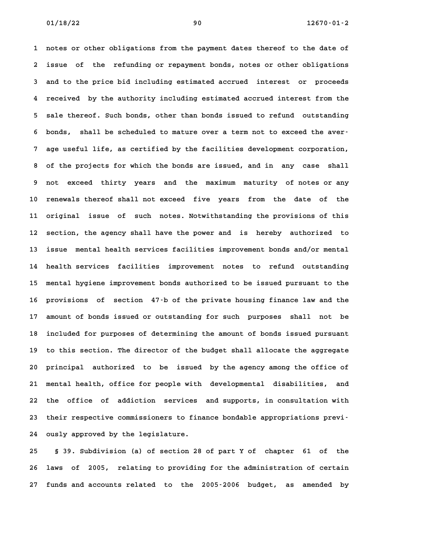**1 notes or other obligations from the payment dates thereof to the date of 2 issue of the refunding or repayment bonds, notes or other obligations 3 and to the price bid including estimated accrued interest or proceeds 4 received by the authority including estimated accrued interest from the 5 sale thereof. Such bonds, other than bonds issued to refund outstanding** 5 sale thereof. Such bonds, other than bonds issued to refund outstanding<br>6 bonds, shall be scheduled to mature over a term not to exceed the aver-**7 age useful life, as certified by the facilities development corporation, 8 of the projects for which the bonds are issued, and in any case shall 9 not exceed thirty years and the maximum maturity of notes or any** 9 not exceed thirty years and the maximum maturity of notes or any<br>10 renewals thereof shall not exceed five years from the date of the **11 original issue of such notes. Notwithstanding the provisions of this 12 section, the agency shall have the power and is hereby authorized to 13 issue mental health services facilities improvement bonds and/or mental 14 health services facilities improvement notes to refund outstanding 15 mental hygiene improvement bonds authorized to be issued pursuant to the** 15 mental hygiene improvement bonds authorized to be issued pursuant to the<br>16 provisions of section 47-b of the private housing finance law and the **17 amount of bonds issued or outstanding for such purposes shall not be 18 included for purposes of determining the amount of bonds issued pursuant 19 to this section. The director of the budget shall allocate the aggregate 20 principal authorized to be issued by the agency among the office of 21 mental health, office for people with developmental disabilities, and 22 the office of addiction services and supports, in consultation with** 22 the office of addiction services and supports, in consultation with<br>23 their respective commissioners to finance bondable appropriations previ<sup>-</sup> **24 ously approved by the legislature. 25 § 39. Subdivision (a) of section 28 of part Y of chapter 61 of the**

**26 laws of 2005, relating to providing for the administration of certain 27 funds and accounts related to the 2005-2006 budget, as amended by**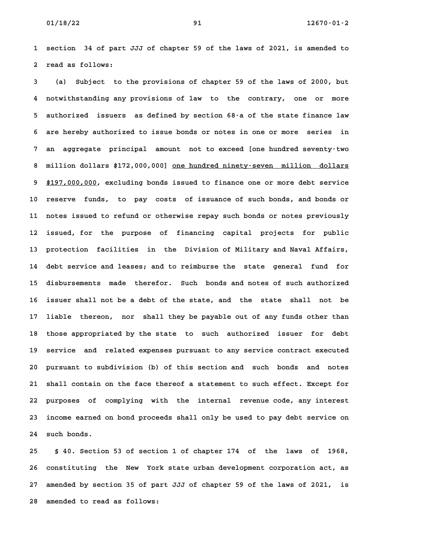**1 section 34 of part JJJ of chapter 59 of the laws of 2021, is amended to 2 read as follows: 3 (a) Subject to the provisions of chapter 59 of the laws of 2000, but**

**4 notwithstanding any provisions of law to the contrary, one or more 5 authorized issuers as defined by section 68-a of the state finance law 6 are hereby authorized to issue bonds or notes in one or more series in 7 an aggregate principal amount not to exceed [one hundred seventy-two** 8 million dollars \$172,000,000] <u>one hundred ninety-seven million dollars</u><br>8 million dollars \$172,000,000] <u>one hundred ninety-seven million dollars</u> 8 million dollars \$172,000,000] <u>one hundred ninety–seven million dollars</u><br>9 <u>\$197,000,000</u>, excluding bonds issued to finance one or more debt service **10 reserve funds, to pay costs of issuance of such bonds, and bonds or 11 notes issued to refund or otherwise repay such bonds or notes previously** 11 notes issued to refund or otherwise repay such bonds or notes previously<br>12 issued, for the purpose of financing capital projects for public **13 protection facilities in the Division of Military and Naval Affairs, 14 debt service and leases; and to reimburse the state general fund for 15 disbursements made therefor. Such bonds and notes of such authorized 16 issuer shall not be a debt of the state, and the state shall not be 17 liable thereon, nor shall they be payable out of any funds other than** 17 liable thereon, nor shall they be payable out of any funds other than<br>18 those appropriated by the state to such authorized issuer for debt 18 those appropriated by the state to such authorized issuer for debt<br>19 service and related expenses pursuant to any service contract executed **20 pursuant to subdivision (b) of this section and such bonds and notes 21 shall contain on the face thereof a statement to such effect. Except for 22 purposes of complying with the internal revenue code, any interest 23 income earned on bond proceeds shall only be used to pay debt service on 24 such bonds. 25 § 40. Section 53 of section 1 of chapter 174 of the laws of 1968,**

**26 constituting the New York state urban development corporation act, as 27 amended by section 35 of part JJJ of chapter 59 of the laws of 2021, is 28 amended to read as follows:**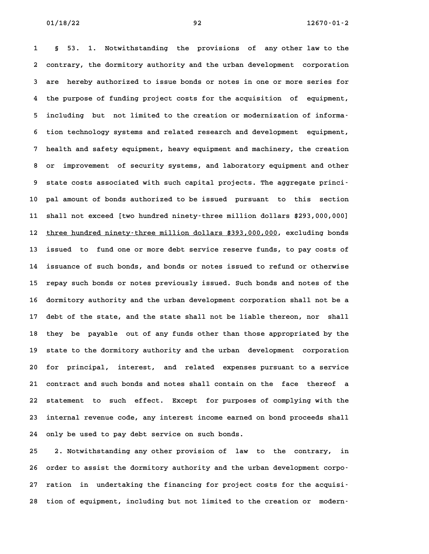**1 § 53. 1. Notwithstanding the provisions of any other law to the 2 contrary, the dormitory authority and the urban development corporation 3 are hereby authorized to issue bonds or notes in one or more series for 4 the purpose of funding project costs for the acquisition of equipment,** 4 the purpose of funding project costs for the acquisition of equipment,<br>5 including but not limited to the creation or modernization of informa-**6 tion technology systems and related research and development equipment, 7 health and safety equipment, heavy equipment and machinery, the creation 8 or improvement of security systems, and laboratory equipment and other** 8 or improvement of security systems, and laboratory equipment and other<br>9 state costs associated with such capital projects. The aggregate princi-**10 pal amount of bonds authorized to be issued pursuant to this section 11 shall not exceed [two hundred ninety-three million dollars \$293,000,000]** 11 shall not exceed [two hundred ninety–three million dollars \$293,000,000]<br>12 <u>three hundred ninety–three million dollars \$393,000,000</u>, excluding bonds 12 <u>three hundred ninety–three million dollars \$393,000,000</u>, excluding bonds<br>13 issued to fund one or more debt service reserve funds, to pay costs of **14 issuance of such bonds, and bonds or notes issued to refund or otherwise** 14 issuance of such bonds, and bonds or notes issued to refund or otherwise<br>15 repay such bonds or notes previously issued. Such bonds and notes of the **16 dormitory authority and the urban development corporation shall not be a** 16 dormitory authority and the urban development corporation shall not be a<br>17 debt of the state, and the state shall not be liable thereon, nor shall 17 debt of the state, and the state shall not be liable thereon, nor shall<br>18 they be payable out of any funds other than those appropriated by the **19 state to the dormitory authority and the urban development corporation 20 for principal, interest, and related expenses pursuant to a service 21 contract and such bonds and notes shall contain on the face thereof a 22 statement to such effect. Except for purposes of complying with the 23 internal revenue code, any interest income earned on bond proceeds shall** 23 internal revenue code, any interest income earned on bond proceeds shall<br>24 only be used to pay debt service on such bonds.

**25 2. Notwithstanding any other provision of law to the contrary, in** 25 2. Notwithstanding any other provision of law to the contrary, in<br>26 order to assist the dormitory authority and the urban development corpo-**27 ration in undertaking the financing for project costs for the acquisi-**27 ration in undertaking the financing for project costs for the acquisi-<br>28 tion of equipment, including but not limited to the creation or modern-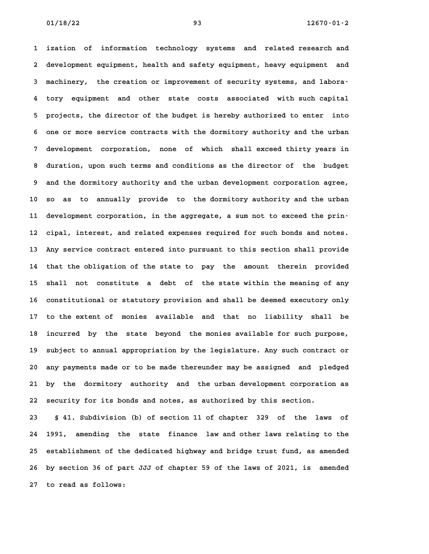**1 ization of information technology systems and related research and 2 development equipment, health and safety equipment, heavy equipment and 3 machinery, the creation or improvement of security systems, and labora-4 tory equipment and other state costs associated with such capital 5 projects, the director of the budget is hereby authorized to enter into 6 one or more service contracts with the dormitory authority and the urban 7 development corporation, none of which shall exceed thirty years in 8 duration, upon such terms and conditions as the director of the budget 9 and the dormitory authority and the urban development corporation agree, 10 so as to annually provide to the dormitory authority and the urban 11 development corporation, in the aggregate, a sum not to exceed the prin-12 cipal, interest, and related expenses required for such bonds and notes. 13 Any service contract entered into pursuant to this section shall provide 14 that the obligation of the state to pay the amount therein provided 15 shall not constitute a debt of the state within the meaning of any** 15 shall not constitute a debt of the state within the meaning of any<br>16 constitutional or statutory provision and shall be deemed executory only **17 to the extent of monies available and that no liability shall be 18 incurred by the state beyond the monies available for such purpose,** 18 incurred by the state beyond the monies available for such purpose,<br>19 subject to annual appropriation by the legislature. Any such contract or **20 any payments made or to be made thereunder may be assigned and pledged 21 by the dormitory authority and the urban development corporation as 22 security for its bonds and notes, as authorized by this section. 23 § 41. Subdivision (b) of section 11 of chapter 329 of the laws of**

**24 1991, amending the state finance law and other laws relating to the 25 establishment of the dedicated highway and bridge trust fund, as amended 26 by section 36 of part JJJ of chapter 59 of the laws of 2021, is amended 27 to read as follows:**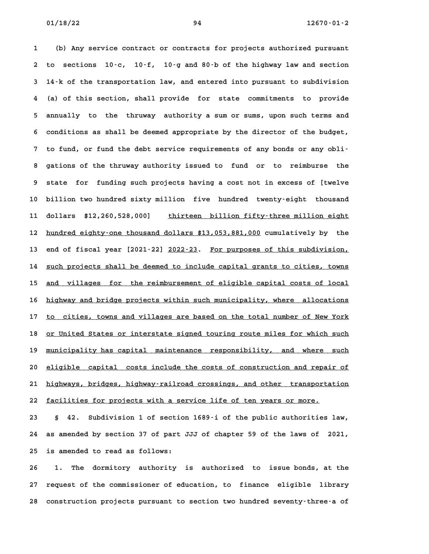**1 (b) Any service contract or contracts for projects authorized pursuant 2 to sections 10-c, 10-f, 10-g and 80-b of the highway law and section 3 14-k of the transportation law, and entered into pursuant to subdivision 4 (a) of this section, shall provide for state commitments to provide 5 annually to the thruway authority a sum or sums, upon such terms and 6 conditions as shall be deemed appropriate by the director of the budget, 7 to fund, or fund the debt service requirements of any bonds or any obli-8 gations of the thruway authority issued to fund or to reimburse the 9 state for funding such projects having a cost not in excess of [twelve 10 billion two hundred sixty million five hundred twenty-eight thousand** 10 billion two hundred sixty million five hundred twenty–eight thousand<br>11 dollars \$12,260,528,000] <u>thirteen billion fifty–three million eight</u> **11** dollars \$12,260,528,000] <u>thirteen billion fifty-three million eight</u><br>12 <u>hundred eighty-one thousand dollars \$13,053,881,000</u> cumulatively by the 12 <u>hundred eighty-one thousand dollars \$13,053,881,000</u> cumulatively by the<br>13 end of fiscal year [2021–22] <u>2022–23</u>. For purposes of this subdivision, 13 end of fiscal year [2021–22] <u>2022–23</u>. <u>For purposes of this subdivision,</u><br>14 <u>such projects shall be deemed to include capital grants to cities, towns</u> 14 <u>such projects shall be deemed to include capital grants to cities, towns</u><br>15 <u>and villages for the reimbursement of eligible capital costs of local</u> 15 <u>and villages for the reimbursement of eligible capital costs of local</u><br>16 <u>highway and bridge projects within such municipality, where allocations</u> 16 <u>highway and bridge projects within such municipality, where allocations</u><br>17 <u>to cities, towns and villages are based on the total number of New York</u> 17 <u>to cities, towns and villages are based on the total number of New York</u><br>18 <u>or United States or interstate signed touring route miles for which such</u> 18 <u>or United States or interstate signed touring route miles for which such</u><br>19 <u>municipality has capital maintenance responsibility, and where such</u> 19 <u>municipality has capital maintenance responsibility, and where such</u><br>20 <u>eligible capital costs include the costs of construction and repair of</u> 20 <u>eligible capital costs include the costs of construction and repair of</u><br>21 <u>highways, bridges, highway–railroad crossings, and other transportation</u> 21 <u>highways, bridges, highway-railroad crossings, and other transporta</u><br>22 <u>facilities for projects with a service life of ten years or more.</u>

**23 § 42. Subdivision 1 of section 1689-i of the public authorities law, 24 as amended by section 37 of part JJJ of chapter 59 of the laws of 2021, 25 is amended to read as follows:**

**26 1. The dormitory authority is authorized to issue bonds, at the 27 request of the commissioner of education, to finance eligible library 28 construction projects pursuant to section two hundred seventy-three-a of**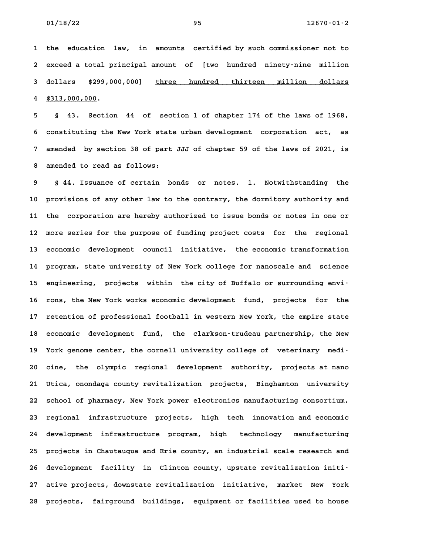**1 the education law, in amounts certified by such commissioner not to 2 exceed a total principal amount of [two hundred ninety-nine million 2** exceed a total principal amount of [two hundred ninety-nine million<br>3 dollars \$299,000,000] <u>three hundred thirteen million dollars</u> **4 \$313,000,000. \_\_\_\_\_\_\_\_\_\_\_\_**

**5 § 43. Section 44 of section 1 of chapter 174 of the laws of 1968, 6 constituting the New York state urban development corporation act, as 7 amended by section 38 of part JJJ of chapter 59 of the laws of 2021, is 8 amended to read as follows: 9 § 44. Issuance of certain bonds or notes. 1. Notwithstanding the**

**10 provisions of any other law to the contrary, the dormitory authority and 11 the corporation are hereby authorized to issue bonds or notes in one or 12 more series for the purpose of funding project costs for the regional 13 economic development council initiative, the economic transformation 14 program, state university of New York college for nanoscale and science** 14 program, state university of New York college for nanoscale and science<br>15 engineering, projects within the city of Buffalo or surrounding envi<sup>.</sup> 15 engineering, projects within the city of Buffalo or surrounding envi<sup>.</sup><br>16 rons, the New York works economic development fund, projects for the **17 retention of professional football in western New York, the empire state** 17 retention of professional football in western New York, the empire state<br>18 economic development fund, the clarkson-trudeau partnership, the New 18 economic development fund, the clarkson-trudeau partnership, the New<br>19 York genome center, the cornell university college of veterinary medi-**20 cine, the olympic regional development authority, projects at nano 21 Utica, onondaga county revitalization projects, Binghamton university 22 school of pharmacy, New York power electronics manufacturing consortium, 23 regional infrastructure projects, high tech innovation and economic 24 development infrastructure program, high technology manufacturing 25 projects in Chautauqua and Erie county, an industrial scale research and** 25 projects in Chautauqua and Erie county, an industrial scale research and<br>26 development facility in Clinton county, upstate revitalization initi<sup></sup> 26 development facility in Clinton county, upstate revitalization initi-<br>27 ative projects, downstate revitalization initiative, market New York **28 projects, fairground buildings, equipment or facilities used to house**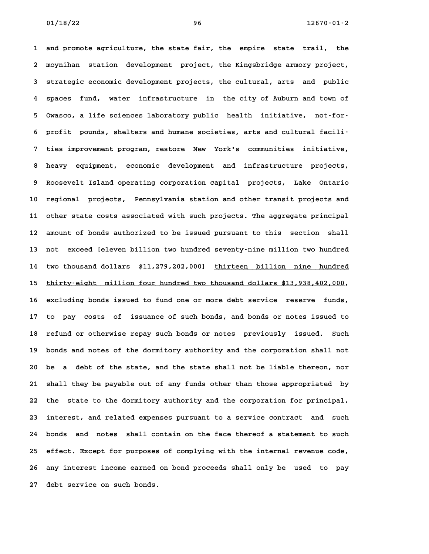**1 and promote agriculture, the state fair, the empire state trail, the 2 moynihan station development project, the Kingsbridge armory project,** 2 moynihan station development project, the Kingsbridge armory project,<br>3 strategic economic development projects, the cultural, arts and public **4 spaces fund, water infrastructure in the city of Auburn and town of 5 Owasco, a life sciences laboratory public health initiative, not-for-**5 Owasco, a life sciences laboratory public health initiative, not-for-<br>6 profit pounds, shelters and humane societies, arts and cultural facili-**7 ties improvement program, restore New York's communities initiative, 8 heavy equipment, economic development and infrastructure projects, 9 Roosevelt Island operating corporation capital projects, Lake Ontario 10 regional projects, Pennsylvania station and other transit projects and 11 other state costs associated with such projects. The aggregate principal** 11 other state costs associated with such projects. The aggregate principal<br>12 amount of bonds authorized to be issued pursuant to this section shall **13 not exceed [eleven billion two hundred seventy-nine million two hundred** 13 not exceed [eleven billion two hundred seventy–nine million two hundred<br>14 two thousand dollars \$11,279,202,000] <u>thirteen billion nine hundred</u> 14 two thousand dollars \$11,279,202,000] <u>thirteen billion nine hundred</u><br>15 <u>thirty-eight million four hundred two thousand dollars \$13,938,402,000</u>, **16 excluding bonds issued to fund one or more debt service reserve funds, 17 to pay costs of issuance of such bonds, and bonds or notes issued to** 17 to pay costs of issuance of such bonds, and bonds or notes issued to<br>18 refund or otherwise repay such bonds or notes previously issued. Such **19 bonds and notes of the dormitory authority and the corporation shall not 20 be a debt of the state, and the state shall not be liable thereon, nor 21 shall they be payable out of any funds other than those appropriated by 22 the state to the dormitory authority and the corporation for principal, 23 interest, and related expenses pursuant to a service contract and such 24 bonds and notes shall contain on the face thereof a statement to such 25 effect. Except for purposes of complying with the internal revenue code, 26 any interest income earned on bond proceeds shall only be used to pay** 26 any interest income earned on bond proceeds shall only be used to pay<br>27 debt service on such bonds.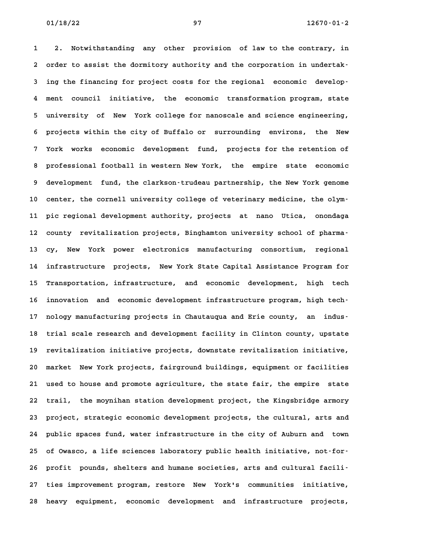**1 2. Notwithstanding any other provision of law to the contrary, in** 1 2. Notwithstanding any other provision of law to the contrary, in<br>2 order to assist the dormitory authority and the corporation in undertak-**3 ing the financing for project costs for the regional economic develop-4 ment council initiative, the economic transformation program, state 5 university of New York college for nanoscale and science engineering, 6 projects within the city of Buffalo or surrounding environs, the New 7 York works economic development fund, projects for the retention of 8 professional football in western New York, the empire state economic 9 development fund, the clarkson-trudeau partnership, the New York genome** 9 development fund, the clarkson-trudeau partnership, the New York genome<br>10 center, the cornell university college of veterinary medicine, the olym-**11 pic regional development authority, projects at nano Utica, onondaga** 11 pic regional development authority, projects at nano Utica, onondaga<br>12 county revitalization projects, Binghamton university school of pharma-12 county revitalization projects, Binghamton university school of pharma<sup>.</sup><br>13 cy, New York power electronics manufacturing consortium, regional **14 infrastructure projects, New York State Capital Assistance Program for 15 Transportation, infrastructure, and economic development, high tech** 15 Transportation, infrastructure, and economic development, high tech<br>16 innovation and economic development infrastructure program, high tech-16 innovation and economic development infrastructure program, high tech-<br>17 nology manufacturing projects in Chautauqua and Erie county, an indus-17 nology manufacturing projects in Chautauqua and Erie county, an indus<sup>.</sup><br>18 trial scale research and development facility in Clinton county, upstate 18 trial scale research and development facility in Clinton county, upstate<br>19 revitalization initiative projects, downstate revitalization initiative, **20 market New York projects, fairground buildings, equipment or facilities 21 used to house and promote agriculture, the state fair, the empire state 22 trail, the moynihan station development project, the Kingsbridge armory** 22 trail, the moynihan station development project, the Kingsbridge armory<br>23 project, strategic economic development projects, the cultural, arts and **24 public spaces fund, water infrastructure in the city of Auburn and town 25 of Owasco, a life sciences laboratory public health initiative, not-for-**25 of Owasco, a life sciences laboratory public health initiative, not-for-<br>26 profit pounds, shelters and humane societies, arts and cultural facili-**27 ties improvement program, restore New York's communities initiative, 28 heavy equipment, economic development and infrastructure projects,**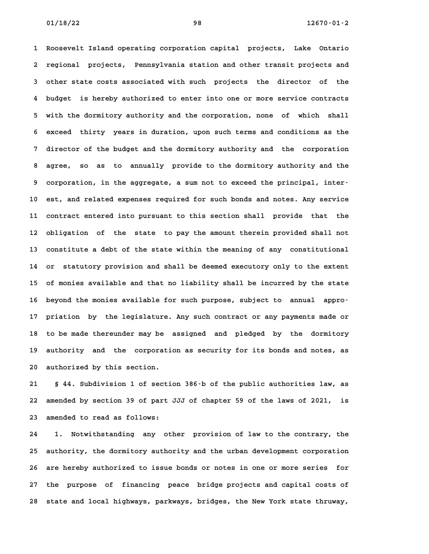**1 Roosevelt Island operating corporation capital projects, Lake Ontario 2 regional projects, Pennsylvania station and other transit projects and 3 other state costs associated with such projects the director of the 4 budget is hereby authorized to enter into one or more service contracts 5 with the dormitory authority and the corporation, none of which shall 6 exceed thirty years in duration, upon such terms and conditions as the 7 director of the budget and the dormitory authority and the corporation 8 agree, so as to annually provide to the dormitory authority and the** 8 agree, so as to annually provide to the dormitory authority and the<br>9 corporation, in the aggregate, a sum not to exceed the principal, inter-**10 est, and related expenses required for such bonds and notes. Any service 11 contract entered into pursuant to this section shall provide that the 12 obligation of the state to pay the amount therein provided shall not 13 constitute a debt of the state within the meaning of any constitutional 14 or statutory provision and shall be deemed executory only to the extent 15 of monies available and that no liability shall be incurred by the state** 15 of monies available and that no liability shall be incurred by the state<br>16 beyond the monies available for such purpose, subject to annual appro-**17 priation by the legislature. Any such contract or any payments made or** 17 priation by the legislature. Any such contract or any payments made or<br>18 to be made thereunder may be assigned and pledged by the dormitory **19 authority and the corporation as security for its bonds and notes, as** 19 authority and the corporation as security for its bonds and notes, as<br>20 authorized by this section.

**21 § 44. Subdivision 1 of section 386-b of the public authorities law, as 22 amended by section 39 of part JJJ of chapter 59 of the laws of 2021, is 23 amended to read as follows: 24 1. Notwithstanding any other provision of law to the contrary, the**

**25 authority, the dormitory authority and the urban development corporation** 25 authority, the dormitory authority and the urban development corporation<br>26 are hereby authorized to issue bonds or notes in one or more series for **27 the purpose of financing peace bridge projects and capital costs of 28 state and local highways, parkways, bridges, the New York state thruway,**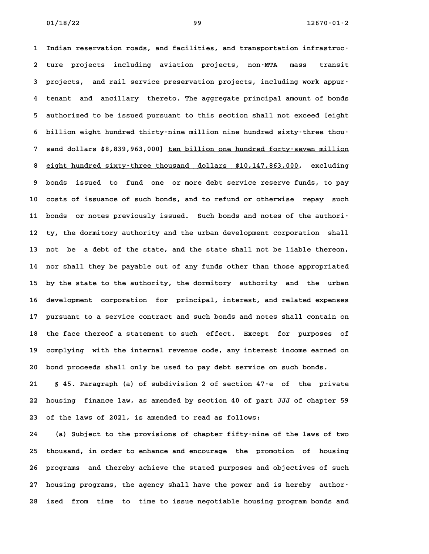**1 Indian reservation roads, and facilities, and transportation infrastruc-2 ture projects including aviation projects, non-MTA mass transit** 2 ture projects including aviation projects, non-MTA mass transit<br>3 projects, and rail service-preservation-projects, including-work-appur-**4 tenant and ancillary thereto. The aggregate principal amount of bonds 5 authorized to be issued pursuant to this section shall not exceed [eight 6 billion eight hundred thirty-nine million nine hundred sixty-three thou-6** billion eight hundred thirty–nine million nine hundred sixty–three thou–<br>7 sand dollars \$8,839,963,000] <u>ten billion one hundred forty–seven million</u> 8 sand dollars \$8,839,963,000] <u>ten billion one hundred forty–seven million</u><br>8 <u>eight hundred sixty–three thousand dollars \$10,147,863,000</u>, excluding **9 bonds issued to fund one or more debt service reserve funds, to pay 10 costs of issuance of such bonds, and to refund or otherwise repay such** 10 costs of issuance of such bonds, and to refund or otherwise repay such<br>11 bonds or notes previously issued. Such bonds and notes of the authori<sup>-</sup> 11 bonds or notes previously issued. Such bonds and notes of the authori-<br>12 ty, the dormitory authority and the urban development corporation shall **13 not be a debt of the state, and the state shall not be liable thereon, 14 nor shall they be payable out of any funds other than those appropriated 15 by the state to the authority, the dormitory authority and the urban 16 development corporation for principal, interest, and related expenses 17 pursuant to a service contract and such bonds and notes shall contain on 18 the face thereof a statement to such effect. Except for purposes of 19 complying with the internal revenue code, any interest income earned on** 19 complying with the internal revenue code, any interest income earned on<br>20 bond proceeds shall only be used to pay debt service on such bonds.

**21 § 45. Paragraph (a) of subdivision 2 of section 47-e of the private 22 housing finance law, as amended by section 40 of part JJJ of chapter 59 23 of the laws of 2021, is amended to read as follows:**

**24 (a) Subject to the provisions of chapter fifty-nine of the laws of two 25 thousand, in order to enhance and encourage the promotion of housing** 25 thousand, in order to enhance and encourage the promotion of housing<br>26 programs and thereby achieve the stated purposes and objectives of such **27 housing programs, the agency shall have the power and is hereby author-28 ized from time to time to issue negotiable housing program bonds and**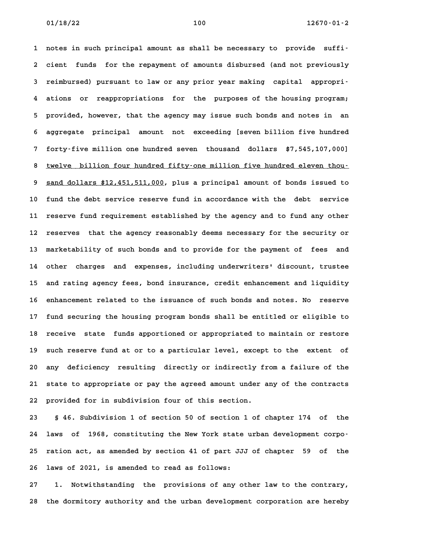**1 notes in such principal amount as shall be necessary to provide suffi-2 cient funds for the repayment of amounts disbursed (and not previously 3 reimbursed) pursuant to law or any prior year making capital appropri-4 ations or reappropriations for the purposes of the housing program; 5 provided, however, that the agency may issue such bonds and notes in an 6 aggregate principal amount not exceeding [seven billion five hundred 7 forty-five million one hundred seven thousand dollars \$7,545,107,000]** 8 twelver in turn one hundred seven thousand dollars \$7,545,107,000]<br>8 twelve billion four hundred fifty-one million five hundred eleven thou-**9** sand dollars \$12,451,511,000, plus a principal amount of bonds issued to **10 fund the debt service reserve fund in accordance with the debt service 11 reserve fund requirement established by the agency and to fund any other** 11 reserve fund requirement established by the agency and to fund any other<br>12 reserves that the agency reasonably deems necessary for the security or **13 marketability of such bonds and to provide for the payment of fees and 14 other charges and expenses, including underwriters' discount, trustee** 14 other charges and expenses, including underwriters' discount, trustee<br>15 and rating agency fees, bond insurance, credit enhancement and liquidity **16 enhancement related to the issuance of such bonds and notes. No reserve 17 fund securing the housing program bonds shall be entitled or eligible to** 17 fund securing the housing program bonds shall be entitled or eligible to<br>18 receive state funds apportioned or appropriated to maintain or restore 18 receive state funds apportioned or appropriated to maintain or restore<br>19 such reserve fund at or to a particular level, except to the extent of **20 any deficiency resulting directly or indirectly from a failure of the 21 state to appropriate or pay the agreed amount under any of the contracts 22 provided for in subdivision four of this section.**

**23 § 46. Subdivision 1 of section 50 of section 1 of chapter 174 of the 24 laws of 1968, constituting the New York state urban development corpo-25 ration act, as amended by section 41 of part JJJ of chapter 59 of the 26 laws of 2021, is amended to read as follows:**

**27 1. Notwithstanding the provisions of any other law to the contrary, 28 the dormitory authority and the urban development corporation are hereby**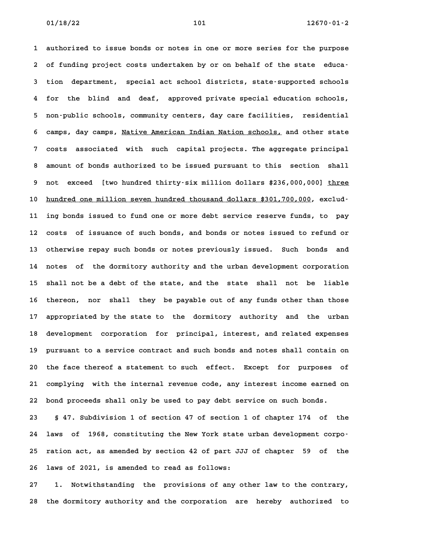**1 authorized to issue bonds or notes in one or more series for the purpose 2 of funding project costs undertaken by or on behalf of the state educa-3 tion department, special act school districts, state-supported schools 4 for the blind and deaf, approved private special education schools, 5 non-public schools, community centers, day care facilities, residential** 5 non-public schools, community centers, day care facilities, residential<br>6 camps, day camps, <u>Native American Indian Nation schools,</u> and other state **7 costs associated with such capital projects. The aggregate principal 8 amount of bonds authorized to be issued pursuant to this section shall** 8 amount of bonds authorized to be issued pursuant to this section shall<br>9 not exceed [two hundred thirty-six million dollars \$236,000,000] three 10 hundred one million seven hundred thousand dollars \$301,700,000, exclud-**11 ing bonds issued to fund one or more debt service reserve funds, to pay 12 costs of issuance of such bonds, and bonds or notes issued to refund or 13 otherwise repay such bonds or notes previously issued. Such bonds and 14 notes of the dormitory authority and the urban development corporation 15 shall not be a debt of the state, and the state shall not be liable** 15 shall not be a debt of the state, and the state shall not be liable<br>16 thereon, nor shall they be payable out of any funds other than those **17 appropriated by the state to the dormitory authority and the urban 18 development corporation for principal, interest, and related expenses** 18 development corporation for principal, interest, and related expenses<br>19 pursuant to a service contract and such bonds and notes shall contain on **20 the face thereof a statement to such effect. Except for purposes of 21 complying with the internal revenue code, any interest income earned on 22 bond proceeds shall only be used to pay debt service on such bonds.**

**23 § 47. Subdivision 1 of section 47 of section 1 of chapter 174 of the 24 laws of 1968, constituting the New York state urban development corpo-25 ration act, as amended by section 42 of part JJJ of chapter 59 of the 26 laws of 2021, is amended to read as follows: 27 1. Notwithstanding the provisions of any other law to the contrary,**

**28 the dormitory authority and the corporation are hereby authorized to**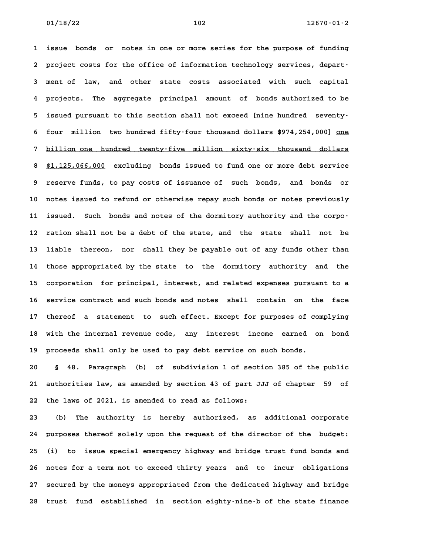**1 issue bonds or notes in one or more series for the purpose of funding** 1 issue bonds or notes in one or more series for the purpose of funding<br>2 project costs for the office of information technology services, depart-**3 ment of law, and other state costs associated with such capital 4 projects. The aggregate principal amount of bonds authorized to be 5 issued pursuant to this section shall not exceed [nine hundred seventy-**5 issued pursuant to this section shall not exceed [nine hundred seventy-<br>6 four million two hundred fifty-four thousand dollars \$974,254,000] <u>one</u> 6 four million two-hundred-fifty-four-thousand-dollars-\$974,254,000] <u>one</u><br>7 <u>billion one hundred twenty-five million sixty-six thousand dollars</u> 8 <u>\$1,125,066,000</u> excluding bonds issued to fund one or more debt service<br>**8 \$1,125,066,000** excluding bonds issued to fund one or more debt service **9 reserve funds, to pay costs of issuance of such bonds, and bonds or 10 notes issued to refund or otherwise repay such bonds or notes previously** 10 notes issued to refund or otherwise repay such bonds or notes previously<br>11 issued. Such bonds and notes of the dormitory authority and the corpo-**12 ration shall not be a debt of the state, and the state shall not be 13 liable thereon, nor shall they be payable out of any funds other than 14 those appropriated by the state to the dormitory authority and the** 14 those appropriated by the state to the dormitory authority and the<br>15 corporation for principal, interest, and related expenses pursuant to a 15 corporation for principal, interest, and related expenses pursuant to a<br>16 service contract and such bonds and notes shall contain on the face **17 thereof a statement to such effect. Except for purposes of complying 18 with the internal revenue code, any interest income earned on bond 19 proceeds shall only be used to pay debt service on such bonds. 20 § 48. Paragraph (b) of subdivision 1 of section 385 of the public**

**21 authorities law, as amended by section 43 of part JJJ of chapter 59 of 22 the laws of 2021, is amended to read as follows: 23 (b) The authority is hereby authorized, as additional corporate**

**24 purposes thereof solely upon the request of the director of the budget: 25 (i) to issue special emergency highway and bridge trust fund bonds and 26 notes for a term not to exceed thirty years and to incur obligations 27 secured by the moneys appropriated from the dedicated highway and bridge** 27 secured by the moneys appropriated from the dedicated highway and bridge<br>28 trust fund established in section eighty-nine-b of the state finance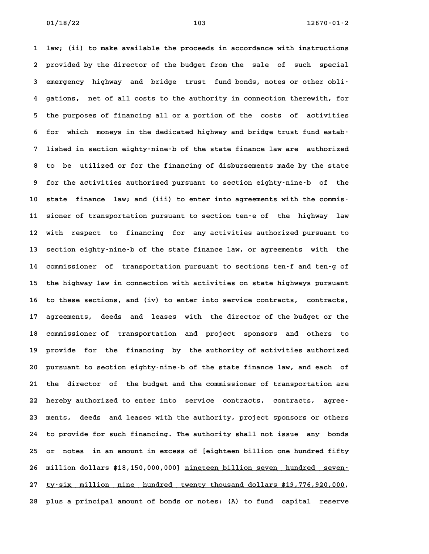**1 law; (ii) to make available the proceeds in accordance with instructions 2 provided by the director of the budget from the sale of such special 3 emergency highway and bridge trust fund bonds, notes or other obli-4 gations, net of all costs to the authority in connection therewith, for 5 the purposes of financing all or a portion of the costs of activities** 5 the purposes of financing all or a portion of the costs of activities<br>6 for which moneys in the dedicated highway and bridge trust fund estab-**7 lished in section eighty-nine-b of the state finance law are authorized 8 to be utilized or for the financing of disbursements made by the state 9 for the activities authorized pursuant to section eighty-nine-b of the 10 state finance law; and (iii) to enter into agreements with the commis-11 sioner of transportation pursuant to section ten-e of the highway law 12 with respect to financing for any activities authorized pursuant to 13 section eighty-nine-b of the state finance law, or agreements with the 14 commissioner of transportation pursuant to sections ten-f and ten-g of** 14 commissioner of transportation pursuant to sections ten-f and ten-g of<br>15 the highway law in connection with activities on state highways pursuant 15 the highway law in connection with activities on state highways pursuant<br>16 to these sections, and (iv) to enter into service contracts, contracts, **17 agreements, deeds and leases with the director of the budget or the 18 commissioner of transportation and project sponsors and others to** 18 commissioner of transportation and project sponsors and others to<br>19 provide for the financing by the authority of activities authorized **20 pursuant to section eighty-nine-b of the state finance law, and each of 21 the director of the budget and the commissioner of transportation are 22 hereby authorized to enter into service contracts, contracts, agree-23 ments, deeds and leases with the authority, project sponsors or others 24 to provide for such financing. The authority shall not issue any bonds 25 or notes in an amount in excess of [eighteen billion one hundred fifty** 25 or notes in an amount in excess of [eighteen billion one hundred fifty<br>26 million dollars \$18,150,000,000] <u>nineteen billion seven hundred seven-</u> 26 million dollars \$18,150,000,000] <u>nineteen billion seven hundred seven </u><br>27 <u>ty–six million nine hundred twenty thousand dollars \$19,776,920,000</u>, **28 plus a principal amount of bonds or notes: (A) to fund capital reserve**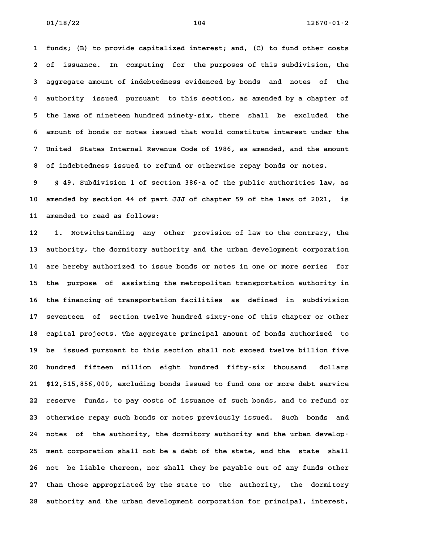**1 funds; (B) to provide capitalized interest; and, (C) to fund other costs 2 of issuance. In computing for the purposes of this subdivision, the 3 aggregate amount of indebtedness evidenced by bonds and notes of the 4 authority issued pursuant to this section, as amended by a chapter of 5 the laws of nineteen hundred ninety-six, there shall be excluded the 6 amount of bonds or notes issued that would constitute interest under the 7 United States Internal Revenue Code of 1986, as amended, and the amount 8 of indebtedness issued to refund or otherwise repay bonds or notes. 9 § 49. Subdivision 1 of section 386-a of the public authorities law, as**

**10 amended by section 44 of part JJJ of chapter 59 of the laws of 2021, is 11 amended to read as follows: 12 1. Notwithstanding any other provision of law to the contrary, the**

**13 authority, the dormitory authority and the urban development corporation 14 are hereby authorized to issue bonds or notes in one or more series for** 14 are hereby authorized to issue bonds or notes in one or more series for<br>15 the purpose of assisting the metropolitan transportation authority in **16 the financing of transportation facilities as defined in subdivision 17 seventeen of section twelve hundred sixty-one of this chapter or other 18 capital projects. The aggregate principal amount of bonds authorized to 19 be issued pursuant to this section shall not exceed twelve billion five 20 hundred fifteen million eight hundred fifty-six thousand dollars 21 \$12,515,856,000, excluding bonds issued to fund one or more debt service 22 reserve funds, to pay costs of issuance of such bonds, and to refund or 23 otherwise repay such bonds or notes previously issued. Such bonds and** 23 otherwise repay such bonds or notes previously issued. Such bonds and<br>24 notes of the authority, the dormitory authority and the urban develop-**25 ment corporation shall not be a debt of the state, and the state shall 26 not be liable thereon, nor shall they be payable out of any funds other 27 than those appropriated by the state to the authority, the dormitory 28 authority and the urban development corporation for principal, interest,**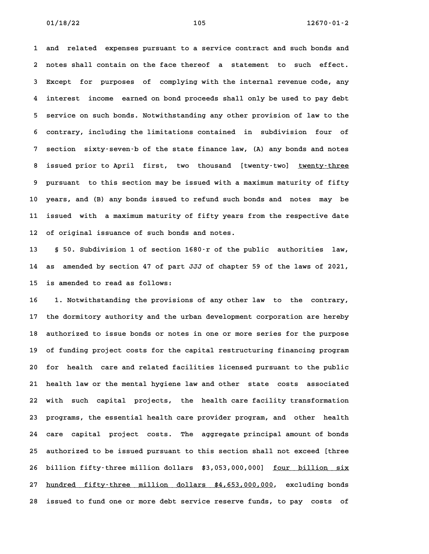**1 and related expenses pursuant to a service contract and such bonds and 2 notes shall contain on the face thereof a statement to such effect. 3 Except for purposes of complying with the internal revenue code, any 4 interest income earned on bond proceeds shall only be used to pay debt 5 service on such bonds. Notwithstanding any other provision of law to the 6 contrary, including the limitations contained in subdivision four of 7 section sixty-seven-b of the state finance law, (A) any bonds and notes** 8 **1 8** issued prior to April first, two thousand [twenty-two] twenty-three<br>**8** issued prior to April first, two thousand [twenty-two] <u>twenty-three</u> **9 pursuant to this section may be issued with a maximum maturity of fifty 10 years, and (B) any bonds issued to refund such bonds and notes may be 11 issued with a maximum maturity of fifty years from the respective date** 11 issued with a maximum maturity of fifty years from the respective date<br>12 of original issuance of such bonds and notes.

**13 § 50. Subdivision 1 of section 1680-r of the public authorities law, 14 as amended by section 47 of part JJJ of chapter 59 of the laws of 2021,** 14 as amended by section 47 of part JJJ of chapter 59 of the laws of 2021,<br>15 is amended to read as follows:

**16 1. Notwithstanding the provisions of any other law to the contrary, 17 the dormitory authority and the urban development corporation are hereby 18 authorized to issue bonds or notes in one or more series for the purpose 19 of funding project costs for the capital restructuring financing program** 19 of funding project costs for the capital restructuring financing program<br>20 for health care and related facilities licensed pursuant to the public **21 health law or the mental hygiene law and other state costs associated 22 with such capital projects, the health care facility transformation 23 programs, the essential health care provider program, and other health 24 care capital project costs. The aggregate principal amount of bonds 25 authorized to be issued pursuant to this section shall not exceed [three** 25 authorized to be issued pursuant to this section shall not exceed [three<br>26 billion fifty-three million dollars \$3,053,000,000] <u>four billion six</u> 26 billion fifty–three million dollars \$3,053,000,000] <u>four billion six</u><br>27 <u>hundred fifty–three million dollars \$4,653,000,000</u>, excluding bonds **28 issued to fund one or more debt service reserve funds, to pay costs of**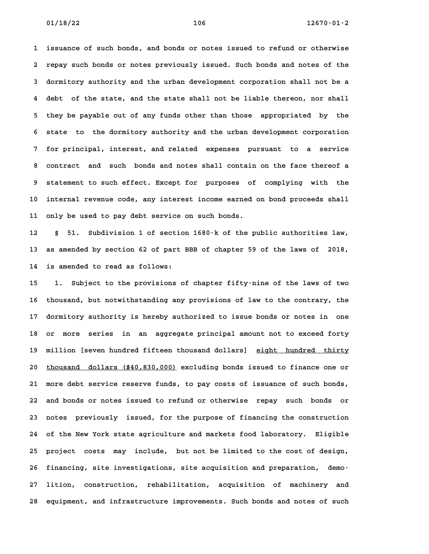**1 issuance of such bonds, and bonds or notes issued to refund or otherwise 2 repay such bonds or notes previously issued. Such bonds and notes of the 3 dormitory authority and the urban development corporation shall not be a 4 debt of the state, and the state shall not be liable thereon, nor shall 5 they be payable out of any funds other than those appropriated by the 6 state to the dormitory authority and the urban development corporation 7 for principal, interest, and related expenses pursuant to a service 8 contract and such bonds and notes shall contain on the face thereof a 9 statement to such effect. Except for purposes of complying with the 10 internal revenue code, any interest income earned on bond proceeds shall 11 only be used to pay debt service on such bonds. 12 § 51. Subdivision 1 of section 1680-k of the public authorities law,**

**13 as amended by section 62 of part BBB of chapter 59 of the laws of 2018, 14 is amended to read as follows: 15 1. Subject to the provisions of chapter fifty-nine of the laws of two**

**16 thousand, but notwithstanding any provisions of law to the contrary, the 17 dormitory authority is hereby authorized to issue bonds or notes in one 18 or more series in an aggregate principal amount not to exceed forty** 18 or more series in an aggregate-principal-amount-not-to-exceed-forty<br>19 million [seven-hundred-fifteen-thousand-dollars] <u>eight-hundred thirty</u> 19 million [seven hundred fifteen thousand dollars] <u>eight hundred thirty</u><br>20 thousand dollars (\$40,830,000) excluding bonds issued to finance one or **21 more debt service reserve funds, to pay costs of issuance of such bonds, 22 and bonds or notes issued to refund or otherwise repay such bonds or 23 notes previously issued, for the purpose of financing the construction 24 of the New York state agriculture and markets food laboratory. Eligible 25 project costs may include, but not be limited to the cost of design,** 25 project costs may include, but not be limited to the cost of design,<br>26 financing, site investigations, site acquisition and preparation, demo-**27 lition, construction, rehabilitation, acquisition of machinery and 28 equipment, and infrastructure improvements. Such bonds and notes of such**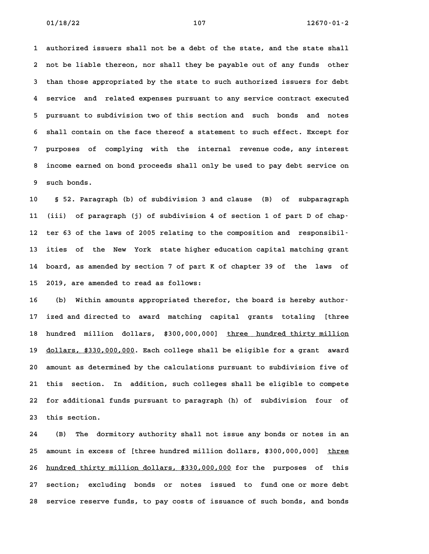**1 authorized issuers shall not be a debt of the state, and the state shall 2 not be liable thereon, nor shall they be payable out of any funds other 3 than those appropriated by the state to such authorized issuers for debt 4 service and related expenses pursuant to any service contract executed 5 pursuant to subdivision two of this section and such bonds and notes 6 shall contain on the face thereof a statement to such effect. Except for 7 purposes of complying with the internal revenue code, any interest 8 income earned on bond proceeds shall only be used to pay debt service on** 8 income earned on bond proceeds shall only be used to pay debt service on<br>9 such bonds.

**10 § 52. Paragraph (b) of subdivision 3 and clause (B) of subparagraph 11 (iii) of paragraph (j) of subdivision 4 of section 1 of part D of chap-**11 (iii) of paragraph (j) of subdivision 4 of section 1 of part D of chap-<br>12 ter 63 of the laws of 2005 relating to the composition and responsibil-**13 ities of the New York state higher education capital matching grant 14 board, as amended by section 7 of part K of chapter 39 of the laws of 15 2019, are amended to read as follows:** 15 2019, are amended to read as follows:<br>16 (b) Within amounts appropriated therefor, the board is hereby author-

**17 ized and directed to award matching capital grants totaling [three** 17 ized and directed to award matching capital grants totaling [three<br>18 hundred million dollars, \$300,000,000] <u>three hundred thirty million</u> 18 hundred million dollars, \$300,000,000] <u>three hundred-thirty-million</u><br>19 <u>dollars, \$330,000,000</u>. Each college shall be eligible for a grant award **20 amount as determined by the calculations pursuant to subdivision five of 21 this section. In addition, such colleges shall be eligible to compete 22 for additional funds pursuant to paragraph (h) of subdivision four of** 22 for additional funds pursuant to paragraph (h) of subdivision four of 23 this section.

**24 (B) The dormitory authority shall not issue any bonds or notes in an** 24 (B) The dormitory authority shall not issue any bonds or notes in an<br>25 amount in excess of [three hundred million dollars, \$300,000,000] <u>three</u> 25 amount in excess of [three hundred million dollars, \$300,000,000] <u>three</u><br>26 <u>hundred thirty million dollars, \$330,000,000</u> for the purposes of this **27 section; excluding bonds or notes issued to fund one or more debt 28 service reserve funds, to pay costs of issuance of such bonds, and bonds**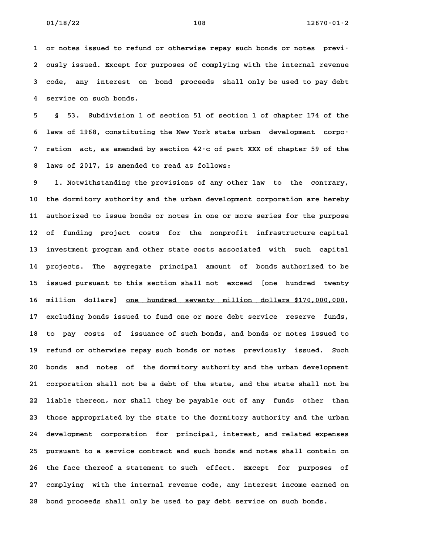**1 or notes issued to refund or otherwise repay such bonds or notes previ-2 ously issued. Except for purposes of complying with the internal revenue 3 code, any interest on bond proceeds shall only be used to pay debt** 3 code, any interest on bond proceeds shall only be used to pay debt<br>4 service on such bonds.

**5 § 53. Subdivision 1 of section 51 of section 1 of chapter 174 of the 6 laws of 1968, constituting the New York state urban development corpo-7 ration act, as amended by section 42-c of part XXX of chapter 59 of the 8 laws of 2017, is amended to read as follows: 9 1. Notwithstanding the provisions of any other law to the contrary,**

**10 the dormitory authority and the urban development corporation are hereby 11 authorized to issue bonds or notes in one or more series for the purpose 12 of funding project costs for the nonprofit infrastructure capital** 12 of funding project costs for the nonprofit infrastructure capital<br>13 investment program and other state costs associated with such capital **14 projects. The aggregate principal amount of bonds authorized to be 15 issued pursuant to this section shall not exceed [one hundred twenty** 15 issued pursuant to this section shall not exceed [one hundred twenty<br>16 million dollars] one hundred seventy million dollars \$170,000,000, 16 million dollars] <u>one hundred seventy million dollars \$170,000,000</u>,<br>17 excluding bonds issued to fund one or more debt service reserve funds, **18 to pay costs of issuance of such bonds, and bonds or notes issued to 19 refund or otherwise repay such bonds or notes previously issued. Such 20 bonds and notes of the dormitory authority and the urban development 21 corporation shall not be a debt of the state, and the state shall not be 22 liable thereon, nor shall they be payable out of any funds other than 23 those appropriated by the state to the dormitory authority and the urban 24 development corporation for principal, interest, and related expenses 25 pursuant to a service contract and such bonds and notes shall contain on 26 the face thereof a statement to such effect. Except for purposes of 27 complying with the internal revenue code, any interest income earned on 28 bond proceeds shall only be used to pay debt service on such bonds.**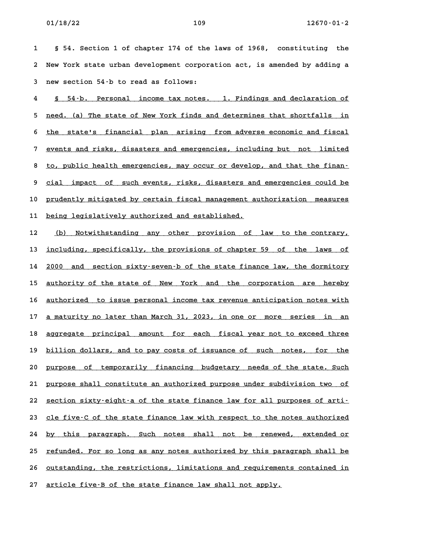**1 § 54. Section 1 of chapter 174 of the laws of 1968, constituting the 2 New York state urban development corporation act, is amended by adding a 3 new section 54-b to read as follows:**

3 new section 54-b to read as follows:<br>4 <u>§ 54-b. Personal income tax notes. 1.Findings and declaration of</u> <u>S 54–b. Personal income tax notes. 1. Findings and declaration of  $\overline{S}$  need. (a) The state of New York finds and determines that shortfalls in</u> 5 <u>need. (a) The state of New York finds and determines that shortfalls in</u><br>6 the state's financial plan arising from adverse economic and fiscal 6 <u>the state's financial plan arising from adverse economic and fiscal</u><br>7 events and risks, disasters and emergencies, including but not limited 8 to, public health emergencies, including but not limited<br>**8** to, public health emergencies, may occur or develop, and that the finan-**9 cial impact of such events, risks, disasters and emergencies could be \_\_\_\_\_\_\_\_\_\_\_\_\_\_\_\_\_\_\_\_\_\_\_\_\_\_\_\_\_\_\_\_\_\_\_\_\_\_\_\_\_\_\_\_\_\_\_\_\_\_\_\_\_\_\_\_\_\_\_\_\_\_\_\_\_\_\_\_\_\_\_\_** 9 <u>cial impact of sucheevents, risks, disasters and emergencies could be</u><br>10 <u>prudently mitigated by certain fiscal management authorization measures</u> 10 <u>prudently mitigated by certain fiscal management a</u><br>11 <u>being legislatively authorized and established.</u>

**11 being legislatively authorized and established.**<br> **12** (b) Notwithstanding any other provision of law to the contrary, <u>(b) Notwithstanding any other provision of law to the contrary, including, specifically, the provisions of chapter 59 of the laws of</u> imcluding, specifically, the provisions of chapter 59 of the laws of the state finance law, the dormitory<br>14 2000 and section sixty–seven–b of the state finance law, the dormitory 14 <u>2000 and section sixty–seven–b of the state finance law, the dormitory</u><br>15 <u>authority of the state of New York and the corporation are hereby</u> 15 <u>authority of the state of New York and the corporation are hereby</u><br>16 <u>authorized to issue personal income tax revenue anticipation notes with</u> 16 <u>authorized to issue personal income tax revenue anticipation notes with</u><br>17 a maturity no later than March 31, 2023, in one or more series in an 17 <u>a maturity no later than March 31, 2023, in one or more series in an</u><br>18 aggregate principal amount for each fiscal year not to exceed three 18 <u>aggregate principal amount for each fiscal-year-not-to-exceed-three</u><br>19 billion dollars, and to pay costs of issuance of such notes, for the 20 <u>pillion dollars, and to pay costs of issuance of such notes, for the 10</u><br>20 <u>purpose of temporarily financing budgetary needs of the state. Such</u> 20 <u>purpose of temporarily financing budgetary needs-of-the-state. Such</u><br>21 <u>purpose shall constitute an authorized purpose under subdivision two of</u> 21 <u>purpose shall constitute an authorized purpose under subdivision two of</u><br>22 <u>section sixty–eight–a of the state finance law for all purposes of arti–</u> 22 <u>section sixty-eight-a of the state finance law for all purposes of arti-</u><br>23 <u>cle five-C of the state finance law with respect to the notes authorized</u> 23 <u>cle five-C of the state finance law with respect to the notes authorized</u><br>24 <u>by this paragraph. Such notes shall not be renewed, extended or</u> 24 <u>by this paragraph. Such notes shall not be renewed, extended\_or</u><br>25 <u>refunded. For so long as any notes authorized by this paragraph shall be</u> 25 <u>refunded. For so long as any notes authorized by this paragraph shall be</u><br>26 <u>outstanding, the restrictions, limitations and requirements contained in</u> 27 <u>article five-B of the state finance law shall not apply.</u>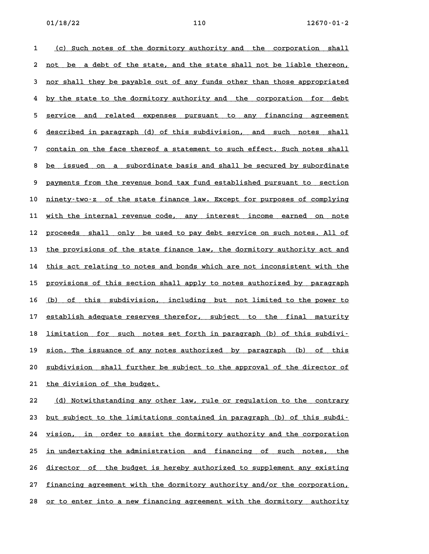1 (c) Such notes of the dormitory authority and the corporation shall <u>(c) Such notes of the dormitory authority and the corporation shall</u><br>2 <u>not be a debt of the state, and the state shall not be liable thereon,</u> 2 <u>not be a debt of the state, and the state shall not be liable thereon,</u><br>3 <u>nor shall they be payable out of any funds other than those appropriated</u> a <u>nor shall they be payable out of any funds other than those appropriated</u><br>4 by the state to the dormitory authority and the corporation for debt 4 <u>by the state to the dormitory authority and the corporation for debt</u><br>5 <u>service and related expenses pursuant to any financing agreement</u> 5 <u>service and related expenses pursuant to any financing agreement</u><br>6 <u>described in paragraph (d) of this subdivision, and such notes shall</u> 6 described in paragraph (d) of this subdivision, and such notes shall<br>7 contain on the face thereof a statement to such effect. Such notes shall 8 <u>be issued on a subordinate basis and shall be secured by subordinate</u><br>8 <u>be issued on a subordinate basis and shall be secured by subordinate</u> 8 <u>be issued on a subordinate-basis and shall be secured by subordinate</u><br>9 <u>payments from the revenue bond tax fund established pursuant to section</u> 9 <u>payments from the revenue bond tax fund established pursuant to section</u><br>10 <u>ninety–two-z of the state finance law. Except for purposes of complying</u> 10 <u>ninety–two–z of the state finance law. Except for purposes of complying</u><br>11 <u>with the internal revenue code, any interest income earned on note</u> 11 <u>with the internal revenue code, any interest income earned on note</u><br>12 <u>proceeds shall only be used to pay debt service on such notes. All of</u> 12 <u>proceeds shall only be used to pay debt service on such notes. All of</u><br>13 <u>the provisions of the state finance law, the dormitory authority act and</u> the provisions of the state finance law, the dormitory authority act and<br>14 this act relating to notes and bonds which are not inconsistent with the 14 this act relating to notes and bonds which are not inconsistent with the<br>15 <u>provisions of this section shall apply to notes authorized by paragraph</u> 15 <u>provisions of this section shall apply to notes authorized by paragraph</u><br>16 <u>(b) of this subdivision, including but not limited to the power to</u> 16 <u>(b) of this subdivision, including but not-limited-to-the-power-to-</u><br>17 <u>establish-adequate-reserves-therefor, subject to the final maturity</u> 17 establish adequate reserves therefor, subject to the final maturity<br>18 limitation for such notes set forth in paragraph (b) of this subdivi-18 <u>limitation for such notes set forth in paragraph (b) of this subdivi-</u><br>19 <u>sion. The issuance of any notes authorized</u> by paragraph (b) of this 19 <u>sion. The issuance of any notes authorized by paragraph (b) of this</u><br>20 <u>subdivision shall further be subject to the approval of the director of</u> 20 <u>subdivision shall further be</u><br>21 <u>the division of the budget.</u> **22 (d) Notwithstanding any other law, rule or regulation to the contrary \_\_\_\_\_\_\_\_\_\_\_\_\_\_\_\_\_\_\_\_\_\_\_\_\_\_\_\_\_\_\_\_\_\_\_\_\_\_\_\_\_\_\_\_\_\_\_\_\_\_\_\_\_\_\_\_\_\_\_\_\_\_\_\_\_\_\_\_\_\_**

23 but subject to the limitations contained in paragraph (b) of this subdi-23 <u>but subject to the limitations contained in paragraph (b) of this subdi–</u><br>24 <u>vision, in order to assist the dormitory authority and the corporation</u> 24 <u>vision, in order to assist the dormitory authority and the corporation</u><br>25 <u>in undertaking the administration and financing of such notes, the</u> 25 <u>in undertaking the administration and financing of such notes, the</u><br>26 <u>director of the budget is hereby authorized to supplement any existing</u> 26 <u>director of the budget is hereby authorized to supplement any existing</u><br>27 <u>financing agreement with the dormitory authority and/or the corporation,</u> 27 <u>financing agreement with the dormitory authority and/or the corporation,</u><br>28 <u>or to enter into a new financing agreement with the dormitory authority</u>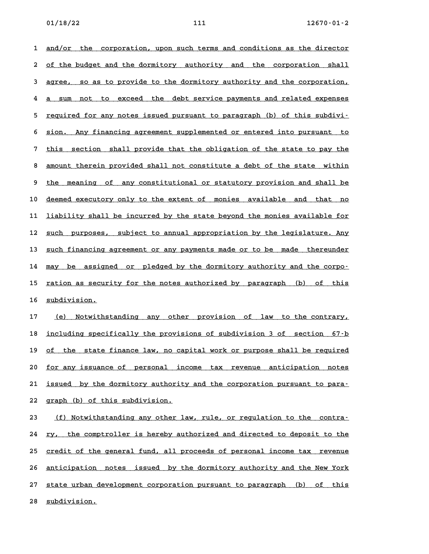1 <u>and/or the corporation, upon such terms and conditions as the director</u> 2 <u>of the dorporation, upon such terms and conditions as the director</u><br>2 <u>of the budget and the dormitory authority and the corporation shall</u> 2 <u>of the budget and the dormitory authority and the corporation shall</u><br>3 <u>agree, so as to provide to the dormitory authority and the corporation,</u> degreed and the corporation, and the corporation.<br>**4** a sum not to exceed the debt service payments and related expenses 4 <u>a sum not to exceed the debt-service-payments and related-expenses</u><br>5 <u>required for any notes issued pursuant to paragraph (b) of this subdivi–</u> 5 <u>required for any notes issued pursuant to paragraph (b) of this subdivi–</u><br>6 <u>sion. Any financing agreement supplemented or entered into pursuant to</u> 5 <u>sion. Any financing agreement supplemented or entered into pursuant to</u><br>7 this section shall provide that the obligation of the state to pay the 8 <u>this section shall provide that the obligation of the state to pay the 3 amount therein provided shall not constitute a debt of the state within</u> 8 <u>amount therein provided shall not constitute a debt of the state within</u><br>9 the meaning of any constitutional or statutory provision and shall be 9 <u>the meaning of any constitutional or statutory provision and shall be</u><br>10 <u>deemed executory only to the extent of monies available and that no</u> 10 <u>deemed executory only to the extent of monies available and that no</u><br>11 <u>liability shall be incurred by the state beyond the monies available for</u> 11 <u>liability shall be incurred by the state beyond the monies available for</u><br>12 <u>such purposes, subject to annual appropriation by the legislature. Any</u> 12 <u>such purposes, subject to annual appropriation by the legislature. Any</u><br>13 <u>such financing agreement or any payments made or to be made thereunder</u> 13 <u>such financing agreement or any payments made or to be made thereunder</u><br>14 may be assigned or pledged by the dormitory authority and the corpo-14 <u>may be assigned or pledged by the dormitory authority and the corpo-</u><br>15 ration as security for the notes authorized by paragraph (b) of this 15 <u>ration as security for the notes authorized by paragraph (b) of this<br>16 <u>subdivision.</u></u> 16 <u>subdivision.</u><br>17 <u>(e) Notwithstanding any other provision of law to the-contrary,</u>

17 <u>(e) Notwithstanding any other provision of law to the contrary,</u><br>18 <u>including specifically the provisions of subdivision 3 of section 67–b</u> imethed including specifically the provisions of subdivision 3 of section 67<sup>-</sup>b<br>19 of the state finance law, no capital work or purpose shall be required **20 for any issuance of personal income tax revenue anticipation notes \_\_\_\_\_\_\_\_\_\_\_\_\_\_\_\_\_\_\_\_\_\_\_\_\_\_\_\_\_\_\_\_\_\_\_\_\_\_\_\_\_\_\_\_\_\_\_\_\_\_\_\_\_\_\_\_\_\_\_\_\_\_\_\_\_\_\_\_\_\_\_\_** 20 <u>for any issuance of personal income tax revenue anticipation notes</u><br>21 <u>issued by the dormitory authority and the corporation pursuant to para</u>-21 <u>issued by the dormitory authorit</u><br>22 g<u>raph (b) of this subdivision.</u> **22** graph (b) of this subdivision.<br>**23** <u>(f) Notwithstanding any other law, rule, or regulation to the contra-</u>

<u>(f) Notwithstanding any other law, rule, or regulation to the contra-</u><br>24 <u>ry, the comptroller is hereby authorized and directed to deposit to the</u> 24 <u>ry, the comptroller is hereby authorized and directed to deposit to the</u><br>25 <u>credit of the general fund, all proceeds of personal income tax revenue</u> 25 <u>credit of the general fund, all proceeds of personal income tax revenue</u><br>26 anticipation notes issued by the dormitory authority and the New York 26 <u>anticipation notes issued by the dormitory authority and the New York</u><br>27 state urban development corporation pursuant to paragraph (b) of this 27 <u>state urban development corporation pursuant to paragraph (b) of this<br>28 <u>subdivision.</u></u>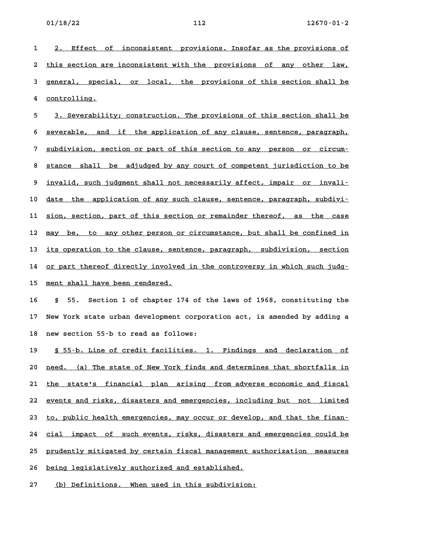1 2. Effect of inconsistent provisions. Insofar as the provisions of 2. Effect of inconsistent provisions. Insofar-as-the-provisions-of<br>2 <u>this section are inconsistent with the-provisions-of-any-other-law,</u> 2 <u>this section are inconsistent with the provisions of any other law,</u><br>3 <u>general, special, or local, the provisions of this section shall be</u> 3 general, special, or local, the provisions of this section shall be controlling.

4 <u>controlling.</u><br>5 <u>3. Severability; construction. The provisions of this section shall be</u> 3. Severability; construction. The provisions of this section shall be<br>6 <u>severable, and if the application of any clause, sentence, paragraph,</u> 5 <u>severable, and if the application of any clause, sentence, paragraph,</u><br>7 <u>subdivision, section or part of this section to any person or circum-</u> 8 <u>subdivision, section or part of this section to any person or circum-</u><br>8 <u>stance shall be adjudged by any court of competent jurisdiction to be</u> 8 <u>stance shall be adjudged by any court of competent jurisdiction to be</u><br>9 <u>invalid, such judgment shall not necessarily affect, impair or invali–</u> 9 <u>invalid, such judgment shall not necessarily affect, impair or invali-</u><br>10 <u>date the application of any such clause, sentence, paragraph, subdivi-</u> 10 <u>date the application of any such clause, sentence, paragraph, subdivi–</u><br>11 <u>sion, section, part of this section or remainder thereof, as the case</u> 11 <u>sion, section, part of this section or remainder thereof, as the case</u><br>12 <u>may be, to any other person or circumstance, but shall be confined in</u> 12 <u>may be, to any other person or circumstance, but shall be confined in</u><br>13 <u>its operation to the clause, sentence, paragraph, subdivision, section</u> its operation to the clause, sentence, paragraph, subdivision, section<br>14 <u>or part thereof directly involved in the controversy in which such judg</u> 14 <u>or part thereof directly involved in the controversy in which such judg-</u><br>15 <u>ment shall have been rendered.</u>

**16 § 55. Section 1 of chapter 174 of the laws of 1968, constituting the 17 New York state urban development corporation act, is amended by adding a 18 new section 55-b to read as follows:**

18 new section 55–b to read as follows:<br>19 <u>§ 55–b. Line of credit facilities. 1. Findings and declaration of</u> <u>S 55–b. Line of credit facilities. 1. Findings and declaration of that in that is set of New York finds and determines that shortfalls in the state of New York finds and determines that shortfalls in</u> 20 <u>need. (a) The state of New York finds and determines that shortfalls in</u><br>21 <u>the state's financial plan arising from adverse economic and fiscal</u> 21 <u>the state's financial plan arising from-adverse-economic-and-fiscal</u><br>22 <u>events and risks, disasters and emergencies, including but not limited</u> 22 <u>events and risks, disasters and emergencies, including but not limited</u><br>23 to, public health emergencies, may occur or develop, and that the finan-23 <u>to, public health emergencies, may occur or develop, and that the finan–</u><br>24 <u>cial impact of such events, risks, disasters and emergencies could be</u> 24 <u>cial impact of such-events, risks, disasters and emergencies could be</u><br>25 <u>prudently mitigated by certain fiscal management authorization measures</u> 25 <u>prudently mitigated by certain fiscal management authorization measures</u><br>26 <u>being legislatively authorized and established.</u>

27 (b) Definitions. When used in this subdivision: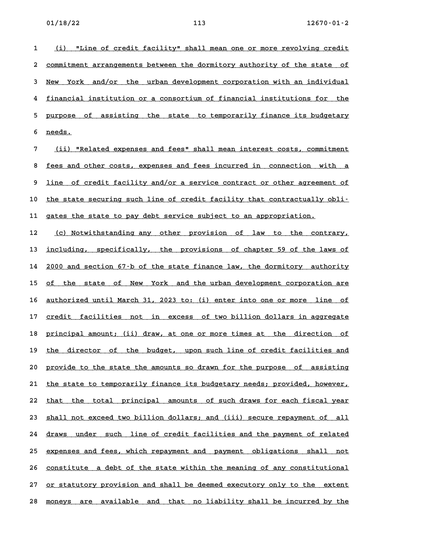1 (i) "Line of credit facility" shall mean one or more revolving credit 2 commitment arrangements between the dormitory authority of the state of 2 <u>commitment arrangements between the dormitory authority of the state of</u><br>3 <u>New York and/or the urban development corporation with an individual</u> 3 <u>New York and/or the urban-development-corporation-with-an-individual</u><br>4 <u>financial institution or a consortium of financial institutions for the</u> 4 <u>financial institution or a consortium of financial institutions for the</u><br>5 <u>purpose of assisting the state to temporarily finance its budgetary</u> 5 <u>purpose .</u><br>6 <u>needs.</u>

**7 (ii) "Related expenses and fees" shall mean interest costs, commitment \_\_\_\_\_\_\_\_\_\_\_\_\_\_\_\_\_\_\_\_\_\_\_\_\_\_\_\_\_\_\_\_\_\_\_\_\_\_\_\_\_\_\_\_\_\_\_\_\_\_\_\_\_\_\_\_\_\_\_\_\_\_\_\_\_\_\_\_\_\_** <u>(ii) "Related expenses and fees" shall mean interest costs, commitment</u><br>8 <u>fees and other costs, expenses and fees incurred in connection with a</u> 8 <u>fees and other costs, expenses and fees incurred in connection with a</u><br>9 <u>line of credit facility and/or a service contract or other agreement of</u> 9 <u>line of credit facility and/or a service contract or other agreement of</u><br>10 <u>the state securing such line of credit facility that contractually obli-</u> 10 <u>the state securing such line of credit facility that contractually</u><br>11 gates the state to pay debt service subject to an appropriation.

11 gates the state to pay debt service subject to an appropriation.<br>12 (c) Notwithstanding any other provision of law to the contrary, 12 <u>(c) Notwithstanding any other provision of law to the contrary,</u><br>13 <u>including, specifically, the provisions of chapter 59 of the laws of</u> imither the provisions of chapter 59 of the laws of including, specifically, the provisions of chapter 59 of the<br>14 2000 and section 67–b of the state finance law, the dormitory authority 14 <u>2000 and section 67-b of the state finance law, the dormitory authority</u><br>15 <u>of the state of New York and the urban development corporation are</u> 15 <u>of the state of New York and the urban-development corporation are</u><br>16 <u>authorized until March 31, 2023 to: (i) enter into one or more line of</u> 16 <u>authorized until March 31, 2023 to: (i) enter into one or more line of</u><br>17 <u>credit facilities not in excess of two billion dollars in aggregate</u> 17 <u>credit facilities not in excess of two billion dollars in aggregate</u><br>18 <u>principal amount;</u> (ii) draw, at one or more times at the direction of 18 <u>principal amount; (ii) draw, at one or more times at the direction of</u><br>19 <u>the director of the budget, upon such line of credit facilities and</u> 19 <u>the director of the budget, upon such line of credit facilities and</u><br>20 <u>provide to the state the amounts so drawn for the purpose of assisting</u> 20 <u>provide to the state the amounts so drawn for the purpose of assisting</u><br>21 <u>the state to temporarily finance its budgetary needs; provided, however,</u> 21 <u>the state to temporarily finance its budgetary needs; provided, however, </u><br>22 <u>that the total principal amounts of such draws for each fiscal year</u> 22 <u>that the total principal amounts of such draws for each fiscal year</u><br>23 <u>shall not exceed two billion dollars; and (iii) secure repayment of all</u> 23 <u>shall not exceed two billion dollars; and (iii) secure repayment of all</u><br>24 <u>draws under such line of credit facilities and the payment of related</u> 24 <u>draws under such line of credit-facilities and the payment of related</u><br>25 <u>expenses and fees, which repayment and payment obligations shall not</u> 25 expenses and fees, which repayment and payment obligations shall not<br>26 constitute a debt of the state within the meaning of any constitutional 27 or statutory provision and shall be deemed executory only to the extent 28 moneys are available and that no liability shall be incurred by the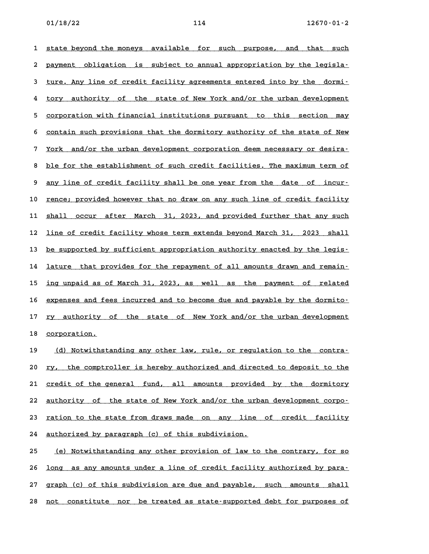1 state beyond the moneys available for such purpose, and that such 1 <u>state beyond the moneys available for such purpose, and that such</u><br>2 <u>payment obligation is subject to annual appropriation by the legisla–</u> 2 <u>payment obligation is subject-to-annual-appropriation-by-the-legisla-</u><br>3 <u>ture. Any line of credit facility agreements entered into by the dormi-</u> detainty the state of the state of the state of New York and/or the urban development<br>**4** tory authority of the state of New York and/or the urban development 4 <u>tory authority of the state-of-New-York-and/or-the-urban-development</u><br>5 <u>corporation with financial institutions-pursuant to this section may</u> 5 <u>corporation with financial institutions pursuant to this section may</u><br>6 <u>contain such provisions that the dormitory authority of the state of New</u> 6 <u>contain such provisions that the dormitory authority of the state of New</u><br>7 York and/or the urban development corporation deem necessary or desira-<u>York and/or the urban development corporation deem necessary or desira-</u><br>8 ble for the establishment of such credit facilities. The maximum term of 8 <u>ble for the establishment of such credit facilities. The maximum term of</u><br>9 <u>any line of credit facility shall be one year from the date of incur-</u> 10 rence; provided however that no draw on any such line of credit facility 10 <u>rence; provided however that no draw on any such line of credit facility</u><br>11 <u>shall occur after March 31, 2023, and provided further that any such</u> 11 <u>shall occur after March 31, 2023, and provided further that any such</u><br>12 <u>line of credit facility whose term extends beyond March 31, 2023 shall</u> 12 <u>line of credit facility whose term extends beyond March 31, 2023 shall</u><br>13 <u>be supported by sufficient appropriation authority enacted by the legis–</u> 13 <u>be supported by sufficient appropriation authority enacted by the legis–</u><br>14 <u>lature that provides for the repayment of all amounts drawn and remain–</u> 14 <u>lature that provides for the repayment of all amounts drawn and remain-</u><br>15 <u>ing unpaid as of March 31, 2023, as well as the payment of related</u> ing unpaid as of March 31, 2023, as well as the payment of related<br>16 <u>expenses and fees incurred and to become due and payable by the dormito–</u> 16 <u>expenses and fees incurred and to become due and payable by the dormito-</u><br>17 <u>ry authority of the state of New York and/or the urban development</u> 17 <u>ry authority of the state of New York and/or the urban development<br>18 <u>corporation.</u></u>

19 (d) Notwithstanding any other law, rule, or regulation to the contra-20 <u>ry, the comptroller is hereby authorized and directed to deposit to the</u> 20 <u>ry, the comptroller is hereby authorized and directed to deposit to the state of the general fund, all amounts provided by the dormitory</u> 21 <u>credit of the general fund, all amounts provided by the dormitory</u><br>22 <u>authority of the state of New York and/or the urban development corpo-</u> 22 <u>authority of the state of New York and/or the urban development corpo-</u><br>23 <u>ration to the state from draws made</u> on any line of credit facility **24 authorized by paragraph (c) of this subdivision. \_\_\_\_\_\_\_\_\_\_\_\_\_\_\_\_\_\_\_\_\_\_\_\_\_\_\_\_\_\_\_\_\_\_\_\_\_\_\_\_\_\_\_\_\_\_\_\_**

**25 (e) Notwithstanding any other provision of law to the contrary, for so \_\_\_\_\_\_\_\_\_\_\_\_\_\_\_\_\_\_\_\_\_\_\_\_\_\_\_\_\_\_\_\_\_\_\_\_\_\_\_\_\_\_\_\_\_\_\_\_\_\_\_\_\_\_\_\_\_\_\_\_\_\_\_\_\_\_\_\_\_\_ 26 long as any amounts under a line of credit facility authorized by para- \_\_\_\_\_\_\_\_\_\_\_\_\_\_\_\_\_\_\_\_\_\_\_\_\_\_\_\_\_\_\_\_\_\_\_\_\_\_\_\_\_\_\_\_\_\_\_\_\_\_\_\_\_\_\_\_\_\_\_\_\_\_\_\_\_\_\_\_\_\_\_\_** 26 <u>long as any amounts under a line of credit facility authorized by para–</u><br>27 <u>graph (c) of this subdivision are due and payable, such amounts shall</u> 27 graph (c) of this subdivision are due and payable, such amounts shall<br>28 <u>not constitute nor be treated as state–supported debt for purposes of</u>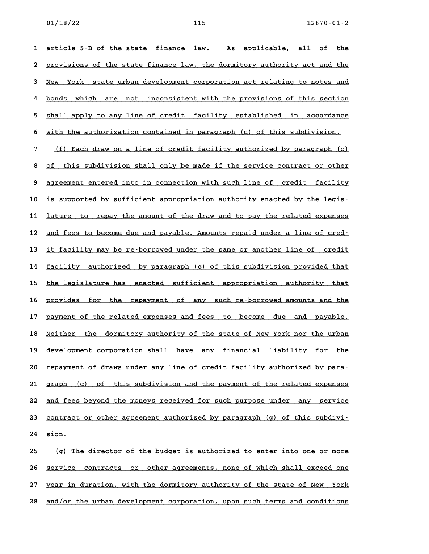**1 article 5-B of the state finance law. As applicable, all of the \_\_\_\_\_\_\_\_\_\_\_\_\_\_\_\_\_\_\_\_\_\_\_\_\_\_\_\_\_\_\_\_\_\_\_\_\_\_\_\_\_\_\_\_\_\_\_\_\_\_\_\_\_\_\_\_\_\_\_\_\_\_\_\_\_\_\_\_\_\_\_\_ 2** article 5–B of the state finance law. As applicable, all of the<br>2 provisions of the state finance law, the dormitory authority act and the 2 <u>provisions of the state finance law, the dormitory authority act and the</u><br>3 New York state urban development corporation act relating to notes and where the state weter the protection of the provisions of this section **4** bonds which are not inconsistent with the provisions of this section 4 <u>bonds which are not inconsistent-with-the-provisions-of-this-section</u><br>5 shall-apply-to-any-line-of-credit-facility-established in accordance 6 shall apply to any line of credit facility established in accordance<br>6 with the authorization contained in paragraph (c) of this subdivision. 6 <u>with the authorization contained in paragraph (c) of this subdivision.</u><br>7 <u>(f) Each draw on a line of credit facility authorized by paragraph (c)</u> <u>(f) Each draw on a line of credit facility authorized by paragraph (c)</u><br>8 <u>of this subdivision shall only be made if the service contract or other</u> 8 of this subdivision shall only be made if the service contract or other<br>9 agreement entered into in connection with such line of credit facility 9 <u>agreement entered into in connection with such line of credit facility</u><br>10 <u>is supported by sufficient appropriation authority enacted by the legis</u> is supported by sufficient appropriation authority enacted by the legis–<br>11 <u>lature to repay the amount of the draw and to pay the related expenses</u> 11 <u>lature to repay the amount of the draw and to pay the related expenses</u><br>12 <u>and fees to become due and payable. Amounts repaid under a line of cred-</u> 12 <u>and fees to become due and payable. Amounts repaid under a line of cred-</u><br>13 <u>it facility may be re-borrowed under the same or another line of credit</u> 13 <u>it facility may be re–borrowed under the same or another line of credit</u><br>14 <u>facility authorized by paragraph (c) of this subdivision provided that</u> 14 <u>facility authorized by paragraph (c) of this subdivision provided that</u><br>15 <u>the legislature has enacted sufficient appropriation authority that</u> 15 <u>the legislature has enacted sufficient appropriation authority that</u><br>16 <u>provides for the repayment of any such-re-borrowed-amounts-and-the</u> 16 <u>provides for the repayment of any such-re-borrowed-amounts-and-the</u><br>17 <u>payment of the related-expenses and fees to become due and payable.</u> 17 payment of the related expenses and fees to become due and payable.<br>18 <u>Neither the dormitory authority of the state of New York nor the urban</u> 18 <u>Neither the dormitory-authority-of the state-of-New-York-nor-the-urban</u><br>19 <u>development corporation shall-have any financial liability for the</u> 19 <u>development corporation shall have any financial liability for the</u><br>20 <u>repayment of draws under any line of credit facility authorized by para–</u> 20 <u>repayment of draws under any line of credit facility authorized by para–</u><br>21 <u>graph (c) of this subdivision and the payment of the related expenses</u> 21 graph (c) of this subdivision and the payment of the related expenses<br>22 <u>and fees beyond the moneys received for such purpose under any service</u> 22 <u>and fees beyond the moneys received for such purpose under any service</u><br>23 contract or other agreement authorized by paragraph (g) of this subdivi-23 <u>contract or other agreement authorized by paragraph (g) of this subdivi-<br>24 <u>sion.</u></u>

25 (g) The director of the budget is authorized to enter into one or more **26 service contracts or other agreements, none of which shall exceed one \_\_\_\_\_\_\_\_\_\_\_\_\_\_\_\_\_\_\_\_\_\_\_\_\_\_\_\_\_\_\_\_\_\_\_\_\_\_\_\_\_\_\_\_\_\_\_\_\_\_\_\_\_\_\_\_\_\_\_\_\_\_\_\_\_\_\_\_\_\_\_\_** 26 <u>service contracts or other-agreements, none of which shall exceed one</u><br>27 year in duration, with the dormitory authority of the state of New York 27 year in duration, with the dormitory authority of the state of New York<br>28 <u>and/or the urban development corporation, upon such terms and conditions</u>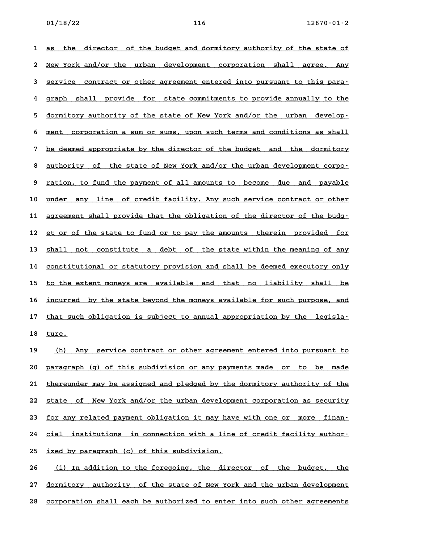1 as the director of the budget and dormitory authority of the state of 1 <u>as the director of the budget and dormitory authority of the state of</u><br>2 <u>New York and/or the urban development corporation shall agree. Any</u> 2 <u>New York and/or the urban development corporation shall agree. Any</u><br>3 <u>service contract or other agreement entered into pursuant to this para–</u> 4 <u>graph shall provide for state commitments</u> to pursuant to this para-<br>**4** graph shall provide for state commitments to provide annually to the 4 graph shall provide for state-commitments-to-provide-annually-to-the<br>5 <u>dormitory authority of the state of New York and/or the urban develop-</u> 5 <u>dormitory authority of the state of New York and/or the urban develop–</u><br>6 <u>ment corporation a sum or sums, upon such terms and conditions as shall</u> 6 <u>ment corporation a sum or sums, upon such terms and conditions as shall</u><br>7 <u>be deemed appropriate by the director of the budget and the dormitory</u> 8 <u>authority of the state of New York and/or the urban development corpo-</u><br>**8 <u>authority of the state of New York and/or the urban development corpo**-</u> 8 <u>authority of the state of New York and/or the urban development corpo-</u><br>9 <u>ration, to fund the payment of all amounts to become due and payable</u> 9 <u>ration, to fund the payment of all amounts to become due and payable</u><br>10 <u>under any line of credit facility. Any such service contract or other</u> 10 <u>under any line of credit facility. Any such service contract or other</u><br>11 <u>agreement shall provide that the obligation of the director of the budg</u> 11 <u>agreement shall provide that the obligation of the director of the budg-</u><br>12 <u>et or of the state to fund or to pay the amounts therein provided for</u> 12 <u>et or of the state to fund or to pay the amounts therein provided for</u><br>13 <u>shall not constitute a debt of the state within the meaning of any</u> 13 <u>shall not constitute a debt of the state-within the meaning of any</u><br>14 <u>constitutional or statutory provision and shall be deemed executory only</u> 14 <u>constitutional or statutory provision and shall be deemed executory only</u><br>15 to the extent moneys are available and that no liability shall be 15 <u>to the extent moneys are available and that no liability shall be</u><br>16 incurred by the state bevond the moneys available for such purpose, and 16 <u>incurred by the state beyond the moneys available for such purpose, and</u><br>17 that such obligation is subject to annual appropriation by the legislathat such obligation is subject to annual appropriation by the legisla-<br>18 <u>ture.</u>

19 (h) Any service contract or other agreement entered into pursuant to 20 paragraph (g) of this subdivision or any payments made or to be made 21 thereunder may be assigned and pledged by the dormitory authority of the 21 <u>thereunder may be assigned and pledged by the dormitory authority of the 22 state of New York and/or the urban development corporation as security</u> 22 <u>state of New York and/or the urban development corporation as security</u><br>23 <u>for any related payment obligation it may have with one or more finan-</u> 23 <u>for any related payment obligation it may have with one or more finan-</u><br>24 <u>cial institutions in connection with a line of credit facility author</u>-24 <u>cial institutions in connection with a line</u><br>25 <u>ized by paragraph (c) of this subdivision.</u> 25 <u>ized by paragraph (c) of this subdivision.</u><br>26 <u>(i) In addition to the foregoing, the director of the budget, the</u>

26 <u>(i) In addition to the foregoing, the director of the budget, the state of New York and the urban development<br>27 <u>dormitory authority of the state of New York and the urban development</u></u> 27 <u>dormitory authority of the state of New York and the urban development</u><br>28 <u>corporation shall each be authorized to enter into such other agreements</u>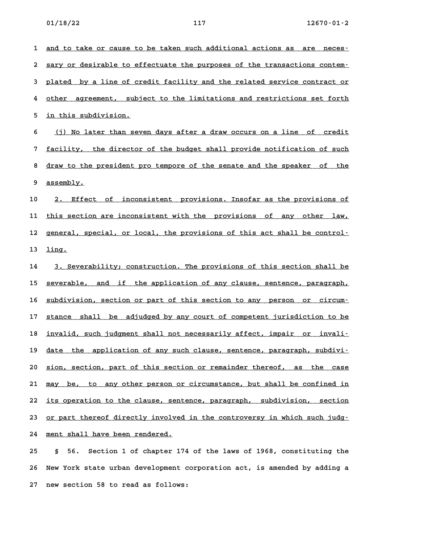1 and to take or cause to be taken such additional actions as are neces-2 and to take or cause to be taken such additional actions as are neces **.**<br>2 <u>sary or desirable to effectuate the purposes of the transactions contem .</u> 3 <u>sary or desirable to effectuate the purposes of the transactions contem-</u><br>3 <u>plated by a line of credit facility and the related service contract or</u> 4 <u>plated by a line of credit facility and the related service contract or</u><br>4 other agreement, subject to the limitations and restrictions set forth 4 other agreement, subject to the limitations and restrictions set forth<br>5 <u>in this subdivision.</u>

6 (j) No later than seven days after a draw occurs on a line of credit **6** (j) No later than seven days after a draw occurs on a line of credit<br>**7** facility, the director of the budget shall provide notification of such 8 <u>draw to the president pro tempore of the senate and the speaker of the draw to the president pro tempore of the senate and the speaker of the</u> 8 <u>draw to the president pro tempore of the senate and the speaker of the assembly.</u>

10 2. Effect of inconsistent provisions. Insofar as the provisions of 10 <u>2. Effect of inconsistent provisions. Insofar as the provisions of</u><br>11 <u>this section are inconsistent with the provisions of any other law,</u> 11 <u>this section are inconsistent with the provisions of any other law,</u><br>12 <u>general, special, or local, the provisions of this act shall be control</u>-12 general, special, or local, the provisions of this act shall be control-<br>13 <u>ling.</u>

14 3. Severability; construction. The provisions of this section shall be 14 <u>3. Severability; construction. The provisions of this section shall be</u><br>15 <u>severable, and if the application of any clause, sentence, paragraph,</u> 15 <u>severable, and if the application of any clause, sentence, paragraph,</u><br>16 <u>subdivision, section or part of this section to any person or circum-</u> 16 <u>subdivision, section or part of this section to any person or circum-</u><br>17 stance shall be adjudged by any court of competent jurisdiction to be 17 <u>stance shall be adjudged by any court of competent jurisdiction to be</u><br>18 invalid, such judgment shall not necessarily affect, impair or invaliif an invalid, such judgment shall not necessarily affect, impair or invali-<br>19 <u>date the application of any such clause, sentence, paragraph, subdivi-</u> 20 sion, section, part of this section or remainder thereof, as the case 20 <u>sion, section, part of this section or remainder thereof, as the case</u><br>21 <u>may be, to any other person or circumstance, but shall be confined in</u> 21 <u>may be, to any other person or circumstance, but shall be confined in</u><br>22 <u>its operation to the clause, sentence, paragraph, subdivision, section</u> 22 its operation to the clause, sentence, paragraph, subdivision, section<br>23 <u>or part thereof directly involved in the controversy in which such judg.</u> 24 ment shall have been rendered.

**25 § 56. Section 1 of chapter 174 of the laws of 1968, constituting the 26 New York state urban development corporation act, is amended by adding a 27 new section 58 to read as follows:**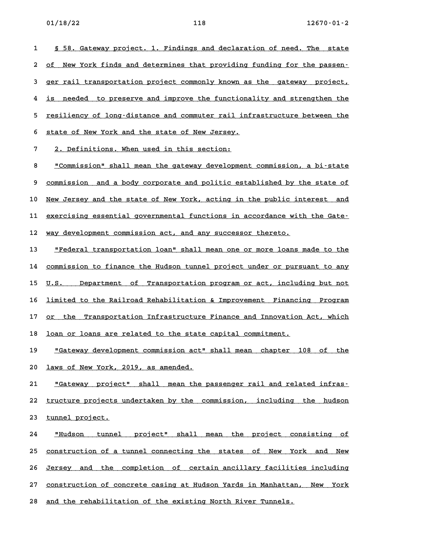**1 § 58. Gateway project. 1. Findings and declaration of need. The state \_\_\_\_\_\_\_\_\_\_\_\_\_\_\_\_\_\_\_\_\_\_\_\_\_\_\_\_\_\_\_\_\_\_\_\_\_\_\_\_\_\_\_\_\_\_\_\_\_\_\_\_\_\_\_\_\_\_\_\_\_\_\_\_\_\_\_\_\_\_** <u>*8 58. Gateway project. 1. Findings and declaration of need. The state*<br>2 of New York finds and determines that providing funding for the passen–</u> 2 <u>of New York finds and determines that providing funding for the passen–</u><br>3 <u>ger rail transportation project commonly known as the gateway project,</u> 4 <u>is needed to preserve and improve the functionality and strengthen the</u><br>**4** is needed to preserve and improve the functionality and strengthen the 4 <u>is needed to preserve and improve the functionality and strengthen the</u><br>5 <u>resiliency of long–distance and commuter rail infrastructure between the</u> 5 <u>resiliency of long-distance and commuter rail inf</u><br>6 <u>state of New York and the state of New Jersey.</u> 5 state of New York and the state of New Jersey.<br>**7** 2. Definitions. When used in this section:

8 <u>"Commission" shall mean the gateway development commission, a bi-state</u><br>8 <u>"Commission" shall mean the gateway development commission, a bi-state</u> <u>"Commission" shall mean the gateway development commission, a bi-state</u><br>9 <u>commission and a body corporate and politic established by the state of</u> 9 <u>commission and a body corporate and politic established by the state of</u><br>10 <u>New Jersey and the state of New York, acting in the public interest and</u> 10 <u>New Jersey and the state of New York, acting in the public interest and</u><br>11 <u>exercising essential governmental functions in accordance with the Gate-</u> 11 exercising essential governmental functions in accordance with the Gate-<br>12 way development commission act, and any successor thereto.

12 <u>way development commission act, and any successor thereto.</u><br>13 <u>"Federal transportation loan" shall mean one or more loans made to the</u> <u>"Federal transportation loan" shall mean one or more loans made to the commission to finance the Hudson tunnel project under or pursuant to any</u> 14 <u>commission to finance the Hudson tunnel project under or pursuant to any</u><br>15 <u>U.S. Department of Transportation program or act, including but not</u> 15 <u>U.S. Department of Transportation program or act, including but not</u><br>16 <u>limited to the Railroad Rehabilitation & Improvement Financing Program</u> 16 <u>limited to the Railroad Rehabilitation & Improvement Financing Program</u><br>17 <u>or the Transportation Infrastructure Finance and Innovation Act, which</u> 17 or the Transportation Infrastructure Finance and Innovation Act, which<br>18 <u>loan or loans are related to the state capital commitment.</u>

18 <u>loan or loans are related to the state capital commitment.</u><br>19 <u>"Gateway development commission act" shall mean chapter 108 of the</u> <u>"Gateway development commission act".</u><br>20 <u>laws of New York, 2019, as amended.</u> 20 <u>laws of New York, 2019, as amended.</u><br>21 <u>"Gateway project" shall mean the passenger rail and related infras-</u>

<u>"Gateway project" shall mean the passenger rail and related infras-</u><br>22 <u>tructure projects undertaken by the commission, including the hudson</u> 22 <u>tructure projects :</u><br>23 <u>tunnel project.</u>

**24 "Hudson tunnel project" shall mean the project consisting of \_\_\_\_\_\_\_\_\_\_\_\_\_\_\_\_\_\_\_\_\_\_\_\_\_\_\_\_\_\_\_\_\_\_\_\_\_\_\_\_\_\_\_\_\_\_\_\_\_\_\_\_\_\_\_\_\_\_\_\_\_\_\_\_\_\_\_\_\_\_** <u>"Hudson tunnel project" shall mean the project consisting of "</u><br>25 <u>construction of a tunnel-connecting the states of New York and New</u> 25 <u>construction of a tunnel connecting the states of New York and New</u><br>26 <u>Jersey and the completion of certain-ancillary-facilities including</u> 26 <u>Jersey and the completion of certain-ancillary-facilities-including</u><br>27 <u>construction of concrete casing at Hudson-Yards in-Manhattan, New York</u> 27 <u>construction of concrete casing at Hudson Yards in Manhattan, New York</u><br>28 <u>and the rehabilitation of the existing North River Tunnels.</u>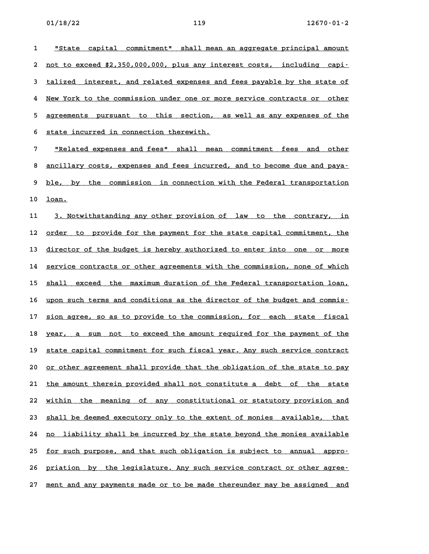**1 "State capital commitment" shall mean an aggregate principal amount \_\_\_\_\_\_\_\_\_\_\_\_\_\_\_\_\_\_\_\_\_\_\_\_\_\_\_\_\_\_\_\_\_\_\_\_\_\_\_\_\_\_\_\_\_\_\_\_\_\_\_\_\_\_\_\_\_\_\_\_\_\_\_\_\_\_\_\_\_\_** <u>"State capital commitment" shall-mean an aggregate principal-amount."</u><br>2 not to exceed \$2,350,000,000, plus any interest costs, including capi-2 <u>not to exceed \$2,350,000,000, plus any interest costs, including capi-</u><br>3 <u>talized interest, and related expenses and fees payable by the state of</u> detegram intelect. And related expenses and fees payable by the state of the state of the commission under one or more service contracts or other 5 <u>agreements pursuant to this section, as well as any expenses of the</u> 6 state incurred in connection therewith. **7 "Related expenses and fees" shall mean commitment fees and other \_\_\_\_\_\_\_\_\_\_\_\_\_\_\_\_\_\_\_\_\_\_\_\_\_\_\_\_\_\_\_\_\_\_\_\_\_\_\_\_\_\_\_\_\_\_\_\_\_\_\_\_\_\_\_\_\_\_\_\_\_\_\_\_\_\_\_\_\_\_** <u>"Related expenses and fees" shall mean commitment fees and other .</u><br>8 <u>ancillary costs, expenses and fees incurred, and to become due and paya.</u> 8 <u>ancillary costs, expenses and fees incurred, and to become due and paya-</u><br>9 <u>ble, by the commission in connection with the Federal transportation</u> 9 <u>ble, by the commission in connection with the Federal transportation</u><br>10 loan. 10 <u>loan.</u><br>11 <u>3. Notwithstanding any other provision of law to the contrary, in</u> 11 <u>3. Notwithstanding any other provision of law to the contrary, in</u><br>12 <u>order to provide for the payment for the state capital commitment, the</u> 12 <u>order to provide for the payment for the state capital commitment, the</u><br>13 <u>director of the budget is hereby authorized to enter into one or more</u> director of the budget is hereby authorized to enter into one or more<br>14 service contracts or other agreements with the commission, none of which 14 service contracts or other agreements with the commission, none of which<br>15 shall exceed the maximum duration of the Federal transportation loan, 15 <u>shall exceed the maximum duration of the Federal transportation loan,</u><br>16 <u>upon such terms and conditions as the director of the budget and commis-</u> 16 <u>upon such terms and conditions as the director of the budget and commis-</u><br>17 <u>sion agree, so as to provide to the commission, for each state fiscal</u> 17 <u>sion agree, so as to provide to the commission, for each state fiscal</u><br>18 <u>year, a sum not to exceed the amount required for the payment of the</u> 18 year, a sum not to exceed the amount required for the payment of the<br>19 <u>state capital commitment for such fiscal year. Any such service contract</u> 19 state capital commitment for such fiscal year. Any such service contract<br>20 <u>or other agreement shall provide that the obligation of the state to pay</u> 20 <u>or other agreement shall provide that the obligation of the state to pay</u><br>21 <u>the amount therein provided shall not constitute a debt of the state</u> 21 <u>the amount therein provided shall not constitute a debt of the state</u><br>22 <u>within the meaning of any constitutional or statutory provision and</u> 22 within the meaning of any constitutional or statutory provision and<br>23 <u>shall be deemed executory only to the extent of monies available, that</u>

23 <u>shall be deemed executory only to the extent of monies available, that</u><br>24 <u>no liability shall be incurred by the state beyond the monies available</u> 24 <u>no liability shall be incurred by the state beyond the monies available</u><br>25 <u>for such purpose, and that such obligation is subject to annual appro–</u> 25 <u>for such purpose, and that such obligation is subject to annual appro-</u><br>26 <u>priation by the legislature. Any such service contract or other agree-</u>

27 ment and any payments made or to be made thereunder may be assigned and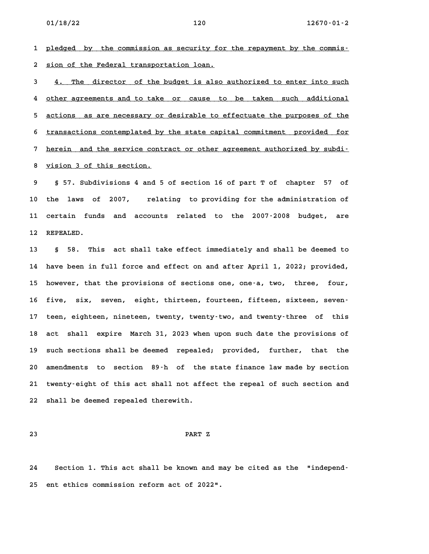**1 pledged by the commission as security for the repayment by the commis- \_\_\_\_\_\_\_\_\_\_\_\_\_\_\_\_\_\_\_\_\_\_\_\_\_\_\_\_\_\_\_\_\_\_\_\_\_\_\_\_\_\_\_\_\_\_\_\_\_\_\_\_\_\_\_\_\_\_\_\_\_\_\_\_\_\_\_\_\_\_\_\_** 1 <u>pledged by the commission as security for</u><br>2 <u>sion of the Federal transportation loan.</u> **3** sion of the Federal transportation loan.<br> **3** 4. The director of the budget is also authorized to enter into such

**4 other agreements and to take or cause to be taken such additional \_\_\_\_\_\_\_\_\_\_\_\_\_\_\_\_\_\_\_\_\_\_\_\_\_\_\_\_\_\_\_\_\_\_\_\_\_\_\_\_\_\_\_\_\_\_\_\_\_\_\_\_\_\_\_\_\_\_\_\_\_\_\_\_\_\_\_\_\_\_\_\_** 4 <u>other agreements and to take or cause to be taken such additional</u><br>5 <u>actions as are necessary or desirable to effectuate the purposes of the</u> 5 <u>actions as are necessary or desirable to effectuate the purposes of the</u><br>6 <u>transactions contemplated by the state capital commitment provided for</u> 6 <u>transactions contemplated by the state capital commitment provided for</u><br>7 herein and the service contract or other agreement authorized by subdi-8 <u>vision 3 of this service contract or other agreement authorized by subdi-</u><br>**8** <u>vision 3 of this section.</u>

**9 § 57. Subdivisions 4 and 5 of section 16 of part T of chapter 57 of 10 the laws of 2007, relating to providing for the administration of 11 certain funds and accounts related to the 2007-2008 budget, are** 11 certain fun<br>12 REPEALED.

**13 § 58. This act shall take effect immediately and shall be deemed to 14 have been in full force and effect on and after April 1, 2022; provided, 15 however, that the provisions of sections one, one-a, two, three, four,** 15 however, that the provisions of sections one, one-a, two, three, four,<br>16 five, six, seven, eight, thirteen, fourteen, fifteen, sixteen, seven-16 five, six, seven, eight, thirteen, fourteen, fifteen, sixteen, seven<sup>.</sup><br>17 teen, eighteen, nineteen, twenty, twenty-two, and twenty-three of this **18 act shall expire March 31, 2023 when upon such date the provisions of** 18 act shall expire March 31, 2023 when upon such date the provisions of<br>19 such sections shall be deemed repealed; provided, further, that the **20 amendments to section 89-h of the state finance law made by section 21 twenty-eight of this act shall not affect the repeal of such section and 22 shall be deemed repealed therewith.**

**23 PART Z**

**24 Section 1. This act shall be known and may be cited as the "independ-25 ent ethics commission reform act of 2022".**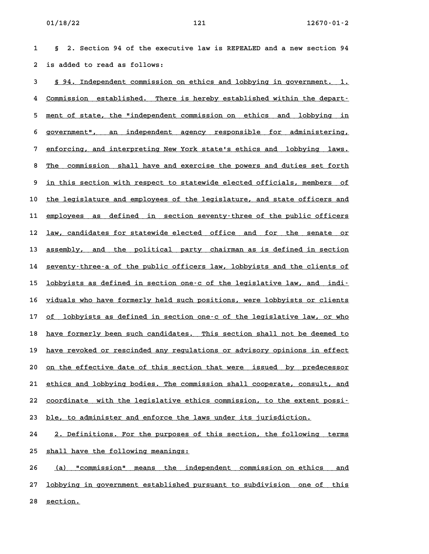**1 § 2. Section 94 of the executive law is REPEALED and a new section 94 2 is added to read as follows:**

**3 § 94. Independent commission on ethics and lobbying in government. 1. \_\_\_\_\_\_\_\_\_\_\_\_\_\_\_\_\_\_\_\_\_\_\_\_\_\_\_\_\_\_\_\_\_\_\_\_\_\_\_\_\_\_\_\_\_\_\_\_\_\_\_\_\_\_\_\_\_\_\_\_\_\_\_\_\_\_\_\_\_\_ 4 Commission established. There is hereby established within the depart- \_\_\_\_\_\_\_\_\_\_\_\_\_\_\_\_\_\_\_\_\_\_\_\_\_\_\_\_\_\_\_\_\_\_\_\_\_\_\_\_\_\_\_\_\_\_\_\_\_\_\_\_\_\_\_\_\_\_\_\_\_\_\_\_\_\_\_\_\_\_\_\_** 4 <u>Commission established. There is hereby established within the depart–</u><br>5 <u>ment of state, the "independent commission on ethics and lobbying in</u> 5 <u>ment of state, the "independent commission on ethics and lobbying in</u><br>6 government", an independent agency responsible for administering, 6 government", an independent agency responsible for administering,<br>7 enforcing, and interpreting New York state's ethics and lobbying laws. 8 <u>The commission shall have and exercise the powers and lobbying laws.</u><br>The commission shall have and exercise the powers and duties set forth 8 <u>The commission shall have and exercise the powers and duties set forth</u><br>9 <u>in this section with respect to statewide elected officials, members of</u> 9 <u>in this section with respect to statewide elected officials, members of</u><br>10 <u>the legislature and employees of the legislature, and state officers and</u> 10 <u>the legislature and employees of the legislature, and state officers and</u><br>11 <u>employees as defined in section seventy–three of the public officers</u> 11 <u>employees as defined in section seventy-three of the public officers</u><br>12 <u>law, candidates for statewide elected office and for the senate or</u> 12 <u>law, candidates for statewide elected office and for the senate or</u><br>13 <u>assembly, and the political party chairman as is defined in section</u> 13 <u>assembly, and the political party chairman as is defined in section</u><br>14 <u>seventy–three–a of the public officers law, lobbyists and the clients of</u> 14 seventy-three-a of the public officers law, lobbyists and the clients of<br>15 <u>lobbyists as defined in section one-c of the legislative law, and indi-</u> 15 <u>lobbyists as defined in section one–c of the legislative law, and indi–</u><br>16 <u>viduals who have formerly held such positions, were lobbyists or clients</u> if <u>viduals who have formerly held such positions, were lobbyists or clients<br>17 of lobbyists as defined in section one–c of the legislative law, or who</u> 17 <u>of lobbyists as defined in section one-c of the legislative law, or who</u><br>18 <u>have formerly been such candidates. This section shall not be deemed to</u> 18 <u>have formerly been such candidates. This section shall not be deemed to</u><br>19 <u>have revoked or rescinded any regulations or advisory opinions in effect</u> 19 have revoked or rescinded any regulations or advisory opinions in effect<br>20 <u>on the effective date of this section that were issued by predecessor</u> 20 <u>on the effective date of this section that were issued by predecessor</u><br>21 <u>ethics and lobbying bodies. The commission shall cooperate, consult, and</u> 21 <u>ethics and lobbying bodies. The commission shall cooperate, consult, and</u><br>22 <u>coordinate with the legislative ethics commission, to the extent possi</u>-22 <u>coordinate with the legislative ethics commission, to the extent possi-</u><br>23 <u>ble, to administer and enforce the laws under its jurisdiction.</u>

23 <u>ble, to administer and enforce the laws under its jurisdiction.</u><br>24 2. Definitions. For the purposes of this section, the following terms 24 2. Definitions. For the purposes of<br>25 <u>shall have the following meanings:</u>

25 <u>shall have the following meanings:</u><br>26 <u>(a) "commission" means the independent commission on ethics and</u> 26 <u>(a) "commission" means the independent commission-on-ethics and</u><br>27 <u>lobbying in government established pursuant to subdivision one of this</u> 27 <u>lobbying in</u><br>28 <u>section.</u>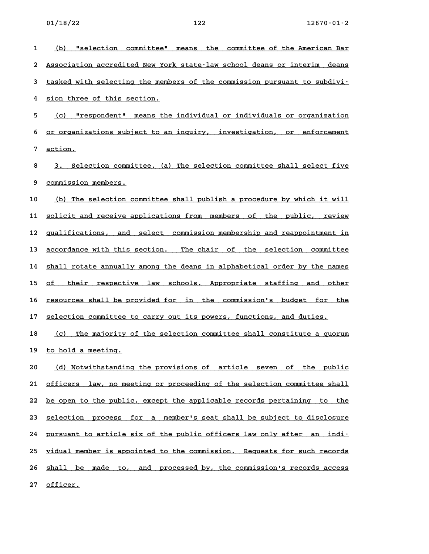| 1  | (b)<br>"selection committee"<br>means the committee of the American Bar  |
|----|--------------------------------------------------------------------------|
| 2  | Association accredited New York state-law school deans or interim deans  |
| 3  | tasked with selecting the members of the commission pursuant to subdivi- |
| 4  | sion three of this section.                                              |
| 5  | "respondent" means the individual or individuals or organization<br>(c)  |
| 6  | or organizations subject to an inquiry, investigation, or<br>enforcement |
| 7  | action.                                                                  |
| 8  | Selection committee. (a) The selection committee shall select five<br>3. |
| 9  | commission members.                                                      |
| 10 | (b) The selection committee shall publish a procedure by which it will   |
| 11 | solicit and receive applications from members of the public, review      |
| 12 | and select commission membership and reappointment in<br>qualifications, |
| 13 | accordance with this section. The chair of the selection committee       |
| 14 | shall rotate annually among the deans in alphabetical order by the names |
| 15 | their respective law schools. Appropriate staffing and other<br>οf       |
| 16 | resources shall be provided for in the commission's budget for the       |
| 17 | selection committee to carry out its powers, functions, and duties.      |
| 18 | The majority of the selection committee shall constitute a quorum<br>(c) |
|    | 19 to hold a meeting.                                                    |
| 20 | (d) Notwithstanding the provisions of article seven of the public        |
| 21 | officers law, no meeting or proceeding of the selection committee shall  |
| 22 | be open to the public, except the applicable records pertaining to the   |
| 23 | selection process for a member's seat shall be subject to disclosure     |
| 24 | pursuant to article six of the public officers law only after an indi-   |
| 25 | vidual member is appointed to the commission. Requests for such records  |
| 26 | shall be made to, and processed by, the commission's records access      |
| 27 | officer.                                                                 |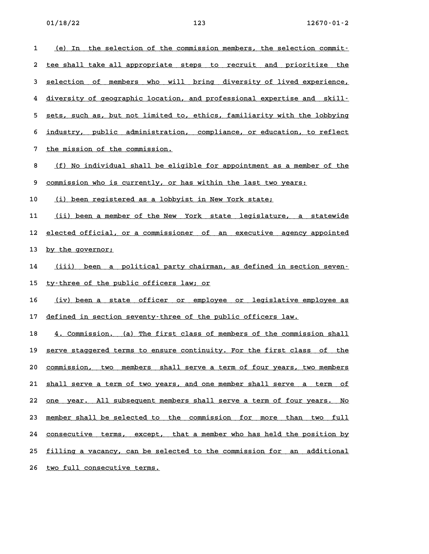1 (e) In the selection of the commission members, the selection commit-<u>(e) In the selection of the commission members, the selection commit-</u><br>2 <u>tee shall take all appropriate steps to recruit and prioritize the</u> 2 <u>tee shall take all appropriate steps to recruit and prioritize the</u><br>3 <u>selection of members who will bring diversity of lived experience,</u> 3 <u>selection of members who will bring diversity of lived experience,</u><br>4 <u>diversity of geographic location, and professional expertise and skill-</u> 5 sets, such as, but not limited to, ethics, familiarity with the lobbying 5 <u>sets, such as, but not limited to, ethics, familiarity with the lobbying</u><br>6 <u>industry, public administration, compliance, or education, to reflect</u> **6** industry, public administration<br>7 <u>the mission of the commission.</u> 7 <u>the mission of the commission.</u><br>8 <u>(f) No individual shall be eligible for appointment as a member of the</u> 8 <u>(f) No individual shall be eligible for appointment as a member</u><br>9 <u>commission who is currently, or has within the last two years:</u> 9 <u>commission who is currently, or has within the last two years:</u><br>10 <u>(i) been registered as a lobbyist in New York state;</u> 11 (ii) been a member of the New York state legislature, a statewide 11 <u>(ii) been a member of the New York state legislature, a statewide</u><br>12 <u>elected official, or a commissioner of an executive agency appointed</u> 12 <u>elected official, o</u><br>13 <u>by the governor;</u> 13 <u>by the governor;</u><br>14 <u>(iii) been a political party chairman, as defined in section seven–</u> 14 <u>(iii) been a political-party-chairman</u><br>15 <u>ty-three of the public officers law; or</u> 15 <u>ty–three of the public officers law; or</u><br>16 <u>(iv) been a state officer or employee or legislative employee as</u> 16 <u>(iv) been a state officer or employee or legislative em</u><br>17 <u>defined in section seventy–three of the public officers law.</u> 17 defined in section seventy-three of the public officers law.<br>18 **4. Commission.** (a) The first class of members of the commission shall 18 4. Commission. (a) The first class of members of the commission shall<br>19 <u>serve staggered terms to ensure continuity. For the first class of the</u> 19 <u>serve staggered terms to ensure continuity. For the first class of the</u><br>20 <u>commission, two members shall serve a term of four years, two members</u> 20 <u>commission, two members shall serve a term of four years, two members</u><br>21 <u>shall serve a term of two years, and one member shall serve a term of</u> 21 <u>shall serve a term of two years, and one member shall serve a term of</u><br>22 <u>one year. All subsequent members shall serve a term of four years. No</u> 22 <u>one year. All subsequent members shall serve a term of four years. No 23 member shall be selected to the commission for more than two full</u> 23 <u>member shall be selected to the commission for more than two full</u><br>24 <u>consecutive terms, except, that a member who has held the position by</u> 24 <u>consecutive terms, except, that a member who has held the position by</u><br>25 <u>filling a vacancy, can be selected to the commission for an additional</u> 25 filling a vacancy, can be selected to the commission for an additional<br>26 <u>two full consecutive terms.</u>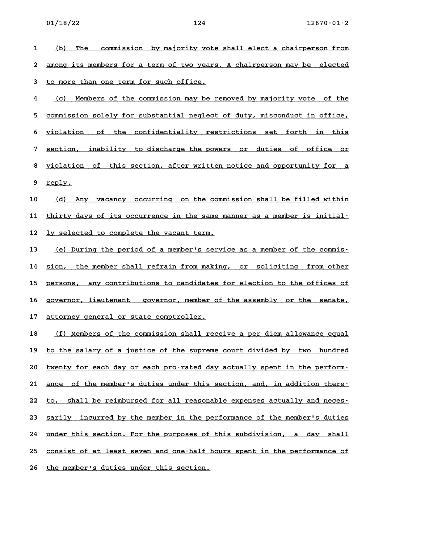d to more than one term for such office.<br>
4 (c) Members of the commission may be removed by majority vote of the <u>(c) Members of the commission may be removed by majority vote of the commission solely for substantial neglect of duty, misconduct in office,  $\frac{1}{2}$ </u> 5 <u>commission solely for substantial neglect of duty, misconduct in office,</u><br>6 <u>violation of the confidentiality restrictions set forth in this</u> 5 <u>violation of the confidentiality restrictions set forth in this</u><br>7 <u>section, inability to discharge the powers or duties of office or</u> 8 <u>section, inability to discharge the powers or duties of office or</u><br>8 <u>violation of this section, after written notice and opportunity for a</u> 8 <u>violation</u><br>9 <u>reply.</u>

9 <u>reply.</u><br>10 <u>(d) Any vacancy occurring on the commission shall be filled within</u> 10 <u>(d) Any vacancy occurring on the commission shall be filled within</u><br>11 <u>thirty days of its occurrence in the same manner as a member is initial</u> 11 thirty days of its occurrence in the same manner as a member is initial-<br>12 <u>ly selected to complete the vacant term.</u>

12 <u>ly selected to complete the vacant term.</u><br>13 <u>(e) During the period of a member's service as a member of the commis-</u> <u>(e) During the period of a member's service as a member of the commis-</u><br>14 <u>sion, the member shall refrain from making, or soliciting from other</u> 14 <u>sion, the member shall refrain from making, or soliciting from other</u><br>15 persons, any contributions to candidates for election to the offices of 15 <u>persons, any contributions to candidates for election to the offices of</u><br>16 governor, lieutenant governor, member of the assembly or the senate, 16 g<u>overnor, lieutenant governor, member o</u><br>17 <u>attorney general or state comptroller.</u>

17 <u>attorney general or state comptroller.</u><br>18 <u>(f) Members of the commission shall receive a per diem allowance equal</u> 19 to the salary of a justice of the supreme court divided by two hundred 20 twenty for each day or each pro-rated day actually spent in the perform-20 <u>twenty for each day or each pro-rated day actually spent in the perform-</u><br>21 <u>ance of the member's duties under this section, and, in addition there-</u> 21 <u>ance of the member's duties under this section, and, in addition there-</u><br>22 <u>to, shall be reimbursed for all reasonable expenses actually and neces-</u> 22 to, shall be reimbursed for all reasonable expenses actually and neces-<br>23 sarily incurred by the member in the performance of the member's duties 23 <u>sarily incurred by the member in the performance of the member's duties</u><br>24 <u>under this section. For the purposes of this subdivision, a day shall</u> 24 <u>under this section. For the purposes of this subdivision, a day shall</u><br>25 <u>consist of at least seven and one–half hours spent in the performance of</u> 25 consist of at least seven and one-half hours spent in the performance of<br>26 the member's duties under this section.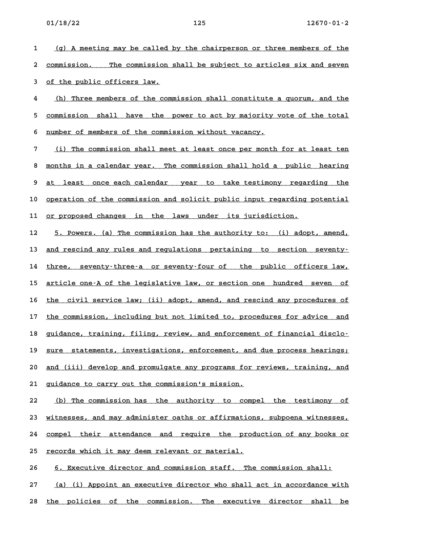1 (g) A meeting may be called by the chairperson or three members of the 1 (g) A meeting may be called by the chairperson or three members of the<br>2 <u>commission. The commission shall be subject to articles six and seven</u> 2 <u>commission. The commission</u><br>3 <u>of the public officers law.</u>

3 of the public officers law.<br>4 <u>(h)</u> Three members of the commission shall constitute a quorum, and the <u>(h) Three members of the commission shall constitute a quorum, and the commission shall have the power to act by majority vote of the total</u> 5 <u>commission shall have the power to act by majority :</u><br>6 <u>number of members of the commission without vacancy.</u>

6 <u>number of members of the commission without vacancy.</u><br>7 <u>(i) The commission shall meet at least once per month for at least ten</u> <u>(i) The commission shall meet at least once per month for at least ten</u><br>8 months in a calendar year. The commission shall hold a public hearing 8 <u>months in a calendar year. The commission shall hold a public hearing</u><br>9 <u>at least once each calendar year to take testimony regarding the</u> 9 <u>at least once each calendar year to take testimony regarding the</u><br>10 <u>operation of the commission and solicit public input regarding potential</u> 10 <u>operation of the commission and solicit public input regarding :</u><br>11 <u>or proposed changes in the laws under its jurisdiction.</u>

11 <u>or proposed changes in the laws under its jurisdiction.</u><br>12 5. Powers. (a) The commission has the authority to: (i) adopt, amend, 12 <u>5. Powers. (a) The commission has the authority to: (i) adopt, amend, .</u><br>13 <u>and rescind any rules and regulations pertaining to section seventy.</u> 13 <u>and rescind any rules and regulations pertaining to section seventy-</u><br>14 <u>three, seventy-three-a or seventy-four of the public officers law,</u> 14 three, seventy-three-a or seventy-four of the public officers law,<br>15 <u>article one-A of the legislative law, or section one hundred seven of</u> 15 <u>article one–A of the legislative law, or section one hundred seven of</u><br>16 <u>the civil service law; (ii) adopt, amend, and rescind any procedures of</u> 16 <u>the civil service law; (ii) adopt, amend, and rescind any procedures of</u><br>17 <u>the commission, including but not limited to, procedures for advice and</u> 17 the commission, including but not limited to, procedures for advice and<br>18 guidance, training, filing, review, and enforcement of financial disclo-18 <u>guidance, training, filing, review, and enforcement of financial disclo-</u><br>19 <u>sure statements, investigations, enforcement, and due process hearings;</u> 19 <u>sure statements, investigations, enforcement, and due process hearings;</u><br>20 <u>and (iii) develop and promulgate any programs for reviews, training, and</u> 20 <u>and (iii) develop and promulgate any programs for reviews, training, and</u><br>21 guidance to carry out the commission's mission.

22 (b) The commission has the authority to compel the testimony of **23 witnesses, and may administer oaths or affirmations, subpoena witnesses, \_\_\_\_\_\_\_\_\_\_\_\_\_\_\_\_\_\_\_\_\_\_\_\_\_\_\_\_\_\_\_\_\_\_\_\_\_\_\_\_\_\_\_\_\_\_\_\_\_\_\_\_\_\_\_\_\_\_\_\_\_\_\_\_\_\_\_\_\_\_\_\_** 23 <u>witnesses, and may administer oaths or affirmations, subpoena witnesses, 24</u><br>24 <u>compel their attendance and require the production of any books or</u> 24 <u>compel their attendance and require the prod</u><br>25 <u>records which it may deem relevant or material.</u> 25 <u>records which it may deem relevant or material.</u><br>26 **6. Executive director and commission staff.** The commission shall:

27 (a) (i) Appoint an executive director who shall act in accordance with 28 the policies of the commission. The executive director shall be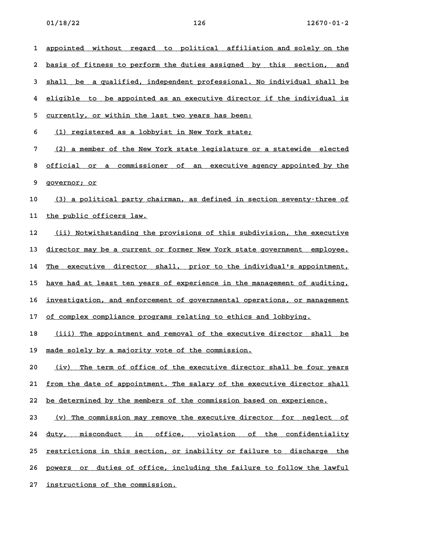**1 appointed without regard to political affiliation and solely on the \_\_\_\_\_\_\_\_\_\_\_\_\_\_\_\_\_\_\_\_\_\_\_\_\_\_\_\_\_\_\_\_\_\_\_\_\_\_\_\_\_\_\_\_\_\_\_\_\_\_\_\_\_\_\_\_\_\_\_\_\_\_\_\_\_\_\_\_\_\_\_\_** 1 <u>appointed without regard to political affiliation and-solely-on-the</u><br>2 <u>basis of fitness to perform the duties assigned by this section, and</u> 2 basis of fitness to perform the duties assigned by this section, and<br>3 shall be a qualified, independent professional. No individual shall be 3 <u>shall be a qualified, independent professional. No individual shall be</u><br>4 eligible to be appointed as an executive director if the individual is 4 eligible to be appointed as an executive director if the individual is<br>5 <u>currently, or within the last two years has been:</u> **6** <u>(1) registered as a lobbyist in New York state;</u><br>**6 11 egistered as a lobbyist in New York state**; 7 (2) a member of the New York state legislature or a statewide elected <u>(2) a member of the New York state legislature or a statewide elected</u><br>8 <u>official or a commissioner of an executive agency appointed by the</u> 8 <u>official or a</u><br>9 <u>governor; or</u> 9 <u>governor; or</u><br>10 <u>(3) a political party chairman, as defined in section seventy-three of</u> 10 <u>(3) a political party cha</u><br>11 <u>the public officers law.</u> 11 the public officers law.<br>
12 <u>(ii) Notwithstanding the provisions of this subdivision, the executive</u> <u>(ii) Notwithstanding the provisions of this subdivision, the executive (i)</u><br>13 director may be a current or former New York state government employee. 13 <u>director may be a current or former New York state government employee.</u><br>14 <u>The executive director shall, prior to the individual's appointment,</u> 14 <u>The executive director shall, prior to the individual's appointment,</u><br>15 <u>have had at least ten years of experience in the management of auditing,</u> 15 <u>have had at least ten years of experience in the management of auditing,</u><br>16 <u>investigation, and enforcement of governmental operations, or management</u> 16 <u>investigation, and enforcement of governmental operations, or management</u><br>17 <u>of complex compliance programs relating to ethics and lobbying.</u> 17 <u>of complex compliance programs relating to ethics and lobbying.</u><br>18 <u>(iii) The appointment and removal of the executive director shall be</u> 18 <u>(iii) The appointment and removal of the executive</u><br>19 <u>made solely by a majority vote of the commission.</u> 19 made solely by a majority vote of the commission.<br>20 <u>(iv)</u> The term of office of the executive director shall be four years <u>(iv)</u> The term of office of the executive director shall be four years<br>21 from the date of appointment. The salary of the executive director shall 21 <u>from the date of appointment. The salary of the executive director sha</u><br>22 <u>be determined by the members of the commission based on experience.</u> 22 be determined by the members of the commission based on experience.<br>23 (v) The commission may remove the executive director for neglect of <u>(v) The commission may remove the executive director for neglect of (v)</u><br>24 <u>duty, misconduct in office, violation of the confidentiality</u> 24 <u>duty, misconduct in office, violation of the confidentiality</u><br>25 <u>restrictions in this-section, or inability or failure to discharge the</u> 25 <u>restrictions in this section, or inability or failure to discharge the</u><br>26 <u>powers or duties of office, including the failure to follow the lawful</u> 26 <u>powers or duties of office, incli</u><br>27 <u>instructions of the commission.</u>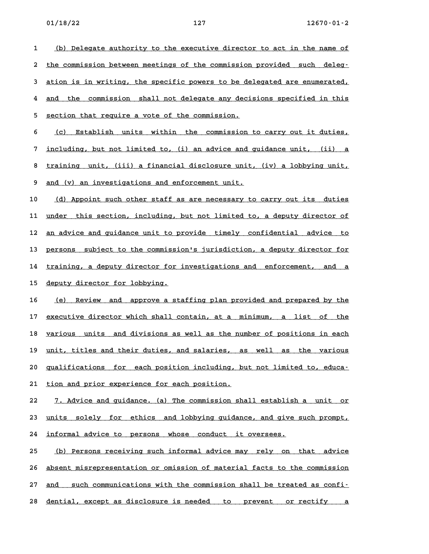1 (b) Delegate authority to the executive director to act in the name of <u>(b) Delegate authority to the executive director to act in the name of the commission between meetings of the commission provided such deleg-</u> 2 <u>the commission between meetings of the commission provided such deleg-</u><br>3 <u>ation is in writing, the specific powers to be delegated are enumerated,</u> 4 and the commission shall not delegate any decisions specified in this<br>**4 and the commission shall not delegate any decisions specified in this** 4 <u>and the commission shall not delegate any decisions specified in this</u><br>5 <u>section that require a vote of the commission.</u> 5 <u>section that require a vote of the commission.</u><br>6 <u>(c) Establish units within the commission to carry out it duties,</u> 6 <u>(c) Establish units within the commission-to-carry-out-it-duties,</u><br>7 <u>including, but-not-limited-to, (i) an advice and guidance unit, (ii) a</u> 8 <u>training, but not limited to, (i) an advice and guidance unit, (ii) a</u><br>8 <u>training unit, (iii) a financial disclosure unit, (iv) a lobbying unit,</u> 8 <u>training unit, (iii) a financial disclosure unit,</u><br>9 <u>and (v) an investigations and enforcement unit.</u> 9 <u>and (v) an investigations and enforcement unit.</u><br>10 <u>(d) Appoint such other staff as are necessary to carry out its duties</u> 10 <u>(d) Appoint such other staff as are necessary to carry out its duties</u><br>11 <u>under this section, including, but not limited to, a deputy director of</u> 11 <u>under this section, including, but not limited to, a deputy director of</u><br>12 <u>an advice and guidance unit to provide timely confidential advice to</u> 12 <u>an advice and guidance unit to provide timely confidential advice to</u><br>13 <u>persons subject to the commission's jurisdiction, a deputy director for</u> 13 <u>persons subject to the commission's jurisdiction, a deputy director for</u><br>14 <u>training, a deputy director for investigations and enforcement, and a</u> 14 <u>training, a deputy director for investigations and enforcement, and a</u><br>15 <u>deputy director for lobbying.</u> 16 (e) Review and approve a staffing plan provided and prepared by the 16 <u>(e) Review and approve a staffing plan provided and prepared by the <br>17 <u>executive director which shall contain, at a minimum, a list of the</u></u> 17 <u>executive director which shall contain, at a minimum, a list of the various units and divisions as well as the number of positions in each</u>

18 <u>various units and divisions as well as the number of positions in each</u><br>19 <u>unit, titles and their duties, and salaries, as well as the various</u> **20 qualifications for each position including, but not limited to, educa- \_\_\_\_\_\_\_\_\_\_\_\_\_\_\_\_\_\_\_\_\_\_\_\_\_\_\_\_\_\_\_\_\_\_\_\_\_\_\_\_\_\_\_\_\_\_\_\_\_\_\_\_\_\_\_\_\_\_\_\_\_\_\_\_\_\_\_\_\_\_\_\_ 21 tion and prior experience for each position. \_\_\_\_\_\_\_\_\_\_\_\_\_\_\_\_\_\_\_\_\_\_\_\_\_\_\_\_\_\_\_\_\_\_\_\_\_\_\_\_\_\_\_\_**

21 <u>tion and prior experience for each position.</u><br>22 7. Advice and guidance. (a) The commission shall establish a unit or 22 <u>7. Advice and guidance. (a) The commission shall establish a unit or</u><br>23 <u>units solely for ethics and lobbying guidance, and give such prompt,</u> 23 <u>units solely for ethics and lobbying guidance, and give such prompt,</u><br>24 <u>informal advice to persons whose conduct it oversees.</u>

25 (b) Persons receiving such informal advice may rely on that advice **26 absent misrepresentation or omission of material facts to the commission \_\_\_\_\_\_\_\_\_\_\_\_\_\_\_\_\_\_\_\_\_\_\_\_\_\_\_\_\_\_\_\_\_\_\_\_\_\_\_\_\_\_\_\_\_\_\_\_\_\_\_\_\_\_\_\_\_\_\_\_\_\_\_\_\_\_\_\_\_\_\_\_** 26 <u>absent misrepresentation or omission of material facts to the commission</u><br>27 <u>and such communications with the commission shall be treated as confi-</u> 27 <u>and such communications with the commission shall be treated as confi-</u><br>28 <u>dential, except as disclosure is needed to prevent or rectify a</u>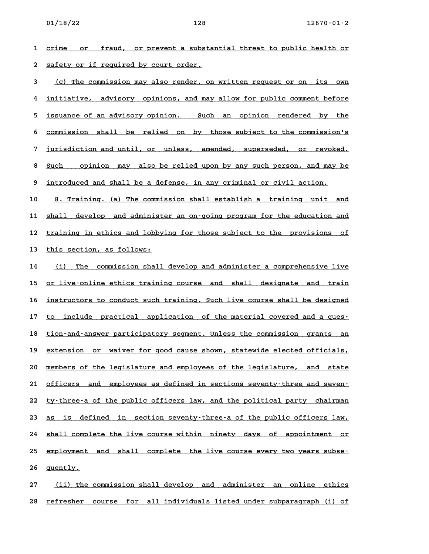**1 crime or fraud, or prevent a substantial threat to public health or \_\_\_\_\_\_\_\_\_\_\_\_\_\_\_\_\_\_\_\_\_\_\_\_\_\_\_\_\_\_\_\_\_\_\_\_\_\_\_\_\_\_\_\_\_\_\_\_\_\_\_\_\_\_\_\_\_\_\_\_\_\_\_\_\_\_\_\_\_\_\_\_** 2 <u>safety or fraud, or prevent a substa</u><br>2 <u>safety or if required by court order.</u>

**3 (c) The commission may also render, on written request or on its own \_\_\_\_\_\_\_\_\_\_\_\_\_\_\_\_\_\_\_\_\_\_\_\_\_\_\_\_\_\_\_\_\_\_\_\_\_\_\_\_\_\_\_\_\_\_\_\_\_\_\_\_\_\_\_\_\_\_\_\_\_\_\_\_\_\_\_\_\_\_ 4 initiative, advisory opinions, and may allow for public comment before \_\_\_\_\_\_\_\_\_\_\_\_\_\_\_\_\_\_\_\_\_\_\_\_\_\_\_\_\_\_\_\_\_\_\_\_\_\_\_\_\_\_\_\_\_\_\_\_\_\_\_\_\_\_\_\_\_\_\_\_\_\_\_\_\_\_\_\_\_\_\_\_** 4 <u>initiative, advisory opinions, and may-allow-for-public-comment-before</u><br>5 <u>issuance of an advisory-opinion. Such an opinion rendered by the</u> 5 <u>issuance of an advisory opinion. Such an opinion rendered by the <br>6 <u>commission shall be relied on by those subject to the commission's</u></u> 6 <u>commission shall be relied on by those subject to the commission's</u><br>7 jurisdiction and until, or unless, amended, superseded, or revoked. 8 <u>Such opinion and until, or unless, amended, superseded, or revoked.</u><br>8 <u>Such opinion may also be relied upon by any such person, and may be</u> 8 <u>Such opinion may also be relied upon by any such person, and may :</u><br>9 <u>introduced and shall be a defense, in any criminal or civil action.</u>

**10 8. Training. (a) The commission shall establish a training unit and \_\_\_\_\_\_\_\_\_\_\_\_\_\_\_\_\_\_\_\_\_\_\_\_\_\_\_\_\_\_\_\_\_\_\_\_\_\_\_\_\_\_\_\_\_\_\_\_\_\_\_\_\_\_\_\_\_\_\_\_\_\_\_\_\_\_\_\_\_\_** 10 <u>8. Training. (a) The commission shall establish a training unit and</u><br>11 <u>shall develop and administer an on–going program for the education and</u> 11 <u>shall develop and administer an on-going program for the education and</u><br>12 <u>training in ethics and lobbying for those subject to the provisions of</u> 12 <u>training in ethics and lobbying for those subject to the provisions of</u><br>13 <u>this section, as follows:</u>

14 (i) The commission shall develop and administer a comprehensive live 15 or live-online ethics training course and shall designate and train 15 <u>or live–online ethics training course and shall designate and train</u><br>16 <u>instructors to conduct such training. Such live course shall be designed</u> if <u>instructors to conduct such training. Such live course shall be designed<br>17 to include practical application of the material covered and a ques–</u> 17 <u>to include practical application of the-material-covered-and-a-ques-</u><br>18 <u>tion-and-answer-participatory-segment. Unless the-commission grants an</u> 18 <u>tion–and–answer participatory segment. Unless the commission grants an</u><br>19 <u>extension or waiver for good cause shown, statewide elected officials,</u> 20 members of the legislature and employees of the legislature, and state<br>20 members of the legislature and employees of the legislature, and state 20 <u>members of the legislature and employees of the legislature, and state</u><br>21 <u>officers and employees as defined in sections seventy–three and seven–</u> 21 <u>officers and employees as defined in sections seventy–three and seven–</u><br>22 <u>ty–three–a of the public officers law, and the political party chairman</u> 22 ty-three-a of the public officers law, and the political party chairman<br>23 as is defined in section seventy-three-a of the public officers law, 23 <u>as is defined in section-seventy–three–a of the public officers law,</u><br>24 <u>shall complete the live course within ninety days of appointment or</u> 24 <u>shall complete the live course within ninety days of appointment or</u><br>25 <u>employment and shall complete the live course every two years subse</u> 25 <u>employment and shall complete the live course every two years subse-<br>26 <u>quently.</u></u>

**27 (ii) The commission shall develop and administer an online ethics \_\_\_\_\_\_\_\_\_\_\_\_\_\_\_\_\_\_\_\_\_\_\_\_\_\_\_\_\_\_\_\_\_\_\_\_\_\_\_\_\_\_\_\_\_\_\_\_\_\_\_\_\_\_\_\_\_\_\_\_\_\_\_\_\_\_\_\_\_\_ 28 refresher course for all individuals listed under subparagraph (i) of \_\_\_\_\_\_\_\_\_\_\_\_\_\_\_\_\_\_\_\_\_\_\_\_\_\_\_\_\_\_\_\_\_\_\_\_\_\_\_\_\_\_\_\_\_\_\_\_\_\_\_\_\_\_\_\_\_\_\_\_\_\_\_\_\_\_\_\_\_\_\_\_**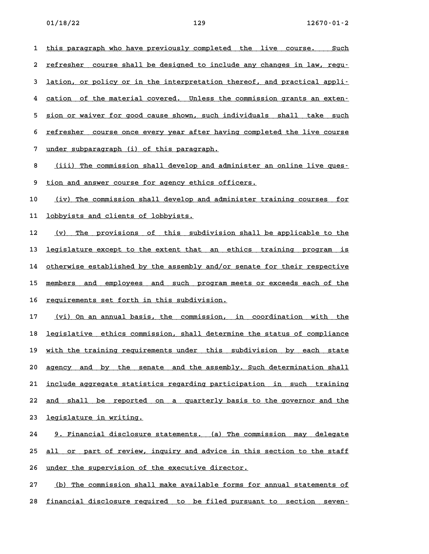1 this paragraph who have previously completed the live course. Such 1 <u>this paragraph who have previously completed the live course. Such</u><br>2 <u>refresher course shall be designed to include any changes in law, regu–</u> 2 <u>refresher course shall be designed to include any changes in law, regu-</u><br>3 <u>lation, or policy or in the interpretation thereof, and practical appli-</u> **4 lation, or policy or in the interpretation thereof, and practical appli-**<br>**4 cation of the material covered. Unless the commission grants an exten-**4 cation of the material covered. Unless the commission grants an exten–<br>5 <u>sion or waiver for good cause shown, such individuals shall take such</u> 5 <u>sion or waiver for good cause shown, such individuals shall take such</u><br>6 refresher course once everv vear after having completed the live course 6 <u>refresher course once every year after having completed the live course</u><br>7 <u>under subparagraph (i) of this paragraph.</u> 8 <u>(iii) The commission shall develop and administer an online live ques-</u><br>**8** <u>(iii) The commission shall develop and administer an online live ques-</u> 8 <u>(iii) The commission shall develop and administer a</u><br>9 <u>tion and answer course for agency ethics officers.</u> 9 <u>tion and answer course for agency ethics officers.</u><br>10 <u>(iv) The commission shall develop and administer training courses for</u> 10 <u>(iv) The commission shall develop and</u><br>11 <u>lobbyists and clients of lobbyists.</u> 11 <u>lobbyists and clients of lobbyists.</u><br>12 (v) The provisions of this subdivision shall be applicable to the 12 <u>(v) The provisions of this subdivision-shall-be-applicable-to-the</u><br>13 <u>legislature except to the extent that an ethics training program is</u> 13 <u>legislature except to the extent that an ethics training program is</u><br>14 <u>otherwise established by the assembly and/or senate for their respective</u> 14 <u>otherwise established by the assembly and/or senate for their respective</u><br>15 members and employees and such program meets or exceeds each of the 15 <u>members and employees and such program meets or exceeds each of the</u><br>16 <u>requirements set forth in this subdivision.</u> 16 <u>requirements set forth in this subdivision.</u><br>17 <u>(vi) On an annual basis, the commission, in coordination with the</u> <u>(vi) On an annual basis, the commission, in coordination with the the status of compliance the status of compliance<br>18 legislative ethics commission, shall determine the status of compliance</u> 18 <u>legislative ethics commission, shall determine the status of compliance</u><br>19 <u>with the training requirements under this subdivision by each state</u> 19 <u>with the training requirements under this subdivision by each state</u><br>20 <u>agency and by the senate and the assembly. Such determination shall</u> 20 <u>agency and by the senate and the assembly. Such determination shall</u><br>21 <u>include aggregate statistics regarding participation in such training</u> 21 <u>include aggregate statistics regarding participation in such training</u><br>22 <u>and shall be reported on a quarterly basis to the governor and the</u> 22 <u>and shall be reported</u><br>23 <u>legislature in writing.</u> 23 <u>legislature in writing.</u><br>24 <u>9. Financial disclosure statements. (a) The commission may delegate</u>

24 9. Financial disclosure statements. (a) The commission may delegate<br>25 <u>all or part of review, inquiry and advice in this section to the staff</u> 25 all or part of review, inquiry and advice in this section to the staff<br>26 <u>under the supervision of the executive director.</u>

27 (b) The commission shall make available forms for annual statements of **28 financial disclosure required to be filed pursuant to section seven- \_\_\_\_\_\_\_\_\_\_\_\_\_\_\_\_\_\_\_\_\_\_\_\_\_\_\_\_\_\_\_\_\_\_\_\_\_\_\_\_\_\_\_\_\_\_\_\_\_\_\_\_\_\_\_\_\_\_\_\_\_\_\_\_\_\_\_\_\_\_\_\_**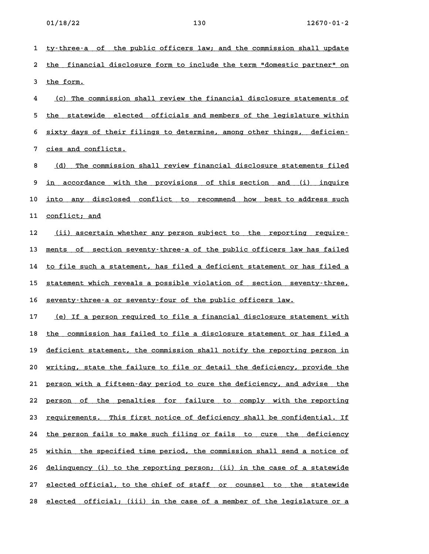1 ty-three-a of the public officers law; and the commission shall update 1 <u>ty–three–a of the public officers law; and the commission shall update</u><br>2 <u>the financial disclosure form to include the term "domestic partner" on</u> 2 <u>the financi</u><br>3 <u>the form.</u> 3 the form.<br>4 <u>(c) The commission shall review the financial disclosure statements of</u>

<u>(c) The commission shall review the financial disclosure statements of the statewide elected officials and members of the legislature within</u> 5 <u>the statewide elected officials and members of the legislature within</u><br>6 <u>sixty days of their filings to determine, among other things, deficien–</u> 5 <u>sixty days of their filings to determine, among other things, deficien-<br>7 <u>cies and conflicts.</u></u>

*8 cies and conflicts.*<br>8 <u>(d) The commission shall review financial disclosure statements filed</u> 8 <u>(d) The commission shall review financial disclosure statements filed</u><br>9 <u>in accordance with the provisions of this section and (i) inquire</u> 9 <u>in accordance with the provisions of this-section and (i) inquire</u><br>10 <u>into any disclosed conflict to recommend how best to-address-such</u> 10 <u>into any discl</u><br>11 <u>conflict; and</u>

**11** <u>conflict; and</u><br>**12** (ii) ascertain whether any person subject to the reporting require-<u>(ii) ascertain whether any person subject to the reporting require-</u><br>13 <u>ments of section seventy–three–a of the public officers law has failed</u> 13 <u>ments of section seventy–three–a of the public officers law has failed</u><br>14 <u>to file such a statement, has filed a deficient statement or has filed a</u> 14 <u>to file such a statement, has filed a deficient statement or has filed a</u><br>15 <u>statement which reveals a possible violation of section seventy–three,</u> 15 <u>statement which reveals a possible violation of section seve</u><br>16 <u>seventy-three-a or seventy-four of the public officers law.</u>

16 <u>seventy-three-a or seventy-four of the public officers law.</u><br>17 <u>(e) If a person required to file a financial disclosure statement with</u> <u>(e) If a person required to file a financial disclosure statement with</u><br>18 <u>the commission has failed to file a disclosure statement or has filed a</u> 18 <u>the commission has failed to file a disclosure statement or has filed a</u><br>19 <u>deficient statement, the commission shall notify the reporting person in</u> 19 deficient statement, the commission shall notify the reporting person in<br>20 writing, state the failure to file or detail the deficiency, provide the 20 <u>writing, state the failure to file or detail the deficiency, provide the</u><br>21 <u>person with a fifteen–day period to cure the deficiency, and advise the</u> 21 <u>person with a fifteen–day period to cure the deficiency, and advise the</u><br>22 <u>person of the penalties for failure to comply with the reporting</u> 22 <u>person of the penalties for failure to comply with the reporting</u><br>23 <u>requirements. This first notice of deficiency shall be confidential. If</u> 23 <u>requirements. This first notice of deficiency shall be confidential. If</u><br>24 <u>the person fails to make such filing or fails to cure the deficiency</u> 24 <u>the person fails to make such filing or fails to cure the deficiency</u><br>25 <u>within the specified time period, the commission shall send a notice of</u> 25 within the specified time period, the commission shall send a notice of<br>26 delinquency (i) to the reporting person; (ii) in the case of a statewide 26 <u>delinquency (i) to the reporting person; (ii) in the case of a statewide</u><br>27 <u>elected official, to the chief of staff or counsel to the statewide</u> 27 <u>elected official, to the chief of staff or counsel to the statewide</u><br>28 <u>elected official; (iii) in the case of a member of the legislature or a</u>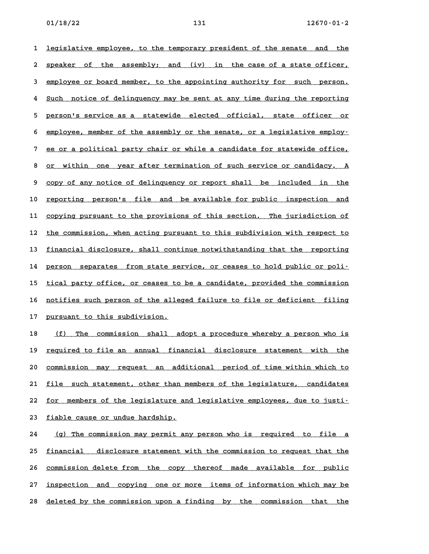**1** legislative employee, to the temporary president of the senate and the 1 <u>legislative employee, to the temporary president of the senate and the</u><br>2 <u>speaker of the assembly; and (iv) in the case of a state officer,</u> 2 <u>speaker of the assembly; and (iv) in the-case-of-a-state-officer,</u><br>3 <u>employee or board-member, to the appointing authority for such person.</u> a <u>employee or board member, to the appointing authority for such person.</u><br>4 <u>Such notice of delinquency may be sent at any time during the reporting</u> 4 <u>Such notice of delinquency may be sent at any time during the reporting</u><br>5 <u>person's service as a statewide elected official, state officer or</u> 5 <u>person's service as a statewide elected official, state officer or</u><br>6 <u>employee, member of the assembly or the senate, or a legislative employ.</u> 6 employee, member of the assembly or the senate, or a legislative employ-<br>7 ee or a political party chair or while a candidate for statewide office, 8 <u>or a political party chair or while a candidate for statewide office,</u><br>8 <u>or within one year after termination of such service or candidacy. A</u> 8 <u>or within one year-after-termination of such-service-or-candidacy. A</u><br>9 <u>copy of any notice of delinquency or report shall be included in the</u> 9 <u>copy of any notice of delinquency or report shall be included in the</u><br>10 <u>reporting person's file and be available for public inspection and</u> ioddies the person's file and be available for public inspection and the provisions of this section. The jurisdiction of the provisions of this section. The jurisdiction of 11 <u>copying pursuant to the provisions of this section. The jurisdiction of</u><br>12 <u>the commission, when acting pursuant to this subdivision with respect to</u> 12 <u>the commission, when acting pursuant to this subdivision with respect to</u><br>13 <u>financial disclosure, shall continue notwithstanding that the reporting</u> 13 <u>financial disclosure, shall continue notwithstanding that the reporting</u><br>14 <u>person separates from state service, or ceases to hold public or poli</u> 14 person separates from state service, or ceases to hold public or poli-<br>15 <u>tical party office, or ceases to be a candidate, provided the commission</u> 15 <u>tical party office, or ceases to be a candidate, provided the commission</u><br>16 <u>notifies such person of the alleged failure to file or deficient filing</u> 16 <u>notifies such person of the alle</u><br>17 <u>pursuant to this subdivision.</u> **17** pursuant to this subdivision.<br>**18** <u>(f) The commission shall adopt a procedure whereby a person who is</u>

18 <u>(f) The commission shall adopt-a-procedure-whereby-a-person-who-is</u><br>19 <u>required to file an annual financial disclosure statement with the</u> 19 <u>required to file an annual financial disclosure statement with the</u><br>20 <u>commission may request an additional period of time within which to</u> 20 <u>commission may request an additional period-of-time-within-which-to-</u><br>21 <u>file such-statement, other than-members of the legislature, candidates</u> 21 <u>file such statement, other than members of the legislature, candidates</u><br>22 <u>for members of the legislature and legislative employees, due to justi-</u> 22 <u>for members of the legislature and legislative employees, due to justi-</u><br>23 <u>fiable cause or undue hardship.</u>

23 <u>fiable cause or undue hardship.</u><br>24 <u>(g) The commission may permit any person who is required to file a</u> <u>(g) The commission may permit any person who is required to file a</u><br>25 <u>financial disclosure statement with the commission to request that the</u> 25 <u>financial disclosure statement with the commission to request that the</u><br>26 <u>commission delete from the copy thereof made available for public</u> 27 <u>inspection and copying one or more items of information which may be</u> 28 deleted by the commission upon a finding by the commission that the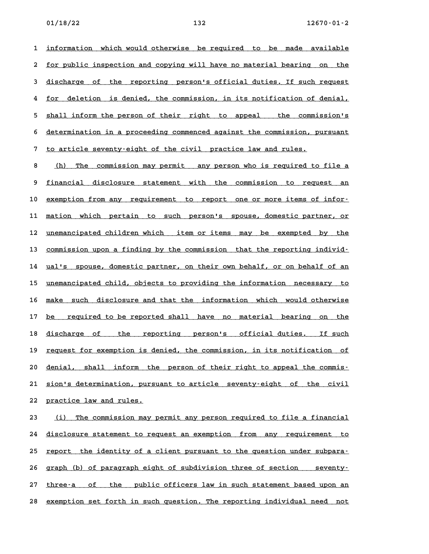1 <u>information which would otherwise be required to be made available</u> 1 <u>information which would otherwise be required to be made available</u><br>2 <u>for public inspection and copying will have no material bearing on the</u> 2 <u>for public inspection and copying will have no material bearing on the 21 of the reporting person's official duties. If such request</u> discharge of the reporting person's official duties. If such request<br>4 for deletion is denied, the commission, in its notification of denial, 5 shall inform the person of their right to appeal the commission's<br>5 shall inform the person of their right to appeal the commission's 5 <u>shall inform the person of their right to appeal the commission's</u><br>6 determination in a proceeding commenced against the commission, pursuant 6 <u>determination in a proceeding commenced against the commission, pursuant</u><br>7 to article seventy-eight of the civil practice law and rules.

8 to article seventy–eight of the civil practice law and rules.<br>8 <u>(h) The commission may permit any person who is required to file a</u> 8 <u>(h) The commission may permit any person who is required to file a</u><br>9 <u>financial disclosure statement with the commission to request an</u> 9 <u>financial disclosure statement with the commission to request an</u><br>10 <u>exemption from any requirement to report one or more items of infor-</u> 10 <u>exemption from any requirement to report one or more items of infor-</u><br>11 <u>mation which pertain to such person's spouse, domestic partner, or</u> 11 <u>mation which pertain to such person's spouse,-domestic-partner,-or</u><br>12 <u>unemancipated children which item or items may be exempted by the</u> 12 <u>unemancipated children which item or items may be exempted by the commission upon a finding by the commission that the reporting individ–</u> 13 <u>commission upon a finding by the commission that the reporting individ–</u><br>14 <u>ual's spouse, domestic partner, on their own behalf, or on behalf of an</u> 14 ual's spouse, domestic partner, on their own behalf, or on behalf of an<br>15 unemancipated child, objects to providing the information necessary to 15 <u>unemancipated child, objects to providing the information necessary to</u><br>16 <u>make such disclosure and that the information which would otherwise</u> 16 <u>make such disclosure-and-that-the information which would-otherwise</u><br>17 <u>be required to be reported-shall have no material bearing on the</u> 17 <u>be required to be reported shall have no material bearing on the</u><br>18 <u>discharge of the reporting person's official-duties. If such</u> 18 <u>discharge of the reporting person's official-duties. If-such</u><br>19 request-for-exemption-is-denied, the-commission, in-its-notification of **20** denial, shall inform is denied, the commission, in its notification of 10<br>**20** denial, shall inform the person of their right to appeal the commis-20 <u>denial, shall inform the person-of-their-right-to-appeal-the-commis-</u><br>21 <u>sion's-determination, pursuant-to-article seventy-eight of the civil</u> 21 <u>sion's determination, purs</u><br>22 <u>practice law and rules.</u> **22** practice law and rules.<br>**23** (i) The commission may permit any person required to file a financial

<u>(i) The commission may permit any person required to file a financial</u><br>24 disclosure statement to request an exemption from any requirement to 24 <u>disclosure statement to request an exemption from any requirement to</u><br>25 <u>report the identity of a client pursuant to the question under subpara–</u> 25 <u>report the identity of a client pursuant to the question under subpara-</u><br>26 graph (b) of paragraph eight of subdivision three of section seventy-26 graph (b) of paragraph eight of subdivision three of section seventy–<br>27 <u>three–a of the public officers law in such statement based upon an</u> 27 <u>three–a of the public officers law in such statement based upon an</u><br>28 <u>exemption set forth in such question. The reporting individual need not</u>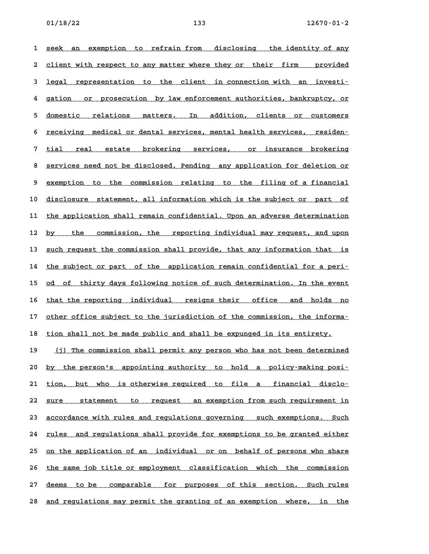**1** seek an exemption to refrain from disclosing the identity of any 1 <u>seek an exemption to refrainfrom disclosing the identity-of-any</u><br>2 <u>client-with-respect-to-any-matter-where-they-or-their-firm - provided</u> 2 <u>client with respect to any matter where they or their firm a provided</u><br>3 <u>legal representation to the client in connection with an investi–</u> degal representation to the client in connection with an investi-<br>4 gation or prosecution by law enforcement authorities, bankruptcy, or 4 gation or prosecution by law-enforcement-authorities,-bankruptcy,-or<br>5 <u>domestic relations matters. In addition, clients or customers</u> 5 <u>domestic relations matters. In addition, clients or customers</u><br>6 <u>receiving medical-or-dental-services, mental-health-services, residen-</u> 6 <u>receiving medical-or-dental-services, mental-health-services, residen-</u><br>7 <u>tial -real estate brokering services, or insurance brokering</u> 8 <u>services need not be disclosed. Pending any application for deletion or</u><br>**8 <u>services need not be disclosed. Pending any application for deletion or**</u> 8 <u>services need not be disclosed. Pending any application for deletion or</u><br>9 <u>exemption to the commission relating to the filing of a financial</u> 9 <u>exemption to the commission relating to the filing of a financial</u><br>10 <u>disclosure statement, all information which is the subject or part of</u> 10 <u>disclosure statement, all information which is the subject or part of</u><br>11 <u>the application shall remain confidential. Upon an adverse determination</u> 11 <u>the application shall remain confidential. Upon an adverse determination</u><br>12 <u>by the commission, the reporting individual may request, and upon</u> 12 <u>by the commission, the reporting individual may request, and upon</u><br>13 <u>such request the commission shall provide, that any information that is</u> 13 <u>such request the commission shall provide, that any information that is</u><br>14 <u>the subject or part of the application remain confidential for a peri</u>-14 the subject or part of the application remain confidential for a peri-<br>15 <u>od of thirty days following notice of such determination. In the event</u> 15 <u>od of thirty-days-following notice of such-determination. In the event<br>16 <u>that the reporting individual cresigns their office and holds no</u></u> 16 <u>that the reporting individual resigns their office and holds no</u><br>17 <u>other office subject to the jurisdiction of the commission, the informa-</u> 17 other office subject to the jurisdiction of the commission, the informa-<br>18 tion shall not be made public and shall be expunged in its entirety. 19 (j) The commission shall permit any person who has not been determined 20 by the person's appointing authority to hold a policy-making posi-20 <u>by the person's appointing-authority to hold a policy–making-posi–</u><br>21 <u>tion, but who is-otherwise-required to file a financial disclo–</u> 21 <u>tion, but who is-otherwise-required to file a financial disclo-</u><br>22 <u>sure - statement to request an-exemption-from-such-requirement-in</u> 22 <u>sure statement to request an exemption from such requirement in</u><br>23 <u>accordance with rules and regulations governing such exemptions. Such</u> 23 <u>accordance with rules and regulations governing – such exemptions. Such</u><br>24 <u>rules – and regulations shall provide for exemptions to be granted either</u> 24 <u>rules and regulations shall provide for exemptions to be granted either<br>25 <u>on the application of an individual or on behalf of persons who share</u></u> 25 <u>on the application of an individual or on behalf of persons who share</u><br>26 <u>the same job title or employment classification which the commission</u> 26 <u>the same job title or employment classification which the commission</u><br>27 <u>deems to be comparable for purposes of this section. Such rules</u>

27 <u>deems to-be comparable for purposes of-this section. Such-rules</u><br>28 <u>and regulations may permit the granting of an exemption where, in the</u>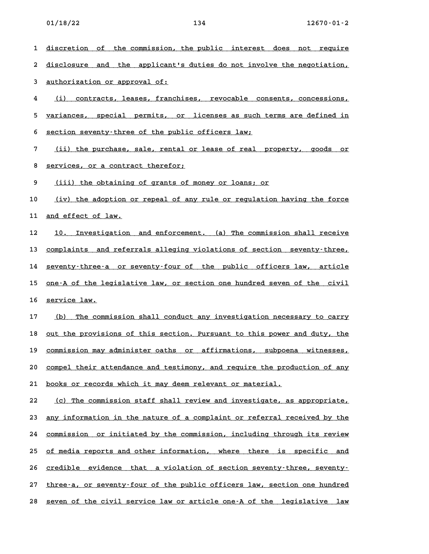1 <u>discretion of the commission, the public interest does not require</u> 1 <u>discretion of the commission, the public interest does not require</u><br>2 <u>disclosure and the applicant's duties do not involve the negotiation,</u> 2 <u>disclosure and the applicant'</u><br>3 <u>authorization or approval of:</u> 3 <u>authorization or approval of:</u><br>4 <u>(i) contracts, leases, franchises, revocable consents, concessions,</u> <u>(i) contracts, leases, franchises, revocable consents, concessions, the section of the section of the sections, t<br>5 <u>variances, special permits, or licenses as such terms are defined in</u></u> 5 <u>variances, special permits, or licenses as such terms are defined in</u><br>6 <u>section seventy-three of the public officers law;</u> **6** <u>section seventy–three of the public officers law;</u><br>7 <u>(ii) the purchase, sale, rental or lease of real property, goods or</u> <u>(ii) the purchase, sale, rental or (ii) the purchase, sale, rental or  $\frac{1}{2}$ </u> **9** <u>(iii)</u> the obtaining of grants of money or loans; or <br>**9** (iii) the obtaining of grants of money or loans; or 10 <u>(iii) the obtaining of grants of money or loans; or **painting the form**<br>10 (iv) the adoption or repeal of any rule or regulation having the force</u> 10 <u>(iv) the adoption o</u><br>11 <u>and effect of law.</u> 11 <u>and effect of law.</u><br>12 <u>10. Investigation and enforcement. (a) The commission shall receive</u> 12 <u>10. Investigation and enforcement. (a) The commission shall receive</u><br>13 <u>complaints and referrals alleging violations of section seventy–three,</u> 13 <u>complaints and referrals alleging violations of section seventy-three,</u><br>14 <u>seventy-three-a or seventy-four of the public officers law, article</u> 14 <u>seventy–three–a or seventy–four of the public officers law, article</u><br>15 <u>one–A of the legislative law, or section one hundred seven of the civil</u> 15 <u>one–A of the le</u><br>16 <u>service law.</u> 16 <u>service law.</u><br>17 (b) The commission shall conduct any investigation necessary to carry 18 <u>out the provisions of this section. Pursuant to this power and duty, the</u> 18 <u>out the provisions of this section. Pursuant to this power and duty, the</u><br>19 <u>commission may administer oaths or affirmations, subpoena witnesses,</u> 29 <u>commission may administer oaths or affirmations, subpoena witnesses,</u><br>20 <u>compel their attendance and testimony, and require the production of any</u> 20 <u>compel their attendance and testimony, and require the production of any</u><br>21 <u>books or records which it may deem relevant or material.</u> 22 (c) The commission staff shall review and investigate, as appropriate, 23 <u>any information in the nature of a complaint or referral received by the</u> 23 <u>any information in the nature of a complaint or referral received by the commission or initiated by the commission, including through its review</u> 24 <u>commission or initiated by the commission, including through its review</u><br>25 <u>of media reports and other information, where there is specific and</u> 25 <u>of media reports and other information, where there is specific and</u><br>26 <u>credible evidence that a violation of section seventy-three, seventy-</u> 26 <u>credible evidence that a violation of section seventy–three, seventy–</u><br>27 <u>three–a, or seventy–four of the public officers law, section one hundred</u>

27 three-a, or seventy-four of the public officers law, section one hundred<br>28 <u>seven of the civil service law or article one-A of the legislative law</u>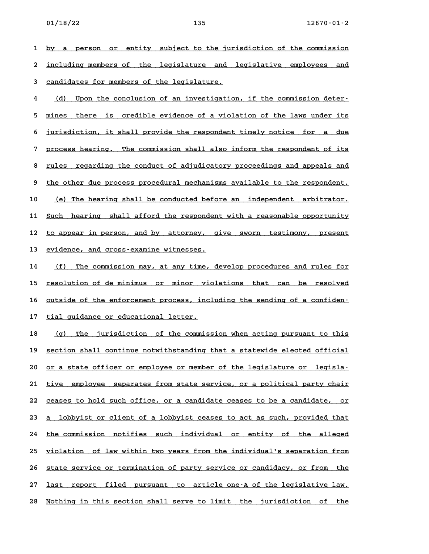**1 by a person or entity subject to the jurisdiction of the commission \_\_\_\_\_\_\_\_\_\_\_\_\_\_\_\_\_\_\_\_\_\_\_\_\_\_\_\_\_\_\_\_\_\_\_\_\_\_\_\_\_\_\_\_\_\_\_\_\_\_\_\_\_\_\_\_\_\_\_\_\_\_\_\_\_\_\_\_\_\_\_\_** 1 <u>by a person or entity subject-to-the-jurisdiction-of-the-commission</u><br>2 <u>including members-of-the-legislature and legislative employees and</u> 2 <u>including members of the legislature and legislative employees and</u><br>3 <u>candidates for members of the legislature.</u>

**4 (d) Upon the conclusion of an investigation, if the commission deter- \_\_\_\_\_\_\_\_\_\_\_\_\_\_\_\_\_\_\_\_\_\_\_\_\_\_\_\_\_\_\_\_\_\_\_\_\_\_\_\_\_\_\_\_\_\_\_\_\_\_\_\_\_\_\_\_\_\_\_\_\_\_\_\_\_\_\_\_\_\_** <u>(d) Upon the conclusion of an investigation, if the commission deter-</u><br>5 <u>mines there is credible evidence of a violation of the laws under its</u> 5 <u>mines there is credible evidence of a violation of the laws under its</u><br>6 <u>jurisdiction, it shall provide the respondent timely notice for a due</u> 5 jurisdiction, it shall provide the respondent timely notice for a due<br>7 process hearing. The commission shall also inform the respondent of its 9 <u>process hearing. The commission shall also inform the respondent of its</u><br>8 rules regarding the conduct of adjudicatory proceedings and appeals and 8 <u>rules regarding the conduct of adjudicatory proceedings and appeals and</u><br>9 the other due process procedural mechanisms available to the respondent. 10 (e) The hearing shall be conducted before an independent arbitrator. 10 <u>(e) The hearing shall be conducted before an independent arbitrator.</u><br>11 <u>Such hearing shall afford the respondent with a reasonable opportunity</u> 11 <u>Such hearing shall afford the respondent with a reasonable opportunity</u><br>12 <u>to appear in person, and by attorney, give sworn testimony, present</u> 12 <u>to appear in person, and by attorney, give sworn testimony, present</u><br>13 <u>evidence, and cross-examine witnesses.</u>

14 (f) The commission may, at any time, develop procedures and rules for 14 <u>(f) The commission may, at any time, develop procedures and rules for</u><br>15 <u>resolution of de minimus or minor violations that can be resolved</u> if <u>resolution of de minimus or minor violations that can be resolved<br>16 <u>outside of the enforcement process, including the sending of a confiden–</u></u> 16 <u>outside of the enforcement process, including the sending of a confiden-</u><br>17 tial guidance or educational letter.

17 <u>tial guidance or educational letter.</u><br>18 <u>(g) The jurisdiction of the commission when acting pursuant to this</u> <u>(g) The jurisdiction of the commission when acting pursuant to this</u><br>19 <u>section shall continue notwithstanding that a statewide elected official</u> 19 <u>section shall continue notwithstanding that a statewide elected official</u><br>20 <u>or a state officer or employee or member of the legislature or legisla-</u> 20 <u>or a state officer or employee or member of the legislature or legisla-</u><br>21 <u>tive employee separates from state service, or a political party chair</u> 21 <u>tive employee separates from state service, or a political party chair</u><br>22 <u>ceases to hold such office, or a candidate ceases to be a candidate, or</u> 22 <u>ceases to hold such office, or a candidate ceases to be a candidate, or</u><br>23 <u>a lobbyist or client of a lobbyist ceases to act as such, provided that</u> 23 <u>a lobbyist or client of a lobbyist ceases to act as such, provided that</u><br>24 <u>the commission notifies such individual or entity of the alleged</u> 24 <u>the commission notifies such individual or entity of the alleged</u><br>25 <u>violation of law within two years from the individual's separation from</u> 25 <u>violation of law within two years from the individual's separation from</u><br>26 <u>state service or termination of party service or candidacy, or from the</u> 26 <u>state service or termination of party service or candidacy, or from the 27 last report filed pursuant to article one–A of the legislative law.</u> 27 <u>last report filed pursuant to article-one-A-of-the-legislative-law.</u><br>28 <u>Nothing in this section shall serve to limit the jurisdiction of the</u>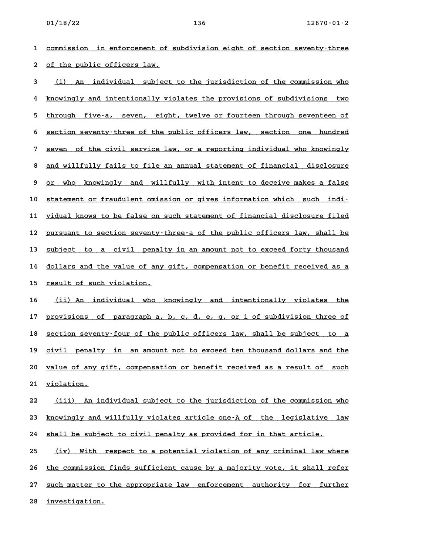**1 commission in enforcement of subdivision eight of section seventy-three \_\_\_\_\_\_\_\_\_\_\_\_\_\_\_\_\_\_\_\_\_\_\_\_\_\_\_\_\_\_\_\_\_\_\_\_\_\_\_\_\_\_\_\_\_\_\_\_\_\_\_\_\_\_\_\_\_\_\_\_\_\_\_\_\_\_\_\_\_\_\_\_** 2 <u>of the public officers law.</u><br>2 <u>of the public officers law.</u> **3** of the public officers law.<br>**3** (i) An individual subject to the jurisdiction of the commission who

**4 knowingly and intentionally violates the provisions of subdivisions two \_\_\_\_\_\_\_\_\_\_\_\_\_\_\_\_\_\_\_\_\_\_\_\_\_\_\_\_\_\_\_\_\_\_\_\_\_\_\_\_\_\_\_\_\_\_\_\_\_\_\_\_\_\_\_\_\_\_\_\_\_\_\_\_\_\_\_\_\_\_\_\_** 4 <u>knowingly and intentionally violates the provisions of subdivisions two</u><br>5 <u>through five-a, seven, eight, twelve or fourteen through seventeen of</u> 5 <u>through five-a, seven, eight, twelve or fourteen through seventeen of the section seventy-three of the public officers law, section one hundred</u> 6 <u>section seventy-three of the public officers law, section one hundred</u><br>7 seven of the civil service law, or a reporting individual who knowingly <u>8 seven of the civil service law, or a reporting individual who knowingly</u><br>8 and willfully fails to file an annual statement of financial disclosure 8 <u>and willfully fails to file an annual statement of financial disclosure</u><br>9 or who knowingly and willfully with intent to deceive makes a false 10 statement or fraudulent omission or gives information which such indi-10 <u>statement or fraudulent omission or gives information which such indi-</u><br>11 <u>vidual knows to be false on such statement of financial disclosure filed</u> 11 <u>vidual knows to be false on such statement of financial disclosure filed</u><br>12 <u>pursuant to section seventy–three–a of the public officers law, shall be</u> 12 <u>pursuant to section seventy–three–a of the public officers law, shall be</u><br>13 <u>subject to a civil penalty in an amount not to exceed forty thousand</u> 13 <u>subject to a civil penalty in an amount not to exceed forty thousand</u><br>14 <u>dollars and the value of any gift, compensation or benefit received as a</u> 14 dollars and the value of any gift, compensation or benefit received as a<br>15 <u>result of such violation.</u>

15 <u>result of such violation.</u><br>16 <u>(ii) An individual who knowingly and intentionally violates the</u> 16 <u>(ii) An individual who knowingly and intentionally violates the 17</u><br>17 <u>provisions of paragraph a, b, c, d, e, g, or i of subdivision three of</u> 17 <u>provisions of paragraph a, b, c, d, e, g, or i of subdivision three of</u><br>18 <u>section seventy–four of the public officers law, shall be subject to a</u> 18 <u>section seventy–four of the public officers law, shall be subject to a</u><br>19 <u>civil penalty in an amount not to exceed ten thousand dollars and the</u> 20 <u>value of any gift, compensation or benefit received as a result of such</u><br>20 <u>value of any gift, compensation or benefit received as a result of such</u> 20 <u>value of any </u><br>21 <u>violation.</u>

21 <u>violation.</u><br>22 <u>(iii) An individual subject to the jurisdiction of the commission who</u> <u>(iii) An individual subject to the jurisdiction of the commission who (the solucingly and willfully violates article one–A of the legislative law</u> 23 <u>knowingly and willfully violates article one–A of the legislative<br>24 <u>shall be subject to civil penalty as provided for in that article.</u></u>

24 <u>shall be subject to civil penalty as provided for in that article.</u><br>25 <u>(iv) With respect to a potential violation of any criminal law where</u> 25 (iv) With respect to a potential violation of any criminal law where<br>26 <u>the commission finds sufficient cause by a majority vote, it shall refer</u> 26 <u>the commission finds sufficient cause by a majority vote, it shall refer</u><br>27 <u>such matter to the appropriate law enforcement authority for further</u> 27 <u>such matter to th</u><br>28 <u>investigation.</u>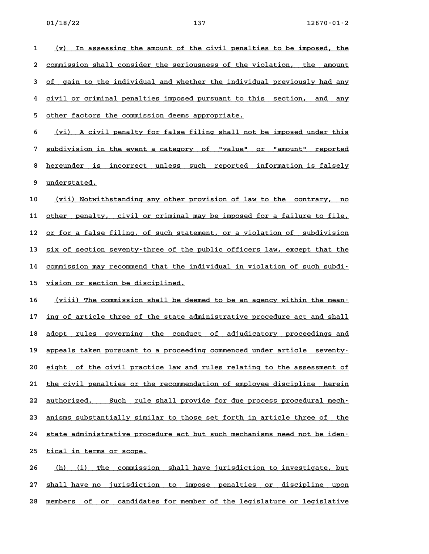1 (v) In assessing the amount of the civil penalties to be imposed, the <u>(v) In assessing the amount of the civil penalties to be imposed, the commission shall consider the seriousness of the violation, the amount</u> 2 <u>commission shall consider the seriousness of the violation, the amount</u><br>3 <u>of gain to the individual and whether the individual previously had any</u> 4 civil or criminal penalties imposed pursuant to this section, and any<br>**4 civil or criminal penalties imposed pursuant** to this section, and any 4 civil or criminal penalties imposed pursuant to this section, and any<br>5 <u>other factors the commission deems appropriate.</u>

6 (vi) A civil penalty for false filing shall not be imposed under this **7 subdivision in the event a category of "value" or "amount" reported \_\_\_\_\_\_\_\_\_\_\_\_\_\_\_\_\_\_\_\_\_\_\_\_\_\_\_\_\_\_\_\_\_\_\_\_\_\_\_\_\_\_\_\_\_\_\_\_\_\_\_\_\_\_\_\_\_\_\_\_\_\_\_\_\_\_\_\_\_\_\_\_** 8 <u>bubdivision in the event a category of "value" or "amount" reported</u><br>8 <u>hereunder is incorrect unless such reported information is falsely</u> 8 <u>hereunder is </u><br>9 <u>understated.</u>

9 <u>understated.</u><br>10 <u>(vii) Notwithstanding any other provision of law to the contrary, no</u> 10 <u>(vii) Notwithstanding any other provision of law to the contrary, no</u><br>11 <u>other penalty, civil or criminal may be imposed for a failure to file,</u> 11 <u>other penalty, civil or criminal may be imposed for a failure to file,</u><br>12 <u>or for a false filing, of such statement, or a violation of subdivision</u> 12 <u>or for a false filing, of such statement, or a violation of subdivision</u><br>13 six of section seventy-three of the public officers law, except that the 13 <u>six of section seventy-three of the public officers law, except that the</u><br>14 commission may recommend that the individual in violation of such subdi-14 <u>commission may recommend that the individual in violation of such subdi-</u><br>15 <u>vision or section be disciplined.</u>

16 (viii) The commission shall be deemed to be an agency within the mean-16 <u>(viii) The commission shall be deemed to be an agency within the mean-</u><br>17 <u>ing of article three of the state administrative procedure act and shall</u> 17 <u>ing of article three of the state administrative procedure act and shall</u><br>18 <u>adopt rules governing the conduct of adjudicatory proceedings and</u> 18 <u>adopt rules governing the conduct of adjudicatory proceedings and</u><br>19 appeals taken pursuant to a proceeding commenced under article seventy-20 eight of the civil practice law and rules relating to the assessment of<br>20 eight of the civil practice law and rules relating to the assessment of 20 <u>eight of the civil practice law and rules relating to the assessment of the civil penalties or the recommendation of employee discipline herein</u> 21 <u>the civil penalties or the recommendation of employee discipline herein</u><br>22 <u>authorized. Such rule shall provide for due process procedural mech-</u> 22 <u>authorized. Such rule shall provide for due process procedural mech-</u><br>23 <u>anisms substantially similar to those set forth in article three of the</u> 23 <u>anisms substantially similar to those set forth in article three of the state administrative procedure act but such mechanisms need not be iden-</u> 24 <u>state administrative proced</u><br>25 <u>tical in terms or scope.</u> 25 <u>tical in terms or scope.</u><br>26 <u>(h) (i) The commission shall have jurisdiction to investigate, but</u>

**27 shall have no jurisdiction to impose penalties or discipline upon \_\_\_\_\_\_\_\_\_\_\_\_\_\_\_\_\_\_\_\_\_\_\_\_\_\_\_\_\_\_\_\_\_\_\_\_\_\_\_\_\_\_\_\_\_\_\_\_\_\_\_\_\_\_\_\_\_\_\_\_\_\_\_\_\_\_\_\_\_\_\_\_** 28 members of or candidates for member of the legislature or legislative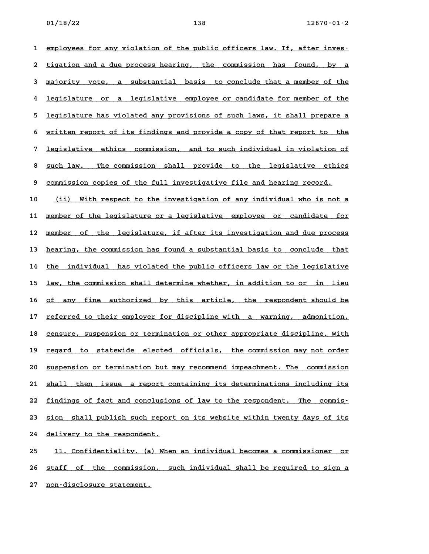1 employees for any violation of the public officers law. If, after inves-2 <u>tigation and a due process hearing, the commission has found, by a</u> **tigation and a due process hearing, the commission has found, by a** 2 <u>tigation and a due process hearing, the commission has found, by a</u><br>3 <u>majority vote, a substantial basis to conclude that a member of the</u> a <u>majority vote, a substantial basis to conclude that a member of the</u><br>4 <u>legislature or a legislative employee or candidate for member of the</u> 4 <u>legislature or a legislative employee or candidate for member of the</u><br>5 <u>legislature has violated any provisions of such laws, it shall prepare a</u> 5 <u>legislature has violated any provisions of such laws, it shall prepare a</u><br>6 <u>written report of its findings and provide a copy of that report to the</u> 6 <u>written report of its findings and provide a copy of that report to the</u><br>7 <u>legislative ethics commission, and to such individual in violation of</u> 8 <u>such law. The commission, and to such individual in violation of the such law. The commission shall provide to the legislative ethics</u> 8 <u>such law. The commission shall provide to the legislative ethic<br>9 <u>commission copies of the full investigative file and hearing record.</u></u>

9 <u>commission copies of the full investigative file and hearing record.</u><br>10 <u>(ii) With respect to the investigation of any individual who is not a</u> 10 <u>(ii) With respect to the investigation of any individual who is not a</u><br>11 <u>member of the legislature or a legislative employee or candidate for</u> 11 <u>member of the legislature or a legislative employee or candidate for</u><br>12 <u>member of the legislature, if after its investigation and due process</u> 12 <u>member of the legislature, if after its investigation and due process</u><br>13 <u>hearing, the commission has found a substantial basis to conclude that</u> 13 <u>hearing, the commission has found a substantial basis to conclude that</u><br>14 <u>the individual has violated the public officers law or the legislative</u> 14 the individual has violated the public officers law or the legislative<br>15 <u>law, the commission shall determine whether, in addition to or in lieu</u> 15 <u>law, the commission shall determine whether, in addition to or in lieu</u><br>16 <u>of any fine authorized by this article, the respondent should be</u> 16 <u>of any fine authorized by this article, the respondent-should-be</u><br>17 <u>referred to their employer for discipline with a warning, admonition,</u> 17 <u>referred to their employer for discipline with a warning, admonition,</u><br>18 <u>censure, suspension or termination or other appropriate discipline. With</u> 18 <u>censure, suspension or termination or other appropriate discipline. With</u><br>19 <u>regard to statewide elected officials, the commission may not order</u> 19 <u>regard to statewide elected officials, the commission-may-not-order</u><br>20 <u>suspension-or-termination-but-may-recommend-impeachment. The commission</u> 20 <u>suspension or termination but may recommend impeachment. The commission</u><br>21 <u>shall then issue a report containing its determinations including its</u> 21 <u>shall then issue a report containing its determinations including its</u><br>22 <u>findings of fact and conclusions of law to the respondent. The commis-</u> 22 <u>findings of fact and conclusions of law to the respondent. The commis-</u><br>23 <u>sion shall publish such report on its website within twenty days of its</u> 24 delivery to the respondent.

**25 11. Confidentiality. (a) When an individual becomes a commissioner or \_\_\_\_\_\_\_\_\_\_\_\_\_\_\_\_\_\_\_\_\_\_\_\_\_\_\_\_\_\_\_\_\_\_\_\_\_\_\_\_\_\_\_\_\_\_\_\_\_\_\_\_\_\_\_\_\_\_\_\_\_\_\_\_\_\_\_\_\_\_** 25 <u>11. Confidentiality. (a) When an individual becomes a commissioner or</u><br>26 <u>staff of the commission, such individual shall be required to sign a</u> 26 <u>staff of the commission,</u><br>27 <u>non-disclosure statement.</u>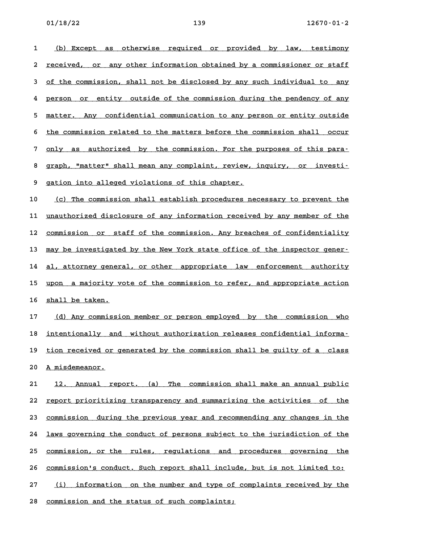1 (b) Except as otherwise required or provided by law, testimony <u>(b) Except as otherwise required or provided by law, testimony</u><br>2 <u>received, or any other information obtained by a commissioner or staff</u> 2 <u>received, or any other information obtained by a commissioner or staff</u><br>3 <u>of the commission, shall not be disclosed by any such individual to any</u> 3 of the commission, shall not be disclosed by any such individual to any<br>4 person or entity outside of the commission during the pendency of any 4 <u>person or entity outside of the commission during the pendency of any</u><br>5 matter. Any confidential communication to any person or entity outside 5 <u>matter. Any confidential communication to any person or entity outside</u><br>6 the commission related to the matters before the commission shall occur 6 <u>the commission related to the matters before the commission shall occur</u><br>7 only as authorized by the commission. For the purposes of this para-8 graph, "matter" shall mean any commission. For the purposes of this para-<br>**8 graph, "matter" shall mean any complaint**, review, inquiry, or investi-8 graph, "matter" shall mean any complaint, review, inquiry, or investi-<br>9 gation into alleged violations of this chapter.

10 (c) The commission shall establish procedures necessary to prevent the 10 (c) The commission shall establish procedures necessary to prevent the<br>11 <u>unauthorized disclosure of any information received by any member of the</u> 11 <u>unauthorized disclosure of any information received by any member of the</u><br>12 <u>commission or staff of the commission. Any breaches of confidentiality</u> 12 <u>commission or staff of the commission. Any breaches of confidentiality</u><br>13 <u>may be investigated by the New York state office of the inspector gener–</u> 13 may be investigated by the New York state office of the inspector gener–<br>14 <u>al, attorney general, or other appropriate law enforcement authority</u> 14 <u>al, attorney general, or other appropriate law enforcement authority</u><br>15 upon a majority vote of the commission to refer, and appropriate action 15 upon a majority vote of the commission to refer, and appropriate action<br>16 shall be taken.

17 (d) Any commission member or person employed by the commission who 17 <u>(d) Any commission member or person employed by the commission who</u><br>18 <u>intentionally and without authorization releases confidential informa-</u> istem teads in teads to the set of the time the set of the teads of the set of the set of the set of the set o<br>19 tion received or generated by the commission shall be guilty of a class 19 <u>tion received or generated by the commission shall be guilty of a class</u><br>20 A misdemeanor.

20 <u>A misdemeanor.</u><br>21 <u>12. Annual report. (a) The commission shall make an annual public</u> 21 12. Annual report. (a) The commission shall make an annual public<br>22 <u>report prioritizing transparency and summarizing the activities of the</u> 22 <u>report prioritizing transparency and summarizing the activities of the</u><br>23 <u>commission during the previous year and recommending any changes in the</u> 23 <u>commission during the previous year and recommending any changes in the</u><br>24 <u>laws governing the conduct of persons subject to the jurisdiction of the</u> 24 <u>laws governing the conduct of persons subject to the jurisdiction of the</u><br>25 <u>commission, or the rules, regulations and procedures governing the</u> 25 <u>commission, or the rules, regulations and procedures governing the</u><br>26 commission's conduct. Such report shall include, but is not limited to: 26 <u>commission's conduct. Such report shall include, but is not limited to:</u><br>27 (i) information on the number and type of complaints received by the 27 <u>(i) information on the number and type of complaints received by the</u><br>28 <u>commission and the status of such complaints;</u>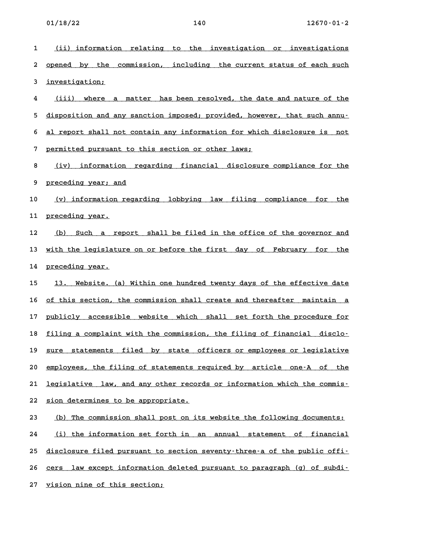1 (ii) information relating to the investigation or investigations <u>(ii) information relating to the investigation or investigations</u><br>2 <u>opened by the commission, including the current-status-of-each-such</u> 2 <u>opened by the :</u><br>3 <u>investigation;</u> ded in the set integram of the set in the set in the set in the set in the set in the set in the set in the set i<br>**4 and in the set in the set in the set is set in the set in the set in the set in the set in the set in t** <u>iii) where a matter has been resolved, the date and nature of the disposition and any sanction imposed; provided, however, that such annu-</u> 5 <u>disposition and any sanction imposed; provided, however, that such annu-</u><br>6 <u>al report shall not contain any information for which disclosure is not</u> **6** al report shall not contain any information for which disclosure is not<br>7 permitted pursuant to this section or other laws; 8 <u>(iv) information regarding financial disclosure compliance for the set of the section or other inductions of  $\sim$ </u> 8 <u>(iv) information r</u><br>9 <u>preceding year; and</u> 9 <u>preceding year; and</u><br>10 <u>(v) information regarding lobbying law filing compliance for the</u> 11 <u>preceding year.</u> 12 (b) Such a report shall be filed in the office of the governor and 12 <u>(b) Such a report shall be filed in the office of the governor and</u><br>13 <u>with the legislature on or before the first day of February for the</u> 13 <u>with the legislatu</u><br>14 <u>preceding year.</u> 14 <u>preceding year.</u><br>15 13. Website. (a) Within one hundred twenty days of the effective date 15 <u>13. Website. (a) Within one hundred twenty days of the effective date</u><br>16 <u>of this section, the commission shall create and thereafter maintain a</u> 16 <u>of this section, the commission shall create and thereafter maintain a</u><br>17 <u>publicly accessible website which shall set forth the procedure for</u> 17 <u>publicly accessible website which shall set forth the procedure for</u><br>18 filing a complaint with the commission, the filing of financial disclo-18 <u>filing a complaint with the commission, the filing of financial disclo-</u><br>19 <u>sure statements filed by state officers or employees or legislative</u> 20 employees, the filing of statements required by article one-A of the 20 <u>employees, the filing of statements required by article one–A of the 21 legislative law, and any other records or information which the commis-</u> 21 <u>legislative law, and any other recor</u><br>22 <u>sion determines to be appropriate.</u> **22** sion determines to be appropriate.<br> **23** (b) The commission shall post on its website the following documents: (b) The commission shall post on its website the following documents:<br>24 (i) the information set forth in an annual statement of financial <u>(i) the information set forth in an annual statement of financial</u><br>25 <u>disclosure filed pursuant to section seventy–three–a of the public offi–</u> 25 <u>disclosure filed pursuant to section seventy–three–a of the public offi–</u><br>26 <u>cers law except information deleted pursuant to paragraph (g) of subdi–</u>

26 <u>cers law except information de</u><br>27 <u>vision nine of this section;</u>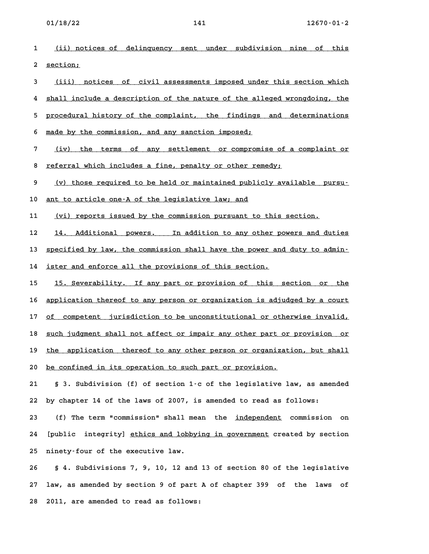**1 (ii) notices of delinquency sent under subdivision nine of this \_\_\_\_\_\_\_\_\_\_\_\_\_\_\_\_\_\_\_\_\_\_\_\_\_\_\_\_\_\_\_\_\_\_\_\_\_\_\_\_\_\_\_\_\_\_\_\_\_\_\_\_\_\_\_\_\_\_\_\_\_\_\_\_\_\_\_\_\_\_ 2 section; \_\_\_\_\_\_\_\_** 2 <u>section;</u><br>3 <u>(iii) notices of civil assessments imposed under this section which</u> 4 <u>(iii) notices of civil assessments imposed under this section which</u><br>4 <u>shall include a description of the nature of the alleged wrongdoing, the</u> 4 <u>shall include a description of the nature of the alleged wrongdoing, the sprocedural history of the complaint, the findings and determinations</u> 5 <u>procedural history of the complaint, the findings</u><br>6 <u>made by the commission, and any sanction imposed;</u> 5 <u>made by the commission, and any sanction imposed;</u><br>7 <u>(iv) the terms of any settlement or compromise of a complaint or</u> <u>(iv) the terms of any settlement or compromise of a</u><br>8 <u>referral which includes a fine, penalty or other remedy;</u> 8 <u>referral which includes a fine, penalty or other remedy;</u><br>9 (v) those required to be held or maintained publicly available pursu-**10 ant to article one-A of the legislative law; and \_\_\_\_\_\_\_\_\_\_\_\_\_\_\_\_\_\_\_\_\_\_\_\_\_\_\_\_\_\_\_\_\_\_\_\_\_\_\_\_\_\_\_\_\_\_\_\_** 11 (vi) reports issued by the commission pursuant to this section. 12 14. Additional powers. In addition to any other powers and duties 12 <u>14. Additional powers. In addition to any other powers and duties</u><br>13 <u>specified by law, the commission shall have the power and duty to admin-</u> 13 <u>specified by law, the commission shall have the power and ister and enforce all the provisions of this section.</u> 14 <u>ister and enforce all the provisions of this section.</u><br>15 15. Severability. If any part or provision of this section or the 15 <u>15. Severability. If any part or provision of this section or the</u><br>16 <u>application thereof to any person or organization is adjudged by a court</u> 16 <u>application thereof to any person or organization is adjudged by a court</u><br>17 <u>of competent jurisdiction to be unconstitutional or otherwise invalid,</u> 17 <u>of competent jurisdiction to be unconstitutional or otherwise invalid,</u><br>18 <u>such judgment shall not affect or impair any other part or provision or</u> 18 <u>such judgment shall not affect or impair any other part or provision or</u><br>19 <u>the application thereof to any other person or organization, but shall</u> 20 <u>be application thereof to any other person or organizat</u><br>20 <u>be confined in its operation to such part or provision.</u> **21 § 3. Subdivision (f) of section 1-c of the legislative law, as amended 22 by chapter 14 of the laws of 2007, is amended to read as follows:** 22 by chapter 14 of the laws of 2007, is amended to read as follows:<br>23 (f) The term "commission" shall mean the <u>independent</u> commission on 23 (f) The term "commission" shall mean the <u>independent</u> commission on<br>24 [public integrity] <u>ethics and lobbying in government</u> created by section **25 ninety-four of the executive law. 26 § 4. Subdivisions 7, 9, 10, 12 and 13 of section 80 of the legislative**

**27 law, as amended by section 9 of part A of chapter 399 of the laws of 28 2011, are amended to read as follows:**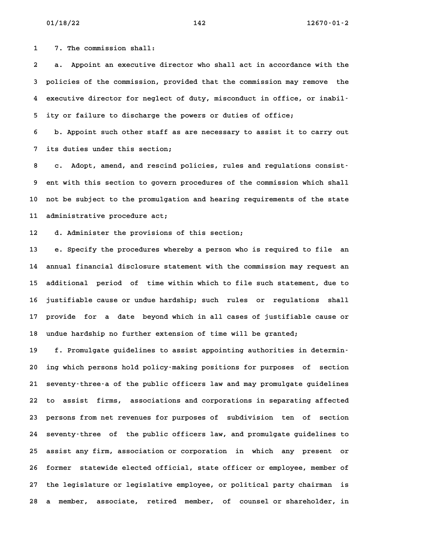**1 7. The commission shall:**

**2 a. Appoint an executive director who shall act in accordance with the 3 policies of the commission, provided that the commission may remove the 4 executive director for neglect of duty, misconduct in office, or inabil-5 ity or failure to discharge the powers or duties of office;**

**6 b. Appoint such other staff as are necessary to assist it to carry out 7 its duties under this section;**

**8 c. Adopt, amend, and rescind policies, rules and regulations consist-9 ent with this section to govern procedures of the commission which shall 10 not be subject to the promulgation and hearing requirements of the state 11 administrative procedure act;** 11 administrative procedure act;<br>12 d. Administer the provisions of this section;

**13 e. Specify the procedures whereby a person who is required to file an 14 annual financial disclosure statement with the commission may request an 15 additional period of time within which to file such statement, due to** 15 additional period of time within which to file such statement, due to<br>16 justifiable cause or undue hardship; such rules or regulations shall **17 provide for a date beyond which in all cases of justifiable cause or** 17 provide for a date beyond which in all cases of justifiable cause or<br>18 undue hardship no further extension of time will be granted;

**19 f. Promulgate guidelines to assist appointing authorities in determin-20 ing which persons hold policy-making positions for purposes of section 21 seventy-three-a of the public officers law and may promulgate guidelines 22 to assist firms, associations and corporations in separating affected** 22 to assist firms, associations and corporations in separating affected<br>23 persons from net revenues for purposes of subdivision ten of section **24 seventy-three of the public officers law, and promulgate guidelines to 25 assist any firm, association or corporation in which any present or** 25 assist any firm, association or corporation in which any present or<br>26 former statewide elected official, state officer or employee, member of **27 the legislature or legislative employee, or political party chairman is 28 a member, associate, retired member, of counsel or shareholder, in**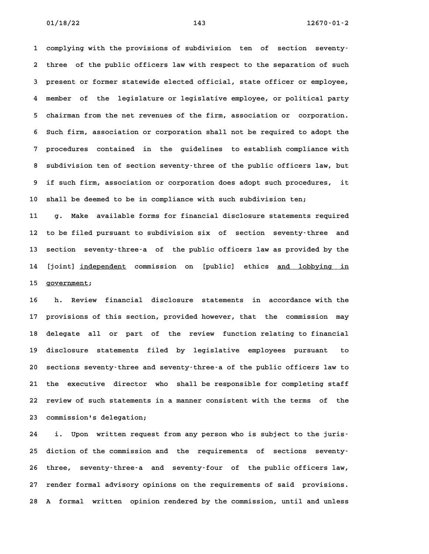**1 complying with the provisions of subdivision ten of section seventy-2 three of the public officers law with respect to the separation of such 3 present or former statewide elected official, state officer or employee, 4 member of the legislature or legislative employee, or political party 5 chairman from the net revenues of the firm, association or corporation. 6 Such firm, association or corporation shall not be required to adopt the 7 procedures contained in the guidelines to establish compliance with 8 subdivision ten of section seventy-three of the public officers law, but 9 if such firm, association or corporation does adopt such procedures, it 10 shall be deemed to be in compliance with such subdivision ten;**

**11 g. Make available forms for financial disclosure statements required 12 to be filed pursuant to subdivision six of section seventy-three and 13 section seventy-three-a of the public officers law as provided by the** 13 section seventy-three-a of the public officers law as provided by the<br>14 [joint] independent commission on [public] ethics and lobbying in 14 [joint] <u>independent</u> commission on [public] ethics <u>and lobbying in</u><br>15 government;

**16 h. Review financial disclosure statements in accordance with the 17 provisions of this section, provided however, that the commission may** 17 provisions of this section, provided however, that the commission may<br>18 delegate all or part of the review function relating to financial 18 delegate all or part of the review function-relating-to-financial<br>19 disclosure statements filed by legislative employees pursuant to **20 sections seventy-three and seventy-three-a of the public officers law to 21 the executive director who shall be responsible for completing staff 22 review of such statements in a manner consistent with the terms of the** 22 review of such statements in a manner consistent with the terms of the<br>23 commission's delegation;

**24 i. Upon written request from any person who is subject to the juris-25 diction of the commission and the requirements of sections seventy-26 three, seventy-three-a and seventy-four of the public officers law, 27 render formal advisory opinions on the requirements of said provisions. 28 A formal written opinion rendered by the commission, until and unless**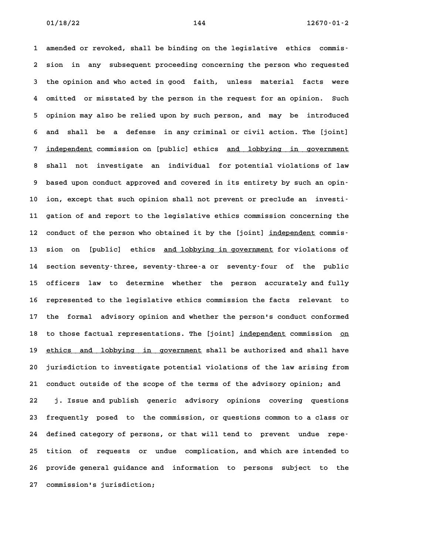**1 amended or revoked, shall be binding on the legislative ethics commis-2 sion in any subsequent proceeding concerning the person who requested 3 the opinion and who acted in good faith, unless material facts were 4 omitted or misstated by the person in the request for an opinion. Such 5 opinion may also be relied upon by such person, and may be introduced 6 and shall be a defense in any criminal or civil action. The [joint]** 6 and shall be a defense in any criminal or civil action. The [joint]<br>7 <u>independent</u> commission on [public] ethics <u>and lobbying in government</u> **8 shall not investigate an individual for potential violations of law** 8 shall not investigate an individual for potential violations of law<br>9 based upon conduct approved and covered in its entirety by such an opin-**10 ion, except that such opinion shall not prevent or preclude an investi-11 gation of and report to the legislative ethics commission concerning the** 11 gation of and report to the legislative ethics commission concerning the<br>12 conduct of the person who obtained it by the [joint] <u>independent</u> commis-12 conduct of the person who obtained it by the [joint] <u>independent</u> commis–<br>13 sion on [public] ethics <u>and lobbying in government</u> for violations of **14 section seventy-three, seventy-three-a or seventy-four of the public 15 officers law to determine whether the person accurately and fully 16 represented to the legislative ethics commission the facts relevant to 17 the formal advisory opinion and whether the person's conduct conformed** 17 the formal advisory opinion and whether the person's conduct conformed<br>18 to those factual representations. The [joint] <u>independent</u> commission <u>on</u> 18 to those factual representations. The [joint] <u>independent</u> commission <u>on</u><br>19 <u>ethics and lobbying in government</u> shall be authorized and shall have 19 <u>ethics and lobbying in government</u> shall be authorized and shall have<br>20 jurisdiction to investigate potential violations of the law arising from **21 conduct outside of the scope of the terms of the advisory opinion; and 22 j. Issue and publish generic advisory opinions covering questions 23 frequently posed to the commission, or questions common to a class or 24 defined category of persons, or that will tend to prevent undue repe-25 tition of requests or undue complication, and which are intended to 26 provide general guidance and information to persons subject to the 27 commission's jurisdiction;**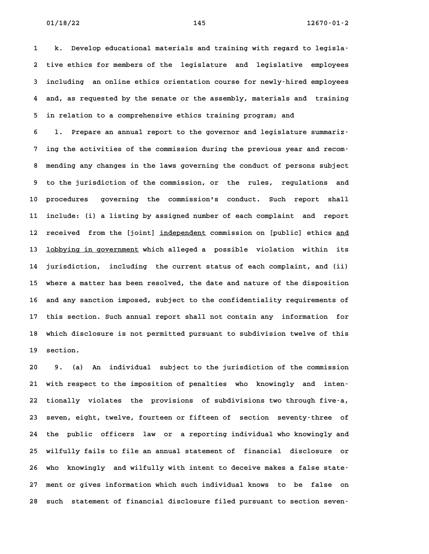**1 k. Develop educational materials and training with regard to legisla-2 tive ethics for members of the legislature and legislative employees 3 including an online ethics orientation course for newly-hired employees 4 and, as requested by the senate or the assembly, materials and training** 4 and, as requested by the senate or the assembly, materials and training<br>5 in relation to a comprehensive ethics training program; and

**6 l. Prepare an annual report to the governor and legislature summariz-7 ing the activities of the commission during the previous year and recom-8 mending any changes in the laws governing the conduct of persons subject 9 to the jurisdiction of the commission, or the rules, regulations and** 9 to the jurisdiction of the commission, or the rules, regulations and<br>10 procedures governing the commission's conduct. Such report shall **11 include: (i) a listing by assigned number of each complaint and report** 12 received from the [joint] independent commission on [public] ethics and 12 received from the [joint] <u>independent</u> commission on [public] ethics <u>and</u><br>13 <u>lobbying in government</u> which alleged a possible violation within its **14 jurisdiction, including the current status of each complaint, and (ii) 15 where a matter has been resolved, the date and nature of the disposition 16 and any sanction imposed, subject to the confidentiality requirements of** 16 and any sanction imposed, subject to the confidentiality requirements of<br>17 this section. Such annual report shall not contain any information for **18 which disclosure is not permitted pursuant to subdivision twelve of this** 18 which discl<sup>.</sup><br>19 section. **20 9. (a) An individual subject to the jurisdiction of the commission**

**21 with respect to the imposition of penalties who knowingly and inten-22 tionally violates the provisions of subdivisions two through five-a, 23 seven, eight, twelve, fourteen or fifteen of section seventy-three of 24 the public officers law or a reporting individual who knowingly and 25 wilfully fails to file an annual statement of financial disclosure or** 25 wilfully fails to file an annual statement of financial disclosure or<br>26 who knowingly and wilfully with intent to deceive makes a false state-**27 ment or gives information which such individual knows to be false on 28 such statement of financial disclosure filed pursuant to section seven-**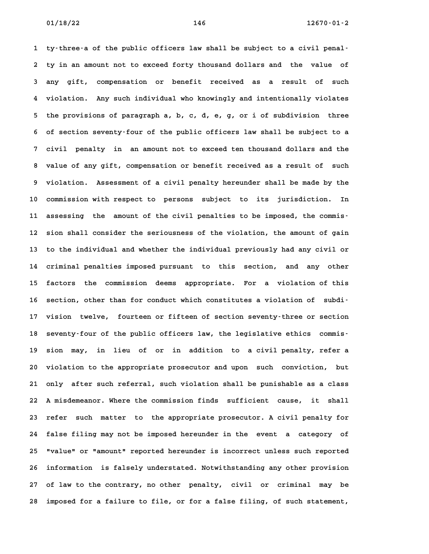**1 ty-three-a of the public officers law shall be subject to a civil penal-2 ty in an amount not to exceed forty thousand dollars and the value of 3 any gift, compensation or benefit received as a result of such 4 violation. Any such individual who knowingly and intentionally violates 5 the provisions of paragraph a, b, c, d, e, g, or i of subdivision three 6 of section seventy-four of the public officers law shall be subject to a 7 civil penalty in an amount not to exceed ten thousand dollars and the 8 value of any gift, compensation or benefit received as a result of such 9 violation. Assessment of a civil penalty hereunder shall be made by the 10 commission with respect to persons subject to its jurisdiction. In 11 assessing the amount of the civil penalties to be imposed, the commis-12 sion shall consider the seriousness of the violation, the amount of gain 13 to the individual and whether the individual previously had any civil or 14 criminal penalties imposed pursuant to this section, and any other** 14 criminal penalties imposed pursuant to this section, and any other<br>15 factors the commission deems appropriate. For a violation of this 15 factors the commission deems appropriate. For a violation of this<br>16 section, other than for conduct which constitutes a violation of subdi-**17 vision twelve, fourteen or fifteen of section seventy-three or section** 17 vision twelve, fourteen or fifteen of section seventy-three or section<br>18 seventy-four of the public officers law, the legislative ethics commis-18 seventy-four of the public officers law, the legislative ethics commis-<br>19 sion may, in lieu of or in addition to a civil penalty, refer a **20 violation to the appropriate prosecutor and upon such conviction, but 21 only after such referral, such violation shall be punishable as a class 22 A misdemeanor. Where the commission finds sufficient cause, it shall 23 refer such matter to the appropriate prosecutor. A civil penalty for 24 false filing may not be imposed hereunder in the event a category of 25 "value" or "amount" reported hereunder is incorrect unless such reported 26 information is falsely understated. Notwithstanding any other provision 27 of law to the contrary, no other penalty, civil or criminal may be 28 imposed for a failure to file, or for a false filing, of such statement,**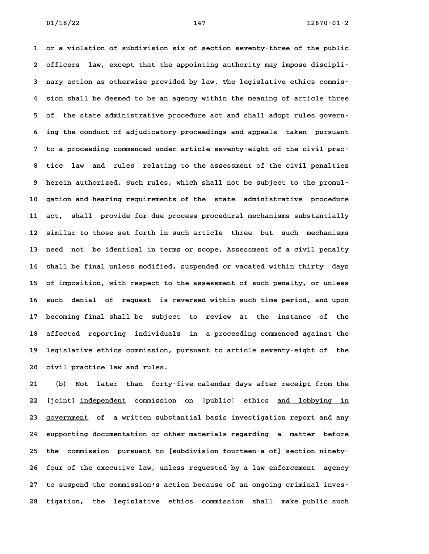**1 or a violation of subdivision six of section seventy-three of the public** 1 or a violation of subdivision six of section seventy-three of the public<br>2 officers law, except that the appointing authority may impose discipli-**3 nary action as otherwise provided by law. The legislative ethics commis-4 sion shall be deemed to be an agency within the meaning of article three 5 of the state administrative procedure act and shall adopt rules govern-6 ing the conduct of adjudicatory proceedings and appeals taken pursuant 7 to a proceeding commenced under article seventy-eight of the civil prac-8 tice law and rules relating to the assessment of the civil penalties 9 herein authorized. Such rules, which shall not be subject to the promul-**10 herein authorized. Such rules, which shall not be subject to the promul-<br>10 gation and hearing requirements of the state administrative procedure **11 act, shall provide for due process procedural mechanisms substantially 12 similar to those set forth in such article three but such mechanisms 13 need not be identical in terms or scope. Assessment of a civil penalty 14 shall be final unless modified, suspended or vacated within thirty days** 14 shall be final unless modified, suspended or vacated within thirty days<br>15 of imposition, with respect to the assessment of such penalty, or unless 15 of imposition, with respect to the assessment of such penalty, or unless<br>16 such denial of request is reversed within such time period, and upon **17 becoming final shall be subject to review at the instance of the** 17 becoming final shall be subject to review at the instance of the<br>18 affected reporting individuals in a proceeding commenced against the 18 affected reporting individuals in a proceeding commenced against the<br>19 legislative ethics commission, pursuant to article seventy-eight of the 19 legislative ethics commission, pursuant to article seventy-eight of the<br>20 civil practice law and rules.

**21 (b) Not later than forty-five calendar days after receipt from the** 22 [joint] independent commission on [public] ethics and lobbying in 22 [joint] <u>independent</u> commission on [public] ethics <u>and lobbying in</u><br>23 <u>government</u> of a\_written\_substantial\_basis\_investigation\_report\_and\_any **24 supporting documentation or other materials regarding a matter before** 24 supporting documentation or other materials regarding a matter before<br>25 the commission pursuant to [subdivision fourteen-a of] section ninety-**26 four of the executive law, unless requested by a law enforcement agency 27 to suspend the commission's action because of an ongoing criminal inves-28 tigation, the legislative ethics commission shall make public such**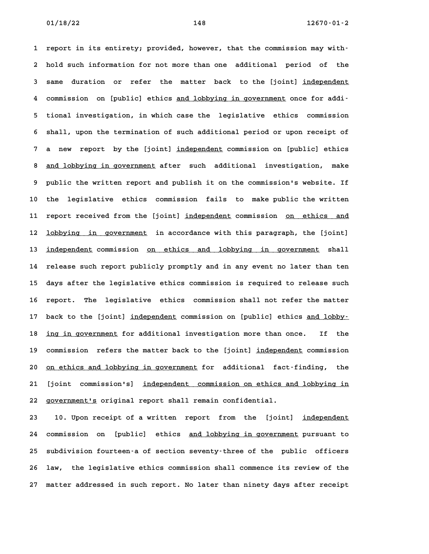**1 report in its entirety; provided, however, that the commission may with-2 hold such information for not more than one additional period of the** 2 hold such information for not more than one additional period of the<br>3 same duration or refer the matter back to the [joint] independent 3 same duration or refer the matter back to the [joint] <u>independent</u><br>4 commission on [public] ethics <u>and lobbying in government</u> once for addi-**5 tional investigation, in which case the legislative ethics commission 6 shall, upon the termination of such additional period or upon receipt of** 6 shall, upon the termination of such additional period or upon receipt of<br>7 a new report by the [joint] <u>independent</u> commission on [public] ethics 8 anew report by the [joint] <u>independent</u> commission on [public] ethics<br>**8 <u>and lobbying in government</u> after such additional investigation, make 9 public the written report and publish it on the commission's website. If 10 the legislative ethics commission fails to make public the written** 10 the legislative ethics commission fails to make-public-the-written<br>11 report-received-from-the-[joint] <u>independent</u>-commission <u>on ethics and</u> 11 report received from the [joint] <u>independent</u> commission <u>on ethics and</u><br>12 <u>lobbying in government</u> in accordance with this paragraph, the [joint] 12 <u>lobbying in government</u> in-accordance-with-this-paragraph,-the-[joint]<br>13 <u>independent</u>-commission <u>on ethics and lobbying in government</u> shall **14 release such report publicly promptly and in any event no later than ten 15 days after the legislative ethics commission is required to release such 16 report. The legislative ethics commission shall not refer the matter** 16 report. The legislative ethics commission-shall-not-refer-the-matter<br>17 back-to-the-[joint] <u>independent</u> commission on [public] ethics <u>and lobby-</u> 17 back to the [joint] <u>independent</u> commission on [public] ethics <u>and lobby–</u><br>18 <u>ing in government</u> for additional investigation more than once. If the 18 ing in government for additional investigation more than once. If the<br>19 commission refers the matter back to the [joint] <u>independent</u> commission 20 <u>on ethics and lobbying in government</u> for additional fact-finding, the 20 <u>on ethics and lobbying in government</u> for additional fact-finding, the<br>21 [joint commission's] <u>independent commission on ethics and lobbying in</u> 21 [joint commission's] <u>independent commission on ethics a</u><br>22 <u>government's</u> original report shall remain confidential.

22 government's original report shall remain confidential.<br>23 10. Upon receipt of a written report from the [joint] <u>independent</u> 10. Upon receipt of a written report from the [joint] <u>independent</u><br>24 commission on [public] ethics <u>and lobbying in government</u> pursuant to **25 subdivision fourteen-a of section seventy-three of the public officers** 25 subdivision fourteen-a of section seventy-three of the public officers<br>26 law, the legislative ethics commission shall commence its review of the **27 matter addressed in such report. No later than ninety days after receipt**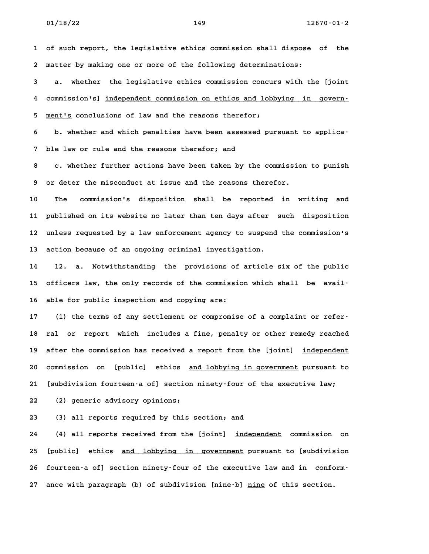**1 of such report, the legislative ethics commission shall dispose of the 2 matter by making one or more of the following determinations:**

**3 a. whether the legislative ethics commission concurs with the [joint 4. whether the legislative ethics commission concurs with the [joint<br>4 commission's] <u>independent commission on ethics and lobbying in govern-</u>** 4 commission's] <u>independent commission on ethics and lobbying in govern-<br>5 <u>ment's</u> conclusions of law and the reasons therefor;</u>

5 <u>ment's</u> conclusions of law and the reasons therefor;<br>6 b. whether and which penalties have been assessed pursuant to applica-**7 ble law or rule and the reasons therefor; and**

**8 c. whether further actions have been taken by the commission to punish 9 or deter the misconduct at issue and the reasons therefor. 10 The commission's disposition shall be reported in writing and**

**11 published on its website no later than ten days after such disposition 12 unless requested by a law enforcement agency to suspend the commission's 13 action because of an ongoing criminal investigation.**

**14 12. a. Notwithstanding the provisions of article six of the public** 14 12. a. Notwithstanding the provisions of article six of the public<br>15 officers law, the only records of the commission which shall be avail<sup>.</sup> 15 officers law, the only records of the commission which shall be avail-<br>16 able for public inspection and copying are:

**17 (1) the terms of any settlement or compromise of a complaint or refer-18 ral or report which includes a fine, penalty or other remedy reached** 18 ral or report which includes a fine, penalty or other remedy reached<br>19 after the commission has received a report from the [joint] <u>independent</u> 19 after the commission has received a report from the [joint] <u>independent</u><br>20 commission on [public] ethics <u>and lobbying in government</u> pursuant to **21 [subdivision fourteen-a of] section ninety-four of the executive law; 22 (2) generic advisory opinions;**

**23 (3) all reports required by this section; and**

24 (4) all reports received from the [joint] independent commission on 24 (4) all reports received from the [joint] <u>independent</u> commission on<br>25 [public] ethics <u>and lobbying in government</u> pursuant to [subdivision 25 [public] ethics <u>and lobbying in government</u> pursuant to [subdivision<br>26 fourteen–a of] section ninety–four of the executive law and in conform– 26 fourteen-a of] section ninety-four of the executive law and in conform-<br>27 ance with paragraph (b) of subdivision [nine-b] <u>nine</u> of this section.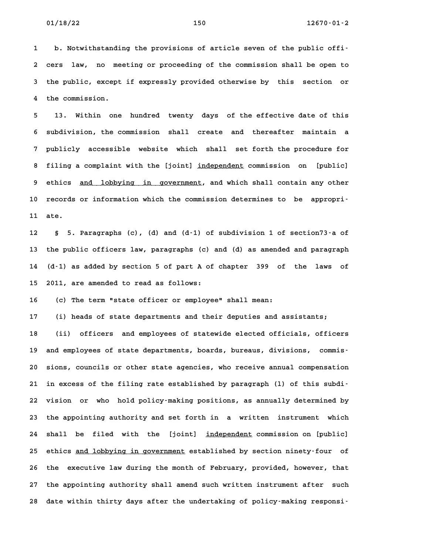**1 b. Notwithstanding the provisions of article seven of the public offi-2 cers law, no meeting or proceeding of the commission shall be open to 3 the public, except if expressly provided otherwise by this section or** 3 the public, except if expressly provided otherwise by this section or<br>4 the commission.

**5 13. Within one hundred twenty days of the effective date of this 6 subdivision, the commission shall create and thereafter maintain a 7 publicly accessible website which shall set forth the procedure for** 8 publicly accessible website which shall set-forth-the-procedure-for<br>**8 filing a complaint with the [joint**] <u>independent</u> commission on [public] 8 filing a complaint with the [joint] <u>independent</u> commission on [public]<br>9 ethics <u>and lobbying in government</u>, and which shall contain any other 9 ethics <u>and lobbying in government</u>, and which shall contain any other<br>10 records or information which the commission determines to be appropri-**11 ate. 12 § 5. Paragraphs (c), (d) and (d-1) of subdivision 1 of section73-a of**

**13 the public officers law, paragraphs (c) and (d) as amended and paragraph 14 (d-1) as added by section 5 of part A of chapter 399 of the laws of 15 2011, are amended to read as follows:**

**16 (c) The term "state officer or employee" shall mean:**

**17 (i) heads of state departments and their deputies and assistants;**

**18 (ii) officers and employees of statewide elected officials, officers** 18 (ii) officers and employees of statewide elected officials, officers<br>19 and employees of state departments, boards, bureaus, divisions, commis-19 and employees of state departments, boards, bureaus, divisions, commis-<br>20 sions, councils or other state agencies, who receive annual compensation **21 in excess of the filing rate established by paragraph (l) of this subdi-22 vision or who hold policy-making positions, as annually determined by 23 the appointing authority and set forth in a written instrument which** 23 the appointing authority and set forth in a written instrument which<br>24 shall be filed with the [joint] <u>independent</u> commission on [public] 24 shall be filed with the [joint] <u>independent</u> commission on [public]<br>25 ethics <u>and lobbying in government</u> established by section ninety–four of 25 ethics <u>and lobbying in government</u> established by section ninety-four of<br>26 the executive law during the month of February, provided, however, that **27 the appointing authority shall amend such written instrument after such 28 date within thirty days after the undertaking of policy-making responsi-**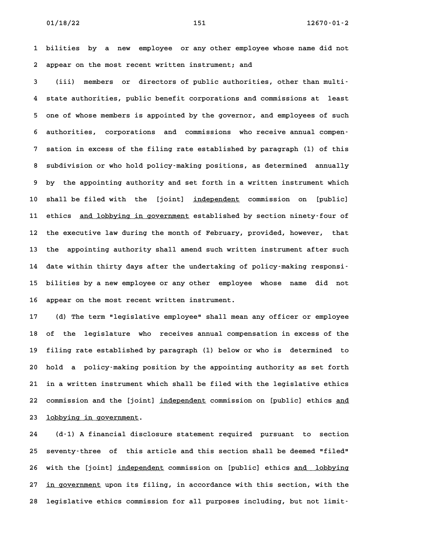**1 bilities by a new employee or any other employee whose name did not 2 appear on the most recent written instrument; and**

**3 (iii) members or directors of public authorities, other than multi-4 state authorities, public benefit corporations and commissions at least 5 one of whose members is appointed by the governor, and employees of such** 5 one of whose members is appointed by the governor, and employees of such<br>6 authorities, corporations and commissions who receive annual compen-**7 sation in excess of the filing rate established by paragraph (l) of this 8 subdivision or who hold policy-making positions, as determined annually 9 by the appointing authority and set forth in a written instrument which** 9 by the appointing authority and set forth in a written instrument which<br>10 shall be filed with the [joint] <u>independent</u> commission on [public] 10 shall be filed with the [joint] <u>independent</u> commission on [public]<br>11 ethics <u>and lobbying in government</u> established by section ninety–four of 11 ethics <u>and lobbying in government</u> established by section ninety–four of<br>12 the executive law during the month of February, provided, however, that 12 the executive law during the month of February, provided, however, that<br>13 the appointing authority shall amend such written instrument after such **14 date within thirty days after the undertaking of policy-making responsi-15 bilities by a new employee or any other employee whose name did not 16 appear on the most recent written instrument. 17 (d) The term "legislative employee" shall mean any officer or employee**

**18 of the legislature who receives annual compensation in excess of the 19 filing rate established by paragraph (l) below or who is determined to 20 hold a policy-making position by the appointing authority as set forth 21 in a written instrument which shall be filed with the legislative ethics** 21 in a written instrument which shall be filed with the legislative ethics<br>22 commission and the [joint] <u>independent</u> commission on [public] ethics <u>and</u> 22 commission and the [joint]<br>23 <u>lobbying in government</u>.

**24 (d-1) A financial disclosure statement required pursuant to section 25 seventy-three of this article and this section shall be deemed "filed"** 25 seventy-three of this article and this section shall be deemed "filed"<br>26 with the [joint] <u>independent</u> commission on [public] ethics <u>and lobbying</u> 26 with the [joint] <u>independent</u> commission on [public] ethics <u>and lobbying</u><br>27 <u>in government</u> upon its filing, in accordance with this section, with the **28 legislative ethics commission for all purposes including, but not limit-**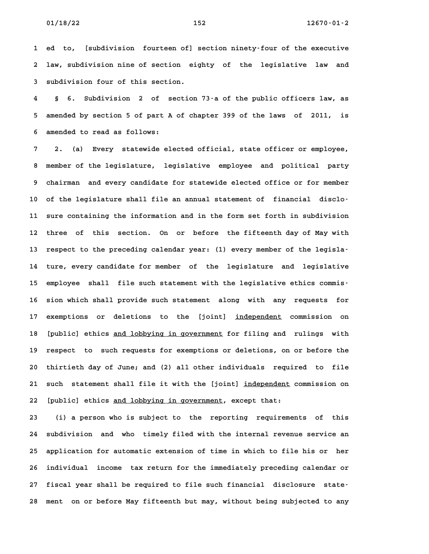**1 ed to, [subdivision fourteen of] section ninety-four of the executive 2 law, subdivision nine of section eighty of the legislative law and** 2 law, subdivision nine of section eighty of the legislative law and<br>3 subdivision four of this section.

**4 § 6. Subdivision 2 of section 73-a of the public officers law, as 5 amended by section 5 of part A of chapter 399 of the laws of 2011, is 6 amended to read as follows: 7 2. (a) Every statewide elected official, state officer or employee,**

**8 member of the legislature, legislative employee and political party 9 chairman and every candidate for statewide elected office or for member** 9 chairman and every candidate for statewide elected office or for member<br>10 of the legislature shall file an annual statement of financial disclo-**11 sure containing the information and in the form set forth in subdivision 12 three of this section. On or before the fifteenth day of May with** 12 three of this section. On or before the fifteenth day of May with<br>13 respect to the preceding calendar year: (1) every member of the legisla-13 respect to the preceding calendar year: (1) every member of the legisla<sup>.</sup><br>14 ture, every candidate for member of the legislature and legislative 14 ture, every candidate for member of the legislature and legislative<br>15 employee shall file such statement with the legislative ethics commis-15 employee shall file such statement with the legislative ethics commis-<br>16 sion which shall provide such statement along with any requests for 16 sion which shall provide such statement along with any requests for<br>17 exemptions or deletions to the [joint] <u>independent</u> commission on 17 exemptions or deletions to the [joint] <u>independent</u> commission on<br>18 [public] ethics <u>and lobbying in government</u> for filing and rulings with 18 [public] ethics <u>and lobbying in government</u> for filing and rulings with<br>19 respect to such requests for exemptions or deletions, on or before the **20 thirtieth day of June; and (2) all other individuals required to file** 20 thirtieth day of June; and (2) all other individuals required to file<br>21 such statement shall file it with the [joint] <u>independent</u> commission on 21 such statement shall file it with the [joint] <u>independent</u><br>22 [public] ethics <u>and lobbying in government</u>, except that: 22 [public] ethics <u>and lobbying in government</u>, except that:<br>23 (i) a person who is subject to the reporting requirements of this

**24 subdivision and who timely filed with the internal revenue service an 25 application for automatic extension of time in which to file his or her 26 individual income tax return for the immediately preceding calendar or 27 fiscal year shall be required to file such financial disclosure state-28 ment on or before May fifteenth but may, without being subjected to any**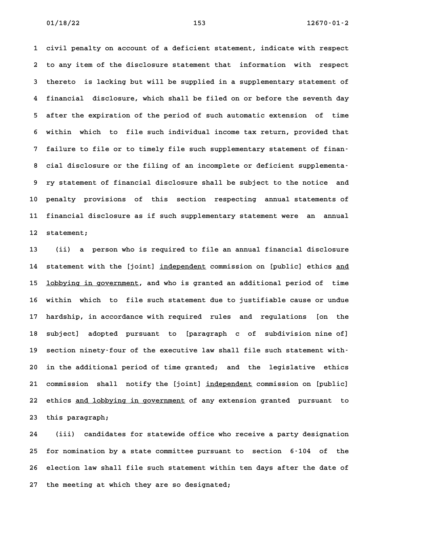**1 civil penalty on account of a deficient statement, indicate with respect 2 to any item of the disclosure statement that information with respect** 2 to any item of the disclosure statement that information with respect<br>3 thereto is lacking but will be supplied in a supplementary statement of **4 financial disclosure, which shall be filed on or before the seventh day 5 after the expiration of the period of such automatic extension of time 6 within which to file such individual income tax return, provided that 7 failure to file or to timely file such supplementary statement of finan-8 cial disclosure or the filing of an incomplete or deficient supplementa-9 ry statement of financial disclosure shall be subject to the notice and 10 penalty provisions of this section respecting annual statements of 11 financial disclosure as if such supplementary statement were an annual** 11 financial disclosure as if such supplementary statement were an annual<br>12 statement;

**13 (ii) a person who is required to file an annual financial disclosure** 13 (ii) a person who is required to file an annual financial disclosure<br>14 statement with the [joint] <u>independent</u> commission on [public] ethics <u>and</u> 14 statement with the [joint] <u>independent</u> commission on [public] ethics <u>and</u><br>15 <u>lobbying in government</u>, and who is granted an additional period of time 15 <u>lobbying in government</u>, and who is granted an additional period of time<br>16 within which to file such statement due to justifiable cause or undue **17 hardship, in accordance with required rules and regulations [on the** 17 hardship, in accordance with required rules and regulations [on the<br>18 subject] adopted pursuant to [paragraph c of subdivision nine of] 18 subject] adopted pursuant to [paragraph c of subdivision nine of]<br>19 section ninety-four of the executive law shall file such statement with-**20 in the additional period of time granted; and the legislative ethics** 20 in the additional period of time granted; and the legislative ethics<br>21 commission shall notify the [joint] <u>independent</u> commission on [public] 21 commission shall notify the [joint] <u>independent</u> commission on [public]<br>22 ethics <u>and lobbying in government</u> of any extension granted pursuant to 22 ethics <u>and lobbying in government</u> of any extension granted pursuant to<br>23 this paragraph;

**24 (iii) candidates for statewide office who receive a party designation 25 for nomination by a state committee pursuant to section 6-104 of the 26 election law shall file such statement within ten days after the date of 27 the meeting at which they are so designated;**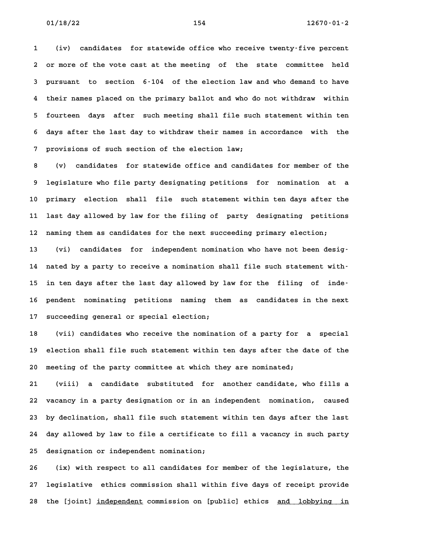**1 (iv) candidates for statewide office who receive twenty-five percent 2 or more of the vote cast at the meeting of the state committee held 3 pursuant to section 6-104 of the election law and who demand to have 4 their names placed on the primary ballot and who do not withdraw within 5 fourteen days after such meeting shall file such statement within ten 6 days after the last day to withdraw their names in accordance with the 7 provisions of such section of the election law;**

**8 (v) candidates for statewide office and candidates for member of the 9 legislature who file party designating petitions for nomination at a 10 primary election shall file such statement within ten days after the 11 last day allowed by law for the filing of party designating petitions 12 naming them as candidates for the next succeeding primary election;**

**13 (vi) candidates for independent nomination who have not been desig-14 nated by a party to receive a nomination shall file such statement with-**14 nated by a party to receive a nomination shall file such statement with-<br>15 in ten days after the last day allowed by law for the filing of inde-15 in ten days after the last day allowed by law for the filing of inde<sup>.</sup><br>16 pendent nominating petitions naming them as candidates in the next **17 succeeding general or special election;**

**18 (vii) candidates who receive the nomination of a party for a special 19 election shall file such statement within ten days after the date of the 20 meeting of the party committee at which they are nominated;**

**21 (viii) a candidate substituted for another candidate, who fills a 22 vacancy in a party designation or in an independent nomination, caused 23 by declination, shall file such statement within ten days after the last 24 day allowed by law to file a certificate to fill a vacancy in such party 25 designation or independent nomination; 26 (ix) with respect to all candidates for member of the legislature, the**

**27 legislative ethics commission shall within five days of receipt provide** 27 legislative ethics commission shall within five days of receipt provide<br>28 the [joint] <u>independent</u> commission on [public] ethics <u>and lobbying in</u>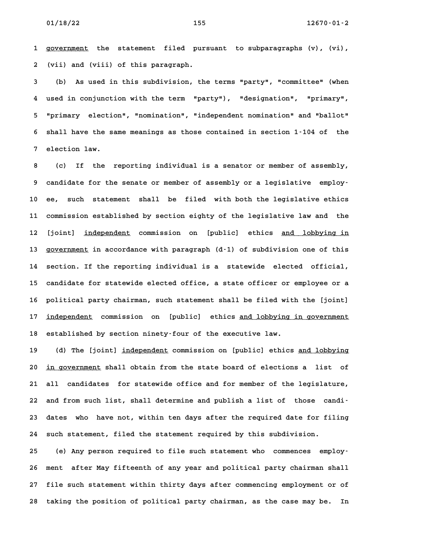**1 government the statement filed pursuant to subparagraphs (v), (vi), \_\_\_\_\_\_\_\_\_\_ 2 (vii) and (viii) of this paragraph. 3 (b) As used in this subdivision, the terms "party", "committee" (when**

**4 used in conjunction with the term "party"), "designation", "primary", 5 "primary election", "nomination", "independent nomination" and "ballot" 6 shall have the same meanings as those contained in section 1-104 of the** 6 shall have the same meanings as those contained in section 1-104 of the<br>7 election law.

**8 (c) If the reporting individual is a senator or member of assembly, 9 candidate for the senate or member of assembly or a legislative employ-10 ee, such statement shall be filed with both the legislative ethics 11 commission established by section eighty of the legislative law and the** 11 commission established by section eighty of the legislative law and the<br>12 [joint] <u>independent</u> commission on [public] ethics <u>and lobbying in</u> 12 [joint] <u>independent</u> commission on [public] ethics <u>and lobbying in</u><br>13 <u>government</u> in accordance with paragraph (d–1) of subdivision one of this **14 section. If the reporting individual is a statewide elected official,** 14 section. If the reporting individual is a statewide elected official,<br>15 candidate for statewide elected office, a state officer or employee or a **16 political party chairman, such statement shall be filed with the [joint]** 16 political party chairman, such statement shall be filed with the [joint]<br>17 <u>independent</u> commission on [public] ethics <u>and lobbying in government</u> 17 <u>independent</u> commission on [public] ethics <u>and lobbying</u><br>18 established by section ninety-four of the executive law.

18 established by section ninety–four of the executive law.<br>19 (d) The [joint] <u>independent</u> commission on [public] ethics <u>and lobbying</u> 19 (d) The [joint] <u>independent</u> commission on [public] ethics <u>and lobbying</u><br>20 <u>in government</u> shall obtain from the state board of elections a list of **21 all candidates for statewide office and for member of the legislature,** 21 all candidates for statewide office and for member of the legislature,<br>22 and from such list, shall determine and publish a list of those candi<sup></sup> 22 and from such list, shall determine and publish a list of those candi-<br>23 dates who have not, within ten days after the required date for filing **24 such statement, filed the statement required by this subdivision.**

24 such statement, filed the statement required by this subdivision.<br>25 (e) Any person required to file such statement who commences employ<sup>.</sup> **26 ment after May fifteenth of any year and political party chairman shall 27 file such statement within thirty days after commencing employment or of 28 taking the position of political party chairman, as the case may be. In**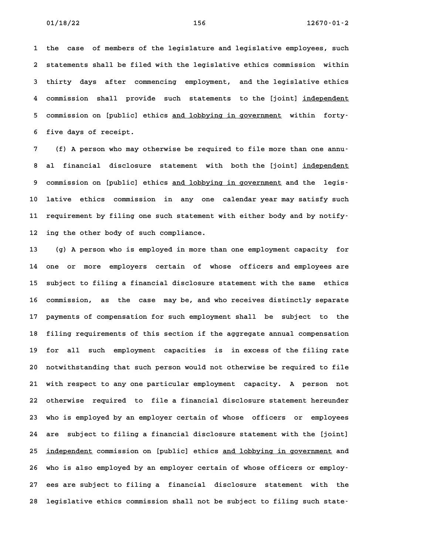**1 the case of members of the legislature and legislative employees, such** 1 the case of members of the legislature and legislative employees, such<br>2 statements shall be filed with the legislative ethics commission within **3 thirty days after commencing employment, and the legislative ethics** 4 commission shall provide such statements to the legislative ethics<br>4 commission shall provide such statements to the [joint] <u>independent</u> 4 commission shall provide such statements to the [joint] <u>independent</u><br>5 commission on [public] ethics <u>and lobbying in government</u> within forty– **6 five days of receipt.**

**7 (f) A person who may otherwise be required to file more than one annu-8 al financial disclosure statement with both the [joint] independent \_\_\_\_\_\_\_\_\_\_\_ 8 al financial disclosure statement with both the [joint] <u>independent</u><br>9 commission on [public] ethics <u>and lobbying in government</u> and the legis– 10 lative ethics commission in any one calendar year may satisfy such** 10 lative ethics commission in any one calendar-year-may-satisfy-such<br>11 requirement by filing one such statement with either body and by-notify-11 requirement by filing one such statement with either body and by notify-<br>12 ing the other body of such compliance.

**13 (g) A person who is employed in more than one employment capacity for 14 one or more employers certain of whose officers and employees are 15 subject to filing a financial disclosure statement with the same ethics 16 commission, as the case may be, and who receives distinctly separate 17 payments of compensation for such employment shall be subject to the 18 filing requirements of this section if the aggregate annual compensation** 18 filing requirements of this section if the aggregate annual compensation<br>19 for all such employment capacities is in excess of the filing rate **20 notwithstanding that such person would not otherwise be required to file 21 with respect to any one particular employment capacity. A person not 22 otherwise required to file a financial disclosure statement hereunder 23 who is employed by an employer certain of whose officers or employees 24 are subject to filing a financial disclosure statement with the [joint]** 24 are subject to filing a financial disclosure statement with the [joint]<br>25 <u>independent</u> commission on [public] ethics <u>and lobbying in government</u> and 25 <u>independent</u> commission on [public] ethics <u>and lobbying in government</u> and<br>26 who is also employed by an employer certain of whose officers or employ-**27 ees are subject to filing a financial disclosure statement with the 28 legislative ethics commission shall not be subject to filing such state-**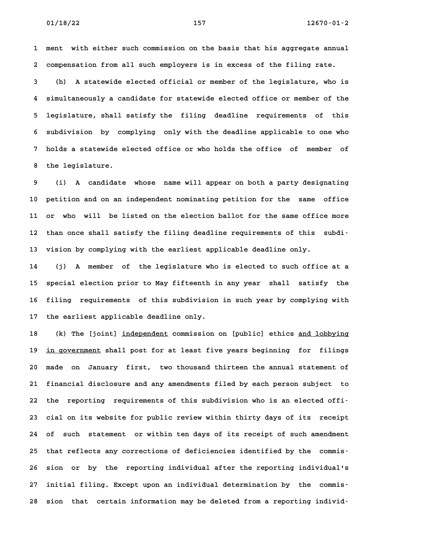**1 ment with either such commission on the basis that his aggregate annual 2 compensation from all such employers is in excess of the filing rate.**

**3 (h) A statewide elected official or member of the legislature, who is 4 simultaneously a candidate for statewide elected office or member of the 5 legislature, shall satisfy the filing deadline requirements of this 6 subdivision by complying only with the deadline applicable to one who 7 holds a statewide elected office or who holds the office of member of 8 the legislature. 9 (i) A candidate whose name will appear on both a party designating**

**10 petition and on an independent nominating petition for the same office 11 or who will be listed on the election ballot for the same office more** 11 or who will be listed on the election ballot for the same office more<br>12 than once shall satisfy the filing deadline requirements of this subdi-12 than once shall satisfy the filing deadline requirements of this subdi-<br>13 vision by complying with the earliest applicable deadline only.

**14 (j) A member of the legislature who is elected to such office at a 15 special election prior to May fifteenth in any year shall satisfy the 16 filing requirements of this subdivision in such year by complying with 17 the earliest applicable deadline only.**

17 the earliest applicable deadline only.<br>18 (k) The [joint] <u>independent</u> commission on [public] ethics <u>and lobbying</u> 18 (k) The [joint] <u>independent</u> commission on [public] ethics <u>and lobbying</u><br>19 <u>in government</u> shall post for at least five years beginning for filings 19 <u>in government</u> shall post for at least five years beginning for filings<br>20 made on January first, two thousand thirteen the annual statement of **21 financial disclosure and any amendments filed by each person subject to** 21 financial disclosure and any amendments filed by each person subject to<br>22 the reporting requirements of this subdivision who is an elected offi-**23 cial on its website for public review within thirty days of its receipt** 23 cial on its website for public review within thirty days of its receipt<br>24 of such statement or within ten days of its receipt of such amendment **25 that reflects any corrections of deficiencies identified by the commis-26 sion or by the reporting individual after the reporting individual's 27 initial filing. Except upon an individual determination by the commis-28 sion that certain information may be deleted from a reporting individ-**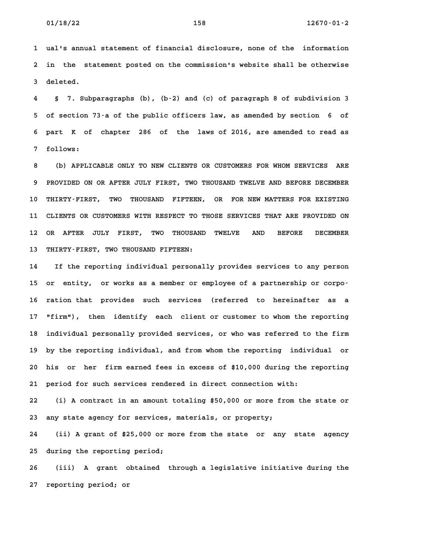**1 ual's annual statement of financial disclosure, none of the information 2 in the statement posted on the commission's website shall be otherwise 3 deleted. 4 § 7. Subparagraphs (b), (b-2) and (c) of paragraph 8 of subdivision 3**

**5 of section 73-a of the public officers law, as amended by section 6 of 6 part K of chapter 286 of the laws of 2016, are amended to read as 7 follows: 8 (b) APPLICABLE ONLY TO NEW CLIENTS OR CUSTOMERS FOR WHOM SERVICES ARE**

**9 PROVIDED ON OR AFTER JULY FIRST, TWO THOUSAND TWELVE AND BEFORE DECEMBER** 9 PROVIDED ON OR AFTER JULY FIRST, TWO THOUSAND TWELVE AND BEFORE DECEMBER<br>10 THIRTY-FIRST, TWO THOUSAND FIFTEEN, OR FOR NEW MATTERS FOR EXISTING **11 CLIENTS OR CUSTOMERS WITH RESPECT TO THOSE SERVICES THAT ARE PROVIDED ON 12 OR AFTER JULY FIRST, TWO THOUSAND TWELVE AND BEFORE DECEMBER** 12 OR AFTER JULY FIRST, TWO THOUSAND TWELVE<br>13 THIRTY-FIRST, TWO THOUSAND FIFTEEN:

**14 If the reporting individual personally provides services to any person 15 or entity, or works as a member or employee of a partnership or corpo-**15 or entity, or $works$  as a member or employee of a partnership or corpo-<br>16 ration that provides such services (referred to hereinafter as a **17 "firm"), then identify each client or customer to whom the reporting** 17 "firm"), then identify each client or customer to whom the reporting<br>18 individual personally provided services, or who was referred to the firm **19 by the reporting individual, and from whom the reporting individual or 20 his or her firm earned fees in excess of \$10,000 during the reporting 21 period for such services rendered in direct connection with:**

**22 (i) A contract in an amount totaling \$50,000 or more from the state or 23 any state agency for services, materials, or property; 24 (ii) A grant of \$25,000 or more from the state or any state agency**

**25 during the reporting period;**

**26 (iii) A grant obtained through a legislative initiative during the 27 reporting period; or**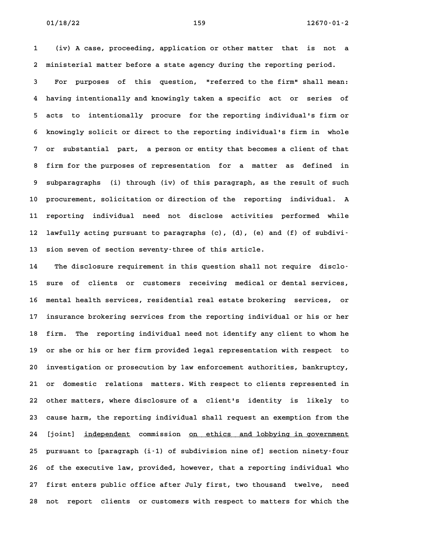**1 (iv) A case, proceeding, application or other matter that is not a 2 ministerial matter before a state agency during the reporting period.**

**3 For purposes of this question, "referred to the firm" shall mean: 4 having intentionally and knowingly taken a specific act or series of 5 acts to intentionally procure for the reporting individual's firm or 6 knowingly solicit or direct to the reporting individual's firm in whole 7 or substantial part, a person or entity that becomes a client of that 8 firm for the purposes of representation for a matter as defined in 9 subparagraphs (i) through (iv) of this paragraph, as the result of such 10 procurement, solicitation or direction of the reporting individual. A 11 reporting individual need not disclose activities performed while** 11 reporting individual need not disclose activities performed while<br>12 lawfully acting pursuant to paragraphs (c), (d), (e) and (f) of subdivi<sup>-</sup> **13 sion seven of section seventy-three of this article.**

**14 The disclosure requirement in this question shall not require disclo-15 sure of clients or customers receiving medical or dental services, 16 mental health services, residential real estate brokering services, or 17 insurance brokering services from the reporting individual or his or her 18 firm. The reporting individual need not identify any client to whom he 19 or she or his or her firm provided legal representation with respect to 20 investigation or prosecution by law enforcement authorities, bankruptcy,** 20 investigation or prosecution by law enforcement authorities, bankruptcy,<br>21 or domestic relations matters. With respect to clients represented in **22 other matters, where disclosure of a client's identity is likely to 23 cause harm, the reporting individual shall request an exemption from the** 23 cause harm, the reporting individual shall request an exemption from the<br>24 [joint] <u>independent</u> commission <u>on ethics and lobbying in government</u> **25 pursuant to [paragraph (i-1) of subdivision nine of] section ninety-four 26 of the executive law, provided, however, that a reporting individual who 27 first enters public office after July first, two thousand twelve, need 28 not report clients or customers with respect to matters for which the**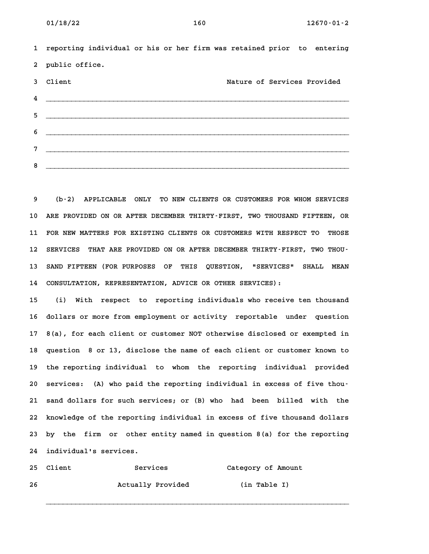**1 reporting individual or his or her firm was retained prior to entering 2 public office.** 2 public office.<br>3 Client 1990 **Mature of Services Provided 4 \_\_\_\_\_\_\_\_\_\_\_\_\_\_\_\_\_\_\_\_\_\_\_\_\_\_\_\_\_\_\_\_\_\_\_\_\_\_\_\_\_\_\_\_\_\_\_\_\_\_\_\_\_\_\_\_\_\_\_\_\_\_\_\_\_\_\_\_\_\_\_\_ 5 \_\_\_\_\_\_\_\_\_\_\_\_\_\_\_\_\_\_\_\_\_\_\_\_\_\_\_\_\_\_\_\_\_\_\_\_\_\_\_\_\_\_\_\_\_\_\_\_\_\_\_\_\_\_\_\_\_\_\_\_\_\_\_\_\_\_\_\_\_\_\_\_ 6 \_\_\_\_\_\_\_\_\_\_\_\_\_\_\_\_\_\_\_\_\_\_\_\_\_\_\_\_\_\_\_\_\_\_\_\_\_\_\_\_\_\_\_\_\_\_\_\_\_\_\_\_\_\_\_\_\_\_\_\_\_\_\_\_\_\_\_\_\_\_\_\_ 7 \_\_\_\_\_\_\_\_\_\_\_\_\_\_\_\_\_\_\_\_\_\_\_\_\_\_\_\_\_\_\_\_\_\_\_\_\_\_\_\_\_\_\_\_\_\_\_\_\_\_\_\_\_\_\_\_\_\_\_\_\_\_\_\_\_\_\_\_\_\_\_\_ 8 \_\_\_\_\_\_\_\_\_\_\_\_\_\_\_\_\_\_\_\_\_\_\_\_\_\_\_\_\_\_\_\_\_\_\_\_\_\_\_\_\_\_\_\_\_\_\_\_\_\_\_\_\_\_\_\_\_\_\_\_\_\_\_\_\_\_\_\_\_\_\_\_**

**9 (b-2) APPLICABLE ONLY TO NEW CLIENTS OR CUSTOMERS FOR WHOM SERVICES 10 ARE PROVIDED ON OR AFTER DECEMBER THIRTY-FIRST, TWO THOUSAND FIFTEEN, OR** 10 ARE PROVIDED ON OR AFTER DECEMBER THIRTY-FIRST, TWO THOUSAND FIFTEEN, OR<br>11 FOR NEW MATTERS FOR EXISTING CLIENTS OR CUSTOMERS WITH RESPECT TO THOSE 11 FOR NEW MATTERS FOR EXISTING CLIENTS OR CUSTOMERS WITH RESPECT TO THOSE<br>12 SERVICES THAT ARE PROVIDED ON OR AFTER DECEMBER THIRTY-FIRST, TWO THOU-12 SERVICES THAT ARE PROVIDED ON OR AFTER DECEMBER THIRTY-FIRST, TWO THOU-<br>13 SAND FIFTEEN (FOR PURPOSES OF THIS QUESTION, "SERVICES" SHALL MEAN **14 CONSULTATION, REPRESENTATION, ADVICE OR OTHER SERVICES): 15 (i) With respect to reporting individuals who receive ten thousand**

**16 dollars or more from employment or activity reportable under question 17 8(a), for each client or customer NOT otherwise disclosed or exempted in 18 question 8 or 13, disclose the name of each client or customer known to 19 the reporting individual to whom the reporting individual provided** 19 the reporting individual to whom the reporting individual provided<br>20 services: (A) who paid the reporting individual in excess of five thou-**21 sand dollars for such services; or (B) who had been billed with the 22 knowledge of the reporting individual in excess of five thousand dollars 23 by the firm or other entity named in question 8(a) for the reporting** 23 by the firm or other entity named in question 8(a) for the reporting 24 individual's services.

**\_\_\_\_\_\_\_\_\_\_\_\_\_\_\_\_\_\_\_\_\_\_\_\_\_\_\_\_\_\_\_\_\_\_\_\_\_\_\_\_\_\_\_\_\_\_\_\_\_\_\_\_\_\_\_\_\_\_\_\_\_\_\_\_\_\_\_\_\_\_\_\_**

|     | 24 individual's services. |                   |                    |
|-----|---------------------------|-------------------|--------------------|
|     | 25 Client                 | Services          | Category of Amount |
| -26 |                           | Actually Provided | (in Table I)       |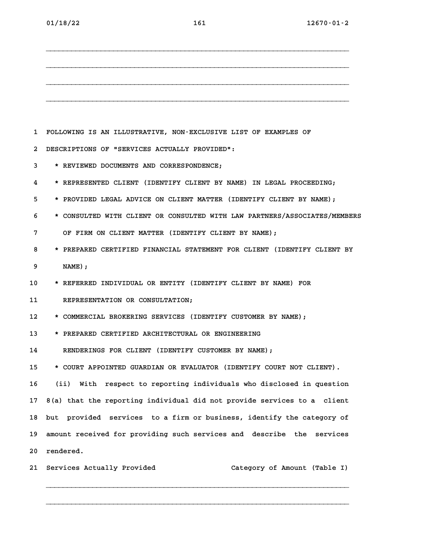**\_\_\_\_\_\_\_\_\_\_\_\_\_\_\_\_\_\_\_\_\_\_\_\_\_\_\_\_\_\_\_\_\_\_\_\_\_\_\_\_\_\_\_\_\_\_\_\_\_\_\_\_\_\_\_\_\_\_\_\_\_\_\_\_\_\_\_\_\_\_\_\_ \_\_\_\_\_\_\_\_\_\_\_\_\_\_\_\_\_\_\_\_\_\_\_\_\_\_\_\_\_\_\_\_\_\_\_\_\_\_\_\_\_\_\_\_\_\_\_\_\_\_\_\_\_\_\_\_\_\_\_\_\_\_\_\_\_\_\_\_\_\_\_\_ \_\_\_\_\_\_\_\_\_\_\_\_\_\_\_\_\_\_\_\_\_\_\_\_\_\_\_\_\_\_\_\_\_\_\_\_\_\_\_\_\_\_\_\_\_\_\_\_\_\_\_\_\_\_\_\_\_\_\_\_\_\_\_\_\_\_\_\_\_\_\_\_ \_\_\_\_\_\_\_\_\_\_\_\_\_\_\_\_\_\_\_\_\_\_\_\_\_\_\_\_\_\_\_\_\_\_\_\_\_\_\_\_\_\_\_\_\_\_\_\_\_\_\_\_\_\_\_\_\_\_\_\_\_\_\_\_\_\_\_\_\_\_\_\_ 1 FOLLOWING IS AN ILLUSTRATIVE, NON-EXCLUSIVE LIST OF EXAMPLES OF 2 DESCRIPTIONS OF "SERVICES ACTUALLY PROVIDED": 3 \* REVIEWED DOCUMENTS AND CORRESPONDENCE; 4 \* REPRESENTED CLIENT (IDENTIFY CLIENT BY NAME) IN LEGAL PROCEEDING; 5 \* PROVIDED LEGAL ADVICE ON CLIENT MATTER (IDENTIFY CLIENT BY NAME); 6 \* CONSULTED WITH CLIENT OR CONSULTED WITH LAW PARTNERS/ASSOCIATES/MEMBERS 7 OF FIRM ON CLIENT MATTER (IDENTIFY CLIENT BY NAME); 8 \* PREPARED CERTIFIED FINANCIAL STATEMENT FOR CLIENT (IDENTIFY CLIENT BY 9 NAME); 10 \* REFERRED INDIVIDUAL OR ENTITY (IDENTIFY CLIENT BY NAME) FOR 11 REPRESENTATION OR CONSULTATION; 12 \* COMMERCIAL BROKERING SERVICES (IDENTIFY CUSTOMER BY NAME); 13 \* PREPARED CERTIFIED ARCHITECTURAL OR ENGINEERING** 13 **\*** PREPARED CERTIFIED ARCHITECTURAL OR ENGINEERING<br>14 RENDERINGS FOR CLIENT (IDENTIFY CUSTOMER BY NAME); **15 \* COURT APPOINTED GUARDIAN OR EVALUATOR (IDENTIFY COURT NOT CLIENT). 16 (ii) With respect to reporting individuals who disclosed in question 17 8(a) that the reporting individual did not provide services to a client 18 but provided services to a firm or business, identify the category of 19 amount received for providing such services and describe the services** 19 amount received for providing such services and describe the services 20 rendered.

**21 Services Actually Provided Category of Amount (Table I)**

**\_\_\_\_\_\_\_\_\_\_\_\_\_\_\_\_\_\_\_\_\_\_\_\_\_\_\_\_\_\_\_\_\_\_\_\_\_\_\_\_\_\_\_\_\_\_\_\_\_\_\_\_\_\_\_\_\_\_\_\_\_\_\_\_\_\_\_\_\_\_\_\_**

**\_\_\_\_\_\_\_\_\_\_\_\_\_\_\_\_\_\_\_\_\_\_\_\_\_\_\_\_\_\_\_\_\_\_\_\_\_\_\_\_\_\_\_\_\_\_\_\_\_\_\_\_\_\_\_\_\_\_\_\_\_\_\_\_\_\_\_\_\_\_\_\_**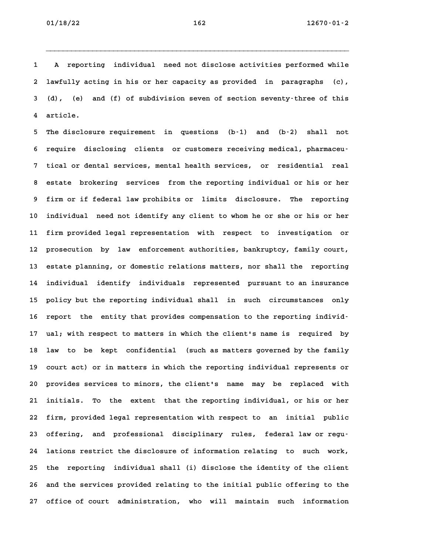**01/18/22 162 12670-01-2**

**1 A reporting individual need not disclose activities performed while 2 lawfully acting in his or her capacity as provided in paragraphs (c), 3 (d), (e) and (f) of subdivision seven of section seventy-three of this 4 article.**

**5 The disclosure requirement in questions (b-1) and (b-2) shall not** 5 The disclosure requirement in questions (b–1) and (b–2) shall not<br>6 require disclosing clients or customers receiving medical, pharmaceu-**7 tical or dental services, mental health services, or residential real 8 estate brokering services from the reporting individual or his or her 9 firm or if federal law prohibits or limits disclosure. The reporting 10 individual need not identify any client to whom he or she or his or her 11 firm provided legal representation with respect to investigation or 12 prosecution by law enforcement authorities, bankruptcy, family court, 13 estate planning, or domestic relations matters, nor shall the reporting 14 individual identify individuals represented pursuant to an insurance** 14 individual identify individuals represented pursuant-to-an-insurance<br>15 policy-but-the reporting individual shall in such circumstances only 15 policy but the reporting individual shall in such circumstances only<br>16 report the entity that provides compensation to the reporting individ-**17 ual; with respect to matters in which the client's name is required by** 17 ual; with respect to matters in which the client's name is required by<br>18 law to be kept confidential (such as matters governed by the family 18 law to be kept confidential (such as matters governed by the family<br>19 court act) or in matters in which the reporting individual represents or **20 provides services to minors, the client's name may be replaced with 21 initials. To the extent that the reporting individual, or his or her 22 firm, provided legal representation with respect to an initial public 23 offering, and professional disciplinary rules, federal law or regu-24 lations restrict the disclosure of information relating to such work, 25 the reporting individual shall (i) disclose the identity of the client 26 and the services provided relating to the initial public offering to the 27 office of court administration, who will maintain such information**

**\_\_\_\_\_\_\_\_\_\_\_\_\_\_\_\_\_\_\_\_\_\_\_\_\_\_\_\_\_\_\_\_\_\_\_\_\_\_\_\_\_\_\_\_\_\_\_\_\_\_\_\_\_\_\_\_\_\_\_\_\_\_\_\_\_\_\_\_\_\_\_\_**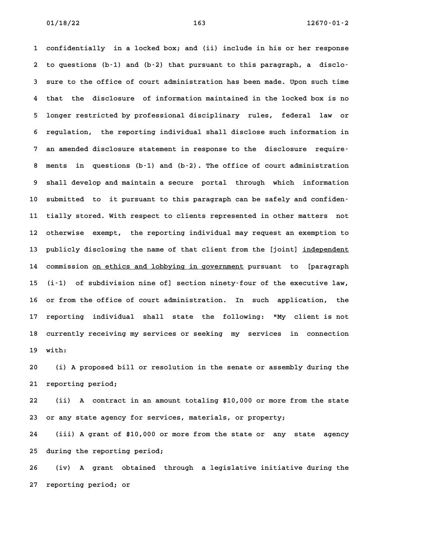**1 confidentially in a locked box; and (ii) include in his or her response 2 to questions (b-1) and (b-2) that pursuant to this paragraph, a disclo-3 sure to the office of court administration has been made. Upon such time 4 that the disclosure of information maintained in the locked box is no 5 longer restricted by professional disciplinary rules, federal law or 6** longer restricted by professional disciplinary rules, federal law or<br>6 regulation, the reporting individual shall disclose such information in **7 an amended disclosure statement in response to the disclosure require-8 ments in questions (b-1) and (b-2). The office of court administration 9 shall develop and maintain a secure portal through which information** 9 shall develop and maintain a secure portal through which information<br>10 submitted to it pursuant to this paragraph can be safely and confiden-**11 tially stored. With respect to clients represented in other matters not** 11 tially stored. With respect to clients represented in other matters not<br>12 otherwise exempt, the reporting individual may request an exemption to 12 otherwise exempt, the reporting individual may request an exemption to<br>13 publicly disclosing the name of that client from the [joint] <u>independent</u> 13 publicly disclosing the name of that client from the [joint] <u>independent</u><br>14 commission <u>on ethics and lobbying in government</u> pursuant to [paragraph **15 (i-1) of subdivision nine of] section ninety-four of the executive law, 16 or from the office of court administration. In such application, the 17 reporting individual shall state the following: "My client is not** 17 reporting individual shall state the following: "My client-is-not<br>18 currently-receiving-my-services-or-seeking-my-services in connection **19 with: 20 (i) A proposed bill or resolution in the senate or assembly during the**

**21 reporting period;**

**22 (ii) A contract in an amount totaling \$10,000 or more from the state 23 or any state agency for services, materials, or property; 24 (iii) A grant of \$10,000 or more from the state or any state agency**

**25 during the reporting period;**

**26 (iv) A grant obtained through a legislative initiative during the 27 reporting period; or**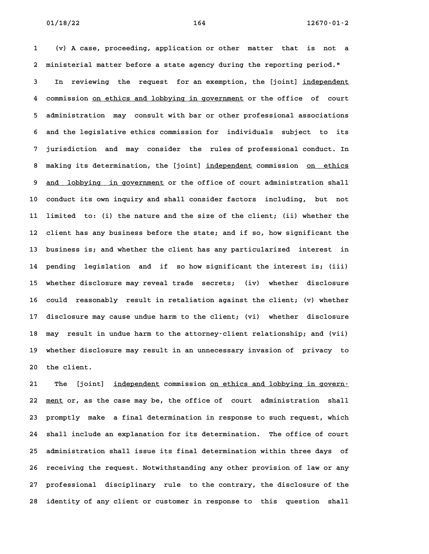**1 (v) A case, proceeding, application or other matter that is not a 2 ministerial matter before a state agency during the reporting period."** 2 ministerial matter before a state agency during the reporting period."<br>3 In reviewing the request for an exemption, the [joint] <u>independent</u> In reviewing the request for an-exemption, the [joint] <u>independent</u><br>4 commission <u>on ethics and lobbying in government</u> or the office of court **5 administration may consult with bar or other professional associations 6 and the legislative ethics commission for individuals subject to its 7 jurisdiction and may consider the rules of professional conduct. In** 8 jurisdiction and may consider the rules-of-professional-conduct. In<br>**8 making its determination, the [joint**] <u>independent</u> commission <u>on ethics</u> 8 making its determination, the [joint] <u>independent</u> commission <u>on ethics</u><br>9 <u>and lobbying in government</u> or the office of court administration shall 9 <u>and lobbying in government</u> or the office of court administration shall<br>10 conduct its own inquiry and shall consider factors including, but not **11 limited to: (i) the nature and the size of the client; (ii) whether the 12 client has any business before the state; and if so, how significant the 13 business is; and whether the client has any particularized interest in 14 pending legislation and if so how significant the interest is; (iii) 15 whether disclosure may reveal trade secrets; (iv) whether disclosure 16 could reasonably result in retaliation against the client; (v) whether** 16 could reasonably result in retaliation against the client; (v) whether<br>17 disclosure may cause undue harm to the client; (vi) whether disclosure **18 may result in undue harm to the attorney-client relationship; and (vii) 19 whether disclosure may result in an unnecessary invasion of privacy to** 19 whether disclosure may result in an unnecessary invasion of privacy to<br>20 the client.

**21 The [joint] independent commission on ethics and lobbying in govern- \_\_\_\_\_\_\_\_\_\_\_ \_\_\_\_\_\_\_\_\_\_\_\_\_\_\_\_\_\_\_\_\_\_\_\_\_\_\_\_\_\_\_\_\_** 21 The [joint] <u>independent</u> commission <u>on ethics and lobbying in govern-</u><br>22 <u>ment</u> or, as the case may be, the office of court administration shall 22 <u>ment</u> or, as the case may be, the office of court administration shall<br>23 promptly make a final determination in response to such request, which **24 shall include an explanation for its determination. The office of court 25 administration shall issue its final determination within three days of** 25 administration shall issue its final determination within three days of<br>26 receiving the request. Notwithstanding any other provision of law or any **27 professional disciplinary rule to the contrary, the disclosure of the 28 identity of any client or customer in response to this question shall**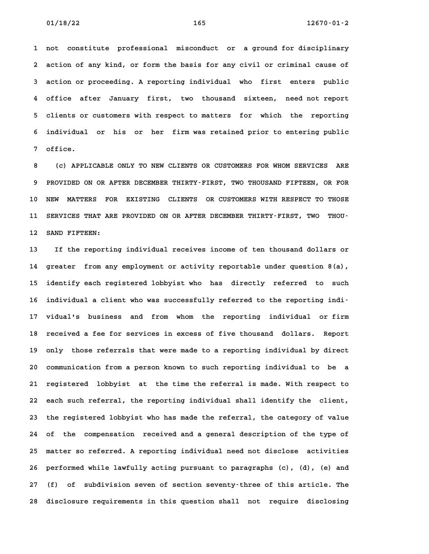**1 not constitute professional misconduct or a ground for disciplinary 2 action of any kind, or form the basis for any civil or criminal cause of 3 action or proceeding. A reporting individual who first enters public 4 office after January first, two thousand sixteen, need not report 5 clients or customers with respect to matters for which the reporting 6 individual or his or her firm was retained prior to entering public** 6 individual or his or her firm was retained prior to entering public<br>7 office.

**8 (c) APPLICABLE ONLY TO NEW CLIENTS OR CUSTOMERS FOR WHOM SERVICES ARE 9 PROVIDED ON OR AFTER DECEMBER THIRTY-FIRST, TWO THOUSAND FIFTEEN, OR FOR** 9 PROVIDED ON OR AFTER DECEMBER THIRTY-FIRST, TWO THOUSAND FIFTEEN, OR FOR<br>10 NEW MATTERS FOR EXISTING CLIENTS OR CUSTOMERS WITH RESPECT TO THOSE 10 NEW MATTERS FOR EXISTING CLIENTS OR<sup>CUSTOMERS WITH RESPECT TO THOSE<br>11 SERVICES THAT ARE PROVIDED ON OR AFTER DECEMBER THIRTY-FIRST, TWO THOU-</sup> 11 SERVICES THAT ARE PROVIDED ON OR AFTER DECEMBER THIRTY-FIRST, TWO THOU-<br>12 SAND FIFTEEN:

**13 If the reporting individual receives income of ten thousand dollars or 14 greater from any employment or activity reportable under question 8(a), 15 identify each registered lobbyist who has directly referred to such** 15 identify each registered lobbyist who has directly referred to such<br>16 individual a client who was successfully referred to the reporting indi<sup></sup> 16 individual a client who was successfully referred to the reporting indi<sup>.</sup><br>17 vidual's business and from whom the reporting individual or firm **18 received a fee for services in excess of five thousand dollars. Report** 18 received a fee for services in excess of five thousand dollars. Report<br>19 only those referrals that were made to a reporting individual by direct **20 communication from a person known to such reporting individual to be a 21 registered lobbyist at the time the referral is made. With respect to 22 each such referral, the reporting individual shall identify the client,** 22 each such referral, the reporting individual shall identify the client,<br>23 the registered lobbyist who has made the referral, the category of value **24 of the compensation received and a general description of the type of 25 matter so referred. A reporting individual need not disclose activities** 25 matter so referred. A reporting individual need not disclose activities<br>26 performed while lawfully acting pursuant to paragraphs (c), (d), (e) and **27 (f) of subdivision seven of section seventy-three of this article. The 28 disclosure requirements in this question shall not require disclosing**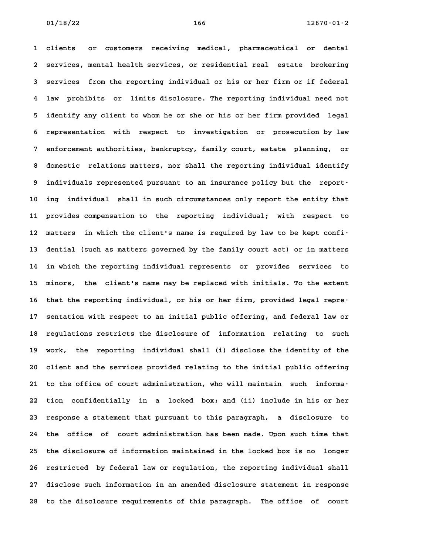**1 clients or customers receiving medical, pharmaceutical or dental 2 services, mental health services, or residential real estate brokering 3 services from the reporting individual or his or her firm or if federal 4 law prohibits or limits disclosure. The reporting individual need not 5 identify any client to whom he or she or his or her firm provided legal 6 representation with respect to investigation or prosecution by law 7 enforcement authorities, bankruptcy, family court, estate planning, or 8 domestic relations matters, nor shall the reporting individual identify** 8 domestic relations matters, nor shall the reporting individual identify<br>9 individuals represented pursuant to an insurance policy but the report-**10 ing individual shall in such circumstances only report the entity that 11 provides compensation to the reporting individual; with respect to 12 matters in which the client's name is required by law to be kept confi-13 dential (such as matters governed by the family court act) or in matters 14 in which the reporting individual represents or provides services to 15 minors, the client's name may be replaced with initials. To the extent 16 that the reporting individual, or his or her firm, provided legal repre-17 sentation with respect to an initial public offering, and federal law or 18 regulations restricts the disclosure of information relating to such 19 work, the reporting individual shall (i) disclose the identity of the 20 client and the services provided relating to the initial public offering** 20 client and the services provided relating to the initial public offering<br>21 to the office of court administration, who will maintain such informa-**22 tion confidentially in a locked box; and (ii) include in his or her 23 response a statement that pursuant to this paragraph, a disclosure to 24 the office of court administration has been made. Upon such time that 25 the disclosure of information maintained in the locked box is no longer** 25 the disclosure of information maintained in the locked box is no longer<br>26 restricted by federal law or regulation, the reporting individual shall **27 disclose such information in an amended disclosure statement in response 28 to the disclosure requirements of this paragraph. The office of court**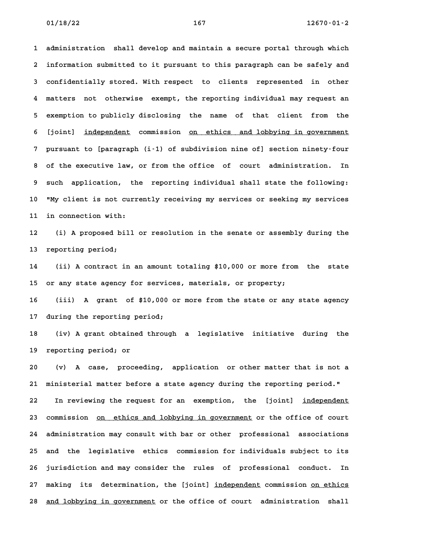**1 administration shall develop and maintain a secure portal through which 2 information submitted to it pursuant to this paragraph can be safely and 3 confidentially stored. With respect to clients represented in other 4 matters not otherwise exempt, the reporting individual may request an 5 exemption to publicly disclosing the name of that client from the** 5 exemption to publicly disclosing the name of that client from the<br>6 [joint] <u>independent</u> commission <u>on ethics and lobbying in government</u> **7 pursuant to [paragraph (i-1) of subdivision nine of] section ninety-four 8 of the executive law, or from the office of court administration. In 9 such application, the reporting individual shall state the following: 10 "My client is not currently receiving my services or seeking my services 11 in connection with: 12 (i) A proposed bill or resolution in the senate or assembly during the**

**13 reporting period;**

**14 (ii) A contract in an amount totaling \$10,000 or more from the state 15 or any state agency for services, materials, or property;**

**16 (iii) A grant of \$10,000 or more from the state or any state agency 17 during the reporting period;**

**18 (iv) A grant obtained through a legislative initiative during the 19 reporting period; or 20 (v) A case, proceeding, application or other matter that is not a**

**21 ministerial matter before a state agency during the reporting period."** 22 In reviewing the request for an exemption, the [joint] independent 23 commission on ethics and lobbying in government or the office of court **24 administration may consult with bar or other professional associations 25 and the legislative ethics commission for individuals subject to its 26 jurisdiction and may consider the rules of professional conduct. In** 27 making its determination, the [joint] independent commission on ethics 28 and lobbying in government or the office of court administration shall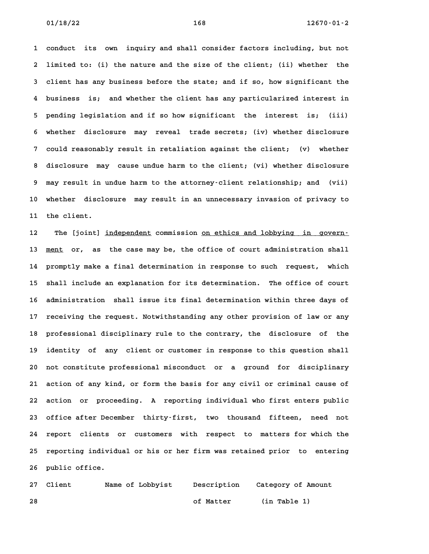**1 conduct its own inquiry and shall consider factors including, but not 2 limited to: (i) the nature and the size of the client; (ii) whether the 3 client has any business before the state; and if so, how significant the 4 business is; and whether the client has any particularized interest in 5 pending legislation and if so how significant the interest is; (iii) 6 whether disclosure may reveal trade secrets; (iv) whether disclosure 7 could reasonably result in retaliation against the client; (v) whether 8 disclosure may cause undue harm to the client; (vi) whether disclosure 9 may result in undue harm to the attorney-client relationship; and (vii) 10 whether disclosure may result in an unnecessary invasion of privacy to 11 the client. 11** the client.<br>**12** The [joint] <u>independent</u> commission <u>on ethics and lobbying in govern-</u>

**13 ment or, as the case may be, the office of court administration shall \_\_\_\_ 14 promptly make a final determination in response to such request, which 15 shall include an explanation for its determination. The office of court 16 administration shall issue its final determination within three days of 17 receiving the request. Notwithstanding any other provision of law or any 18 professional disciplinary rule to the contrary, the disclosure of the 19 identity of any client or customer in response to this question shall 20 not constitute professional misconduct or a ground for disciplinary 21 action of any kind, or form the basis for any civil or criminal cause of 22 action or proceeding. A reporting individual who first enters public 23 office after December thirty-first, two thousand fifteen, need not 24 report clients or customers with respect to matters for which the** 24 report clients or customers with respect to matters-for-which-the<br>25 reporting individual or his or her firm was retained prior to entering 25 reporting individual or his or her firm was retained prior to entering<br>26 public office.

**27 Client Name of Lobbyist Description Category of Amount 28 of Matter (in Table 1)**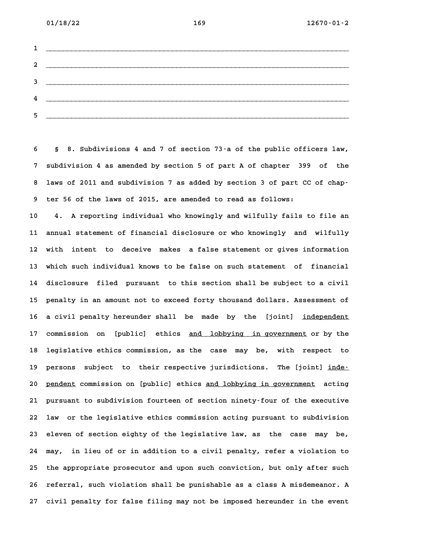**01/18/22 169 12670-01-2**

| $1 \quad \overbrace{\qquad \qquad }$                                                                                                                                                                                                                                                                                                                                                                                                                                  |
|-----------------------------------------------------------------------------------------------------------------------------------------------------------------------------------------------------------------------------------------------------------------------------------------------------------------------------------------------------------------------------------------------------------------------------------------------------------------------|
|                                                                                                                                                                                                                                                                                                                                                                                                                                                                       |
| $3 \overline{\phantom{a}}$                                                                                                                                                                                                                                                                                                                                                                                                                                            |
| $\frac{4}{2}$                                                                                                                                                                                                                                                                                                                                                                                                                                                         |
| $5$ $\overline{\phantom{a}}$ $\overline{\phantom{a}}$ $\overline{\phantom{a}}$ $\overline{\phantom{a}}$ $\overline{\phantom{a}}$ $\overline{\phantom{a}}$ $\overline{\phantom{a}}$ $\overline{\phantom{a}}$ $\overline{\phantom{a}}$ $\overline{\phantom{a}}$ $\overline{\phantom{a}}$ $\overline{\phantom{a}}$ $\overline{\phantom{a}}$ $\overline{\phantom{a}}$ $\overline{\phantom{a}}$ $\overline{\phantom{a}}$ $\overline{\phantom{a}}$ $\overline{\phantom{a}}$ |

**6 § 8. Subdivisions 4 and 7 of section 73-a of the public officers law, 7 subdivision 4 as amended by section 5 of part A of chapter 399 of the 8 laws of 2011 and subdivision 7 as added by section 3 of part CC of chap-9 ter 56 of the laws of 2015, are amended to read as follows:**

**10 4. A reporting individual who knowingly and wilfully fails to file an 11 annual statement of financial disclosure or who knowingly and wilfully 12 with intent to deceive makes a false statement or gives information 13 which such individual knows to be false on such statement of financial** 13 which such individual knows to be false on such statement of financial<br>14 disclosure filed pursuant to this section shall be subject to a civil **15 penalty in an amount not to exceed forty thousand dollars. Assessment of** 15 penalty in an amount not to exceed forty thousand dollars. Assessment of<br>16 a civil penalty hereunder shall be made by the [joint] <u>independent</u> 16 a civil penalty hereunder shall be made by the [joint] <u>independent</u><br>17 commission on [public] ethics <u>and lobbying in-government</u> or by the 17 commission on [public] ethics <u>and lobbying in government</u> or by the<br>18 legislative ethics commission, as the case may be, with respect to 18 legislative ethics commission, as the case may be, with respect to<br>19 persons subject to their respective jurisdictions. The [joint] inde-19 persons subject to their-respective-jurisdictions. The [joint] <u>inde-</u><br>20 <u>pendent</u> commission on [public] ethics <u>and lobbying in government</u> acting **21 pursuant to subdivision fourteen of section ninety-four of the executive 22 law or the legislative ethics commission acting pursuant to subdivision 23 eleven of section eighty of the legislative law, as the case may be, 24 may, in lieu of or in addition to a civil penalty, refer a violation to 25 the appropriate prosecutor and upon such conviction, but only after such 26 referral, such violation shall be punishable as a class A misdemeanor. A 27 civil penalty for false filing may not be imposed hereunder in the event**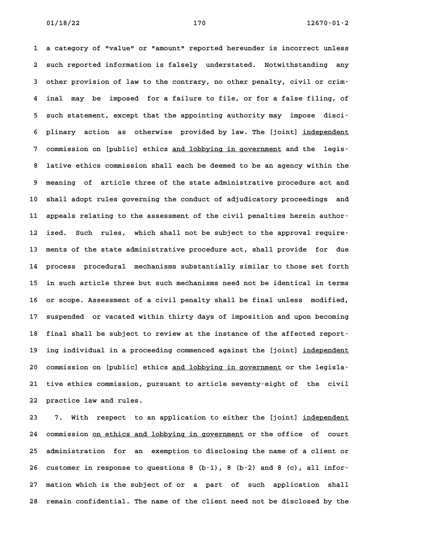**1 a category of "value" or "amount" reported hereunder is incorrect unless 2 such reported information is falsely understated. Notwithstanding any 3 other provision of law to the contrary, no other penalty, civil or crim-4 inal may be imposed for a failure to file, or for a false filing, of 5 such statement, except that the appointing authority may impose disci-**5 such statement, except that the appointing authority may impose disci<sup>.</sup><br>6 plinary action as otherwise provided by law. The [joint] <u>independent</u> 6 plinary action as otherwise provided-by-law. The [joint] <u>independent</u><br>7 commission on [public] ethics <u>and lobbying in government</u> and the legis– **8 lative ethics commission shall each be deemed to be an agency within the 9 meaning of article three of the state administrative procedure act and 10 shall adopt rules governing the conduct of adjudicatory proceedings and** 10 shall adopt rules governing the conduct of adjudicatory proceedings and<br>11 appeals relating to the assessment of the civil penalties herein author-11 appeals relating to the assessment of the civil penalties herein author<sup>.</sup><br>12 ized. Such rules, which shall not be subject to the approval require<sup>.</sup> **13 ments of the state administrative procedure act, shall provide for due 14 process procedural mechanisms substantially similar to those set forth 15 in such article three but such mechanisms need not be identical in terms 16 or scope. Assessment of a civil penalty shall be final unless modified, 17 suspended or vacated within thirty days of imposition and upon becoming** 17 suspended or vacated within thirty days of imposition and upon becoming<br>18 final shall be subject to review at the instance of the affected report-18 final shall be subject to review at the instance of the affected report–<br>19 ing individual in a proceeding commenced against the [joint] <u>independent</u> 19 ing individual in a proceeding commenced against the [joint] <u>independent</u><br>20 commission on [public] ethics <u>and lobbying in government</u> or the legisla-**21 tive ethics commission, pursuant to article seventy-eight of the civil 22 practice law and rules.**

**23 7. With respect to an application to either the [joint] independent \_\_\_\_\_\_\_\_\_\_\_** 7. With respect to an application to either the [joint] <u>independent</u><br>24 commission <u>on ethics and lobbying in government</u> or the office of court **25 administration for an exemption to disclosing the name of a client or** 25 administration for an exemption to disclosing the name of a client or<br>26 customer in response to questions 8 (b-1), 8 (b-2) and 8 (c), all infor-**27 mation which is the subject of or a part of such application shall 28 remain confidential. The name of the client need not be disclosed by the**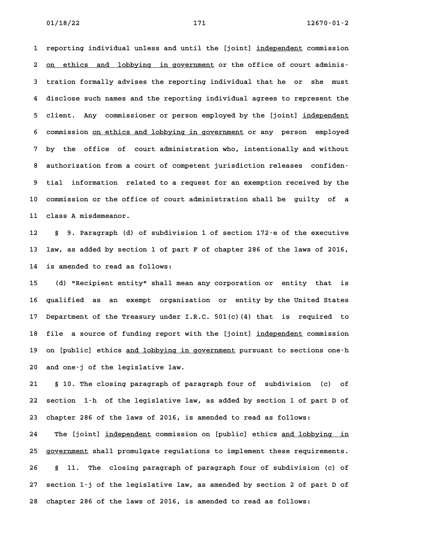**1 reporting individual unless and until the [joint] independent commission \_\_\_\_\_\_\_\_\_\_\_** 1 reporting individual unless and until the [joint] <u>independent</u> commission<br>2 <u>on ethics and lobbying in government</u> or the office of court adminis– 2 <u>on ethics and lobbying in government</u> or the office of court adminis-<br>3 tration formally advises the reporting individual that he or she must **4 disclose such names and the reporting individual agrees to represent the** 4 disclose such names and the reporting individual agrees to represent the<br>5 client. Any commissioner or person employed by the [joint] <u>independent</u> 5 client. Any commissioner or person employed by the [joint] <u>independent</u><br>6 commission <u>on ethics and lobbying in government</u> or any person employed **7 by the office of court administration who, intentionally and without** 8 by the office of court administration who, intentionally and without<br>**8 authorization from a court of competent jurisdiction releases** confiden-**9 tial information related to a request for an exemption received by the 10 commission or the office of court administration shall be guilty of a 11 class A misdemeanor. 12 § 9. Paragraph (d) of subdivision 1 of section 172-e of the executive**

**13 law, as added by section 1 of part F of chapter 286 of the laws of 2016, 14 is amended to read as follows: 15 (d) "Recipient entity" shall mean any corporation or entity that is**

**16 qualified as an exempt organization or entity by the United States 17 Department of the Treasury under I.R.C. 501(c)(4) that is required to** 17 Department of the Treasury under I.R.C. 501(c)(4) that is required to<br>18 file a source of funding report with the [joint] <u>independent</u> commission 18 file a source of funding report with the [joint] <u>independent</u> commission<br>19 on [public] ethics <u>and lobbying in government</u> pursuant to sections one-h 19 on [public] ethics <u>and lobbying in government</u> pursuant to sections one-h<br>20 and one-j of the legislative law.

**21 § 10. The closing paragraph of paragraph four of subdivision (c) of 22 section 1-h of the legislative law, as added by section 1 of part D of 23 chapter 286 of the laws of 2016, is amended to read as follows:**

23 chapter 286 of the laws of 2016, is amended to read as follows:<br>24 The [joint] <u>independent</u> commission on [public] ethics <u>and lobbying in</u> 24 The [joint] <u>independent</u> commission on [public] ethics <u>and lobbying in</u><br>25 <u>government</u> shall promulgate regulations to implement these requirements. **26 § 11. The closing paragraph of paragraph four of subdivision (c) of 27 section 1-j of the legislative law, as amended by section 2 of part D of 28 chapter 286 of the laws of 2016, is amended to read as follows:**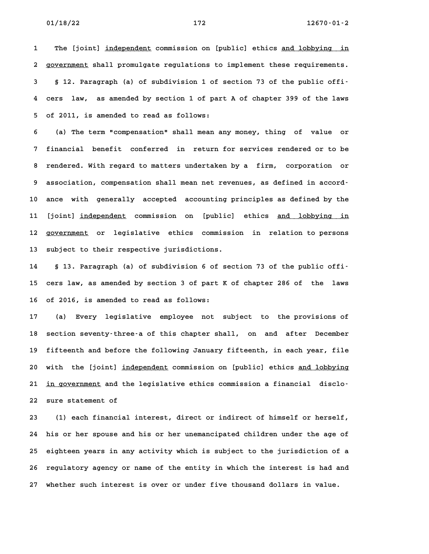**1** The [joint] independent commission on [public] ethics and lobbying in I The [joint] <u>independent</u> commission on [public] ethics <u>and lobbying in</u><br>2 <u>government</u> shall promulgate regulations to implement these requirements. **3 § 12. Paragraph (a) of subdivision 1 of section 73 of the public offi-4 cers law, as amended by section 1 of part A of chapter 399 of the laws 5 of 2011, is amended to read as follows:**

**6 (a) The term "compensation" shall mean any money, thing of value or 7 financial benefit conferred in return for services rendered or to be 8 rendered. With regard to matters undertaken by a firm, corporation or** 8 rendered. With regard to matters undertaken by a firm, corporation or<br>9 association, compensation shall mean net revenues, as defined in accord-**10 ance with generally accepted accounting principles as defined by the** 10 ance with generally accepted accounting-principles-as-defined-by-the<br>11 [joint] <u>independent</u> commission on [public] ethics <u>and lobbying in</u> 11 [joint] <u>independent</u> commission on [public] ethics <u>and lobbying in</u><br>12 government or legislative ethics commission in relation to persons **13 subject to their respective jurisdictions.**

**14 § 13. Paragraph (a) of subdivision 6 of section 73 of the public offi-15 cers law, as amended by section 3 of part K of chapter 286 of the laws 16 of 2016, is amended to read as follows: 17 (a) Every legislative employee not subject to the provisions of**

**18 section seventy-three-a of this chapter shall, on and after December 19 fifteenth and before the following January fifteenth, in each year, file** 19 fifteenth and before the following January fifteenth, in each year, file<br>20 with the [joint] <u>independent</u> commission on [public] ethics <u>and lobbying</u> 20 with the [joint] <u>independent</u> commission on [public] ethics <u>and lobbying</u><br>21 <u>in government</u> and the legislative ethics commission a financial disclo– **22 sure statement of 23 (1) each financial interest, direct or indirect of himself or herself,**

**24 his or her spouse and his or her unemancipated children under the age of 25 eighteen years in any activity which is subject to the jurisdiction of a** 25 eighteen years in any activity which is subject to the jurisdiction of a<br>26 regulatory agency or name of the entity in which the interest is had and **27 whether such interest is over or under five thousand dollars in value.**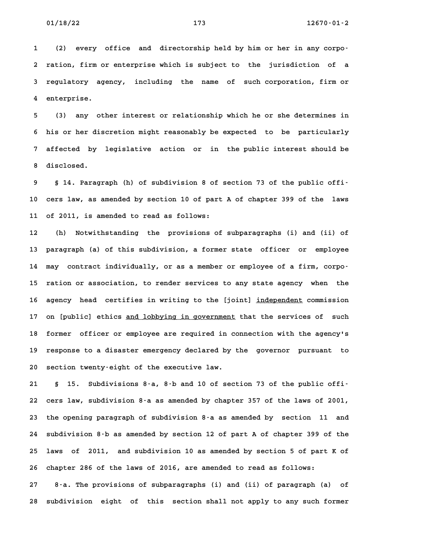**1 (2) every office and directorship held by him or her in any corpo-2 ration, firm or enterprise which is subject to the jurisdiction of a 3 regulatory agency, including the name of such corporation, firm or** 3 regulatory agency, including the name of such corporation, firm or<br>4 enterprise.

**5 (3) any other interest or relationship which he or she determines in 6 his or her discretion might reasonably be expected to be particularly 7 affected by legislative action or in the public interest should be** 7 affected by legislative action or in the public interest should be<br>8 disclosed.

**9 § 14. Paragraph (h) of subdivision 8 of section 73 of the public offi-10 cers law, as amended by section 10 of part A of chapter 399 of the laws 11 of 2011, is amended to read as follows:**

**12 (h) Notwithstanding the provisions of subparagraphs (i) and (ii) of 13 paragraph (a) of this subdivision, a former state officer or employee** 13 paragraph (a) of this subdivision, a former state officer or employee<br>14 may contract individually, or as a member or employee of a firm, corpo-14 may contract individually, or as a member or employee of a firm, corpo-<br>15 ration or association, to render services to any state agency when the 15 ration or association, to render services to any state agency when the<br>16 agency head certifies in writing to the [joint] <u>independent</u> commission 16 agency head certifies in writing to the [joint] <u>independent</u> commission<br>17 on [public] ethics <u>and lobbying in government</u> that the services of such 17 on [public] ethics <u>and lobbying in government</u> that the services of such<br>18 former officer or employee are required in connection with the agency's 18 former officer or employee are required in connection with the agency's<br>19 response to a disaster emergency declared by the governor pursuant to 19 response to a disaster emergency declared by the governor pursuant to<br>20 section twenty-eight of the executive law.

**21 § 15. Subdivisions 8-a, 8-b and 10 of section 73 of the public offi-22 cers law, subdivision 8-a as amended by chapter 357 of the laws of 2001, 23 the opening paragraph of subdivision 8-a as amended by section 11 and 24 subdivision 8-b as amended by section 12 of part A of chapter 399 of the 25 laws of 2011, and subdivision 10 as amended by section 5 of part K of 26 chapter 286 of the laws of 2016, are amended to read as follows:**

**27 8-a. The provisions of subparagraphs (i) and (ii) of paragraph (a) of 28 subdivision eight of this section shall not apply to any such former**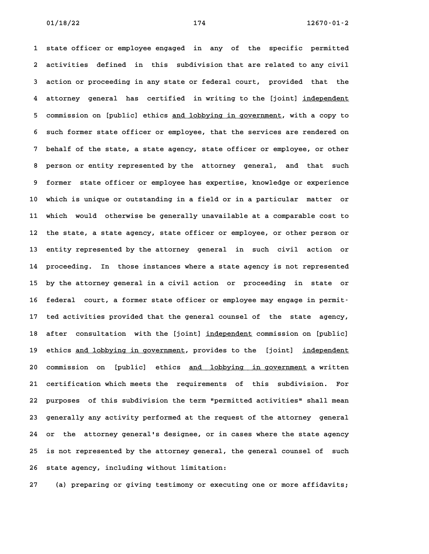**1 state officer or employee engaged in any of the specific permitted 2 activities defined in this subdivision that are related to any civil 3 action or proceeding in any state or federal court, provided that the 4** action or proceeding in any state or federal court, provided that the<br>4 attorney general has certified in writing to the [joint] <u>independent</u> 4 attorney general has certified in-writing-to-the-[joint] <u>independent</u><br>5 commission on [public] ethics <u>and lobbying in-government</u>, with a copy-to 5 commission on [public] ethics <u>and lobbying in government</u>, with a copy to<br>6 such former state officer or employee, that the services are rendered on **7 behalf of the state, a state agency, state officer or employee, or other 8 person or entity represented by the attorney general, and that such 9 former state officer or employee has expertise, knowledge or experience 10 which is unique or outstanding in a field or in a particular matter or 11 which would otherwise be generally unavailable at a comparable cost to 12 the state, a state agency, state officer or employee, or other person or 13 entity represented by the attorney general in such civil action or 14 proceeding. In those instances where a state agency is not represented 15 by the attorney general in a civil action or proceeding in state or** 15 by the attorney general in a civil action or proceeding in state or<br>16 federal court, a former state officer or employee may engage in permit-16 federal court, a former state officer or employee may engage in permit-<br>17 ted activities provided that the general counsel of the state agency, 17 ted activities provided that the general counsel of the state agency,<br>18 after consultation with the [joint] <u>independent</u> commission on [public] 18 after consultation with the [joint] <u>independent</u> commission on [public]<br>19 ethics <u>and lobbying in government</u>, provides to the [joint] <u>independent</u> 20 ethics <u>and lobbying in government</u>, provides to the [joint] <u>independent</u><br>20 commission on [public] ethics <u>and lobbying in government</u> a written **21 certification which meets the requirements of this subdivision. For 22 purposes of this subdivision the term "permitted activities" shall mean 23 generally any activity performed at the request of the attorney general 24 or the attorney general's designee, or in cases where the state agency 25 is not represented by the attorney general, the general counsel of such** 25 is not represented by the attorney general, the general counsel of such<br>26 state agency, including without limitation:

**27 (a) preparing or giving testimony or executing one or more affidavits;**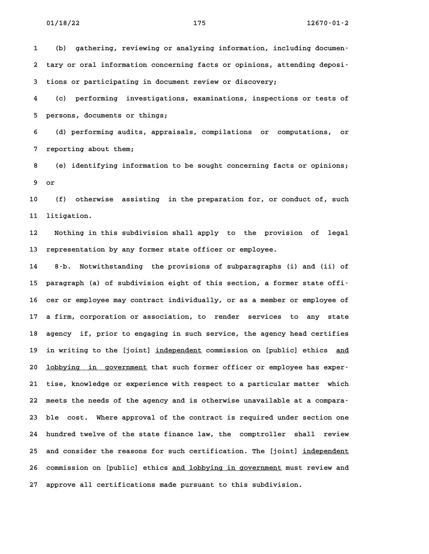**1 (b) gathering, reviewing or analyzing information, including documen-**1 (b) gathering, reviewing or analyzing information, including documen-<br>2 tary or oral information concerning facts or opinions, attending deposi-**3 tions or participating in document review or discovery;**

**4 (c) performing investigations, examinations, inspections or tests of 5 persons, documents or things;**

**6 (d) performing audits, appraisals, compilations or computations, or 7 reporting about them; 8 (e) identifying information to be sought concerning facts or opinions;**

**9 or**

**10 (f) otherwise assisting in the preparation for, or conduct of, such 11 litigation. 12 Nothing in this subdivision shall apply to the provision of legal**

**13 representation by any former state officer or employee.**

**14 8-b. Notwithstanding the provisions of subparagraphs (i) and (ii) of 15 paragraph (a) of subdivision eight of this section, a former state offi-**15 paragraph (a) of subdivision eight of this section, a former state offi<sup>-</sup><br>16 cer or employee may contract individually, or as a member or employee of **17 a firm, corporation or association, to render services to any state** 17 a firm, corporation or association, to render services to any state<br>18 agency if, prior to engaging in such service, the agency head certifies 18 agency if, prior to engaging in such service, the agency head certifies<br>19 in writing to the [joint] <u>independent</u> commission on [public] ethics <u>and</u> 19 in writing to the [joint] <u>independent</u> commission on [public] ethics <u>and</u><br>20 <u>lobbying in government</u> that such former officer or employee has exper-**21 tise, knowledge or experience with respect to a particular matter which 22 meets the needs of the agency and is otherwise unavailable at a compara-23 ble cost. Where approval of the contract is required under section one 24 hundred twelve of the state finance law, the comptroller shall review** 24 hundred twelve of the state finance law, the comptroller shall review<br>25 and consider the reasons for such certification. The [joint] <u>independent</u> 25 and consider the reasons for such certification. The [joint] <u>independent</u><br>26 commission on [public] ethics and lobbying in government must review and **27 approve all certifications made pursuant to this subdivision.**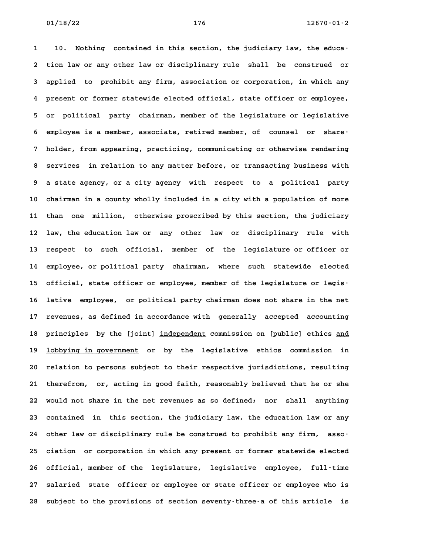**1 10. Nothing contained in this section, the judiciary law, the educa-2 tion law or any other law or disciplinary rule shall be construed or 3 applied to prohibit any firm, association or corporation, in which any 4 present or former statewide elected official, state officer or employee, 5 or political party chairman, member of the legislature or legislative 6 employee is a member, associate, retired member, of counsel or share-7 holder, from appearing, practicing, communicating or otherwise rendering 8 services in relation to any matter before, or transacting business with 9 a state agency, or a city agency with respect to a political party 10 chairman in a county wholly included in a city with a population of more 11 than one million, otherwise proscribed by this section, the judiciary 12 law, the education law or any other law or disciplinary rule with 13 respect to such official, member of the legislature or officer or 14 employee, or political party chairman, where such statewide elected** 14 employee, or political party chairman, where such statewide elected<br>15 official, state officer or employee, member of the legislature or legis-**16 lative employee, or political party chairman does not share in the net 17 revenues, as defined in accordance with generally accepted accounting** 17 revenues, as defined in accordance with generally accepted accounting<br>18 principles by the [joint] <u>independent</u> commission on [public] ethics <u>and</u> 18 principles by the [joint] <u>independent</u> commission on [public] ethics <u>and</u><br>19 <u>lobbying in government</u> or by the legislative ethics commission in 19 **lobbying in government** or by the legislative ethics commission in<br>20 relation to persons subject to their respective jurisdictions, resulting **21 therefrom, or, acting in good faith, reasonably believed that he or she 22 would not share in the net revenues as so defined; nor shall anything** 22 would not share in the net revenues as so defined; nor shall anything<br>23 contained in this section, the judiciary law, the education law or any **24 other law or disciplinary rule be construed to prohibit any firm, asso-25 ciation or corporation in which any present or former statewide elected 26 official, member of the legislature, legislative employee, full-time 27 salaried state officer or employee or state officer or employee who is** 27 salaried state officer or employee or state officer or employee who is<br>28 subject to the provisions of section seventy-three-a of this article is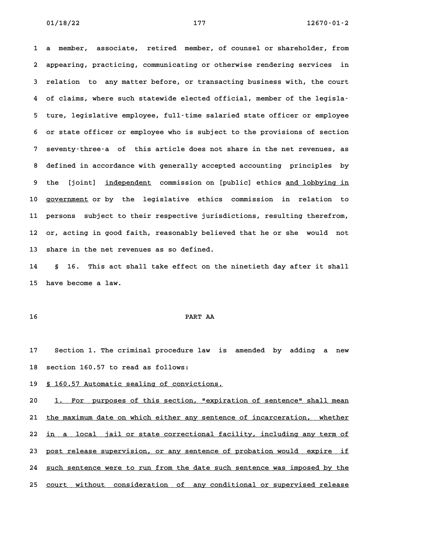**1 a member, associate, retired member, of counsel or shareholder, from 2 appearing, practicing, communicating or otherwise rendering services in** 2 appearing, practicing, communicating or otherwise rendering services in<br>3 relation to any matter before, or transacting business with, the court **4 of claims, where such statewide elected official, member of the legisla-5 ture, legislative employee, full-time salaried state officer or employee 6 or state officer or employee who is subject to the provisions of section 7 seventy-three-a of this article does not share in the net revenues, as 8 defined in accordance with generally accepted accounting principles by** 8 defined in accordance with generally accepted accounting principles by<br>9 the [joint] <u>independent</u> commission on [public] ethics <u>and lobbying in</u> 9 the [joint] <u>independent</u> commission on [public] ethics <u>and lobbying in</u><br>10 <u>government</u> or by the legislative ethics commission in relation to **11 persons subject to their respective jurisdictions, resulting therefrom,** 11 persons subject to their respective jurisdictions, resulting therefrom, 12 or, acting in good faith, reasonably believed that he or she would not<br>13 share in the net revenues as so defined.

**14 § 16. This act shall take effect on the ninetieth day after it shall 15 have become a law.**

## **16 PART AA**

**17 Section 1. The criminal procedure law is amended by adding a new** 17 Section 1. The criminal procedure 1<br>18 section 160.57 to read as follows: 18 section 160.57 to read as follows:<br>19 <u>§ 160.57 Automatic sealing of convictions.</u>

19 <u>§ 160.57 Automatic sealing of convictions.</u><br>20 <u>1. For purposes of this section, "expiration of sentence" shall mean</u> 20 1. For purposes of this section, "expiration of sentence" shall mean<br>21 <u>the maximum date on which either any sentence of incarceration, whether</u> 21 <u>the maximum date on which either any sentence of incarceration, whether</u><br>22 <u>in a local jail or state correctional facility, including any term of</u> 22 <u>in a local jail or state correctional facility, including any term of</u><br>23 <u>post release supervision, or any sentence of probation would expire if</u> 23 <u>post release supervision, or any sentence of probation would expire if</u><br>24 <u>such sentence were to run from the date such sentence was imposed by the</u> **25 court without consideration of any conditional or supervised release \_\_\_\_\_\_\_\_\_\_\_\_\_\_\_\_\_\_\_\_\_\_\_\_\_\_\_\_\_\_\_\_\_\_\_\_\_\_\_\_\_\_\_\_\_\_\_\_\_\_\_\_\_\_\_\_\_\_\_\_\_\_\_\_\_\_\_\_\_\_\_\_**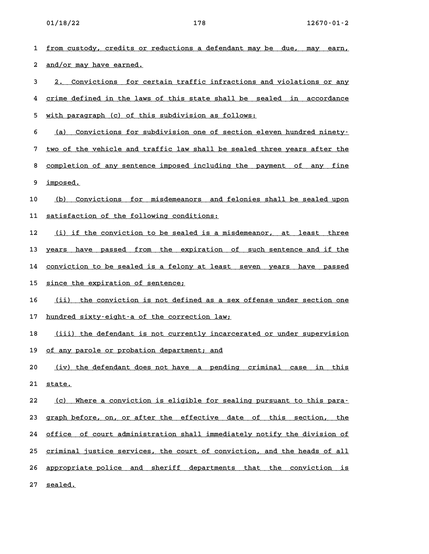| 1  | from custody, credits or reductions a defendant may be due,<br>mav<br>earn, |
|----|-----------------------------------------------------------------------------|
| 2  | and/or may have earned.                                                     |
| 3  | Convictions for certain traffic infractions and violations or any<br>2.     |
| 4  | crime defined in the laws of this state shall be sealed in accordance       |
| 5  | with paragraph (c) of this subdivision as follows:                          |
| 6  | Convictions for subdivision one of section eleven hundred ninety-<br>(a)    |
| 7  | two of the vehicle and traffic law shall be sealed three years after the    |
| 8  | completion of any sentence imposed including the payment of any fine        |
| 9  | imposed.                                                                    |
| 10 | Convictions for misdemeanors and felonies shall be sealed upon<br>(b)       |
| 11 | satisfaction of the following conditions:                                   |
| 12 | (i) if the conviction to be sealed is a misdemeanor, at least three         |
| 13 | years have passed from the expiration of such sentence and if the           |
| 14 | conviction to be sealed is a felony at least seven years have passed        |
| 15 | since the expiration of sentence;                                           |
| 16 | (iii)<br>the conviction is not defined as a sex offense under section one   |
| 17 | hundred sixty-eight-a of the correction law;                                |
| 18 | (iii) the defendant is not currently incarcerated or under supervision      |
|    | 19 of any parole or probation department; and                               |
| 20 | (iv) the defendant does not have a pending criminal case in this            |
| 21 | state.                                                                      |
| 22 | (c) Where a conviction is eligible for sealing pursuant to this para-       |
| 23 | graph before, on, or after the effective date of this section, the          |
| 24 | office of court administration shall immediately notify the division of     |
| 25 | criminal justice services, the court of conviction, and the heads of all    |
| 26 | appropriate police and sheriff departments that the conviction is           |
| 27 | sealed.                                                                     |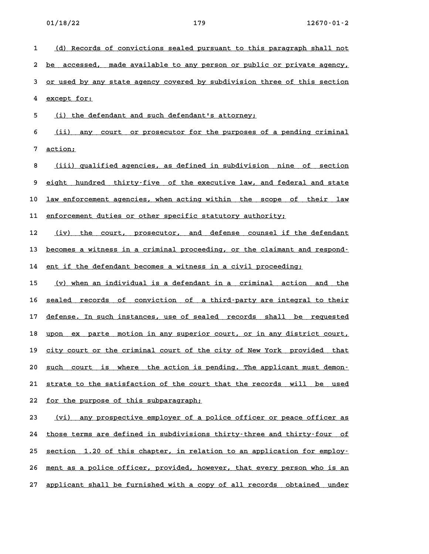1 (d) Records of convictions sealed pursuant to this paragraph shall not <u>(d) Records of convictions sealed pursuant to this paragraph shall not</u><br>2 <u>be accessed, made available to any person or public or private agency,</u> 2 <u>be accessed, made available to any person or public or private agency,</u><br>3 <u>or used by any state agency covered by subdivision three of this section</u> 3 <u>or used by any state agency covered by subdivision three of this section</u><br>4 <u>except for:</u> 5 (i) the defendant and such defendant's attorney; <u>(i) the defendant and such defendant's attorney;</u><br>6 <u>(ii) any court or prosecutor for the purposes of a pending criminal</u> **7 action; \_\_\_\_\_\_\_ 8 (iii) qualified agencies, as defined in subdivision nine of section \_\_\_\_\_\_\_\_\_\_\_\_\_\_\_\_\_\_\_\_\_\_\_\_\_\_\_\_\_\_\_\_\_\_\_\_\_\_\_\_\_\_\_\_\_\_\_\_\_\_\_\_\_\_\_\_\_\_\_\_\_\_\_\_\_\_\_\_\_\_** 8 <u>(iii) qualified agencies, as defined in subdivision nine of section</u><br>9 <u>eight hundred thirty–five of the executive law, and federal and state</u> 9 <u>eight hundred thirty–five of the executive law, and federal and state</u><br>10 <u>law enforcement agencies, when acting within the scope of their law</u> 10 <u>law enforcement agencies, when acting within the scope of</u><br>11 <u>enforcement duties or other specific statutory authority;</u> 11 <u>enforcement duties or other specific statutory authority;</u><br>12 (iv) the court, prosecutor, and defense counsel if the defendant <u>(iv) the court, prosecutor, and defense counsel-if-the-defendant (iv) the court, prosecutor, and defense counsel<br>13 <u>becomes a witness in a criminal proceeding, or the claimant and respond</u></u> 13 <u>becomes a witness in a criminal proceeding, or the claimant and .</u><br>14 <u>ent if the defendant becomes a witness in a civil proceeding;</u> 14 ent if the defendant becomes a witness in a civil proceeding;<br>15 <u>(v) when an individual is a defendant in a criminal action and the</u> 15 <u>(v) when an individual is a defendant in a criminal action and the 16 sealed records of conviction of a third-party are integral to their</u> 16 <u>sealed records of conviction of a-third-party-are-integral-to-their</u><br>17 <u>defense. In such instances, use of sealed records shall be requested</u> 17 <u>defense. In such instances, use of sealed records shall be requested</u><br>18 <u>upon ex parte motion in any superior court, or in any district court,</u> 18 <u>upon ex parte motion in any superior court, or in any district court,</u><br>19 <u>city court or the criminal court of the city of New York provided that</u> 20 <u>such court or the criminal court of the city of New York provided that</u><br>20 <u>such court is where the action is pending. The applicant must demon-</u> 20 <u>such court is where the action is pending. The applicant must demon-</u><br>21 <u>strate to the satisfaction of the court that the records will be used</u> 21 <u>strate to the satisfaction of the court</u><br>22 <u>for the purpose of this subparagraph;</u> 22 <u>for the purpose of this subparagraph;</u><br>23 <u>(vi)</u> any prospective employer of a police officer or peace officer as <u>(vi) any prospective employer of a police officer or peace officer as</u><br>24 <u>those terms are defined in subdivisions thirty-three and thirty-four of</u> 24 <u>those terms are defined in subdivisions thirty-three and thirty-four of section 1.20 of this chapter, in relation to an application for employ-</u> 25 <u>section 1.20 of this chapter, in relation to an application for employ-</u><br>26 <u>ment as a police officer, provided, however, that every person who is an</u>

27 applicant shall be furnished with a copy of all records obtained under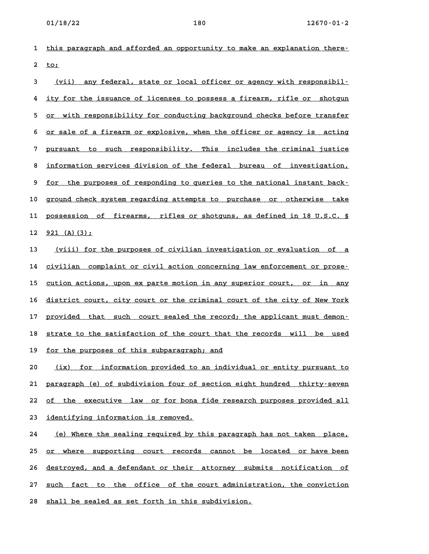**1 this paragraph and afforded an opportunity to make an explanation there- \_\_\_\_\_\_\_\_\_\_\_\_\_\_\_\_\_\_\_\_\_\_\_\_\_\_\_\_\_\_\_\_\_\_\_\_\_\_\_\_\_\_\_\_\_\_\_\_\_\_\_\_\_\_\_\_\_\_\_\_\_\_\_\_\_\_\_\_\_\_\_\_** 1 <u>this p</u><br>2 <u>to;</u>

2 <u>to;</u><br>3 <u>(vii) any federal, state or local officer or agency with responsibil-</u> <u>(vii) any federal, state or local officer or agency with responsibil–</u><br>4 ity for the issuance of licenses to possess a firearm, rifle or shotgun 4 <u>ity for the issuance of licenses to possess a firearm, rifle or shotgun</u><br>5 <u>or with responsibility for conducting background checks before transfer</u> 6 <u>or sale of a firearm or explosive, when the officer or agency is acting</u> **7 pursuant to such responsibility. This includes the criminal justice \_\_\_\_\_\_\_\_\_\_\_\_\_\_\_\_\_\_\_\_\_\_\_\_\_\_\_\_\_\_\_\_\_\_\_\_\_\_\_\_\_\_\_\_\_\_\_\_\_\_\_\_\_\_\_\_\_\_\_\_\_\_\_\_\_\_\_\_\_\_\_\_** 8 <u>information services division of the federal bureau of investigation,</u><br>**8 <u>information services division of the federal bureau of investigation,</u>** 8 <u>information services division of the federal bureau of investigation,</u><br>9 <u>for the purposes of responding to queries to the national instant back–</u> 9 <u>for the purposes of responding to queries to the national instant back-</u><br>10 ground check system regarding attempts to purchase or otherwise take 10 ground check system regarding attempts to purchase or otherwise take<br>11 <u>possession of firearms, rifles or shotguns, as defined in 18 U.S.C. §</u> 11 <u>possession of firearms, rifles or shotguns, as defined in 18 U.S.C. §<br>12 921 (A)(3);</u>

12 <u>921 (A)(3);</u><br>13 <u>(viii) for the purposes of civilian investigation or evaluation of a</u> <u>(viii) for the purposes of civilian investigation or evaluation of a time in the purposes of civilian complaint or civil action concerning law enforcement or prose-</u> 14 civilian complaint or civil action concerning law enforcement or prose-<br>15 cution actions, upon ex parte motion in any superior court, or in any 15 <u>cution actions, upon ex parte motion in any superior court, or in any</u><br>16 district court, city court or the criminal court of the city of New York 16 <u>district court, city court or the criminal court of the city of New York</u><br>17 provided that such court sealed the record; the applicant must demon-17 <u>provided that such court sealed the record; the applicant must demon–</u><br>18 <u>strate to the satisfaction of the court that the records will be used</u> 18 <u>strate to the satisfaction of the court that</u><br>19 <u>for the purposes of this subparagraph; and</u> 19 <u>for the purposes of this subparagraph; and</u><br>20 (ix) for information provided to an individual or entity pursuant to

21 paragraph (e) of subdivision four of section eight hundred thirty-seven 21 <u>paragraph (e) of subdivision four of section eight hundred thirty–seven</u><br>22 <u>of the executive law or for bona fide research purposes provided all</u> 22 <u>of the executive law or for bona f</u><br>23 <u>identifying information is removed.</u>

23 <u>identifying information is removed.</u><br>24 <u>(e) Where the sealing required by this paragraph has not taken place,</u> <u>(e) Where the sealing required by this paragraph has not taken place, it is not the supporting court records cannot be located or have been  $\frac{1}{2}$ </u> 25 <u>or where supporting court records cannot be located or-have-been</u><br>26 <u>destroyed, and a defendant-or-their attorney submits notification of</u> 26 <u>destroyed, and a defendant or their attorney submits notification of</u><br>27 <u>such fact to the office of the court administration, the conviction</u> 27 <u>such fact to the office of the court administration, the conviction</u><br>28 <u>shall be sealed as set forth in this subdivision.</u>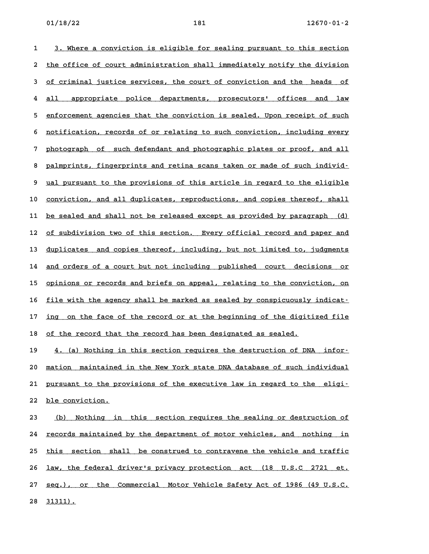1 3. Where a conviction is eligible for sealing pursuant to this section <u>3. Where a conviction is eligible for sealing pursuant to this section</u><br>2 <u>the office of court administration shall immediately notify the division</u> 2 <u>the office of court administration shall immediately notify the division</u><br>3 <u>of criminal justice services, the court of conviction and the heads of</u> 3 <u>of criminal justice services, the court of conviction and the heads of</u><br>4 <u>all appropriate police departments, prosecutors' offices and law</u> 4 <u>all appropriate police departments, prosecutors' offices and law</u><br>5 <u>enforcement agencies that the conviction is sealed. Upon receipt of such</u> 5 <u>enforcement agencies that the conviction is sealed. Upon receipt of such</u><br>6 notification, records of or relating to such conviction, including every 6 <u>notification, records of or relating to such conviction, including every</u><br>7 photograph of such defendant and photographic plates or proof, and all 8 photograph of such defendant and photographic plates or proof, and all<br>8 palmprints, fingerprints and retina scans taken or made of such individ<sup>.</sup> 9 <u>palmprints, fingerprints and retina scans taken or made of such individ-</u><br>9 <u>ual pursuant to the provisions of this article in regard to the eligible</u> 9 <u>ual pursuant to the provisions of this article in regard to the eligible</u><br>10 <u>conviction, and all duplicates, reproductions, and copies thereof, shall</u> 10 <u>conviction, and all duplicates, reproductions, and copies thereof, shall</u><br>11 <u>be sealed and shall not be released except as provided by paragraph (d)</u> 11 <u>be sealed and shall not be released except as provided by paragraph (d)</u><br>12 <u>of subdivision two of this section. Every official record and paper and</u> 12 <u>of subdivision two of this section. Every official record and paper and</u><br>13 <u>duplicates and copies thereof, including, but not limited to, judgments</u> 13 <u>duplicates and copies thereof, including, but not limited to, judgments</u><br>14 <u>and orders of a court but not including published court decisions or</u> 14 <u>and orders of a court but not including published court decisions or</u><br>15 <u>opinions or records and briefs on appeal, relating to the conviction, on</u> 15 <u>opinions or records and briefs on appeal, relating to the conviction, on</u><br>16 <u>file with the agency shall be marked as sealed by conspicuously indicat–</u> 16 <u>file with the agency shall be marked as sealed by conspicuously indicat-</u><br>17 <u>ing on the face of the record or at the beginning of the digitized file</u> 17 <u>ing on the face of the record or at the beginning of the digitized file</u><br>18 <u>of the record that the record has been designated as sealed.</u>

19 **4.** (a) Nothing in this section requires the destruction of DNA infor-**20 mation maintained in the New York state DNA database of such individual \_\_\_\_\_\_\_\_\_\_\_\_\_\_\_\_\_\_\_\_\_\_\_\_\_\_\_\_\_\_\_\_\_\_\_\_\_\_\_\_\_\_\_\_\_\_\_\_\_\_\_\_\_\_\_\_\_\_\_\_\_\_\_\_\_\_\_\_\_\_\_\_** 20 <u>mation maintained in the New York state DNA database of such individual</u><br>21 <u>pursuant to the provisions of the executive law in regard to the eligi</u>– 21 <u>pursuant to the pr</u><br>22 <u>ble conviction.</u>

22 <u>ble conviction.</u><br>23 <u>(b) Nothing in this section requires the sealing or destruction of</u> <u>(b) Nothing in this section-requires-the-sealing-or-destruction-of-</u><br>24 <u>records maintained by the department of motor-vehicles, and nothing in</u> 24 <u>records maintained by the department of motor vehicles, and nothing in</u><br>25 <u>this section shall be construed to contravene the vehicle and traffic</u> 25 this section shall be construed to contravene the vehicle and traffic<br>26 <u>law, the federal driver's privacy protection act (18 U.S.C 2721 et.</u> 26 <u>law, the federal driver's privacy protection act (18 U.S.C 2721 et.</u><br>27 <u>seq.), or the Commercial Motor Vehicle Safety Act of 1986 (49 U.S.C.</u> 27 <u>seq.), or</u><br>28 <u>31311).</u>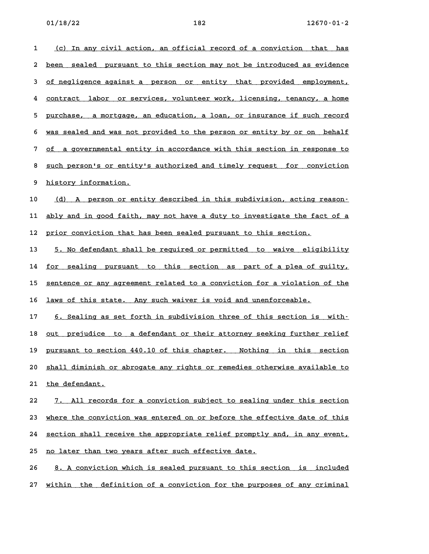1 (c) In any civil action, an official record of a conviction that has <u>(c) In any civil action, an official record of a conviction that has</u><br>2 <u>been sealed pursuant to this section may not be introduced as evidence</u> 2 <u>been sealed pursuant to this section may not be introduced as evidence</u><br>3 <u>of negligence against a person or entity that provided employment,</u> 3 of negligence against a person or entity that provided employment,<br>4 contract labor or services, volunteer work, licensing, tenancy, a home 4 <u>contract labor or services, volunteer work, licensing, tenancy, a home</u><br>5 <u>purchase, a mortgage, an education, a loan, or insurance if such record</u> 5 <u>purchase, a mortgage, an education, a loan, or insurance if such record</u><br>6 <u>was sealed and was not provided to the person or entity by or on behalf</u> **6** <u>was sealed and was not provided to the person or entity by or on behalf</u><br>7 of a governmental entity in accordance with this section in response to <u>of a governmental entity in accordance with this section in response to such person's or entity's authorized and timely request for conviction</u> 8 <u>such person's or entity's authorized and timely request for conviction<br>9 history information.</u>

10 (d) A person or entity described in this subdivision, acting reason-10 <u>(d) A person or entity described in this subdivision, acting reason–</u><br>11 <u>ably and in good faith, may not have a duty to investigate the fact of a</u> 11 <u>ably and in good faith, may not have a duty to investigate the fac</u><br>12 <u>prior conviction that has been sealed pursuant to this section.</u>

12 <u>prior conviction that has been sealed pursuant to this section.</u><br>13 <u>5. No defendant shall be required or permitted to waive eligibility</u> 13 <u>5. No defendant shall be required or permitted to waive eligibility</u><br>14 <u>for sealing pursuant to this section as part of a plea of guilty,</u> 14 <u>for sealing pursuant to this section as part of a plea of guilty,</u><br>15 <u>sentence or any agreement related to a conviction for a violation of the</u> 15 <u>sentence or any agreement related to a conviction for a violation of laws of this state. Any such waiver is void and unenforceable.</u>

16 <u>laws of this state. Any such waiver is void and unenforceable.</u><br>17 6. Sealing as set forth in subdivision three of this section is with– 17 6. Sealing as set forth in subdivision three of this section is with-<br>18 <u>out prejudice to a defendant or their attorney seeking further relief</u> 18 <u>out prejudice to a-defendant-or-their-attorney-seeking-further-relief</u><br>19 <u>pursuant-to-section-440.10 of this-chapter. Nothing in this-section</u> 20 <u>shall diminish or abrogate any rights or remedies otherwise available to **shall diminish or abrogate any rights or** remedies otherwise available to</u> 20 shall diminish or abrogate any rights or remedies otherwise available to<br>21 the defendant.

21 <u>the defendant.</u><br>22 <u>7. All records for a conviction subject to sealing under this section</u> 22 1. All records for a conviction subject to sealing under this section<br>23 where the conviction was entered on or before the effective date of this 23 <u>where the conviction was entered on or before the effective date of this</u><br>24 <u>section shall receive the appropriate relief promptly and, in any event,</u> 24 <u>section shall receive the appropriate relief promptly</u><br>25 <u>no later than two years after such effective date.</u> 25 <u>no later than two years after such effective date.</u><br>26 **8. A conviction which is sealed pursuant to this section is included** 

27 within the definition of a conviction for the purposes of any criminal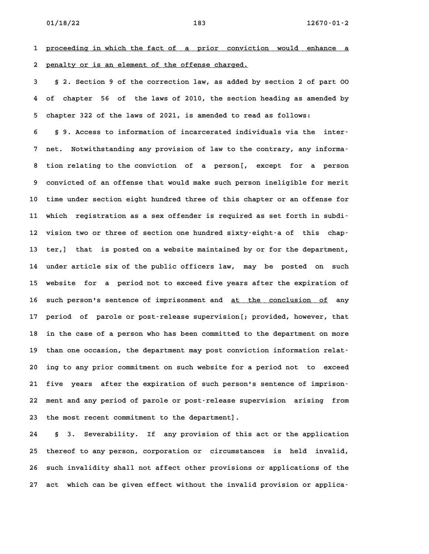**1 proceeding in which the fact of a prior conviction would enhance a \_\_\_\_\_\_\_\_\_\_\_\_\_\_\_\_\_\_\_\_\_\_\_\_\_\_\_\_\_\_\_\_\_\_\_\_\_\_\_\_\_\_\_\_\_\_\_\_\_\_\_\_\_\_\_\_\_\_\_\_\_\_\_\_\_\_\_\_\_\_\_\_** 1 <u>proceeding in which the fact of a prior convicti</u><br>2 <u>penalty or is an element of the offense charged.</u>

**3 § 2. Section 9 of the correction law, as added by section 2 of part OO 4 of chapter 56 of the laws of 2010, the section heading as amended by 5 chapter 322 of the laws of 2021, is amended to read as follows: 6 § 9. Access to information of incarcerated individuals via the inter-**

**7 net. Notwithstanding any provision of law to the contrary, any informa-8 tion relating to the conviction of a person[, except for a person 9 convicted of an offense that would make such person ineligible for merit 10 time under section eight hundred three of this chapter or an offense for 11 which registration as a sex offender is required as set forth in subdi-**11 which registration as a sex offender is required as set forth in subdi-<br>12 vision two or three of section one hundred sixty-eight-a of this chap-**13 ter,] that is posted on a website maintained by or for the department, 14 under article six of the public officers law, may be posted on such 15 website for a period not to exceed five years after the expiration of** 15 website for a period not to exceed five years after the expiration of<br>16 such person's sentence of imprisonment and <u>at the conclusion of</u> any **17 period of parole or post-release supervision[; provided, however, that 18 in the case of a person who has been committed to the department on more** 18 in the case of a person who has been committed to the department on more<br>19 than one occasion, the department may post conviction information relat-**20 ing to any prior commitment on such website for a period not to exceed 21 five years after the expiration of such person's sentence of imprison-22 ment and any period of parole or post-release supervision arising from** 22 ment and any period of parole or post-release sup<br>23 the most recent commitment to the department].

**24 § 3. Severability. If any provision of this act or the application 25 thereof to any person, corporation or circumstances is held invalid,** 25 thereof to any person, corporation or circumstances is held invalid,<br>26 such invalidity shall not affect other provisions or applications of the **27 act which can be given effect without the invalid provision or applica-**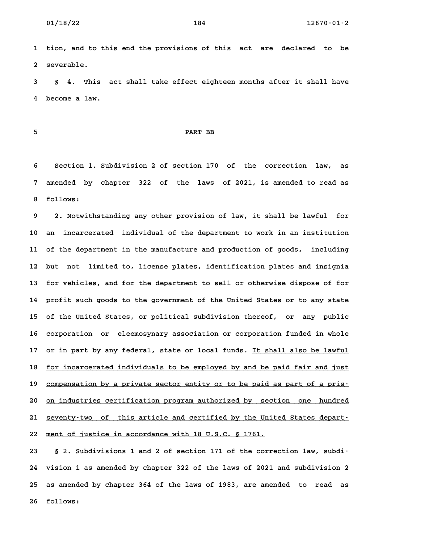**1 tion, and to this end the provisions of this act are declared to be 2 severable.**

**3 § 4. This act shall take effect eighteen months after it shall have 4 become a law.**

## **5 PART BB**

**6 Section 1. Subdivision 2 of section 170 of the correction law, as 7 amended by chapter 322 of the laws of 2021, is amended to read as** 7 amended by chapter 322 of the laws of 2021, is amended to read as<br>8 follows:

**9 2. Notwithstanding any other provision of law, it shall be lawful for 10 an incarcerated individual of the department to work in an institution 11 of the department in the manufacture and production of goods, including 12 but not limited to, license plates, identification plates and insignia 13 for vehicles, and for the department to sell or otherwise dispose of for 14 profit such goods to the government of the United States or to any state 15 of the United States, or political subdivision thereof, or any public** 15 of the United States, or political subdivision thereof, or any public<br>16 corporation or eleemosynary association or corporation funded in whole 16 corporation or eleemosynary association or corporation funded in whole<br>17 or in part by any federal, state or local funds. <u>It shall also be lawful</u> 17 or in part by any federal, state or local funds. <u>It shall also be lawful</u><br>18 <u>for incarcerated individuals to be employed by and be paid fair and just</u> 18 <u>for incarcerated individuals to be employed by and be paid fair and just</u><br>19 <u>compensation by a private sector entity or to be paid as part of a pris-</u> 20 <u>compensation by a private sector entity or to be paid as part of a pris-</u><br>20 <u>on industries certification program authorized by section one hundred</u> 20 <u>on industries certification program authorized by section one hundred</u><br>21 <u>seventy-two of this article and certified by the United States depart-</u> 22 ment of justice in accordance with 18 U.S.C. § 1761.

**23 § 2. Subdivisions 1 and 2 of section 171 of the correction law, subdi-24 vision 1 as amended by chapter 322 of the laws of 2021 and subdivision 2 25 as amended by chapter 364 of the laws of 1983, are amended to read as 26 follows:**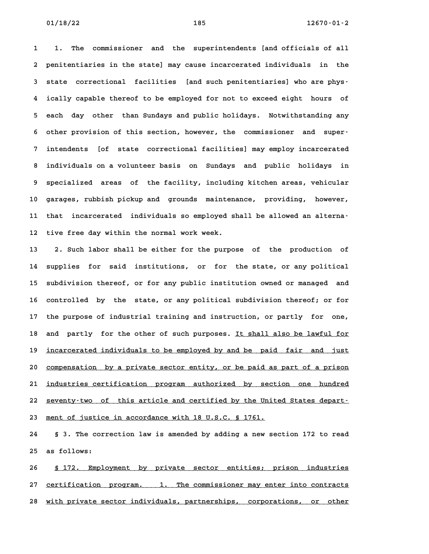**1 1. The commissioner and the superintendents [and officials of all 2 penitentiaries in the state] may cause incarcerated individuals in the 3 state correctional facilities [and such penitentiaries] who are phys-4 ically capable thereof to be employed for not to exceed eight hours of 5 each day other than Sundays and public holidays. Notwithstanding any 6 other provision of this section, however, the commissioner and super-7 intendents [of state correctional facilities] may employ incarcerated 8 individuals on a volunteer basis on Sundays and public holidays in 9 specialized areas of the facility, including kitchen areas, vehicular 10 garages, rubbish pickup and grounds maintenance, providing, however,** 10 garages, rubbish pickup and grounds maintenance, providing, however,<br>11 that incarcerated individuals so employed shall be allowed an alterna-11 that incarcerated individuals so employed shall be allowed an alterna-<br>12 tive free day within the normal work week.

**13 2. Such labor shall be either for the purpose of the production of 14 supplies for said institutions, or for the state, or any political 15 subdivision thereof, or for any public institution owned or managed and 16 controlled by the state, or any political subdivision thereof; or for 17 the purpose of industrial training and instruction, or partly for one,** 17 the purpose of industrial training and instruction, or partly for one,<br>18 and partly for the other of such purposes. <u>It shall also be lawful for</u> 18 and partly for the other of such purposes. <u>It shall also be lawful for</u><br>19 <u>incarcerated individuals to be employed by and be paid fair and just</u> 19 <u>incarcerated individuals to be employed by and be paid fair and just</u><br>20 <u>compensation by a private sector entity, or be paid as part of a prison</u> 20 <u>compensation by a private sector entity, or be paid as part of a prison</u><br>21 <u>industries certification program authorized by section one hundred</u> 21 <u>industries certification program authorized by section one hundred</u><br>22 <u>seventy-two of this article and certified by the United States depart-</u> 22 <u>seventy-two of this article and certified by the United States depart-</u><br>23 <u>ment of justice in accordance with 18 U.S.C. § 1761.</u>

**24 § 3. The correction law is amended by adding a new section 172 to read 25 as follows:**

25 as follows:<br>26 <u>§ 172. Employment by private sector entities; prison industries</u> 26 <u>§ 172. Employment by private sector entities; prison industries</u><br>27 <u>certification program. 1. The commissioner may enter into contracts</u> 27 <u>certification program. 1. The commissioner may enter into contracts</u><br>28 <u>with private sector individuals, partnerships, corporations, or other</u>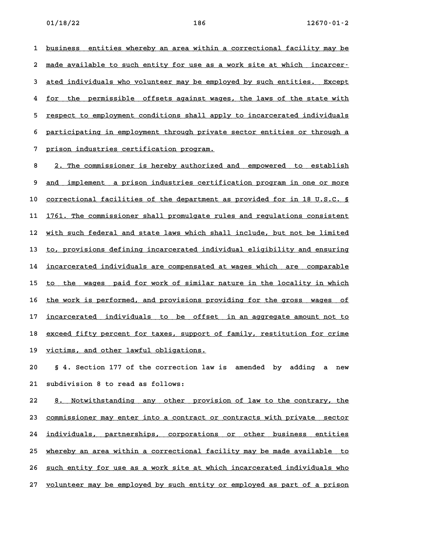1 <u>business</u> entities whereby an area within a correctional facility may be</u> 1 <u>business entities whereby an area within a correctional facility may be</u><br>2 <u>made available to such entity for use as a work site at which incarcer–</u> 2 <u>made available to such entity for use as a work site at which incarcer–</u><br>3 ated individuals who volunteer may be employed by such entities. Except 4 for the permissible offsets against wages, the laws of the state with<br>**4** for the permissible offsets against wages, the laws of the state with 4 <u>for the permissible offsets against wages, the laws of the state with</u><br>5 respect to employment conditions shall apply to incarcerated individuals 5 <u>respect to employment conditions shall apply to incarcerated individuals</u><br>6 participating in employment through private sector entities or through a 6 participating in employment through private sector entities or through a<br>7 prison industries certification program.

8 2. The commissioner is hereby authorized and empowered to establish **9** and implement a prison industries certification program in one or more 9 <u>and implement a prison industries certification program in one or more</u><br>10 <u>correctional facilities of the department as provided for in 18 U.S.C. §</u> 10 <u>correctional facilities of the department as provided for in 18 U.S.C. §</u><br>11 <u>1761. The commissioner shall promulgate rules and regulations consistent</u> 11 1761. The commissioner shall promulgate rules and regulations consistent<br>12 with such federal and state laws which shall include, but not be limited 12 <u>with such federal and state laws which shall include, but not be limited</u><br>13 <u>to, provisions defining incarcerated individual eligibility and ensuring</u> 13 <u>to, provisions defining incarcerated individual eligibility and ensuring</u><br>14 <u>incarcerated individuals are compensated at wages which are comparable</u> 14 <u>incarcerated individuals are compensated at wages which are comparable</u><br>15 to the wages paid for work of similar nature in the locality in which 15 <u>to the wages paid for work of similar nature in the locality in which</u><br>16 <u>the work is performed, and provisions providing for the gross wages of</u> 16 <u>the work is performed, and provisions providing for the gross wages of the stock of</u><br>17 <u>incarcerated individuals to be offset in an aggregate amount not to</u> 17 <u>incarcerated individuals to be offset in an aggregate amount not to</u><br>18 exceed fifty percent for taxes, support of family, restitution for crime 18 <u>exceed fifty percent for taxes, support of family, restitution for crime</u><br>19 <u>victims, and other lawful obligations.</u>

**20 § 4. Section 177 of the correction law is amended by adding a new 21 subdivision 8 to read as follows:**

22 8. Notwithstanding any other provision of law to the contrary, the **23 commissioner may enter into a contract or contracts with private sector \_\_\_\_\_\_\_\_\_\_\_\_\_\_\_\_\_\_\_\_\_\_\_\_\_\_\_\_\_\_\_\_\_\_\_\_\_\_\_\_\_\_\_\_\_\_\_\_\_\_\_\_\_\_\_\_\_\_\_\_\_\_\_\_\_\_\_\_\_\_\_\_** 23 <u>commissioner may enter into a contract or contracts with private sector</u><br>24 <u>individuals, partnerships, corporations or other business entities</u> 24 <u>individuals, partnerships, corporations or other business entities</u><br>25 <u>whereby an area within a correctional facility may be made available to</u> 25 whereby an area within a correctional facility may be made available to<br>26 <u>such entity for use as a work site at which incarcerated individuals who</u> **27 volunteer may be employed by such entity or employed as part of a prison \_\_\_\_\_\_\_\_\_\_\_\_\_\_\_\_\_\_\_\_\_\_\_\_\_\_\_\_\_\_\_\_\_\_\_\_\_\_\_\_\_\_\_\_\_\_\_\_\_\_\_\_\_\_\_\_\_\_\_\_\_\_\_\_\_\_\_\_\_\_\_\_**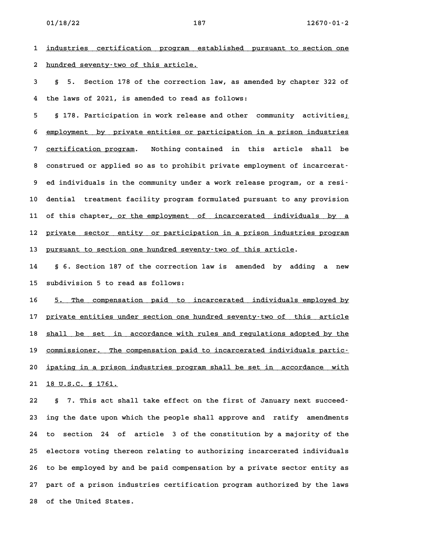1 <u>industries certification program established pursuant to section one</u> 2 hundred seventy-two of this article.

**3 § 5. Section 178 of the correction law, as amended by chapter 322 of 4 the laws of 2021, is amended to read as follows: 5 § 178. Participation in work release and other community activities;\_**

5 § 178. Participation in work release and other community activities<u>;</u><br>6 <u>employment by private entities or participation in a prison industries</u> 6 <u>employment by private-entities or-participation in a prison industries<br>7 <u>certification program</u>. Nothing contained in this article shall be</u> 7 <u>certification program</u>. Nothing contained in this article shall be<br>8 construed or applied so as to prohibit private emplovment of incarcerat-**9 ed individuals in the community under a work release program, or a resi-10 dential treatment facility program formulated pursuant to any provision** 10 dential treatment facility program formulated pursuant to any provision<br>11 of this chapter<u>, or the employment of incarcerated individuals by a</u> 11 of this chapter<u>, or the employment of incarcerated individuals by a</u><br>12 <u>private sector entity or participation in a prison industries program</u> 13 pursuant to section one hundred seventy-two of this article.

**14 § 6. Section 187 of the correction law is amended by adding a new 15 subdivision 5 to read as follows:**

15 subdivision 5 to read as follows:<br>16 <u>5. The compensation paid to incarcerated individuals employed by</u> 16 5. The compensation paid to incarcerated individuals employed by<br>17 <u>private entities under section one hundred seventy-two of this article</u> 17 <u>private entities under section one hundred seventy-two of this article</u><br>18 shall be set in accordance with rules and regulations adopted by the 18 <u>shall be set in accordance with rules and regulations adopted by the commissioner. The compensation paid to incarcerated individuals partic-</u> 29 <u>commissioner. The compensation paid to incarcerated individuals partic-</u><br>20 <u>ipating in a prison industries program shall be set in accordance with</u> 20 <u>ipating in a prison</u><br>21 <u>18 U.S.C. § 1761.</u>

**22 § 7. This act shall take effect on the first of January next succeed-23 ing the date upon which the people shall approve and ratify amendments 24 to section 24 of article 3 of the constitution by a majority of the 25 electors voting thereon relating to authorizing incarcerated individuals 26 to be employed by and be paid compensation by a private sector entity as 27 part of a prison industries certification program authorized by the laws 28 of the United States.**